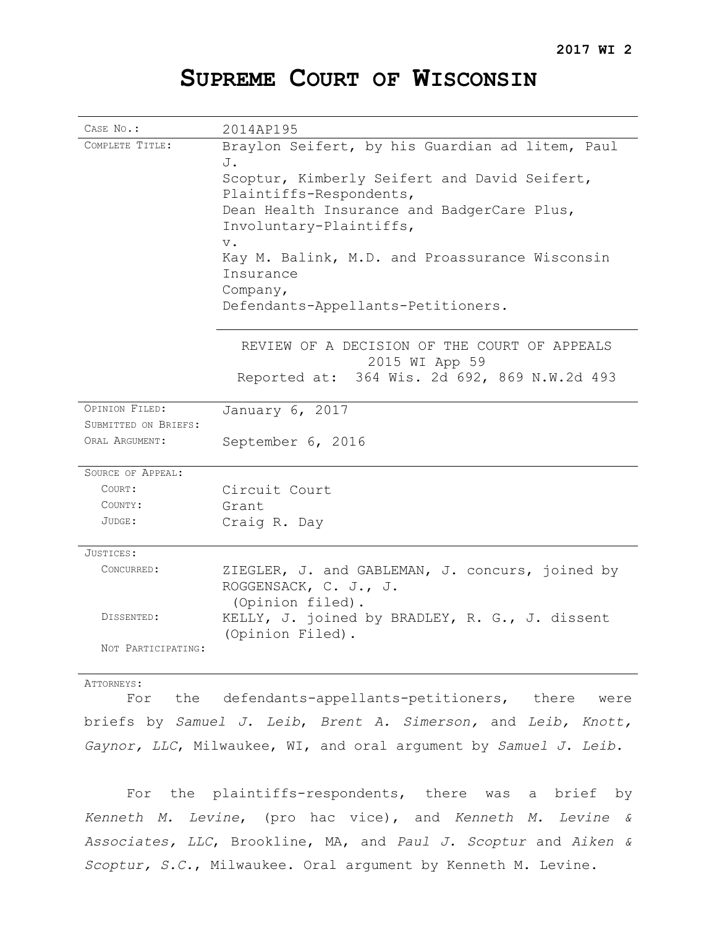## **SUPREME COURT OF WISCONSIN**

| CASE No.:                              | 2014AP195                                                                                                                                                                                                                                                                                                                                                                                   |
|----------------------------------------|---------------------------------------------------------------------------------------------------------------------------------------------------------------------------------------------------------------------------------------------------------------------------------------------------------------------------------------------------------------------------------------------|
| COMPLETE TITLE:                        | Braylon Seifert, by his Guardian ad litem, Paul<br>J.<br>Scoptur, Kimberly Seifert and David Seifert,<br>Plaintiffs-Respondents,<br>Dean Health Insurance and BadgerCare Plus,<br>Involuntary-Plaintiffs,<br>$\mathbf v$ .<br>Kay M. Balink, M.D. and Proassurance Wisconsin<br>Insurance<br>Company,<br>Defendants-Appellants-Petitioners.<br>REVIEW OF A DECISION OF THE COURT OF APPEALS |
|                                        | 2015 WI App 59                                                                                                                                                                                                                                                                                                                                                                              |
|                                        | Reported at: 364 Wis. 2d 692, 869 N.W.2d 493                                                                                                                                                                                                                                                                                                                                                |
| OPINION FILED:                         | January 6, 2017                                                                                                                                                                                                                                                                                                                                                                             |
| SUBMITTED ON BRIEFS:<br>ORAL ARGUMENT: | September 6, 2016                                                                                                                                                                                                                                                                                                                                                                           |
| SOURCE OF APPEAL:                      |                                                                                                                                                                                                                                                                                                                                                                                             |
| COURT:                                 | Circuit Court                                                                                                                                                                                                                                                                                                                                                                               |
| COUNTY:                                | Grant                                                                                                                                                                                                                                                                                                                                                                                       |
| JUDGE:                                 | Craig R. Day                                                                                                                                                                                                                                                                                                                                                                                |
| JUSTICES:                              |                                                                                                                                                                                                                                                                                                                                                                                             |
| CONCURRED:                             | ZIEGLER, J. and GABLEMAN, J. concurs, joined by<br>ROGGENSACK, C. J., J.<br>(Opinion filed).                                                                                                                                                                                                                                                                                                |
| DISSENTED:                             | KELLY, J. joined by BRADLEY, R. G., J. dissent<br>(Opinion Filed).                                                                                                                                                                                                                                                                                                                          |
| NOT PARTICIPATING:                     |                                                                                                                                                                                                                                                                                                                                                                                             |

## ATTORNEYS:

For the defendants-appellants-petitioners, there were briefs by *Samuel J. Leib*, *Brent A. Simerson,* and *Leib, Knott, Gaynor, LLC*, Milwaukee, WI, and oral argument by *Samuel J. Leib*.

For the plaintiffs-respondents, there was a brief by *Kenneth M. Levine*, (pro hac vice), and *Kenneth M. Levine & Associates, LLC*, Brookline, MA, and *Paul J. Scoptur* and *Aiken & Scoptur, S.C.*, Milwaukee. Oral argument by Kenneth M. Levine.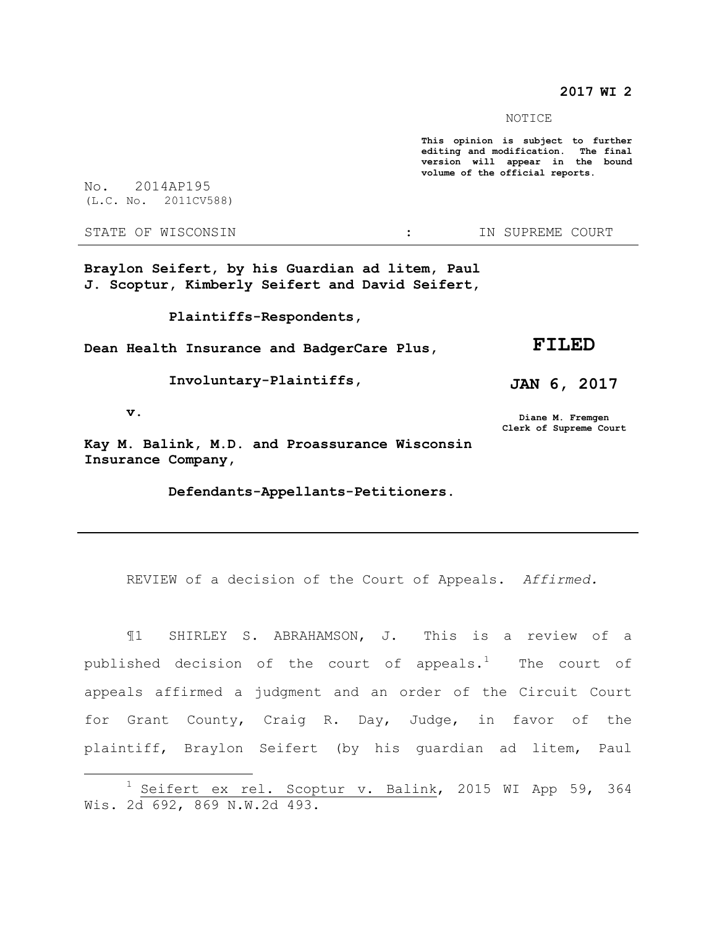**2017 WI 2**

NOTICE

**This opinion is subject to further editing and modification. The final version will appear in the bound volume of the official reports.** 

No. 2014AP195 (L.C. No. 2011CV588)

STATE OF WISCONSIN THE RESERVE STATE OF WISCONSIN THE SERVER SOURT

**Braylon Seifert, by his Guardian ad litem, Paul J. Scoptur, Kimberly Seifert and David Seifert,**

 **Plaintiffs-Respondents,**

**Dean Health Insurance and BadgerCare Plus,**

 **Involuntary-Plaintiffs,**

**JAN 6, 2017**

**FILED**

 **v.**

 $\overline{a}$ 

**Diane M. Fremgen Clerk of Supreme Court**

**Kay M. Balink, M.D. and Proassurance Wisconsin Insurance Company,**

 **Defendants-Appellants-Petitioners.**

REVIEW of a decision of the Court of Appeals. *Affirmed.*

¶1 SHIRLEY S. ABRAHAMSON, J. This is a review of a published decision of the court of appeals.<sup>1</sup> The court of appeals affirmed a judgment and an order of the Circuit Court for Grant County, Craig R. Day, Judge, in favor of the plaintiff, Braylon Seifert (by his guardian ad litem, Paul

 $1$  Seifert ex rel. Scoptur v. Balink, 2015 WI App 59, 364 Wis. 2d 692, 869 N.W.2d 493.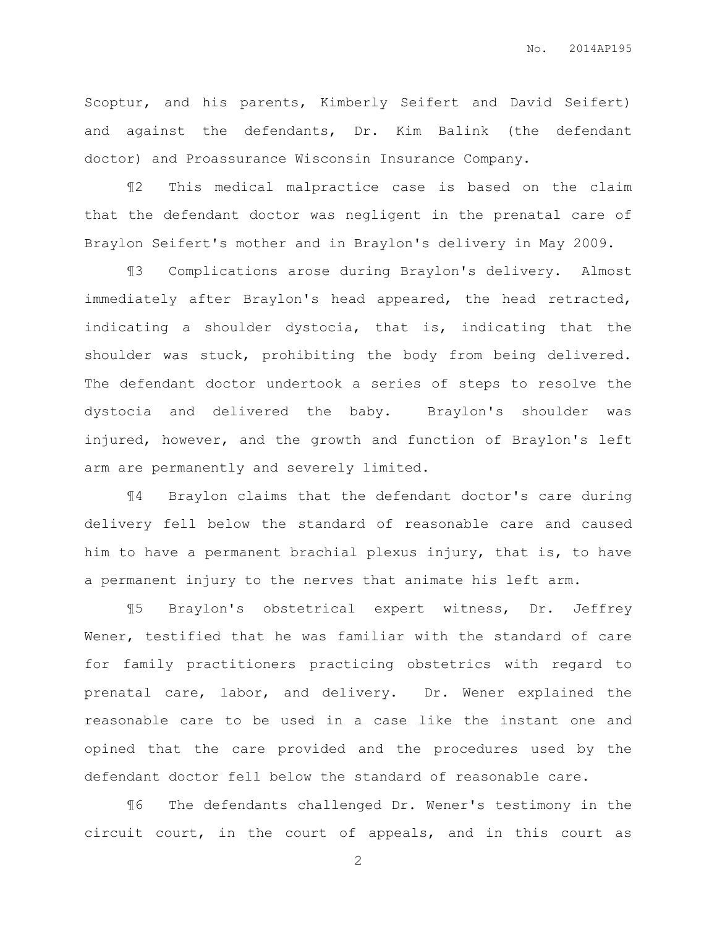Scoptur, and his parents, Kimberly Seifert and David Seifert) and against the defendants, Dr. Kim Balink (the defendant doctor) and Proassurance Wisconsin Insurance Company.

¶2 This medical malpractice case is based on the claim that the defendant doctor was negligent in the prenatal care of Braylon Seifert's mother and in Braylon's delivery in May 2009.

¶3 Complications arose during Braylon's delivery. Almost immediately after Braylon's head appeared, the head retracted, indicating a shoulder dystocia, that is, indicating that the shoulder was stuck, prohibiting the body from being delivered. The defendant doctor undertook a series of steps to resolve the dystocia and delivered the baby. Braylon's shoulder was injured, however, and the growth and function of Braylon's left arm are permanently and severely limited.

¶4 Braylon claims that the defendant doctor's care during delivery fell below the standard of reasonable care and caused him to have a permanent brachial plexus injury, that is, to have a permanent injury to the nerves that animate his left arm.

¶5 Braylon's obstetrical expert witness, Dr. Jeffrey Wener, testified that he was familiar with the standard of care for family practitioners practicing obstetrics with regard to prenatal care, labor, and delivery. Dr. Wener explained the reasonable care to be used in a case like the instant one and opined that the care provided and the procedures used by the defendant doctor fell below the standard of reasonable care.

¶6 The defendants challenged Dr. Wener's testimony in the circuit court, in the court of appeals, and in this court as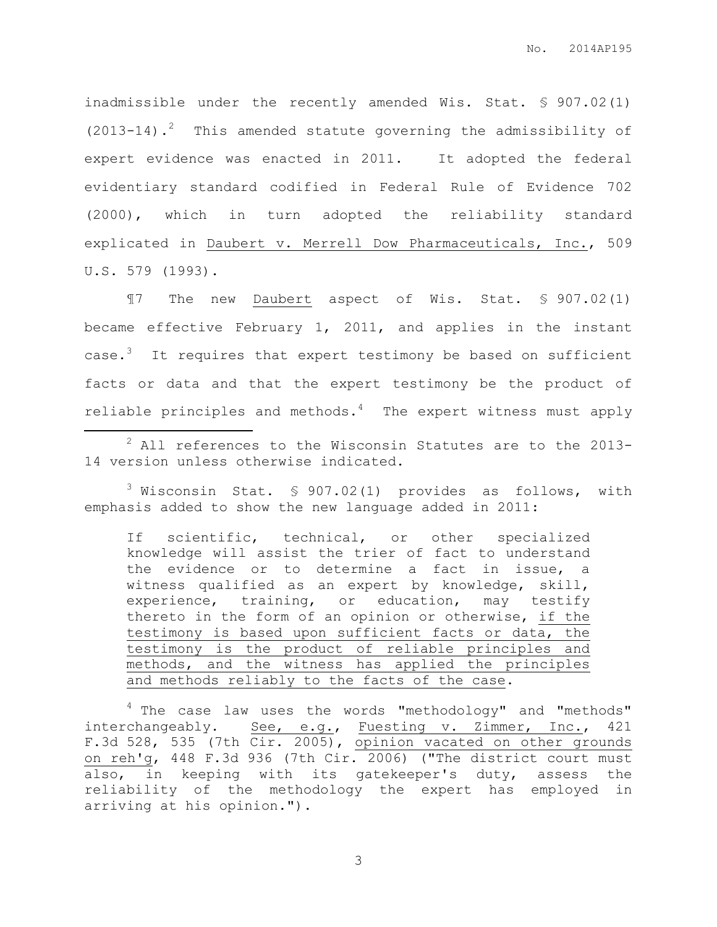inadmissible under the recently amended Wis. Stat. § 907.02(1) (2013-14).<sup>2</sup> This amended statute governing the admissibility of expert evidence was enacted in 2011. It adopted the federal evidentiary standard codified in Federal Rule of Evidence 702 (2000), which in turn adopted the reliability standard explicated in Daubert v. Merrell Dow Pharmaceuticals, Inc., 509 U.S. 579 (1993).

¶7 The new Daubert aspect of Wis. Stat. § 907.02(1) became effective February 1, 2011, and applies in the instant case.<sup>3</sup> It requires that expert testimony be based on sufficient facts or data and that the expert testimony be the product of reliable principles and methods. $4$  The expert witness must apply

 $\overline{a}$ 

 $3$  Wisconsin Stat. § 907.02(1) provides as follows, with emphasis added to show the new language added in 2011:

If scientific, technical, or other specialized knowledge will assist the trier of fact to understand the evidence or to determine a fact in issue, a witness qualified as an expert by knowledge, skill, experience, training, or education, may testify thereto in the form of an opinion or otherwise, if the testimony is based upon sufficient facts or data, the testimony is the product of reliable principles and methods, and the witness has applied the principles and methods reliably to the facts of the case.

 $4$  The case law uses the words "methodology" and "methods" interchangeably. See, e.g., Fuesting v. Zimmer, Inc., 421 F.3d 528, 535 (7th Cir. 2005), opinion vacated on other grounds on reh'g, 448 F.3d 936 (7th Cir. 2006) ("The district court must also, in keeping with its gatekeeper's duty, assess the reliability of the methodology the expert has employed in arriving at his opinion.").

<sup>&</sup>lt;sup>2</sup> All references to the Wisconsin Statutes are to the 2013-14 version unless otherwise indicated.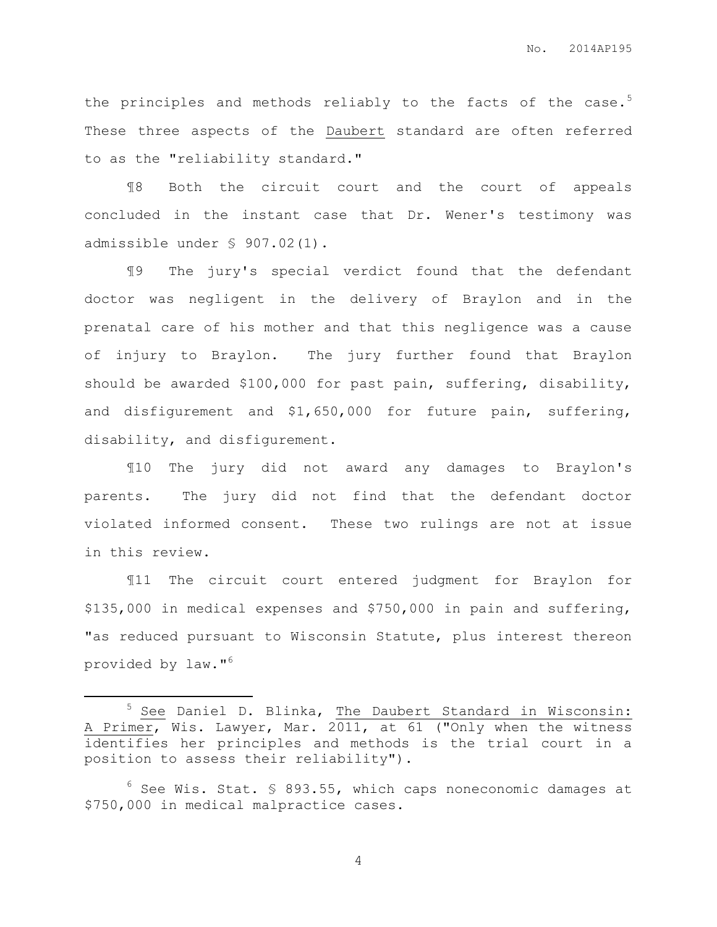<span id="page-4-0"></span>the principles and methods reliably to the facts of the case. $5$ These three aspects of the Daubert standard are often referred to as the "reliability standard."

¶8 Both the circuit court and the court of appeals concluded in the instant case that Dr. Wener's testimony was admissible under § 907.02(1).

¶9 The jury's special verdict found that the defendant doctor was negligent in the delivery of Braylon and in the prenatal care of his mother and that this negligence was a cause of injury to Braylon. The jury further found that Braylon should be awarded \$100,000 for past pain, suffering, disability, and disfigurement and \$1,650,000 for future pain, suffering, disability, and disfigurement.

¶10 The jury did not award any damages to Braylon's parents. The jury did not find that the defendant doctor violated informed consent. These two rulings are not at issue in this review.

¶11 The circuit court entered judgment for Braylon for \$135,000 in medical expenses and \$750,000 in pain and suffering, "as reduced pursuant to Wisconsin Statute, plus interest thereon provided by law." 6

 $\overline{a}$ 

<sup>&</sup>lt;sup>5</sup> See Daniel D. Blinka, The Daubert Standard in Wisconsin: A Primer, Wis. Lawyer, Mar. 2011, at 61 ("Only when the witness identifies her principles and methods is the trial court in a position to assess their reliability").

 $^6$  See Wis. Stat. § 893.55, which caps noneconomic damages at \$750,000 in medical malpractice cases.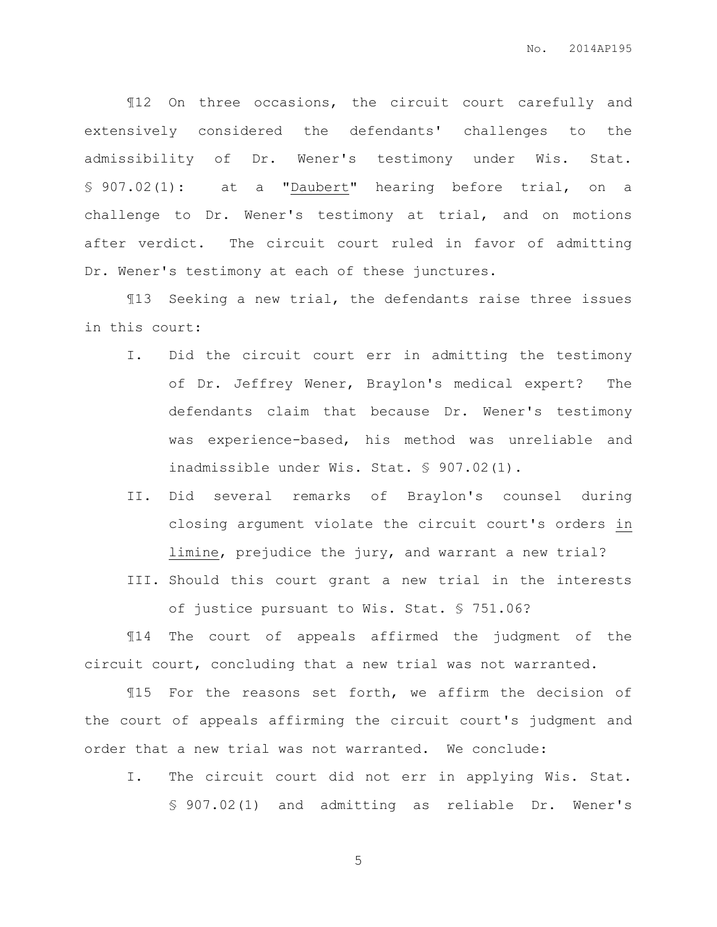¶12 On three occasions, the circuit court carefully and extensively considered the defendants' challenges to the admissibility of Dr. Wener's testimony under Wis. Stat. § 907.02(1): at a "Daubert" hearing before trial, on a challenge to Dr. Wener's testimony at trial, and on motions after verdict. The circuit court ruled in favor of admitting Dr. Wener's testimony at each of these junctures.

¶13 Seeking a new trial, the defendants raise three issues in this court:

- I. Did the circuit court err in admitting the testimony of Dr. Jeffrey Wener, Braylon's medical expert? The defendants claim that because Dr. Wener's testimony was experience-based, his method was unreliable and inadmissible under Wis. Stat. § 907.02(1).
- II. Did several remarks of Braylon's counsel during closing argument violate the circuit court's orders in limine, prejudice the jury, and warrant a new trial?
- III. Should this court grant a new trial in the interests of justice pursuant to Wis. Stat. § 751.06?

¶14 The court of appeals affirmed the judgment of the circuit court, concluding that a new trial was not warranted.

¶15 For the reasons set forth, we affirm the decision of the court of appeals affirming the circuit court's judgment and order that a new trial was not warranted. We conclude:

I. The circuit court did not err in applying Wis. Stat. § 907.02(1) and admitting as reliable Dr. Wener's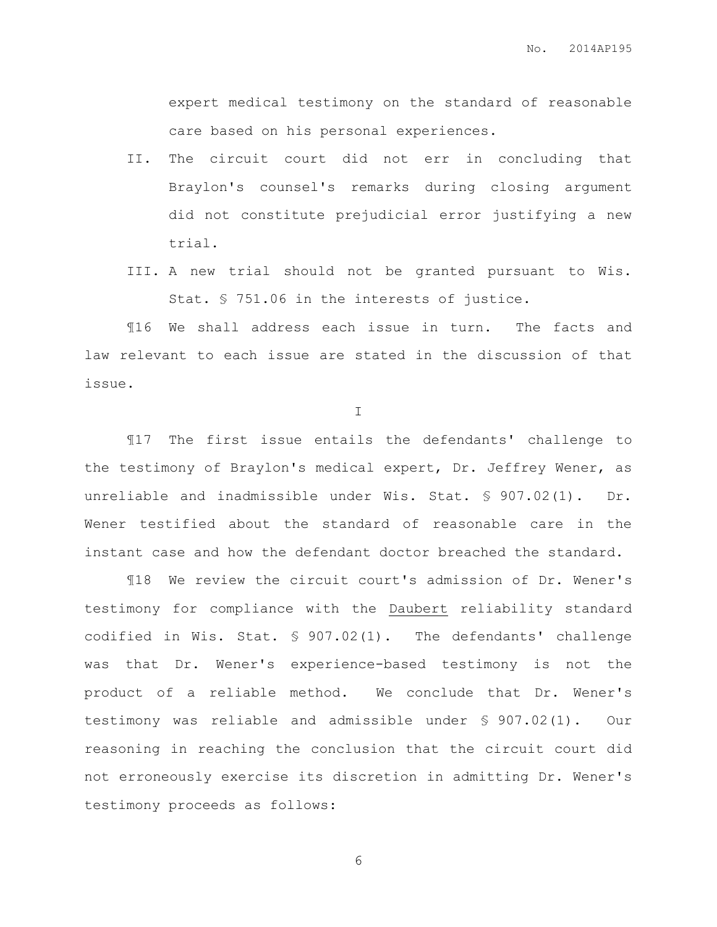expert medical testimony on the standard of reasonable care based on his personal experiences.

- II. The circuit court did not err in concluding that Braylon's counsel's remarks during closing argument did not constitute prejudicial error justifying a new trial.
- III. A new trial should not be granted pursuant to Wis. Stat. § 751.06 in the interests of justice.

¶16 We shall address each issue in turn. The facts and law relevant to each issue are stated in the discussion of that issue.

I

¶17 The first issue entails the defendants' challenge to the testimony of Braylon's medical expert, Dr. Jeffrey Wener, as unreliable and inadmissible under Wis. Stat. § 907.02(1). Dr. Wener testified about the standard of reasonable care in the instant case and how the defendant doctor breached the standard.

¶18 We review the circuit court's admission of Dr. Wener's testimony for compliance with the Daubert reliability standard codified in Wis. Stat. § 907.02(1). The defendants' challenge was that Dr. Wener's experience-based testimony is not the product of a reliable method. We conclude that Dr. Wener's testimony was reliable and admissible under § 907.02(1). Our reasoning in reaching the conclusion that the circuit court did not erroneously exercise its discretion in admitting Dr. Wener's testimony proceeds as follows: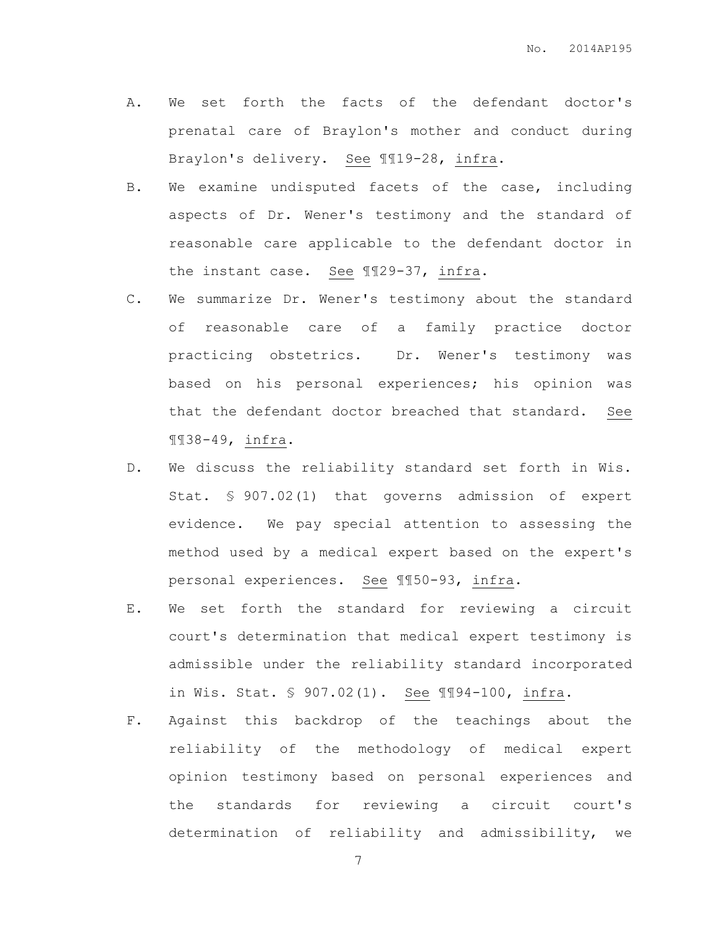- A. We set forth the facts of the defendant doctor's prenatal care of Braylon's mother and conduct during Braylon's delivery. See ¶¶19-28, infra.
- B. We examine undisputed facets of the case, including aspects of Dr. Wener's testimony and the standard of reasonable care applicable to the defendant doctor in the instant case. See ¶¶29-37, infra.
- C. We summarize Dr. Wener's testimony about the standard of reasonable care of a family practice doctor practicing obstetrics. Dr. Wener's testimony was based on his personal experiences; his opinion was that the defendant doctor breached that standard. See ¶¶38-49, infra.
- D. We discuss the reliability standard set forth in Wis. Stat. § 907.02(1) that governs admission of expert evidence. We pay special attention to assessing the method used by a medical expert based on the expert's personal experiences. See ¶¶50-93, infra.
- E. We set forth the standard for reviewing a circuit court's determination that medical expert testimony is admissible under the reliability standard incorporated in Wis. Stat. § 907.02(1). See ¶¶94-100, infra.
- F. Against this backdrop of the teachings about the reliability of the methodology of medical expert opinion testimony based on personal experiences and the standards for reviewing a circuit court's determination of reliability and admissibility, we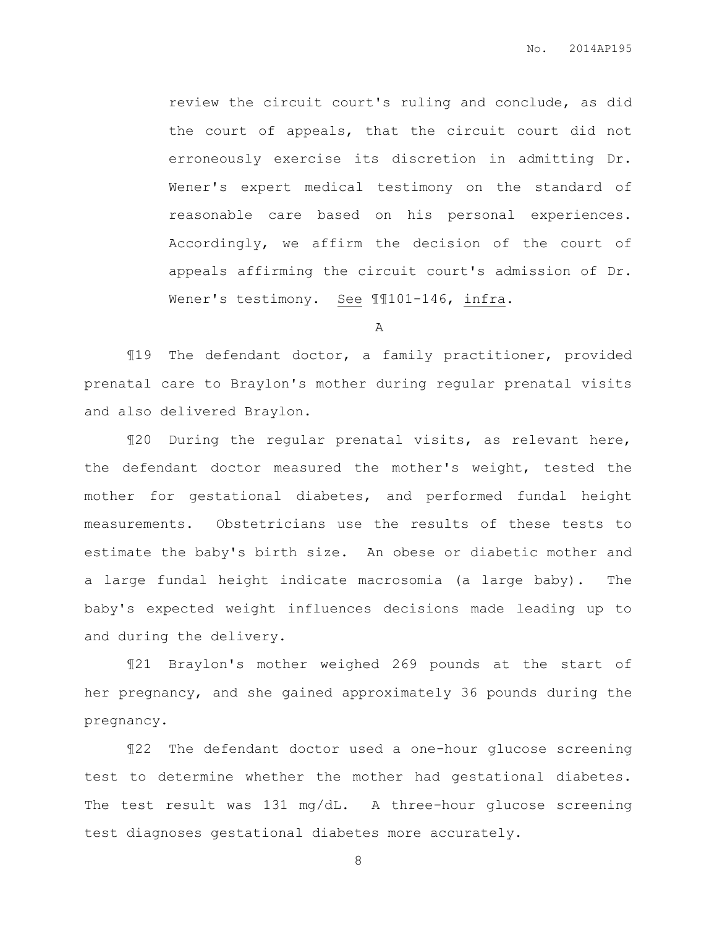review the circuit court's ruling and conclude, as did the court of appeals, that the circuit court did not erroneously exercise its discretion in admitting Dr. Wener's expert medical testimony on the standard of reasonable care based on his personal experiences. Accordingly, we affirm the decision of the court of appeals affirming the circuit court's admission of Dr. Wener's testimony. See ¶¶101-146, infra.

A

¶19 The defendant doctor, a family practitioner, provided prenatal care to Braylon's mother during regular prenatal visits and also delivered Braylon.

¶20 During the regular prenatal visits, as relevant here, the defendant doctor measured the mother's weight, tested the mother for gestational diabetes, and performed fundal height measurements. Obstetricians use the results of these tests to estimate the baby's birth size. An obese or diabetic mother and a large fundal height indicate macrosomia (a large baby). The baby's expected weight influences decisions made leading up to and during the delivery.

¶21 Braylon's mother weighed 269 pounds at the start of her pregnancy, and she gained approximately 36 pounds during the pregnancy.

¶22 The defendant doctor used a one-hour glucose screening test to determine whether the mother had gestational diabetes. The test result was 131 mg/dL. A three-hour glucose screening test diagnoses gestational diabetes more accurately.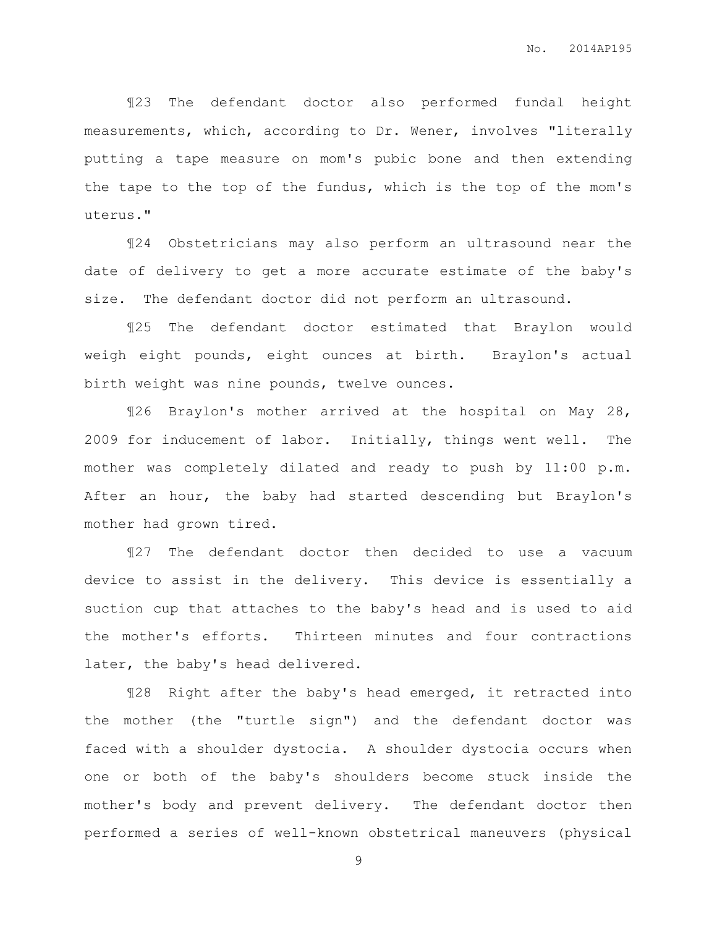¶23 The defendant doctor also performed fundal height measurements, which, according to Dr. Wener, involves "literally putting a tape measure on mom's pubic bone and then extending the tape to the top of the fundus, which is the top of the mom's uterus."

¶24 Obstetricians may also perform an ultrasound near the date of delivery to get a more accurate estimate of the baby's size. The defendant doctor did not perform an ultrasound.

¶25 The defendant doctor estimated that Braylon would weigh eight pounds, eight ounces at birth. Braylon's actual birth weight was nine pounds, twelve ounces.

¶26 Braylon's mother arrived at the hospital on May 28, 2009 for inducement of labor. Initially, things went well. The mother was completely dilated and ready to push by 11:00 p.m. After an hour, the baby had started descending but Braylon's mother had grown tired.

¶27 The defendant doctor then decided to use a vacuum device to assist in the delivery. This device is essentially a suction cup that attaches to the baby's head and is used to aid the mother's efforts. Thirteen minutes and four contractions later, the baby's head delivered.

¶28 Right after the baby's head emerged, it retracted into the mother (the "turtle sign") and the defendant doctor was faced with a shoulder dystocia. A shoulder dystocia occurs when one or both of the baby's shoulders become stuck inside the mother's body and prevent delivery. The defendant doctor then performed a series of well-known obstetrical maneuvers (physical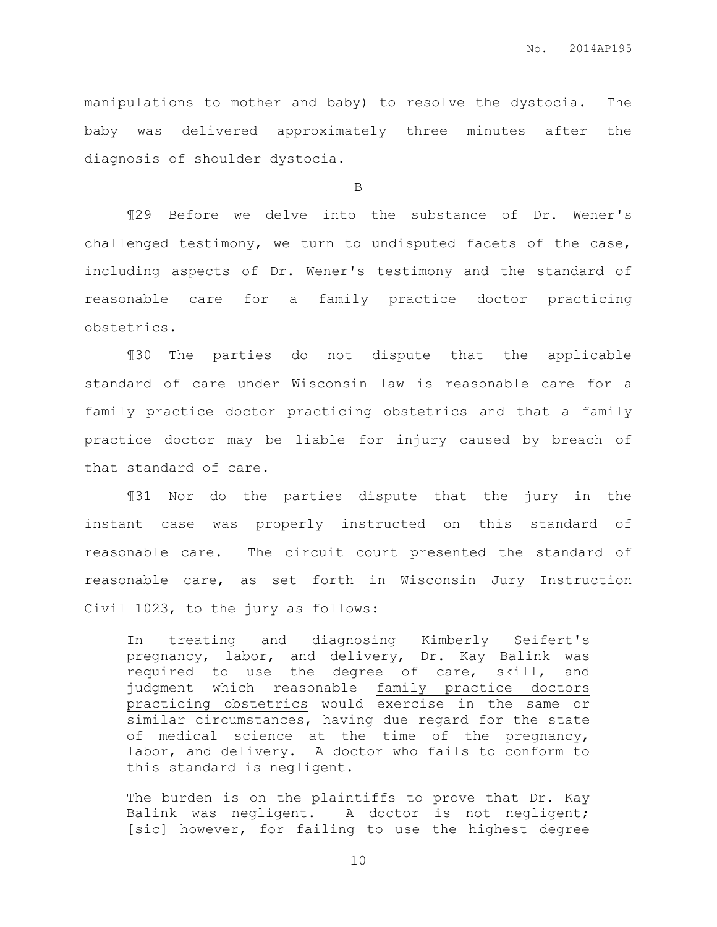manipulations to mother and baby) to resolve the dystocia. The baby was delivered approximately three minutes after the diagnosis of shoulder dystocia.

B

¶29 Before we delve into the substance of Dr. Wener's challenged testimony, we turn to undisputed facets of the case, including aspects of Dr. Wener's testimony and the standard of reasonable care for a family practice doctor practicing obstetrics.

¶30 The parties do not dispute that the applicable standard of care under Wisconsin law is reasonable care for a family practice doctor practicing obstetrics and that a family practice doctor may be liable for injury caused by breach of that standard of care.

¶31 Nor do the parties dispute that the jury in the instant case was properly instructed on this standard of reasonable care. The circuit court presented the standard of reasonable care, as set forth in Wisconsin Jury Instruction Civil 1023, to the jury as follows:

In treating and diagnosing Kimberly Seifert's pregnancy, labor, and delivery, Dr. Kay Balink was required to use the degree of care, skill, and judgment which reasonable family practice doctors practicing obstetrics would exercise in the same or similar circumstances, having due regard for the state of medical science at the time of the pregnancy, labor, and delivery. A doctor who fails to conform to this standard is negligent.

The burden is on the plaintiffs to prove that Dr. Kay Balink was negligent. A doctor is not negligent; [sic] however, for failing to use the highest degree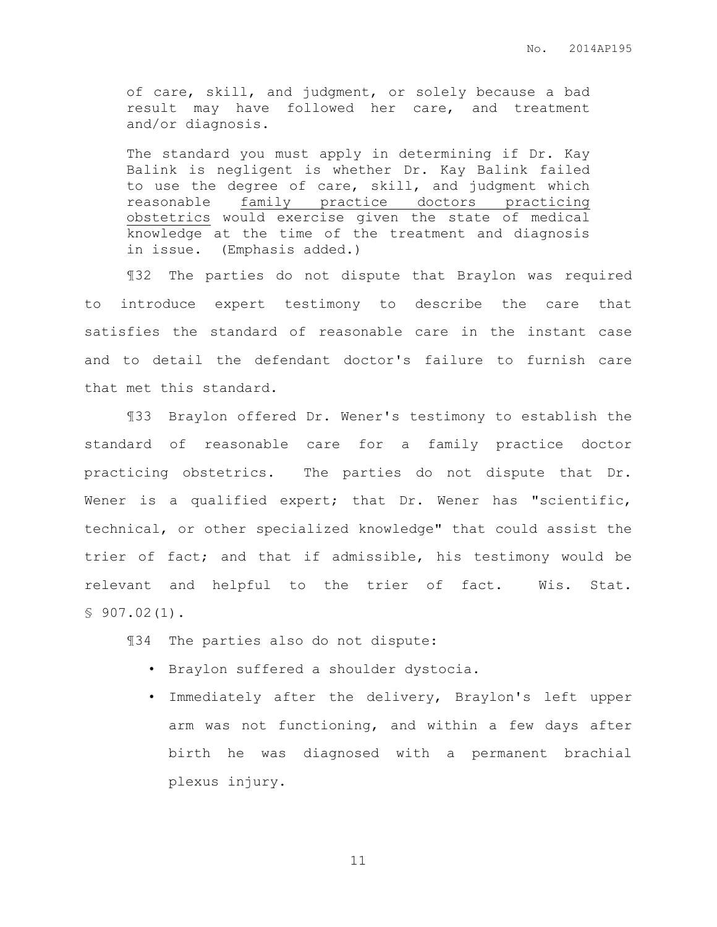of care, skill, and judgment, or solely because a bad result may have followed her care, and treatment and/or diagnosis.

The standard you must apply in determining if Dr. Kay Balink is negligent is whether Dr. Kay Balink failed to use the degree of care, skill, and judgment which reasonable family practice doctors practicing obstetrics would exercise given the state of medical knowledge at the time of the treatment and diagnosis in issue. (Emphasis added.)

¶32 The parties do not dispute that Braylon was required to introduce expert testimony to describe the care that satisfies the standard of reasonable care in the instant case and to detail the defendant doctor's failure to furnish care that met this standard.

¶33 Braylon offered Dr. Wener's testimony to establish the standard of reasonable care for a family practice doctor practicing obstetrics. The parties do not dispute that Dr. Wener is a qualified expert; that Dr. Wener has "scientific, technical, or other specialized knowledge" that could assist the trier of fact; and that if admissible, his testimony would be relevant and helpful to the trier of fact. Wis. Stat.  $$907.02(1)$ .

¶34 The parties also do not dispute:

- Braylon suffered a shoulder dystocia.
- Immediately after the delivery, Braylon's left upper arm was not functioning, and within a few days after birth he was diagnosed with a permanent brachial plexus injury.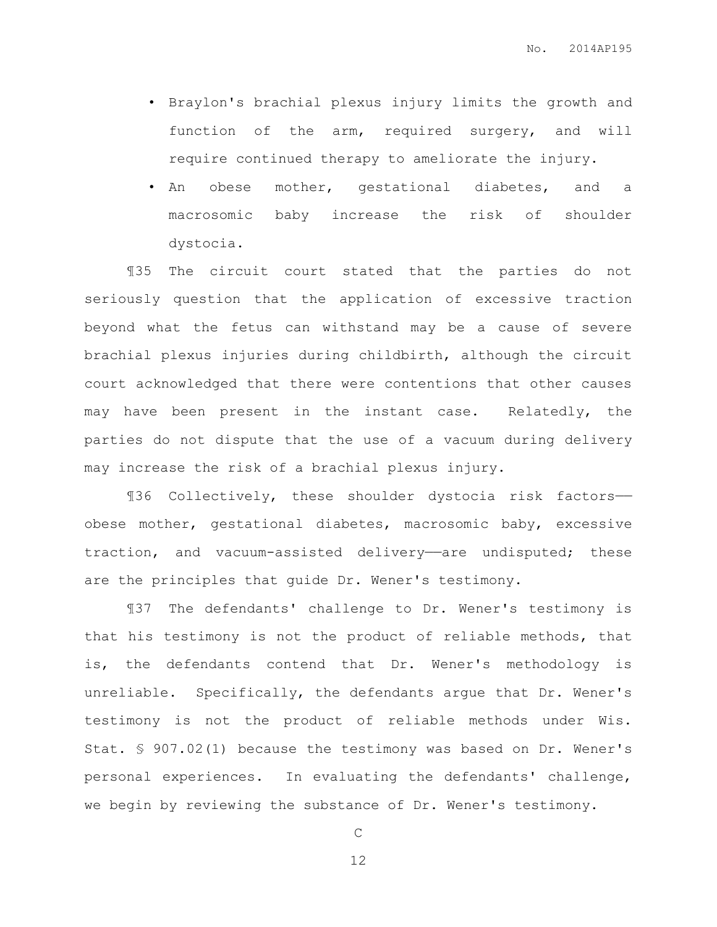- Braylon's brachial plexus injury limits the growth and function of the arm, required surgery, and will require continued therapy to ameliorate the injury.
- An obese mother, gestational diabetes, and a macrosomic baby increase the risk of shoulder dystocia.

¶35 The circuit court stated that the parties do not seriously question that the application of excessive traction beyond what the fetus can withstand may be a cause of severe brachial plexus injuries during childbirth, although the circuit court acknowledged that there were contentions that other causes may have been present in the instant case. Relatedly, the parties do not dispute that the use of a vacuum during delivery may increase the risk of a brachial plexus injury.

¶36 Collectively, these shoulder dystocia risk factors— obese mother, gestational diabetes, macrosomic baby, excessive traction, and vacuum-assisted delivery—are undisputed; these are the principles that guide Dr. Wener's testimony.

¶37 The defendants' challenge to Dr. Wener's testimony is that his testimony is not the product of reliable methods, that is, the defendants contend that Dr. Wener's methodology is unreliable. Specifically, the defendants argue that Dr. Wener's testimony is not the product of reliable methods under Wis. Stat. § 907.02(1) because the testimony was based on Dr. Wener's personal experiences. In evaluating the defendants' challenge, we begin by reviewing the substance of Dr. Wener's testimony.

C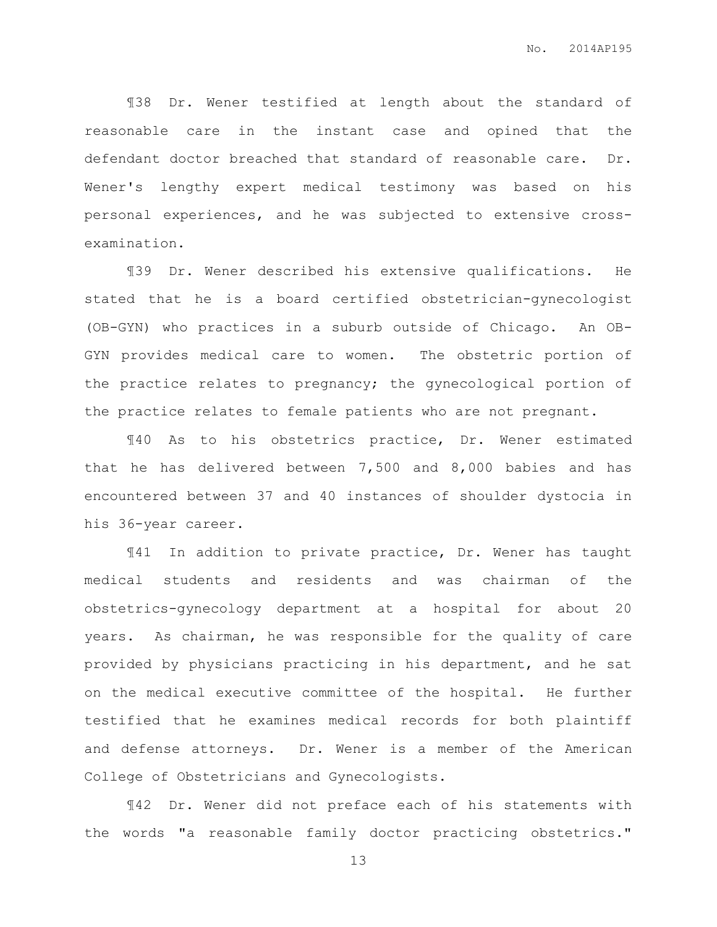¶38 Dr. Wener testified at length about the standard of reasonable care in the instant case and opined that the defendant doctor breached that standard of reasonable care. Dr. Wener's lengthy expert medical testimony was based on his personal experiences, and he was subjected to extensive crossexamination.

¶39 Dr. Wener described his extensive qualifications. He stated that he is a board certified obstetrician-gynecologist (OB-GYN) who practices in a suburb outside of Chicago. An OB-GYN provides medical care to women. The obstetric portion of the practice relates to pregnancy; the gynecological portion of the practice relates to female patients who are not pregnant.

¶40 As to his obstetrics practice, Dr. Wener estimated that he has delivered between 7,500 and 8,000 babies and has encountered between 37 and 40 instances of shoulder dystocia in his 36-year career.

¶41 In addition to private practice, Dr. Wener has taught medical students and residents and was chairman of the obstetrics-gynecology department at a hospital for about 20 years. As chairman, he was responsible for the quality of care provided by physicians practicing in his department, and he sat on the medical executive committee of the hospital. He further testified that he examines medical records for both plaintiff and defense attorneys. Dr. Wener is a member of the American College of Obstetricians and Gynecologists.

¶42 Dr. Wener did not preface each of his statements with the words "a reasonable family doctor practicing obstetrics."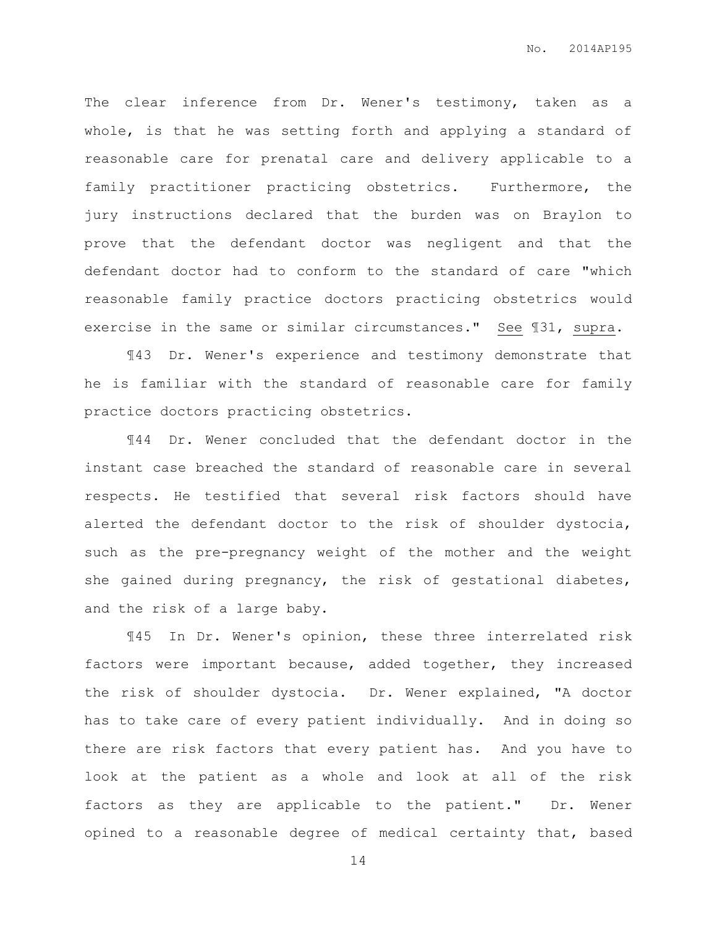The clear inference from Dr. Wener's testimony, taken as a whole, is that he was setting forth and applying a standard of reasonable care for prenatal care and delivery applicable to a family practitioner practicing obstetrics. Furthermore, the jury instructions declared that the burden was on Braylon to prove that the defendant doctor was negligent and that the defendant doctor had to conform to the standard of care "which reasonable family practice doctors practicing obstetrics would exercise in the same or similar circumstances." See ¶31, supra.

¶43 Dr. Wener's experience and testimony demonstrate that he is familiar with the standard of reasonable care for family practice doctors practicing obstetrics.

¶44 Dr. Wener concluded that the defendant doctor in the instant case breached the standard of reasonable care in several respects. He testified that several risk factors should have alerted the defendant doctor to the risk of shoulder dystocia, such as the pre-pregnancy weight of the mother and the weight she gained during pregnancy, the risk of gestational diabetes, and the risk of a large baby.

¶45 In Dr. Wener's opinion, these three interrelated risk factors were important because, added together, they increased the risk of shoulder dystocia. Dr. Wener explained, "A doctor has to take care of every patient individually. And in doing so there are risk factors that every patient has. And you have to look at the patient as a whole and look at all of the risk factors as they are applicable to the patient." Dr. Wener opined to a reasonable degree of medical certainty that, based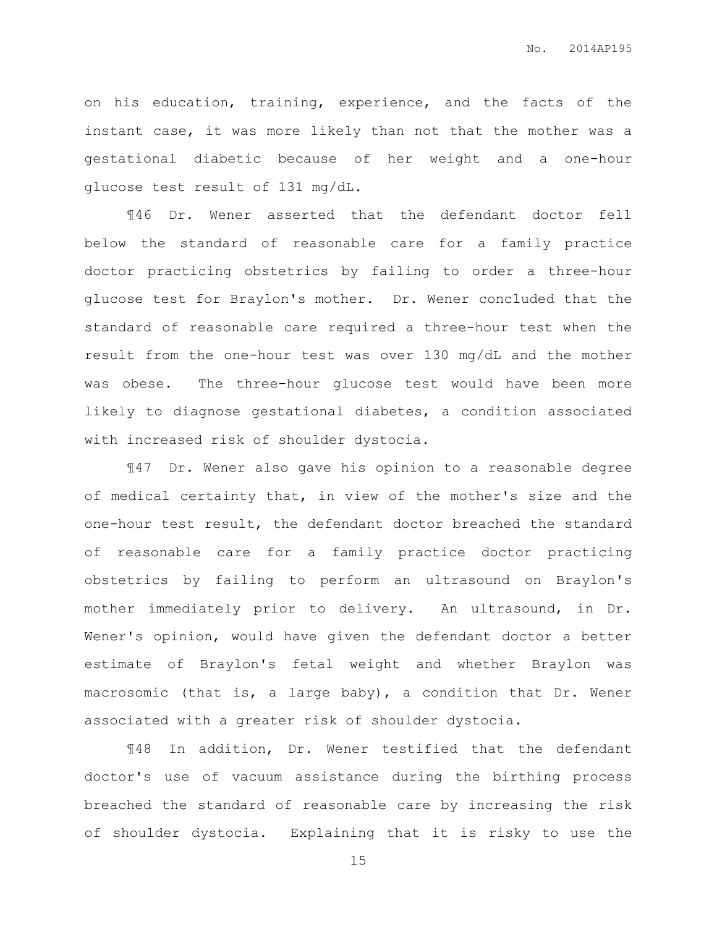on his education, training, experience, and the facts of the instant case, it was more likely than not that the mother was a gestational diabetic because of her weight and a one-hour glucose test result of 131 mg/dL.

¶46 Dr. Wener asserted that the defendant doctor fell below the standard of reasonable care for a family practice doctor practicing obstetrics by failing to order a three-hour glucose test for Braylon's mother. Dr. Wener concluded that the standard of reasonable care required a three-hour test when the result from the one-hour test was over 130 mg/dL and the mother was obese. The three-hour glucose test would have been more likely to diagnose gestational diabetes, a condition associated with increased risk of shoulder dystocia.

¶47 Dr. Wener also gave his opinion to a reasonable degree of medical certainty that, in view of the mother's size and the one-hour test result, the defendant doctor breached the standard of reasonable care for a family practice doctor practicing obstetrics by failing to perform an ultrasound on Braylon's mother immediately prior to delivery. An ultrasound, in Dr. Wener's opinion, would have given the defendant doctor a better estimate of Braylon's fetal weight and whether Braylon was macrosomic (that is, a large baby), a condition that Dr. Wener associated with a greater risk of shoulder dystocia.

¶48 In addition, Dr. Wener testified that the defendant doctor's use of vacuum assistance during the birthing process breached the standard of reasonable care by increasing the risk of shoulder dystocia. Explaining that it is risky to use the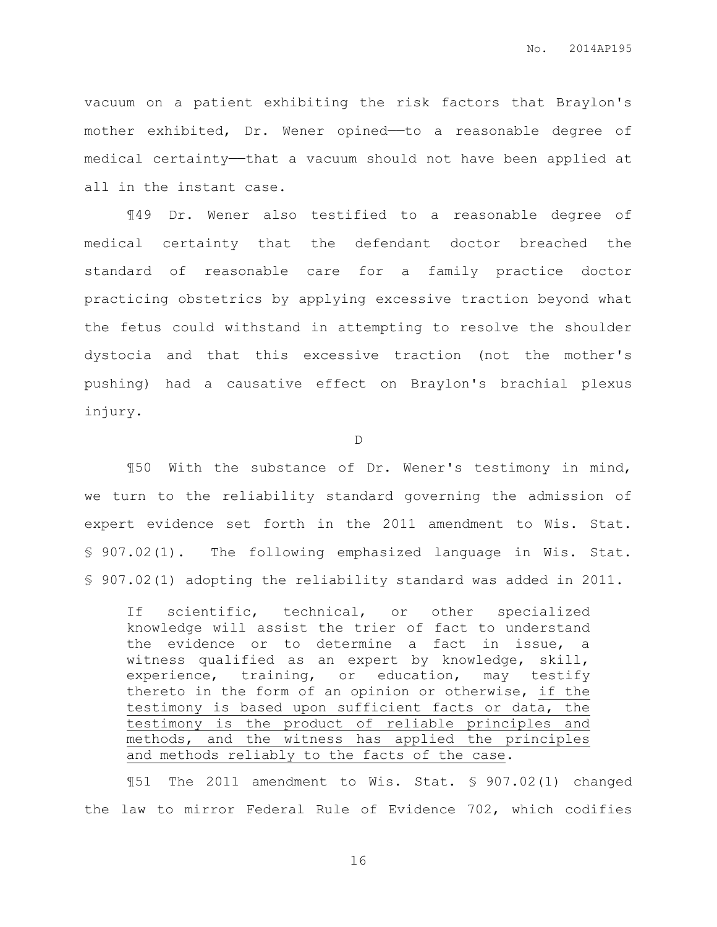vacuum on a patient exhibiting the risk factors that Braylon's mother exhibited, Dr. Wener opined-to a reasonable degree of medical certainty—that a vacuum should not have been applied at all in the instant case.

¶49 Dr. Wener also testified to a reasonable degree of medical certainty that the defendant doctor breached the standard of reasonable care for a family practice doctor practicing obstetrics by applying excessive traction beyond what the fetus could withstand in attempting to resolve the shoulder dystocia and that this excessive traction (not the mother's pushing) had a causative effect on Braylon's brachial plexus injury.

D

¶50 With the substance of Dr. Wener's testimony in mind, we turn to the reliability standard governing the admission of expert evidence set forth in the 2011 amendment to Wis. Stat. § 907.02(1). The following emphasized language in Wis. Stat. § 907.02(1) adopting the reliability standard was added in 2011.

If scientific, technical, or other specialized knowledge will assist the trier of fact to understand the evidence or to determine a fact in issue, a witness qualified as an expert by knowledge, skill, experience, training, or education, may testify thereto in the form of an opinion or otherwise, if the testimony is based upon sufficient facts or data, the testimony is the product of reliable principles and methods, and the witness has applied the principles and methods reliably to the facts of the case.

¶51 The 2011 amendment to Wis. Stat. § 907.02(1) changed the law to mirror Federal Rule of Evidence 702, which codifies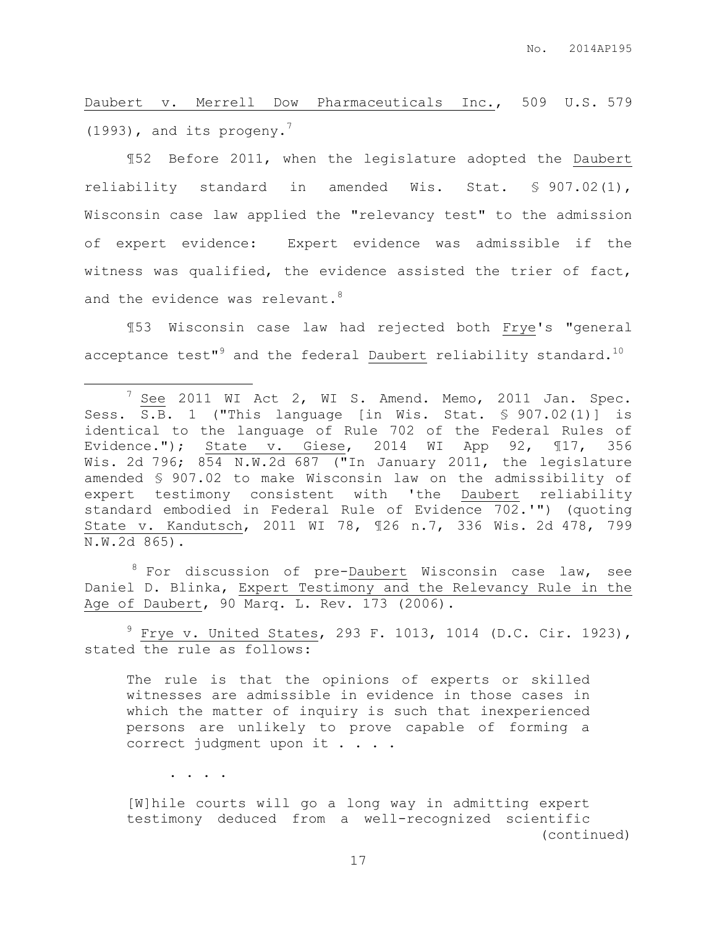Daubert v. Merrell Dow Pharmaceuticals Inc., 509 U.S. 579 (1993), and its progeny. 7

¶52 Before 2011, when the legislature adopted the Daubert reliability standard in amended Wis. Stat. § 907.02(1), Wisconsin case law applied the "relevancy test" to the admission of expert evidence: Expert evidence was admissible if the witness was qualified, the evidence assisted the trier of fact, and the evidence was relevant. $^8$ 

¶53 Wisconsin case law had rejected both Frye's "general acceptance test" $^9$  and the federal Daubert reliability standard. $^{10}$ 

 $8$  For discussion of pre-Daubert Wisconsin case law, see Daniel D. Blinka, Expert Testimony and the Relevancy Rule in the Age of Daubert, 90 Marq. L. Rev. 173 (2006).

 $9$  Frye v. United States, 293 F. 1013, 1014 (D.C. Cir. 1923), stated the rule as follows:

The rule is that the opinions of experts or skilled witnesses are admissible in evidence in those cases in which the matter of inquiry is such that inexperienced persons are unlikely to prove capable of forming a correct judgment upon it . . . .

. . . .

 $\overline{a}$ 

[W]hile courts will go a long way in admitting expert testimony deduced from a well-recognized scientific (continued)

<sup>&</sup>lt;sup>7</sup> See 2011 WI Act 2, WI S. Amend. Memo, 2011 Jan. Spec. Sess.  $\overline{S.B.}$  1 ("This language [in Wis. Stat. § 907.02(1)] is identical to the language of Rule 702 of the Federal Rules of Evidence."); State v. Giese, 2014 WI App 92, ¶17, 356 Wis. 2d 796; 854 N.W.2d 687 ("In January 2011, the legislature amended § 907.02 to make Wisconsin law on the admissibility of expert testimony consistent with 'the Daubert reliability standard embodied in Federal Rule of Evidence 702.'") (quoting State v. Kandutsch, 2011 WI 78, ¶26 n.7, 336 Wis. 2d 478, 799 N.W.2d 865).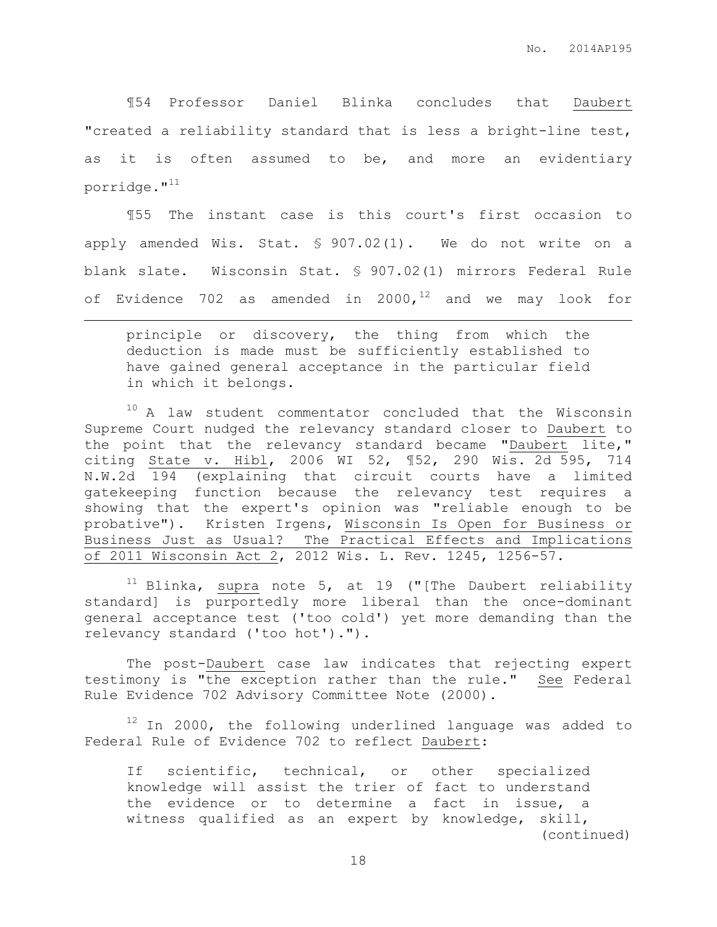¶54 Professor Daniel Blinka concludes that Daubert "created a reliability standard that is less a bright-line test, as it is often assumed to be, and more an evidentiary porridge. $"$ <sup>11</sup>

¶55 The instant case is this court's first occasion to apply amended Wis. Stat. § 907.02(1). We do not write on a blank slate. Wisconsin Stat. § 907.02(1) mirrors Federal Rule of Evidence 702 as amended in 2000,  $12$  and we may look for

principle or discovery, the thing from which the deduction is made must be sufficiently established to have gained general acceptance in the particular field in which it belongs.

 $\overline{a}$ 

<sup>10</sup> A law student commentator concluded that the Wisconsin Supreme Court nudged the relevancy standard closer to Daubert to the point that the relevancy standard became "Daubert lite," citing State v. Hibl, 2006 WI 52, ¶52, 290 Wis. 2d 595, 714 N.W.2d 194 (explaining that circuit courts have a limited gatekeeping function because the relevancy test requires a showing that the expert's opinion was "reliable enough to be probative"). Kristen Irgens, Wisconsin Is Open for Business or Business Just as Usual? The Practical Effects and Implications of 2011 Wisconsin Act 2, 2012 Wis. L. Rev. 1245, 1256-57.

 $11$  Blinka, supra note 5, at 19 ("[The Daubert reliability standard] is purportedly more liberal than the once-dominant general acceptance test ('too cold') yet more demanding than the relevancy standard ('too hot').").

The post-Daubert case law indicates that rejecting expert testimony is "the exception rather than the rule." See Federal Rule Evidence 702 Advisory Committee Note (2000).

 $12$  In 2000, the following underlined language was added to Federal Rule of Evidence 702 to reflect Daubert:

If scientific, technical, or other specialized knowledge will assist the trier of fact to understand the evidence or to determine a fact in issue, a witness qualified as an expert by knowledge, skill, (continued)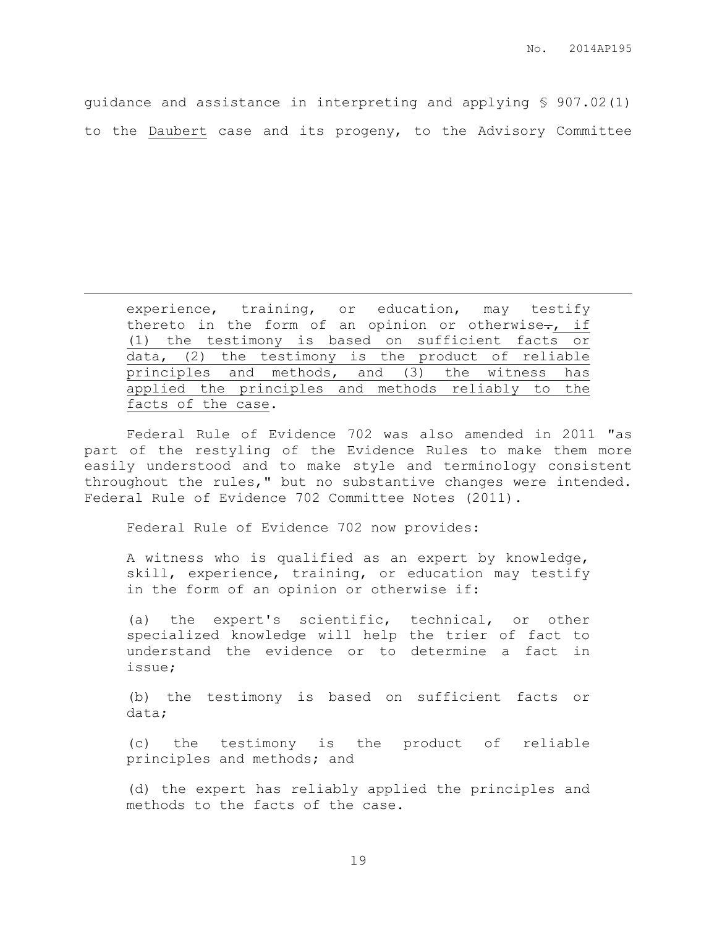guidance and assistance in interpreting and applying § 907.02(1) to the Daubert case and its progeny, to the Advisory Committee

experience, training, or education, may testify thereto in the form of an opinion or otherwise-, if (1) the testimony is based on sufficient facts or data, (2) the testimony is the product of reliable principles and methods, and (3) the witness has applied the principles and methods reliably to the facts of the case.

Federal Rule of Evidence 702 was also amended in 2011 "as part of the restyling of the Evidence Rules to make them more easily understood and to make style and terminology consistent throughout the rules," but no substantive changes were intended. Federal Rule of Evidence 702 Committee Notes (2011).

Federal Rule of Evidence 702 now provides:

 $\overline{a}$ 

A witness who is qualified as an expert by knowledge, skill, experience, training, or education may testify in the form of an opinion or otherwise if:

(a) the expert's scientific, technical, or other specialized knowledge will help the trier of fact to understand the evidence or to determine a fact in issue;

(b) the testimony is based on sufficient facts or data;

(c) the testimony is the product of reliable principles and methods; and

(d) the expert has reliably applied the principles and methods to the facts of the case.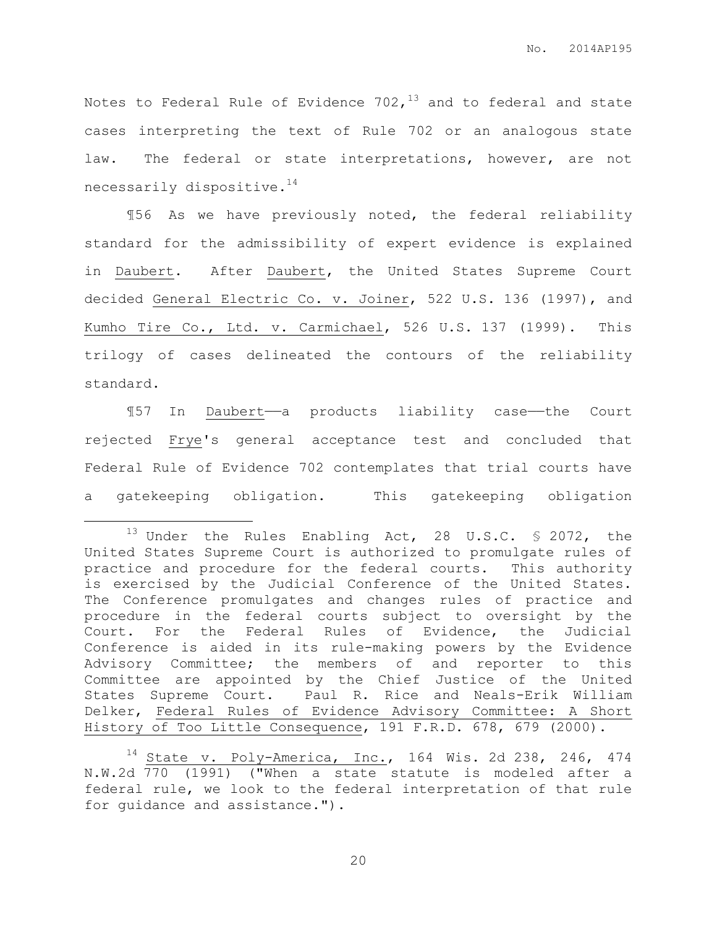Notes to Federal Rule of Evidence  $702<sub>1</sub>^{13}$  and to federal and state cases interpreting the text of Rule 702 or an analogous state law. The federal or state interpretations, however, are not necessarily dispositive.<sup>14</sup>

¶56 As we have previously noted, the federal reliability standard for the admissibility of expert evidence is explained in Daubert. After Daubert, the United States Supreme Court decided General Electric Co. v. Joiner, 522 U.S. 136 (1997), and Kumho Tire Co., Ltd. v. Carmichael, 526 U.S. 137 (1999). This trilogy of cases delineated the contours of the reliability standard.

¶57 In Daubert——a products liability case——the Court rejected Frye's general acceptance test and concluded that Federal Rule of Evidence 702 contemplates that trial courts have a gatekeeping obligation. This gatekeeping obligation

 $\overline{a}$ 

<sup>&</sup>lt;sup>13</sup> Under the Rules Enabling Act, 28 U.S.C.  $\frac{1}{3}$  2072, the United States Supreme Court is authorized to promulgate rules of practice and procedure for the federal courts. This authority is exercised by the Judicial Conference of the United States. The Conference promulgates and changes rules of practice and procedure in the federal courts subject to oversight by the Court. For the Federal Rules of Evidence, the Judicial Conference is aided in its rule-making powers by the Evidence Advisory Committee; the members of and reporter to this Committee are appointed by the Chief Justice of the United States Supreme Court. Paul R. Rice and Neals-Erik William Delker, Federal Rules of Evidence Advisory Committee: A Short History of Too Little Consequence, 191 F.R.D. 678, 679 (2000).

 $14$  State v. Poly-America, Inc., 164 Wis. 2d 238, 246, 474 N.W.2d 770 (1991) ("When a state statute is modeled after a federal rule, we look to the federal interpretation of that rule for guidance and assistance.").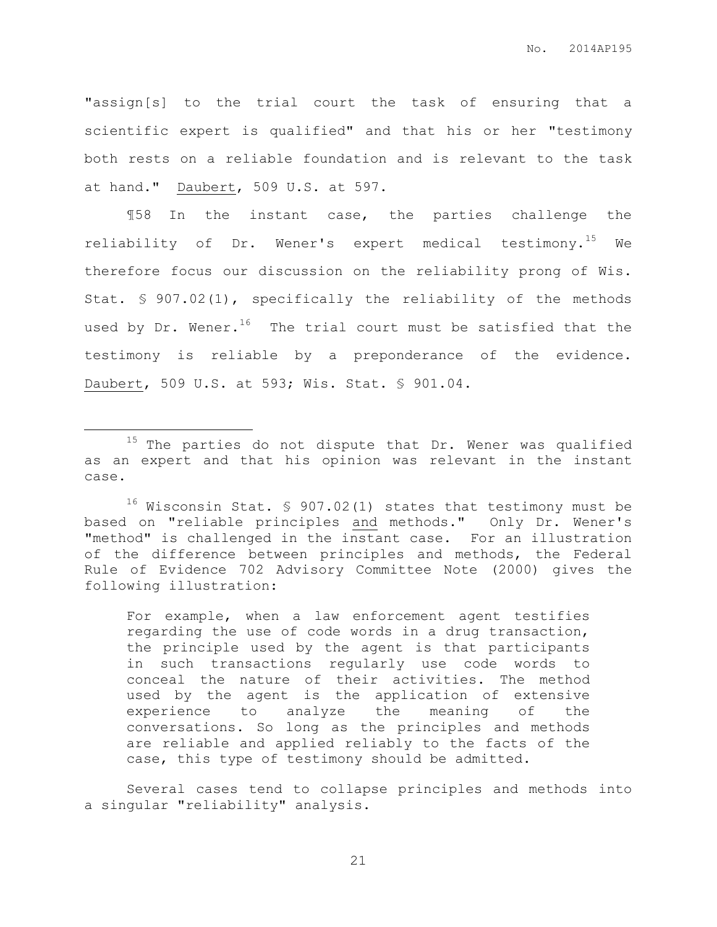"assign[s] to the trial court the task of ensuring that a scientific expert is qualified" and that his or her "testimony both rests on a reliable foundation and is relevant to the task at hand." Daubert, 509 U.S. at 597.

¶58 In the instant case, the parties challenge the reliability of Dr. Wener's expert medical testimony.<sup>15</sup> We therefore focus our discussion on the reliability prong of Wis. Stat. § 907.02(1), specifically the reliability of the methods used by Dr. Wener. $^{16}$  The trial court must be satisfied that the testimony is reliable by a preponderance of the evidence. Daubert, 509 U.S. at 593; Wis. Stat. § 901.04.

 $\overline{a}$ 

For example, when a law enforcement agent testifies regarding the use of code words in a drug transaction, the principle used by the agent is that participants in such transactions regularly use code words to conceal the nature of their activities. The method used by the agent is the application of extensive experience to analyze the meaning of the conversations. So long as the principles and methods are reliable and applied reliably to the facts of the case, this type of testimony should be admitted.

Several cases tend to collapse principles and methods into a singular "reliability" analysis.

<sup>&</sup>lt;sup>15</sup> The parties do not dispute that Dr. Wener was qualified as an expert and that his opinion was relevant in the instant case.

 $16$  Wisconsin Stat. § 907.02(1) states that testimony must be based on "reliable principles and methods." Only Dr. Wener's "method" is challenged in the instant case. For an illustration of the difference between principles and methods, the Federal Rule of Evidence 702 Advisory Committee Note (2000) gives the following illustration: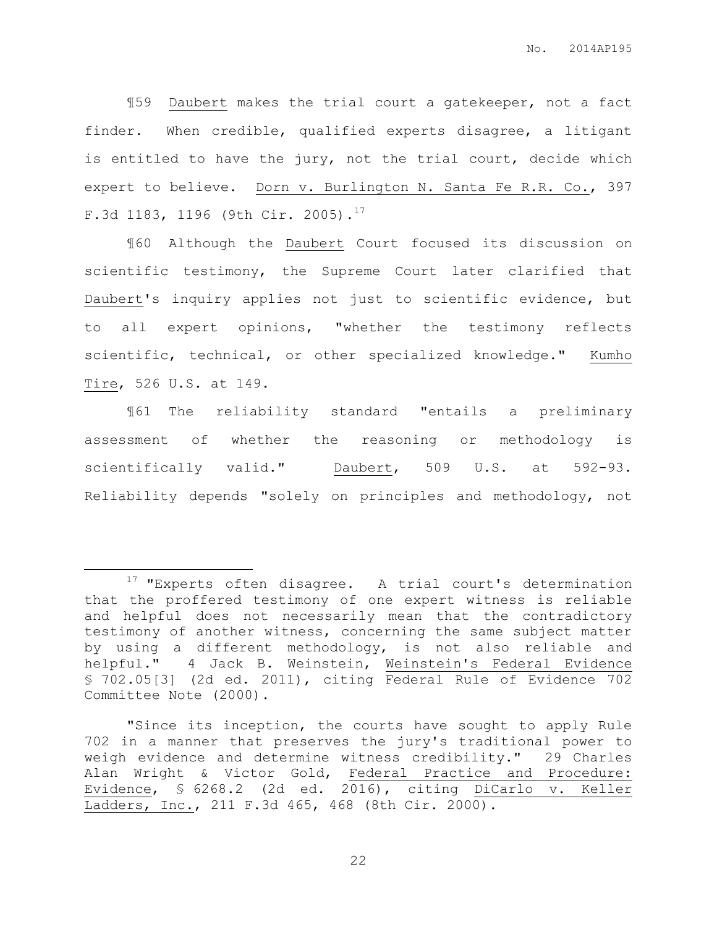¶59 Daubert makes the trial court a gatekeeper, not a fact finder. When credible, qualified experts disagree, a litigant is entitled to have the jury, not the trial court, decide which expert to believe. Dorn v. Burlington N. Santa Fe R.R. Co., 397 F.3d 1183, 1196 (9th Cir. 2005).<sup>17</sup>

¶60 Although the Daubert Court focused its discussion on scientific testimony, the Supreme Court later clarified that Daubert's inquiry applies not just to scientific evidence, but to all expert opinions, "whether the testimony reflects scientific, technical, or other specialized knowledge." Kumho Tire, 526 U.S. at 149.

¶61 The reliability standard "entails a preliminary assessment of whether the reasoning or methodology is scientifically valid." Daubert, 509 U.S. at 592-93. Reliability depends "solely on principles and methodology, not

 $\overline{a}$ 

<sup>&</sup>lt;sup>17</sup> "Experts often disagree. A trial court's determination that the proffered testimony of one expert witness is reliable and helpful does not necessarily mean that the contradictory testimony of another witness, concerning the same subject matter by using a different methodology, is not also reliable and helpful." 4 Jack B. Weinstein, Weinstein's Federal Evidence § 702.05[3] (2d ed. 2011), citing Federal Rule of Evidence 702 Committee Note (2000).

<sup>&</sup>quot;Since its inception, the courts have sought to apply Rule 702 in a manner that preserves the jury's traditional power to weigh evidence and determine witness credibility." 29 Charles Alan Wright & Victor Gold, Federal Practice and Procedure: Evidence, § 6268.2 (2d ed. 2016), citing DiCarlo v. Keller Ladders, Inc., 211 F.3d 465, 468 (8th Cir. 2000).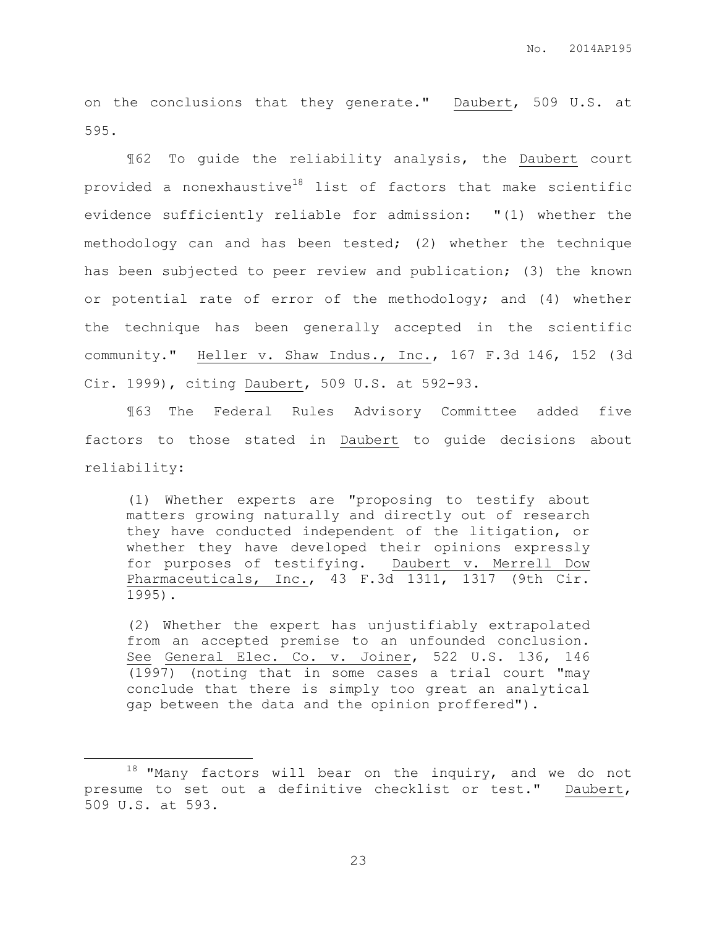on the conclusions that they generate." Daubert, 509 U.S. at 595.

¶62 To guide the reliability analysis, the Daubert court provided a nonexhaustive<sup>18</sup> list of factors that make scientific evidence sufficiently reliable for admission: "(1) whether the methodology can and has been tested; (2) whether the technique has been subjected to peer review and publication; (3) the known or potential rate of error of the methodology; and (4) whether the technique has been generally accepted in the scientific community." Heller v. Shaw Indus., Inc., 167 F.3d 146, 152 (3d Cir. 1999), citing Daubert, 509 U.S. at 592-93.

¶63 The Federal Rules Advisory Committee added five factors to those stated in Daubert to guide decisions about reliability:

(1) Whether experts are "proposing to testify about matters growing naturally and directly out of research they have conducted independent of the litigation, or whether they have developed their opinions expressly for purposes of testifying. Daubert v. Merrell Dow Pharmaceuticals, Inc., 43 F.3d 1311, 1317 (9th Cir. 1995).

(2) Whether the expert has unjustifiably extrapolated from an accepted premise to an unfounded conclusion. See General Elec. Co. v. Joiner, 522 U.S. 136, 146 (1997) (noting that in some cases a trial court "may conclude that there is simply too great an analytical gap between the data and the opinion proffered").

 $\overline{a}$ 

 $18$  "Many factors will bear on the inquiry, and we do not presume to set out a definitive checklist or test." Daubert, 509 U.S. at 593.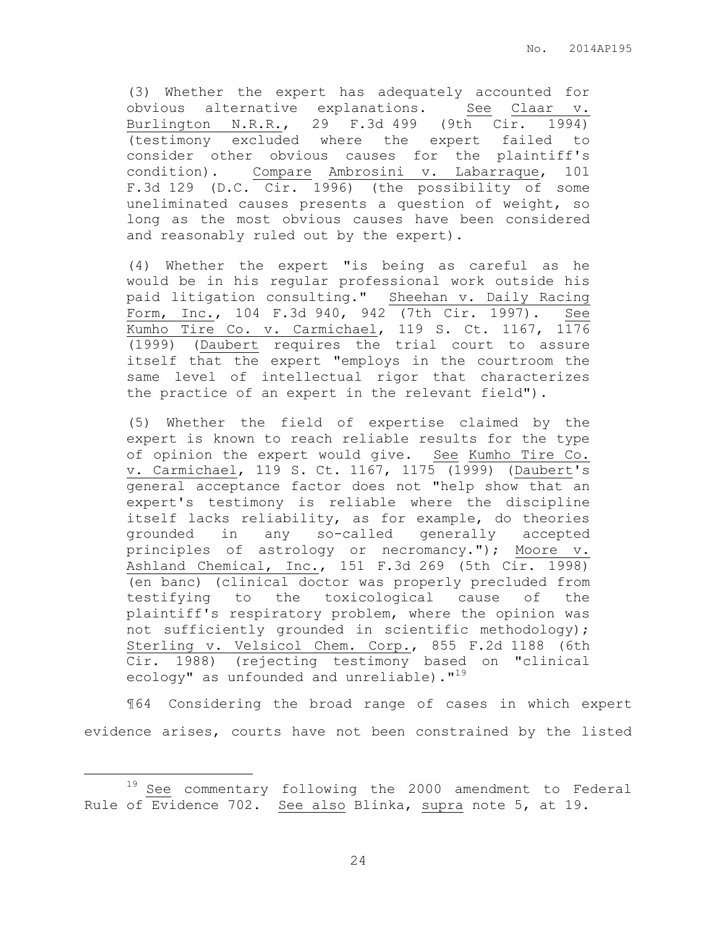(3) Whether the expert has adequately accounted for obvious alternative explanations. See Claar v. Burlington N.R.R., 29 F.3d 499 (9th Cir. 1994) (testimony excluded where the expert failed to consider other obvious causes for the plaintiff's condition). Compare Ambrosini v. Labarraque, 101 F.3d 129 (D.C. Cir. 1996) (the possibility of some uneliminated causes presents a question of weight, so long as the most obvious causes have been considered and reasonably ruled out by the expert).

(4) Whether the expert "is being as careful as he would be in his regular professional work outside his paid litigation consulting." Sheehan v. Daily Racing Form, Inc., 104 F.3d 940, 942 (7th Cir. 1997). See Kumho Tire Co. v. Carmichael, 119 S. Ct. 1167, 1176 (1999) (Daubert requires the trial court to assure itself that the expert "employs in the courtroom the same level of intellectual rigor that characterizes the practice of an expert in the relevant field").

(5) Whether the field of expertise claimed by the expert is known to reach reliable results for the type of opinion the expert would give. See Kumho Tire Co. v. Carmichael, 119 S. Ct. 1167, 1175 (1999) (Daubert's general acceptance factor does not "help show that an expert's testimony is reliable where the discipline itself lacks reliability, as for example, do theories grounded in any so-called generally accepted principles of astrology or necromancy."); Moore v. Ashland Chemical, Inc., 151 F.3d 269 (5th Cir. 1998) (en banc) (clinical doctor was properly precluded from testifying to the toxicological cause of the plaintiff's respiratory problem, where the opinion was not sufficiently grounded in scientific methodology); Sterling v. Velsicol Chem. Corp., 855 F.2d 1188 (6th Cir. 1988) (rejecting testimony based on "clinical ecology" as unfounded and unreliable)."<sup>19</sup>

¶64 Considering the broad range of cases in which expert evidence arises, courts have not been constrained by the listed

 $\overline{a}$ 

<sup>19</sup> See commentary following the 2000 amendment to Federal Rule of Evidence 702. See also Blinka, supra note [5,](#page-4-0) at 19.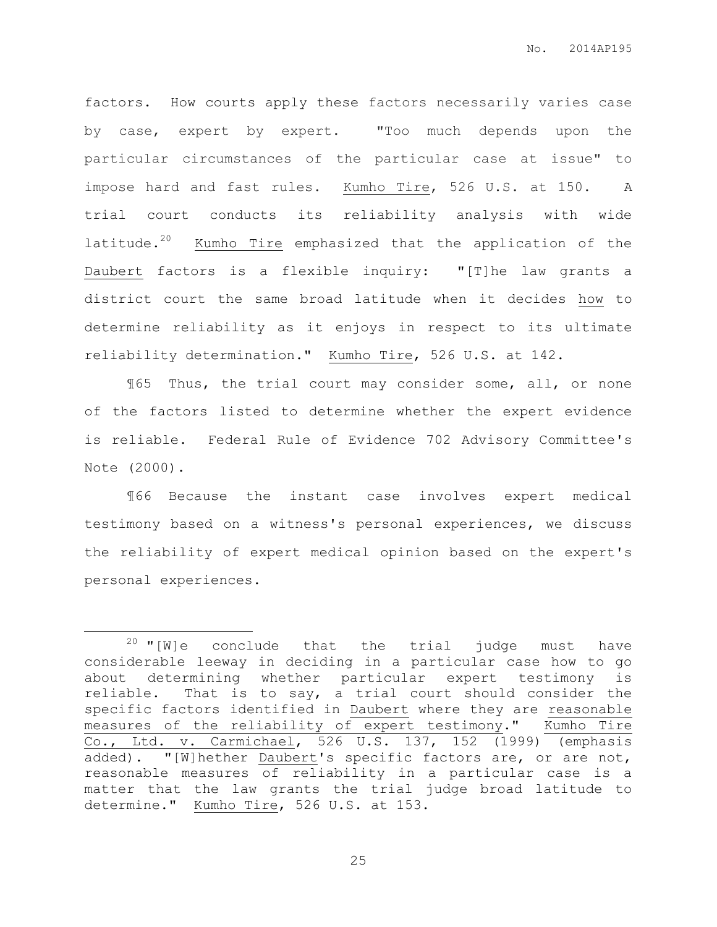factors. How courts apply these factors necessarily varies case by case, expert by expert. "Too much depends upon the particular circumstances of the particular case at issue" to impose hard and fast rules. Kumho Tire, 526 U.S. at 150. A trial court conducts its reliability analysis with wide latitude.<sup>20</sup> Kumho Tire emphasized that the application of the Daubert factors is a flexible inquiry: "[T]he law grants a district court the same broad latitude when it decides how to determine reliability as it enjoys in respect to its ultimate reliability determination." Kumho Tire, 526 U.S. at 142.

¶65 Thus, the trial court may consider some, all, or none of the factors listed to determine whether the expert evidence is reliable. Federal Rule of Evidence 702 Advisory Committee's Note (2000).

¶66 Because the instant case involves expert medical testimony based on a witness's personal experiences, we discuss the reliability of expert medical opinion based on the expert's personal experiences.

 $\overline{a}$ 

 $20$  "[W]e conclude that the trial judge must have considerable leeway in deciding in a particular case how to go about determining whether particular expert testimony is reliable. That is to say, a trial court should consider the specific factors identified in Daubert where they are reasonable measures of the reliability of expert testimony." Kumho Tire Co., Ltd. v. Carmichael, 526 U.S. 137, 152 (1999) (emphasis added). "[W]hether Daubert's specific factors are, or are not, reasonable measures of reliability in a particular case is a matter that the law grants the trial judge broad latitude to determine." Kumho Tire, 526 U.S. at 153.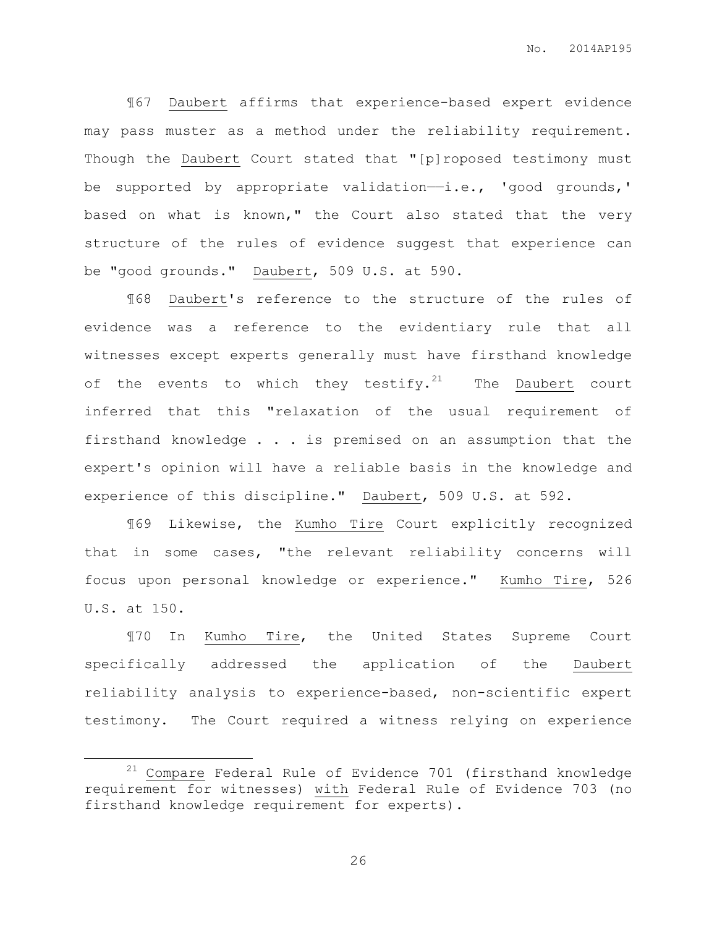¶67 Daubert affirms that experience-based expert evidence may pass muster as a method under the reliability requirement. Though the Daubert Court stated that "[p]roposed testimony must be supported by appropriate validation-i.e., 'good grounds,' based on what is known," the Court also stated that the very structure of the rules of evidence suggest that experience can be "good grounds." Daubert, 509 U.S. at 590.

¶68 Daubert's reference to the structure of the rules of evidence was a reference to the evidentiary rule that all witnesses except experts generally must have firsthand knowledge of the events to which they testify.<sup>21</sup> The Daubert court inferred that this "relaxation of the usual requirement of firsthand knowledge . . . is premised on an assumption that the expert's opinion will have a reliable basis in the knowledge and experience of this discipline." Daubert, 509 U.S. at 592.

¶69 Likewise, the Kumho Tire Court explicitly recognized that in some cases, "the relevant reliability concerns will focus upon personal knowledge or experience." Kumho Tire, 526 U.S. at 150.

¶70 In Kumho Tire, the United States Supreme Court specifically addressed the application of the Daubert reliability analysis to experience-based, non-scientific expert testimony. The Court required a witness relying on experience

 $\overline{a}$ 

 $21$  Compare Federal Rule of Evidence 701 (firsthand knowledge requirement for witnesses) with Federal Rule of Evidence 703 (no firsthand knowledge requirement for experts).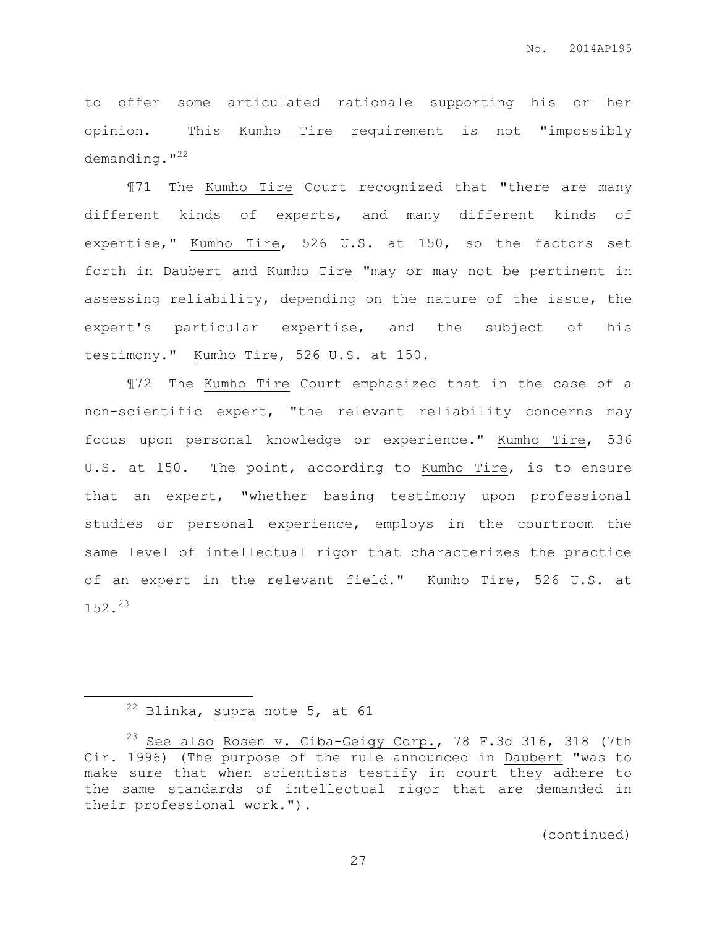to offer some articulated rationale supporting his or her opinion. This Kumho Tire requirement is not "impossibly demanding."<sup>22</sup>

¶71 The Kumho Tire Court recognized that "there are many different kinds of experts, and many different kinds of expertise," Kumho Tire, 526 U.S. at 150, so the factors set forth in Daubert and Kumho Tire "may or may not be pertinent in assessing reliability, depending on the nature of the issue, the expert's particular expertise, and the subject of his testimony." Kumho Tire, 526 U.S. at 150.

¶72 The Kumho Tire Court emphasized that in the case of a non-scientific expert, "the relevant reliability concerns may focus upon personal knowledge or experience." Kumho Tire, 536 U.S. at 150. The point, according to Kumho Tire, is to ensure that an expert, "whether basing testimony upon professional studies or personal experience, employs in the courtroom the same level of intellectual rigor that characterizes the practice of an expert in the relevant field." Kumho Tire, 526 U.S. at 152.<sup>23</sup>

 $\overline{a}$ 

 $22$  Blinka, supra note 5, at 61

 $23$  See also Rosen v. Ciba-Geigy Corp., 78 F.3d 316, 318 (7th Cir. 1996) (The purpose of the rule announced in Daubert "was to make sure that when scientists testify in court they adhere to the same standards of intellectual rigor that are demanded in their professional work.").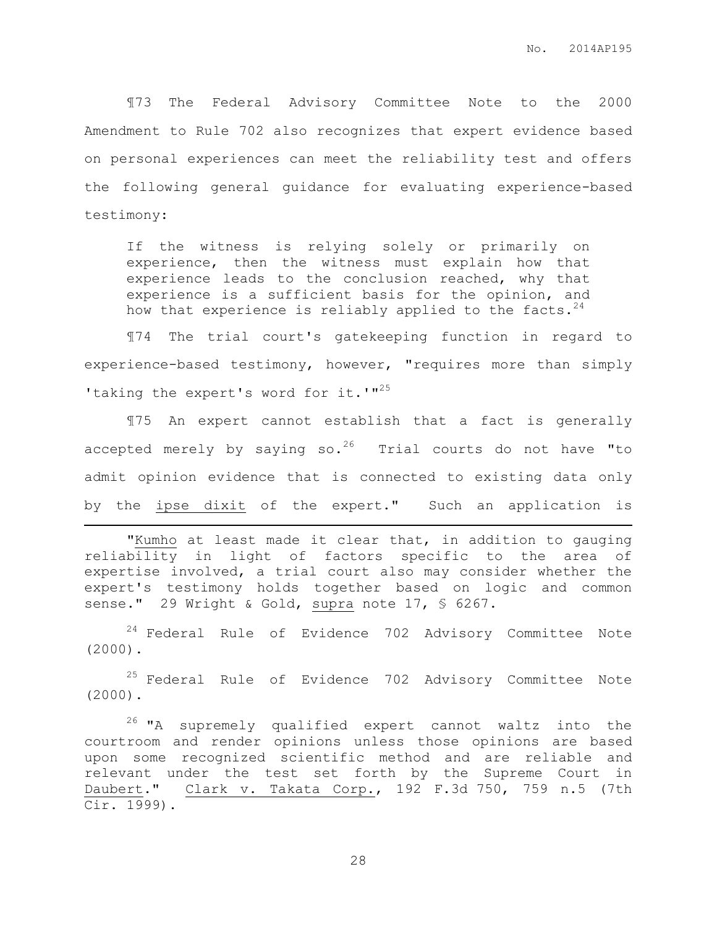¶73 The Federal Advisory Committee Note to the 2000 Amendment to Rule 702 also recognizes that expert evidence based on personal experiences can meet the reliability test and offers the following general guidance for evaluating experience-based testimony:

If the witness is relying solely or primarily on experience, then the witness must explain how that experience leads to the conclusion reached, why that experience is a sufficient basis for the opinion, and how that experience is reliably applied to the facts.  $24$ 

¶74 The trial court's gatekeeping function in regard to experience-based testimony, however, "requires more than simply 'taking the expert's word for it.'"<sup>25</sup>

¶75 An expert cannot establish that a fact is generally accepted merely by saying so.<sup>26</sup> Trial courts do not have "to admit opinion evidence that is connected to existing data only by the ipse dixit of the expert." Such an application is

"Kumho at least made it clear that, in addition to gauging reliability in light of factors specific to the area of expertise involved, a trial court also may consider whether the expert's testimony holds together based on logic and common sense." 29 Wright & Gold, supra note 17, § 6267.

 $\overline{a}$ 

<sup>24</sup> Federal Rule of Evidence 702 Advisory Committee Note (2000).

<sup>25</sup> Federal Rule of Evidence 702 Advisory Committee Note (2000).

<sup>26</sup> "A supremely qualified expert cannot waltz into the courtroom and render opinions unless those opinions are based upon some recognized scientific method and are reliable and relevant under the test set forth by the Supreme Court in Daubert." Clark v. Takata Corp., 192 F.3d 750, 759 n.5 (7th Cir. 1999).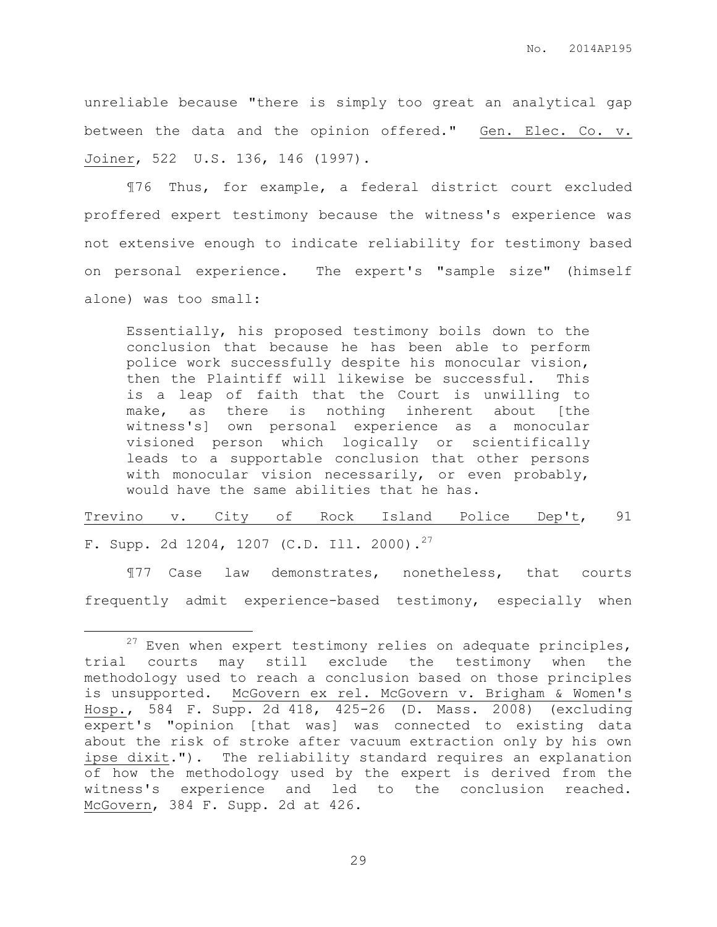unreliable because "there is simply too great an analytical gap between the data and the opinion offered." Gen. Elec. Co. v. Joiner, 522 U.S. 136, 146 (1997).

¶76 Thus, for example, a federal district court excluded proffered expert testimony because the witness's experience was not extensive enough to indicate reliability for testimony based on personal experience. The expert's "sample size" (himself alone) was too small:

Essentially, his proposed testimony boils down to the conclusion that because he has been able to perform police work successfully despite his monocular vision, then the Plaintiff will likewise be successful. This is a leap of faith that the Court is unwilling to make, as there is nothing inherent about [the witness's] own personal experience as a monocular visioned person which logically or scientifically leads to a supportable conclusion that other persons with monocular vision necessarily, or even probably, would have the same abilities that he has.

Trevino v. City of Rock Island Police Dep't, 91 F. Supp. 2d 1204, 1207 (C.D. Ill. 2000).<sup>27</sup>

¶77 Case law demonstrates, nonetheless, that courts frequently admit experience-based testimony, especially when

 $\overline{a}$ 

 $27$  Even when expert testimony relies on adequate principles, trial courts may still exclude the testimony when the methodology used to reach a conclusion based on those principles is unsupported. McGovern ex rel. McGovern v. Brigham & Women's Hosp., 584 F. Supp. 2d 418, 425-26 (D. Mass. 2008) (excluding expert's "opinion [that was] was connected to existing data about the risk of stroke after vacuum extraction only by his own ipse dixit."). The reliability standard requires an explanation of how the methodology used by the expert is derived from the witness's experience and led to the conclusion reached. McGovern, 384 F. Supp. 2d at 426.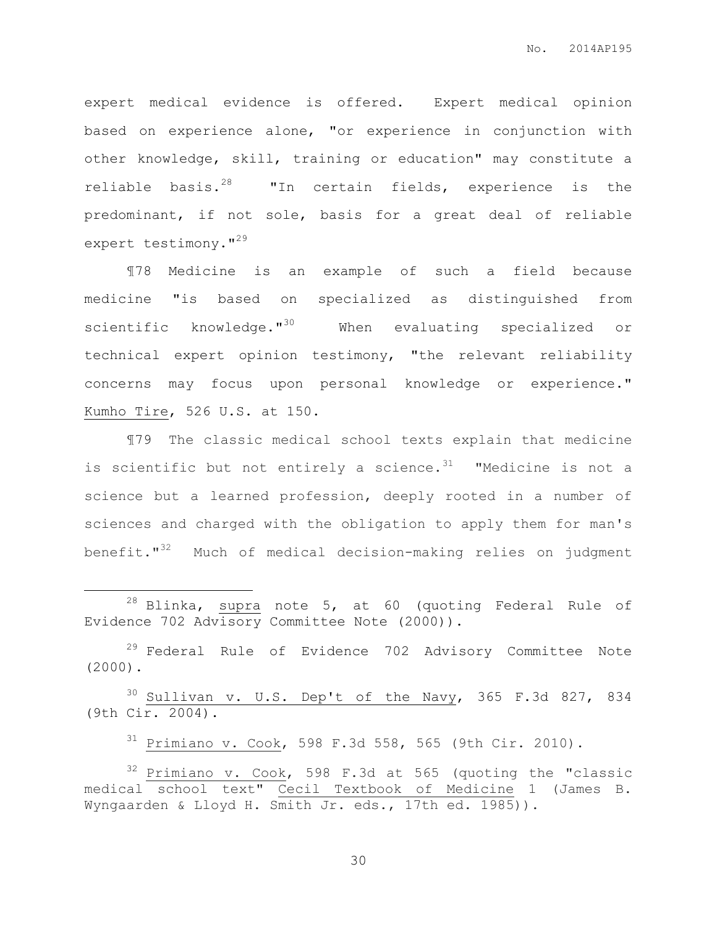expert medical evidence is offered. Expert medical opinion based on experience alone, "or experience in conjunction with other knowledge, skill, training or education" may constitute a reliable basis.<sup>28</sup> "In certain fields, experience is the predominant, if not sole, basis for a great deal of reliable expert testimony."<sup>29</sup>

¶78 Medicine is an example of such a field because medicine "is based on specialized as distinguished from scientific knowledge."<sup>30</sup> When evaluating specialized or technical expert opinion testimony, "the relevant reliability concerns may focus upon personal knowledge or experience." Kumho Tire, 526 U.S. at 150.

¶79 The classic medical school texts explain that medicine is scientific but not entirely a science. $31$  "Medicine is not a science but a learned profession, deeply rooted in a number of sciences and charged with the obligation to apply them for man's benefit."<sup>32</sup> Much of medical decision-making relies on judgment

 $28$  Blinka, supra note 5, at 60 (quoting Federal Rule of Evidence 702 Advisory Committee Note (2000)).

 $\overline{a}$ 

<sup>29</sup> Federal Rule of Evidence 702 Advisory Committee Note (2000).

 $30$  Sullivan v. U.S. Dep't of the Navy, 365 F.3d 827, 834 (9th Cir. 2004).

 $31$  Primiano v. Cook, 598 F.3d 558, 565 (9th Cir. 2010).

<sup>32</sup> Primiano v. Cook, 598 F.3d at 565 (quoting the "classic medical school text" Cecil Textbook of Medicine 1 (James B. Wyngaarden & Lloyd H. Smith Jr. eds., 17th ed. 1985)).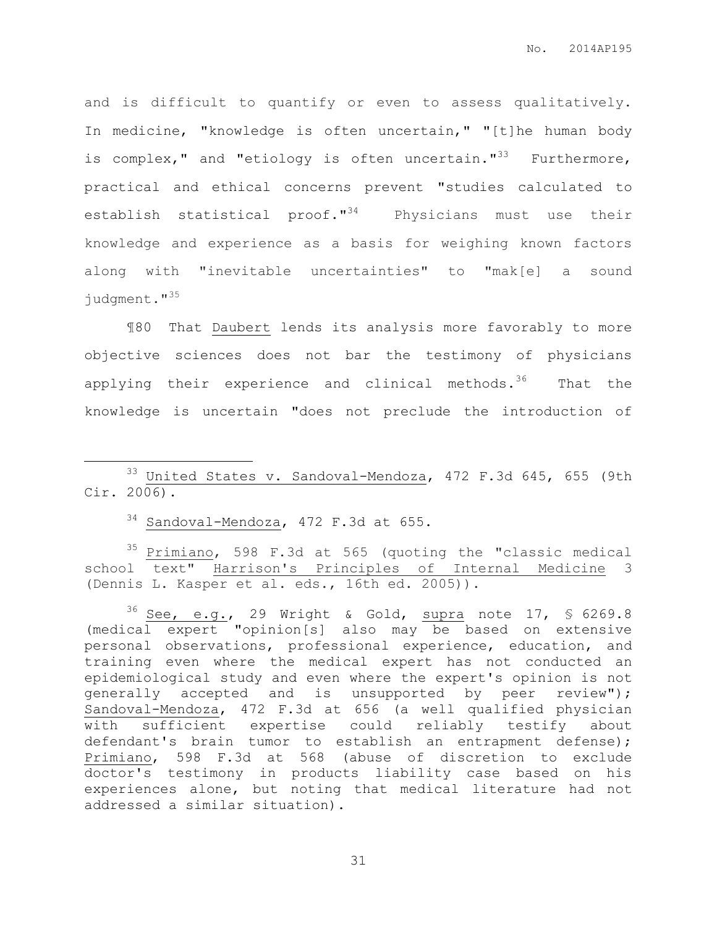and is difficult to quantify or even to assess qualitatively. In medicine, "knowledge is often uncertain," "[t]he human body is complex," and "etiology is often uncertain."<sup>33</sup> Furthermore, practical and ethical concerns prevent "studies calculated to establish statistical proof."<sup>34</sup> Physicians must use their knowledge and experience as a basis for weighing known factors along with "inevitable uncertainties" to "mak[e] a sound judgment."<sup>35</sup>

¶80 That Daubert lends its analysis more favorably to more objective sciences does not bar the testimony of physicians applying their experience and clinical methods.<sup>36</sup> That the knowledge is uncertain "does not preclude the introduction of

<sup>34</sup> Sandoval-Mendoza, 472 F.3d at 655.

 $\overline{a}$ 

<sup>35</sup> Primiano, 598 F.3d at 565 (quoting the "classic medical school text" Harrison's Principles of Internal Medicine 3 (Dennis L. Kasper et al. eds., 16th ed. 2005)).

 $36$  See, e.g., 29 Wright & Gold, supra note 17, § 6269.8 (medical expert "opinion[s] also may be based on extensive personal observations, professional experience, education, and training even where the medical expert has not conducted an epidemiological study and even where the expert's opinion is not generally accepted and is unsupported by peer review"); Sandoval-Mendoza, 472 F.3d at 656 (a well qualified physician with sufficient expertise could reliably testify about defendant's brain tumor to establish an entrapment defense); Primiano, 598 F.3d at 568 (abuse of discretion to exclude doctor's testimony in products liability case based on his experiences alone, but noting that medical literature had not addressed a similar situation).

<sup>33</sup> United States v. Sandoval-Mendoza, 472 F.3d 645, 655 (9th Cir. 2006).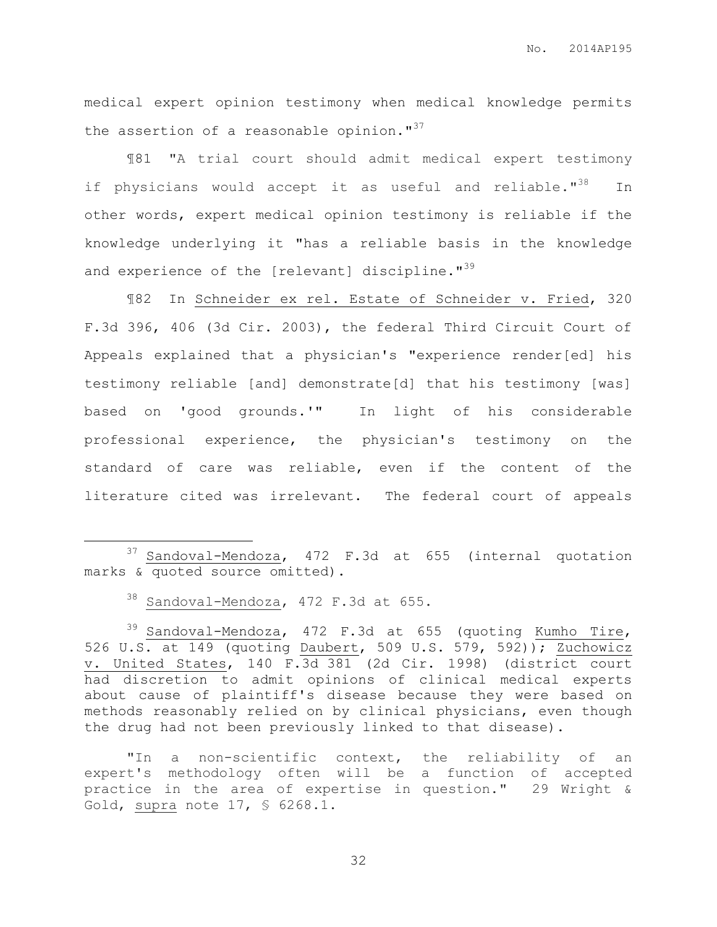No. 2014AP195

medical expert opinion testimony when medical knowledge permits the assertion of a reasonable opinion."<sup>37</sup>

¶81 "A trial court should admit medical expert testimony if physicians would accept it as useful and reliable."<sup>38</sup> In other words, expert medical opinion testimony is reliable if the knowledge underlying it "has a reliable basis in the knowledge and experience of the [relevant] discipline."<sup>39</sup>

¶82 In Schneider ex rel. Estate of Schneider v. Fried, 320 F.3d 396, 406 (3d Cir. 2003), the federal Third Circuit Court of Appeals explained that a physician's "experience render[ed] his testimony reliable [and] demonstrate[d] that his testimony [was] based on 'good grounds.'" In light of his considerable professional experience, the physician's testimony on the standard of care was reliable, even if the content of the literature cited was irrelevant. The federal court of appeals

 $\overline{a}$ 

"In a non-scientific context, the reliability of an expert's methodology often will be a function of accepted practice in the area of expertise in question." 29 Wright & Gold, supra note 17, § 6268.1.

<sup>37</sup> Sandoval-Mendoza, 472 F.3d at 655 (internal quotation marks & quoted source omitted).

<sup>38</sup> Sandoval-Mendoza, 472 F.3d at 655.

 $39$  Sandoval-Mendoza, 472 F.3d at 655 (quoting Kumho Tire, 526 U.S. at 149 (quoting Daubert, 509 U.S. 579, 592)); Zuchowicz v. United States, 140 F.3d 381 (2d Cir. 1998) (district court had discretion to admit opinions of clinical medical experts about cause of plaintiff's disease because they were based on methods reasonably relied on by clinical physicians, even though the drug had not been previously linked to that disease).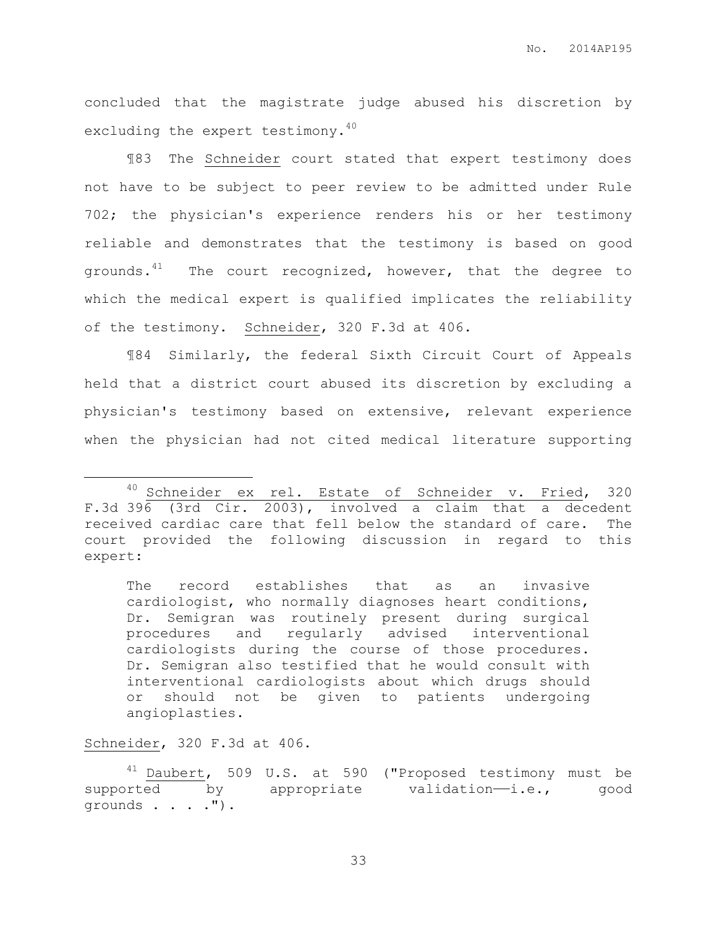concluded that the magistrate judge abused his discretion by excluding the expert testimony. $^{40}$ 

¶83 The Schneider court stated that expert testimony does not have to be subject to peer review to be admitted under Rule 702; the physician's experience renders his or her testimony reliable and demonstrates that the testimony is based on good grounds. $41$  The court recognized, however, that the degree to which the medical expert is qualified implicates the reliability of the testimony. Schneider, 320 F.3d at 406.

¶84 Similarly, the federal Sixth Circuit Court of Appeals held that a district court abused its discretion by excluding a physician's testimony based on extensive, relevant experience when the physician had not cited medical literature supporting

The record establishes that as an invasive cardiologist, who normally diagnoses heart conditions, Dr. Semigran was routinely present during surgical procedures and regularly advised interventional cardiologists during the course of those procedures. Dr. Semigran also testified that he would consult with interventional cardiologists about which drugs should or should not be given to patients undergoing angioplasties.

## Schneider, 320 F.3d at 406.

 $\overline{a}$ 

<sup>41</sup> Daubert, 509 U.S. at 590 ("Proposed testimony must be supported by appropriate validation—i.e., good grounds . . . .").

<sup>40</sup> Schneider ex rel. Estate of Schneider v. Fried, 320 F.3d 396 (3rd Cir. 2003), involved a claim that a decedent received cardiac care that fell below the standard of care. The court provided the following discussion in regard to this expert: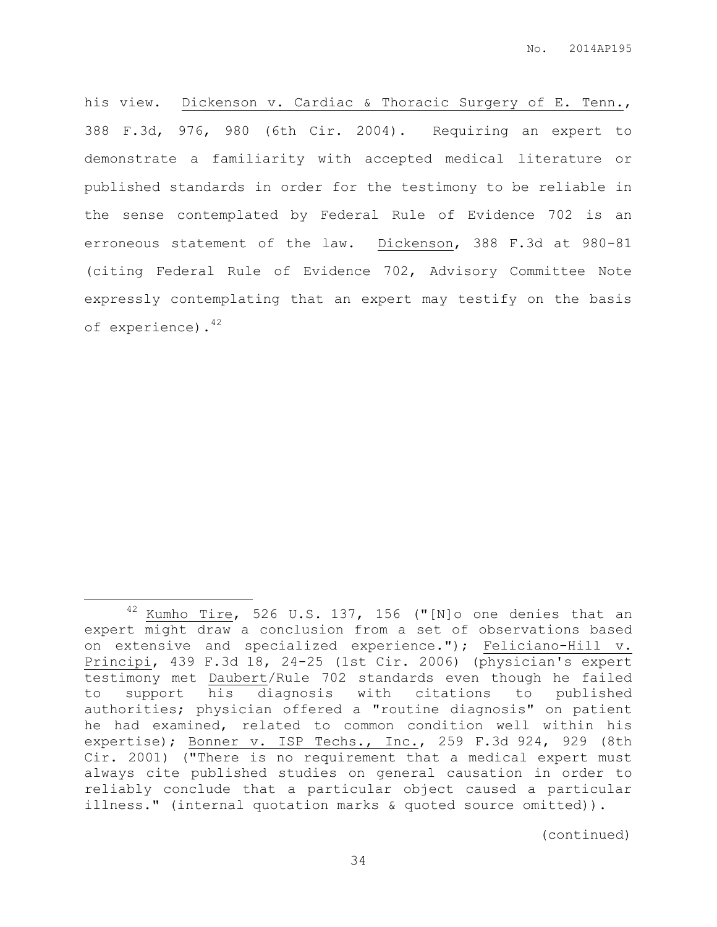his view. Dickenson v. Cardiac & Thoracic Surgery of E. Tenn., 388 F.3d, 976, 980 (6th Cir. 2004). Requiring an expert to demonstrate a familiarity with accepted medical literature or published standards in order for the testimony to be reliable in the sense contemplated by Federal Rule of Evidence 702 is an erroneous statement of the law. Dickenson, 388 F.3d at 980-81 (citing Federal Rule of Evidence 702, Advisory Committee Note expressly contemplating that an expert may testify on the basis of experience).<sup>42</sup>

 $\overline{a}$ 

(continued)

 $42$  Kumho Tire, 526 U.S. 137, 156 ("[N]o one denies that an expert might draw a conclusion from a set of observations based on extensive and specialized experience."); Feliciano-Hill v. Principi, 439 F.3d 18, 24-25 (1st Cir. 2006) (physician's expert testimony met Daubert/Rule 702 standards even though he failed to support his diagnosis with citations to published authorities; physician offered a "routine diagnosis" on patient he had examined, related to common condition well within his expertise); Bonner v. ISP Techs., Inc., 259 F.3d 924, 929 (8th Cir. 2001) ("There is no requirement that a medical expert must always cite published studies on general causation in order to reliably conclude that a particular object caused a particular illness." (internal quotation marks & quoted source omitted)).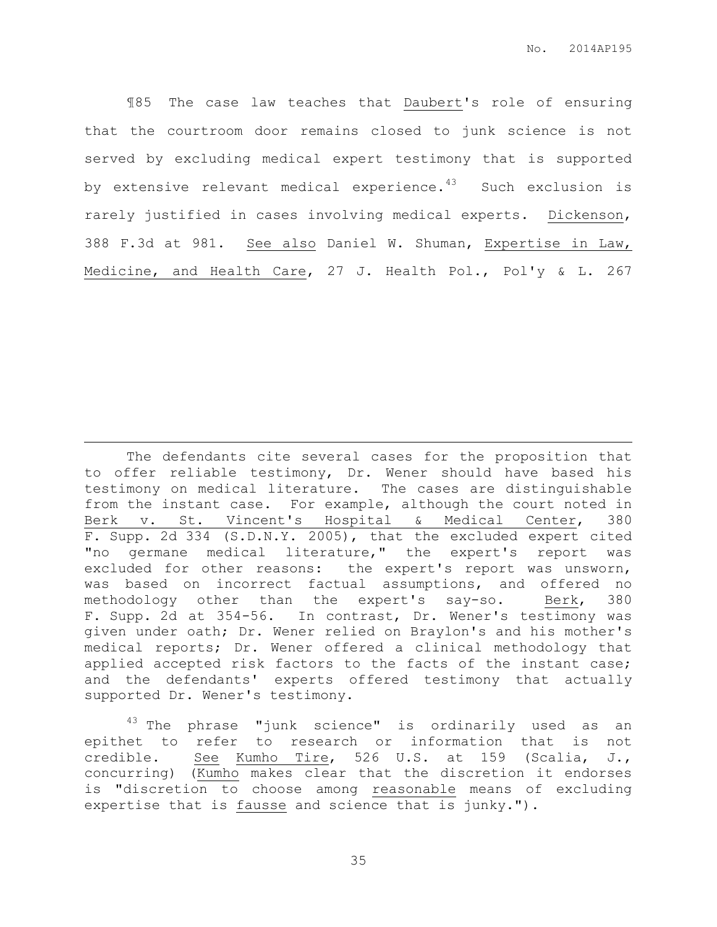¶85 The case law teaches that Daubert's role of ensuring that the courtroom door remains closed to junk science is not served by excluding medical expert testimony that is supported by extensive relevant medical experience. $43$  Such exclusion is rarely justified in cases involving medical experts. Dickenson, 388 F.3d at 981. See also Daniel W. Shuman, Expertise in Law, Medicine, and Health Care, 27 J. Health Pol., Pol'y & L. 267

The defendants cite several cases for the proposition that to offer reliable testimony, Dr. Wener should have based his testimony on medical literature. The cases are distinguishable from the instant case. For example, although the court noted in Berk v. St. Vincent's Hospital & Medical Center, 380 F. Supp. 2d 334 (S.D.N.Y. 2005), that the excluded expert cited "no germane medical literature," the expert's report was excluded for other reasons: the expert's report was unsworn, was based on incorrect factual assumptions, and offered no methodology other than the expert's say-so. Berk, 380 F. Supp. 2d at 354-56. In contrast, Dr. Wener's testimony was given under oath; Dr. Wener relied on Braylon's and his mother's medical reports; Dr. Wener offered a clinical methodology that applied accepted risk factors to the facts of the instant case; and the defendants' experts offered testimony that actually supported Dr. Wener's testimony.

 $\overline{a}$ 

 $43$  The phrase "junk science" is ordinarily used as an epithet to refer to research or information that is not credible. See Kumho Tire, 526 U.S. at 159 (Scalia, J., concurring) (Kumho makes clear that the discretion it endorses is "discretion to choose among reasonable means of excluding expertise that is fausse and science that is junky.").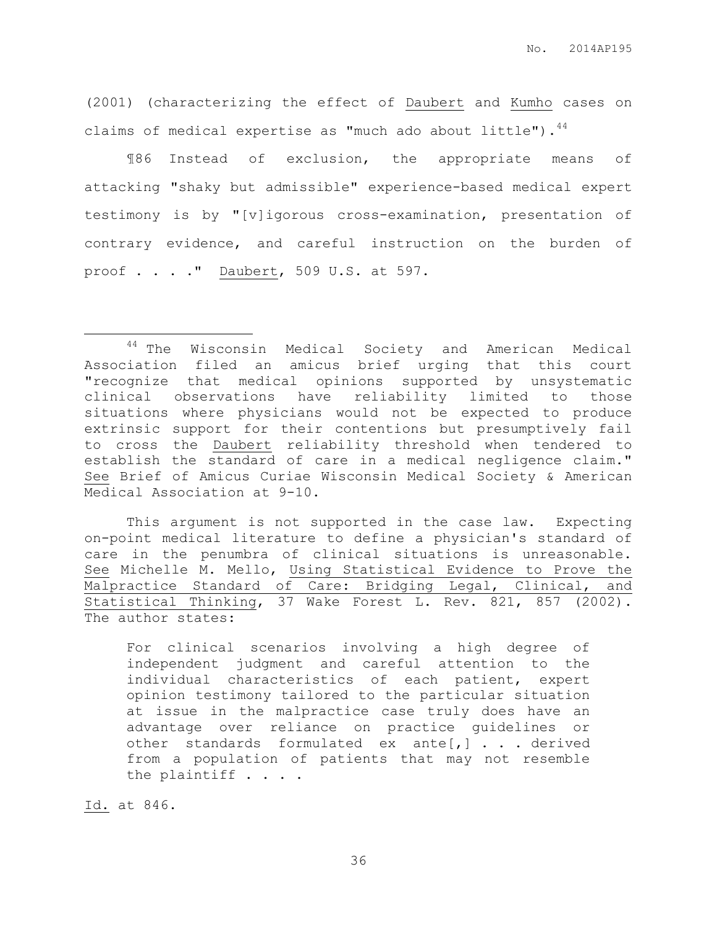(2001) (characterizing the effect of Daubert and Kumho cases on claims of medical expertise as "much ado about little"). $44$ 

¶86 Instead of exclusion, the appropriate means of attacking "shaky but admissible" experience-based medical expert testimony is by "[v]igorous cross-examination, presentation of contrary evidence, and careful instruction on the burden of proof . . . ." Daubert, 509 U.S. at 597.

This argument is not supported in the case law. Expecting on-point medical literature to define a physician's standard of care in the penumbra of clinical situations is unreasonable. See Michelle M. Mello, Using Statistical Evidence to Prove the Malpractice Standard of Care: Bridging Legal, Clinical, and Statistical Thinking, 37 Wake Forest L. Rev. 821, 857 (2002). The author states:

For clinical scenarios involving a high degree of independent judgment and careful attention to the individual characteristics of each patient, expert opinion testimony tailored to the particular situation at issue in the malpractice case truly does have an advantage over reliance on practice guidelines or other standards formulated ex ante[,] . . . derived from a population of patients that may not resemble the plaintiff . . . .

Id. at 846.

 $\overline{a}$ 

<sup>&</sup>lt;sup>44</sup> The Wisconsin Medical Society and American Medical Association filed an amicus brief urging that this court "recognize that medical opinions supported by unsystematic clinical observations have reliability limited to those situations where physicians would not be expected to produce extrinsic support for their contentions but presumptively fail to cross the Daubert reliability threshold when tendered to establish the standard of care in a medical negligence claim." See Brief of Amicus Curiae Wisconsin Medical Society & American Medical Association at 9-10.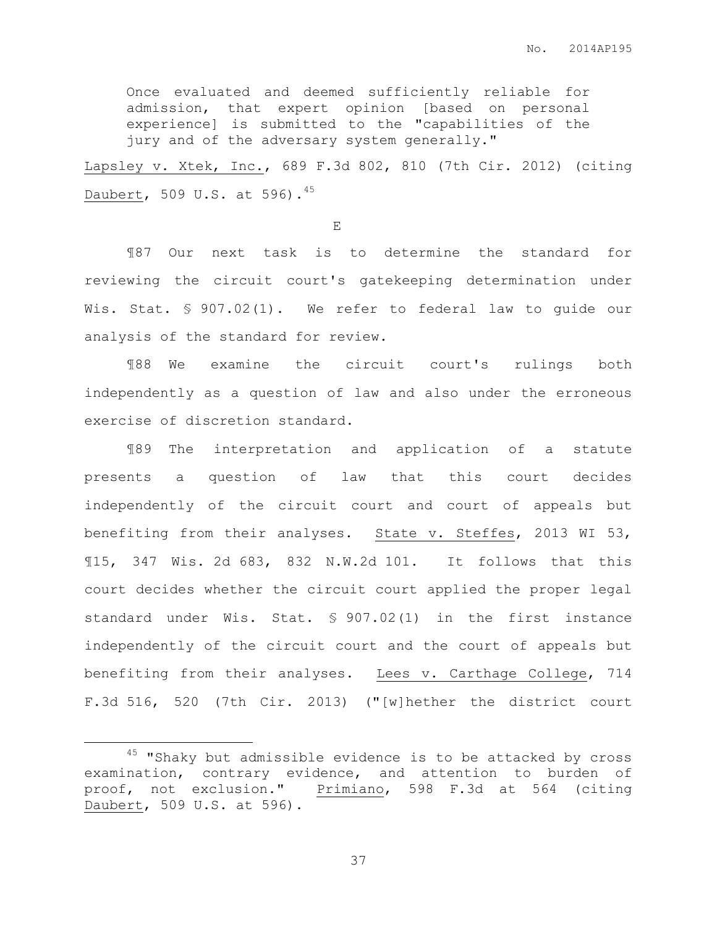Once evaluated and deemed sufficiently reliable for admission, that expert opinion [based on personal experience] is submitted to the "capabilities of the jury and of the adversary system generally."

Lapsley v. Xtek, Inc., 689 F.3d 802, 810 (7th Cir. 2012) (citing Daubert, 509 U.S. at 596).<sup>45</sup>

E

¶87 Our next task is to determine the standard for reviewing the circuit court's gatekeeping determination under Wis. Stat. § 907.02(1). We refer to federal law to guide our analysis of the standard for review.

¶88 We examine the circuit court's rulings both independently as a question of law and also under the erroneous exercise of discretion standard.

¶89 The interpretation and application of a statute presents a question of law that this court decides independently of the circuit court and court of appeals but benefiting from their analyses. State v. Steffes, 2013 WI 53, ¶15, 347 Wis. 2d 683, 832 N.W.2d 101. It follows that this court decides whether the circuit court applied the proper legal standard under Wis. Stat. § 907.02(1) in the first instance independently of the circuit court and the court of appeals but benefiting from their analyses. Lees v. Carthage College, 714 F.3d 516, 520 (7th Cir. 2013) ("[w]hether the district court

 $\overline{a}$ 

 $45$  "Shaky but admissible evidence is to be attacked by cross examination, contrary evidence, and attention to burden of proof, not exclusion." Primiano, 598 F.3d at 564 (citing Daubert, 509 U.S. at 596).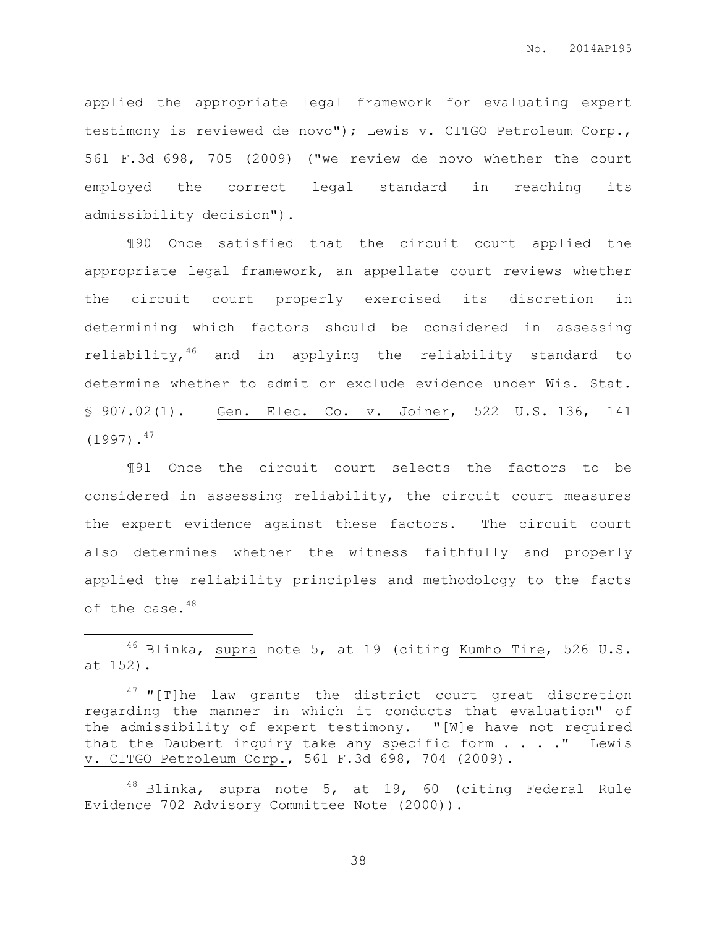applied the appropriate legal framework for evaluating expert testimony is reviewed de novo"); Lewis v. CITGO Petroleum Corp., 561 F.3d 698, 705 (2009) ("we review de novo whether the court employed the correct legal standard in reaching its admissibility decision").

¶90 Once satisfied that the circuit court applied the appropriate legal framework, an appellate court reviews whether the circuit court properly exercised its discretion in determining which factors should be considered in assessing reliability, 46 and in applying the reliability standard to determine whether to admit or exclude evidence under Wis. Stat. § 907.02(1). Gen. Elec. Co. v. Joiner, 522 U.S. 136, 141  $(1997)$ .<sup>47</sup>

¶91 Once the circuit court selects the factors to be considered in assessing reliability, the circuit court measures the expert evidence against these factors. The circuit court also determines whether the witness faithfully and properly applied the reliability principles and methodology to the facts of the case.<sup>48</sup>

 $46$  Blinka, supra note [5,](#page-4-0) at 19 (citing Kumho Tire, 526 U.S. at 152).

 $\overline{a}$ 

 $47$  "[T]he law grants the district court great discretion regarding the manner in which it conducts that evaluation" of the admissibility of expert testimony. "[W]e have not required that the Daubert inquiry take any specific form  $\ldots$ . " Lewis v. CITGO Petroleum Corp., 561 F.3d 698, 704 (2009).

48 Blinka, supra note 5, at 19, 60 (citing Federal Rule Evidence 702 Advisory Committee Note (2000)).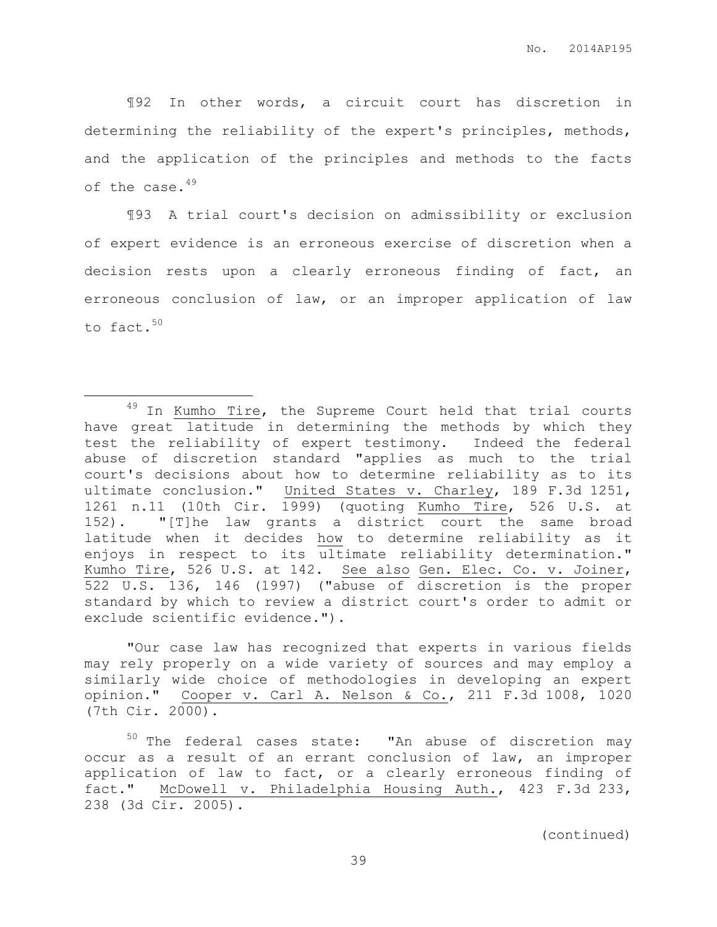¶92 In other words, a circuit court has discretion in determining the reliability of the expert's principles, methods, and the application of the principles and methods to the facts of the case.<sup>49</sup>

¶93 A trial court's decision on admissibility or exclusion of expert evidence is an erroneous exercise of discretion when a decision rests upon a clearly erroneous finding of fact, an erroneous conclusion of law, or an improper application of law to fact.<sup>50</sup>

 $\overline{a}$ 

"Our case law has recognized that experts in various fields may rely properly on a wide variety of sources and may employ a similarly wide choice of methodologies in developing an expert opinion." Cooper v. Carl A. Nelson & Co., 211 F.3d 1008, 1020 (7th Cir. 2000).

<sup>50</sup> The federal cases state: "An abuse of discretion may occur as a result of an errant conclusion of law, an improper application of law to fact, or a clearly erroneous finding of fact." McDowell v. Philadelphia Housing Auth., 423 F.3d 233, 238 (3d Cir. 2005).

(continued)

<sup>&</sup>lt;sup>49</sup> In Kumho Tire, the Supreme Court held that trial courts have great latitude in determining the methods by which they test the reliability of expert testimony. Indeed the federal abuse of discretion standard "applies as much to the trial court's decisions about how to determine reliability as to its ultimate conclusion." United States v. Charley, 189 F.3d 1251, 1261 n.11 (10th Cir. 1999) (quoting Kumho Tire, 526 U.S. at 152). "[T]he law grants a district court the same broad latitude when it decides how to determine reliability as it enjoys in respect to its ultimate reliability determination." Kumho Tire, 526 U.S. at 142. See also Gen. Elec. Co. v. Joiner, 522 U.S. 136, 146 (1997) ("abuse of discretion is the proper standard by which to review a district court's order to admit or exclude scientific evidence.").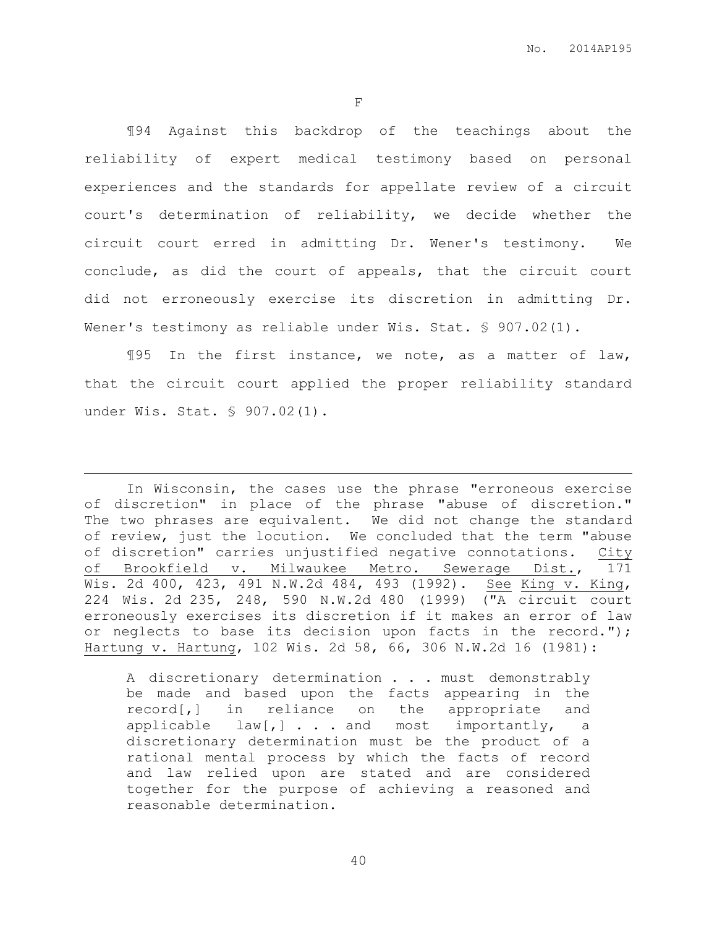F

¶94 Against this backdrop of the teachings about the reliability of expert medical testimony based on personal experiences and the standards for appellate review of a circuit court's determination of reliability, we decide whether the circuit court erred in admitting Dr. Wener's testimony. We conclude, as did the court of appeals, that the circuit court did not erroneously exercise its discretion in admitting Dr. Wener's testimony as reliable under Wis. Stat. § 907.02(1).

¶95 In the first instance, we note, as a matter of law, that the circuit court applied the proper reliability standard under Wis. Stat. § 907.02(1).

 $\overline{a}$ 

In Wisconsin, the cases use the phrase "erroneous exercise of discretion" in place of the phrase "abuse of discretion." The two phrases are equivalent. We did not change the standard of review, just the locution. We concluded that the term "abuse of discretion" carries unjustified negative connotations. City of Brookfield v. Milwaukee Metro. Sewerage Dist., 171 Wis. 2d 400, 423, 491 N.W.2d 484, 493 (1992). See King v. King, 224 Wis. 2d 235, 248, 590 N.W.2d 480 (1999) ("A circuit court erroneously exercises its discretion if it makes an error of law or neglects to base its decision upon facts in the record."); Hartung v. Hartung, 102 Wis. 2d 58, 66, 306 N.W.2d 16 (1981):

A discretionary determination . . . must demonstrably be made and based upon the facts appearing in the record[,] in reliance on the appropriate and applicable law[,] . . . and most importantly, a discretionary determination must be the product of a rational mental process by which the facts of record and law relied upon are stated and are considered together for the purpose of achieving a reasoned and reasonable determination.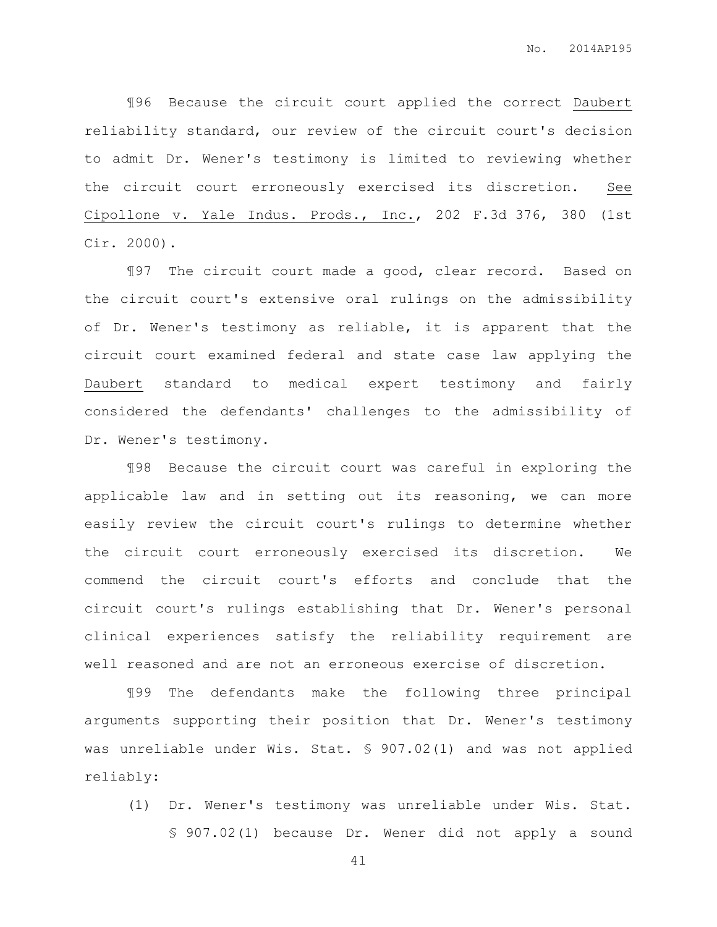¶96 Because the circuit court applied the correct Daubert reliability standard, our review of the circuit court's decision to admit Dr. Wener's testimony is limited to reviewing whether the circuit court erroneously exercised its discretion. See Cipollone v. Yale Indus. Prods., Inc., 202 F.3d 376, 380 (1st Cir. 2000).

¶97 The circuit court made a good, clear record. Based on the circuit court's extensive oral rulings on the admissibility of Dr. Wener's testimony as reliable, it is apparent that the circuit court examined federal and state case law applying the Daubert standard to medical expert testimony and fairly considered the defendants' challenges to the admissibility of Dr. Wener's testimony.

¶98 Because the circuit court was careful in exploring the applicable law and in setting out its reasoning, we can more easily review the circuit court's rulings to determine whether the circuit court erroneously exercised its discretion. We commend the circuit court's efforts and conclude that the circuit court's rulings establishing that Dr. Wener's personal clinical experiences satisfy the reliability requirement are well reasoned and are not an erroneous exercise of discretion.

¶99 The defendants make the following three principal arguments supporting their position that Dr. Wener's testimony was unreliable under Wis. Stat. § 907.02(1) and was not applied reliably:

(1) Dr. Wener's testimony was unreliable under Wis. Stat. § 907.02(1) because Dr. Wener did not apply a sound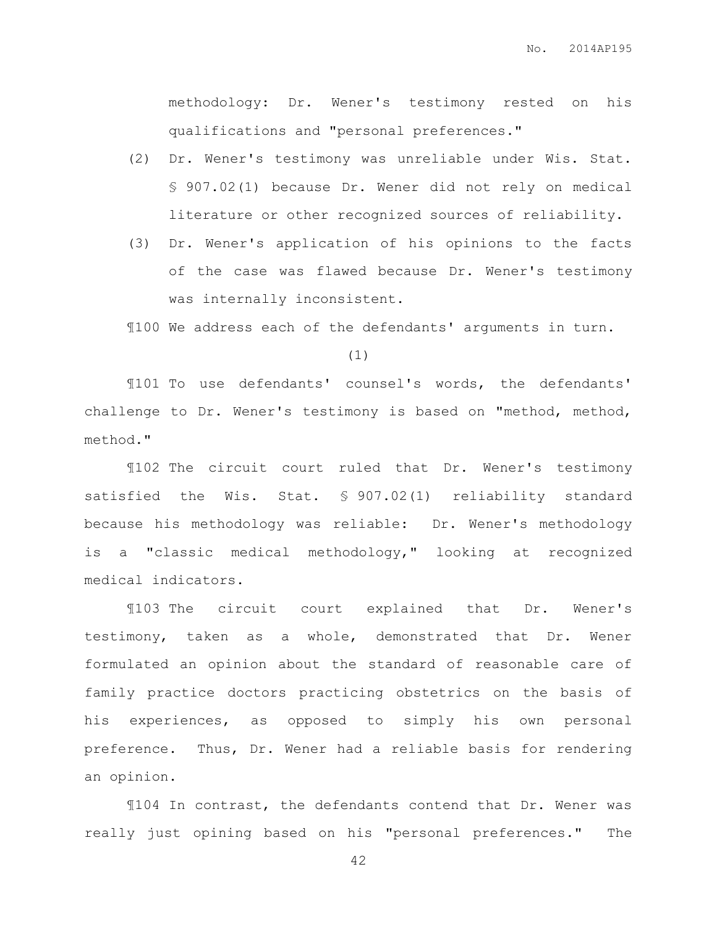methodology: Dr. Wener's testimony rested on his qualifications and "personal preferences."

- (2) Dr. Wener's testimony was unreliable under Wis. Stat. § 907.02(1) because Dr. Wener did not rely on medical literature or other recognized sources of reliability.
- (3) Dr. Wener's application of his opinions to the facts of the case was flawed because Dr. Wener's testimony was internally inconsistent.

¶100 We address each of the defendants' arguments in turn.

(1)

¶101 To use defendants' counsel's words, the defendants' challenge to Dr. Wener's testimony is based on "method, method, method."

¶102 The circuit court ruled that Dr. Wener's testimony satisfied the Wis. Stat. § 907.02(1) reliability standard because his methodology was reliable: Dr. Wener's methodology is a "classic medical methodology," looking at recognized medical indicators.

¶103 The circuit court explained that Dr. Wener's testimony, taken as a whole, demonstrated that Dr. Wener formulated an opinion about the standard of reasonable care of family practice doctors practicing obstetrics on the basis of his experiences, as opposed to simply his own personal preference. Thus, Dr. Wener had a reliable basis for rendering an opinion.

¶104 In contrast, the defendants contend that Dr. Wener was really just opining based on his "personal preferences." The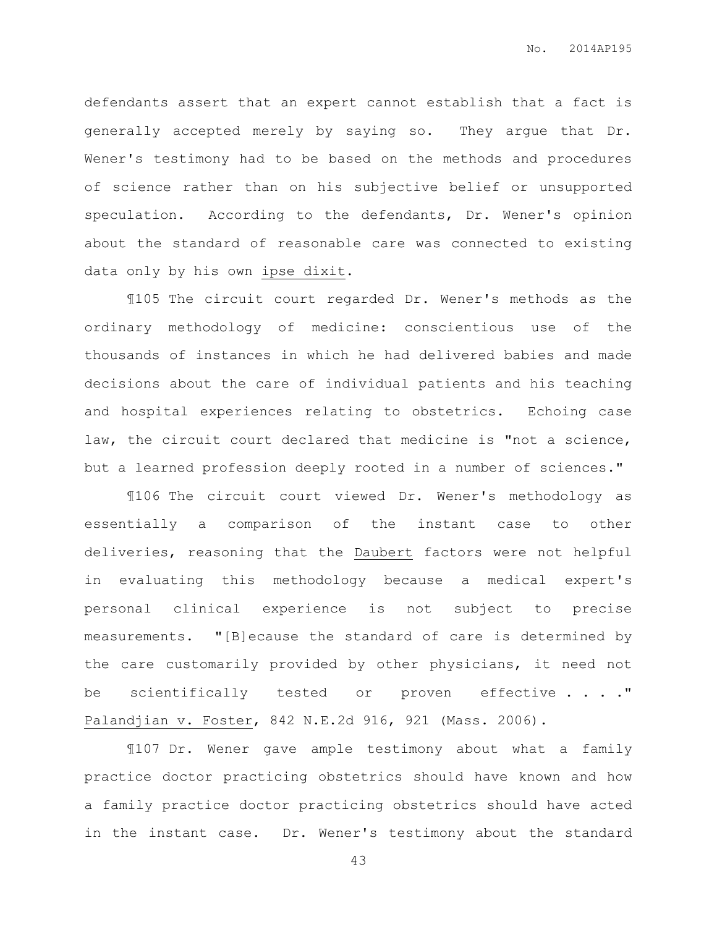defendants assert that an expert cannot establish that a fact is generally accepted merely by saying so. They argue that Dr. Wener's testimony had to be based on the methods and procedures of science rather than on his subjective belief or unsupported speculation. According to the defendants, Dr. Wener's opinion about the standard of reasonable care was connected to existing data only by his own ipse dixit.

¶105 The circuit court regarded Dr. Wener's methods as the ordinary methodology of medicine: conscientious use of the thousands of instances in which he had delivered babies and made decisions about the care of individual patients and his teaching and hospital experiences relating to obstetrics. Echoing case law, the circuit court declared that medicine is "not a science, but a learned profession deeply rooted in a number of sciences."

¶106 The circuit court viewed Dr. Wener's methodology as essentially a comparison of the instant case to other deliveries, reasoning that the Daubert factors were not helpful in evaluating this methodology because a medical expert's personal clinical experience is not subject to precise measurements. "[B]ecause the standard of care is determined by the care customarily provided by other physicians, it need not be scientifically tested or proven effective . . . . " Palandjian v. Foster, 842 N.E.2d 916, 921 (Mass. 2006).

¶107 Dr. Wener gave ample testimony about what a family practice doctor practicing obstetrics should have known and how a family practice doctor practicing obstetrics should have acted in the instant case. Dr. Wener's testimony about the standard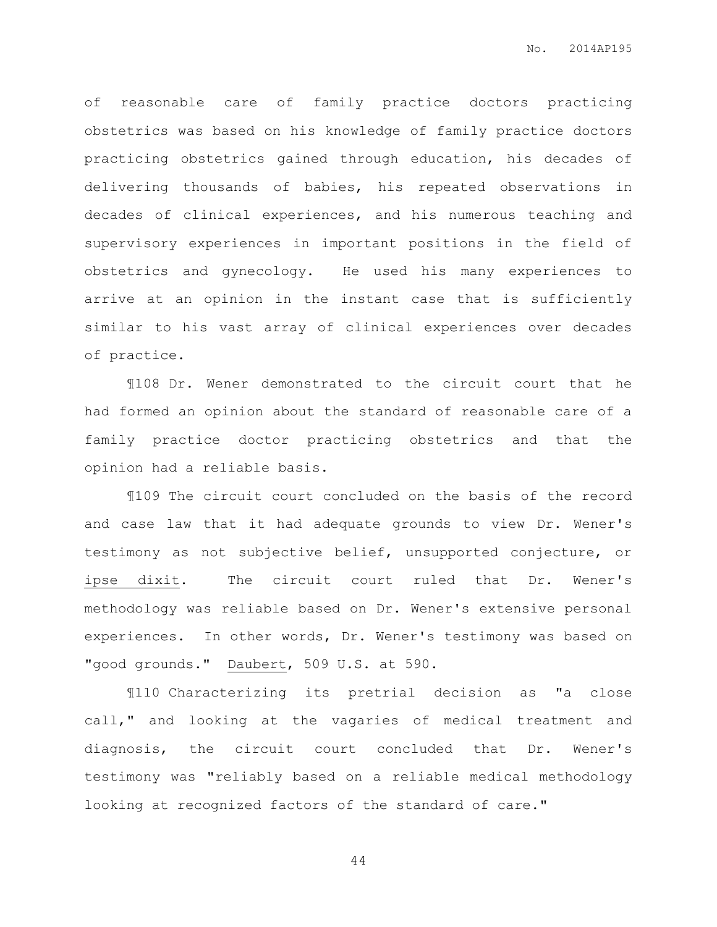of reasonable care of family practice doctors practicing obstetrics was based on his knowledge of family practice doctors practicing obstetrics gained through education, his decades of delivering thousands of babies, his repeated observations in decades of clinical experiences, and his numerous teaching and supervisory experiences in important positions in the field of obstetrics and gynecology. He used his many experiences to arrive at an opinion in the instant case that is sufficiently similar to his vast array of clinical experiences over decades of practice.

¶108 Dr. Wener demonstrated to the circuit court that he had formed an opinion about the standard of reasonable care of a family practice doctor practicing obstetrics and that the opinion had a reliable basis.

¶109 The circuit court concluded on the basis of the record and case law that it had adequate grounds to view Dr. Wener's testimony as not subjective belief, unsupported conjecture, or ipse dixit. The circuit court ruled that Dr. Wener's methodology was reliable based on Dr. Wener's extensive personal experiences. In other words, Dr. Wener's testimony was based on "good grounds." Daubert, 509 U.S. at 590.

¶110 Characterizing its pretrial decision as "a close call," and looking at the vagaries of medical treatment and diagnosis, the circuit court concluded that Dr. Wener's testimony was "reliably based on a reliable medical methodology looking at recognized factors of the standard of care."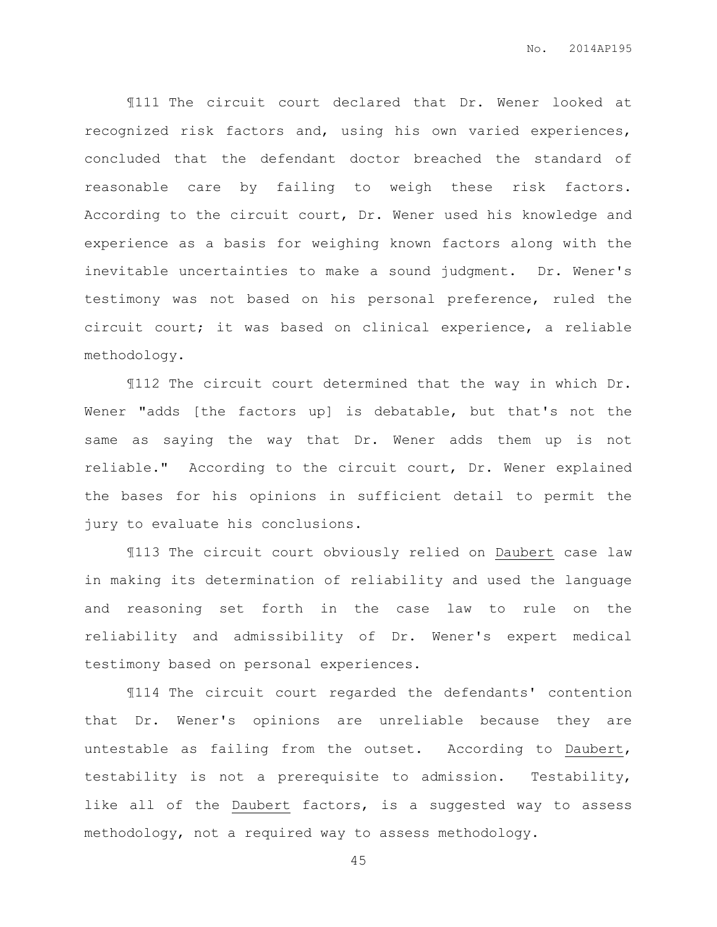¶111 The circuit court declared that Dr. Wener looked at recognized risk factors and, using his own varied experiences, concluded that the defendant doctor breached the standard of reasonable care by failing to weigh these risk factors. According to the circuit court, Dr. Wener used his knowledge and experience as a basis for weighing known factors along with the inevitable uncertainties to make a sound judgment. Dr. Wener's testimony was not based on his personal preference, ruled the circuit court; it was based on clinical experience, a reliable methodology.

¶112 The circuit court determined that the way in which Dr. Wener "adds [the factors up] is debatable, but that's not the same as saying the way that Dr. Wener adds them up is not reliable." According to the circuit court, Dr. Wener explained the bases for his opinions in sufficient detail to permit the jury to evaluate his conclusions.

¶113 The circuit court obviously relied on Daubert case law in making its determination of reliability and used the language and reasoning set forth in the case law to rule on the reliability and admissibility of Dr. Wener's expert medical testimony based on personal experiences.

¶114 The circuit court regarded the defendants' contention that Dr. Wener's opinions are unreliable because they are untestable as failing from the outset. According to Daubert, testability is not a prerequisite to admission. Testability, like all of the Daubert factors, is a suggested way to assess methodology, not a required way to assess methodology.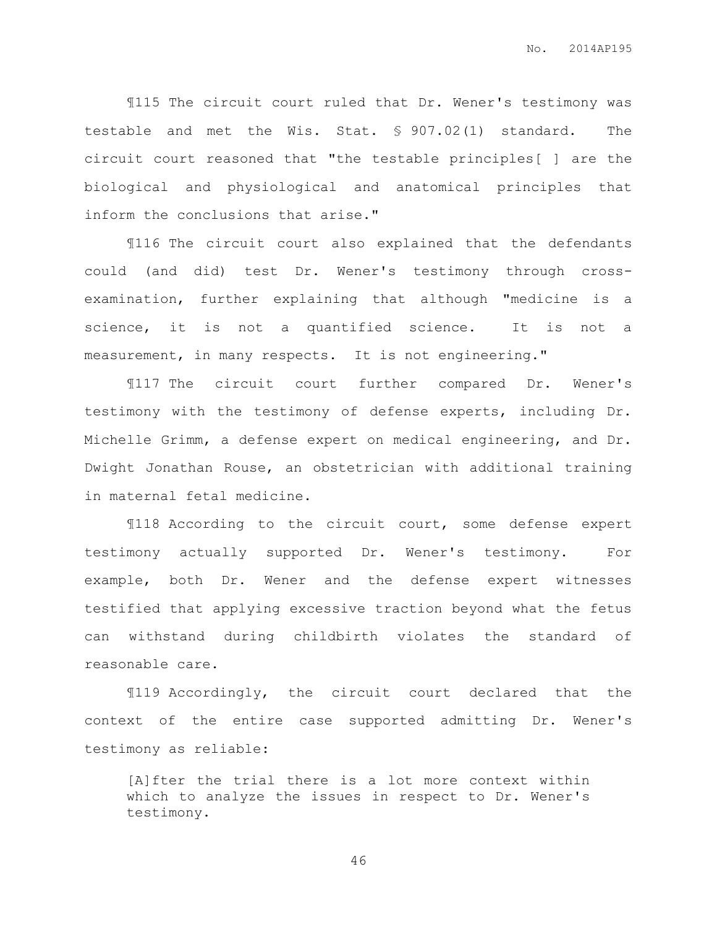¶115 The circuit court ruled that Dr. Wener's testimony was testable and met the Wis. Stat. § 907.02(1) standard. The circuit court reasoned that "the testable principles[ ] are the biological and physiological and anatomical principles that inform the conclusions that arise."

¶116 The circuit court also explained that the defendants could (and did) test Dr. Wener's testimony through crossexamination, further explaining that although "medicine is a science, it is not a quantified science. It is not a measurement, in many respects. It is not engineering."

¶117 The circuit court further compared Dr. Wener's testimony with the testimony of defense experts, including Dr. Michelle Grimm, a defense expert on medical engineering, and Dr. Dwight Jonathan Rouse, an obstetrician with additional training in maternal fetal medicine.

¶118 According to the circuit court, some defense expert testimony actually supported Dr. Wener's testimony. For example, both Dr. Wener and the defense expert witnesses testified that applying excessive traction beyond what the fetus can withstand during childbirth violates the standard of reasonable care.

¶119 Accordingly, the circuit court declared that the context of the entire case supported admitting Dr. Wener's testimony as reliable:

[A]fter the trial there is a lot more context within which to analyze the issues in respect to Dr. Wener's testimony.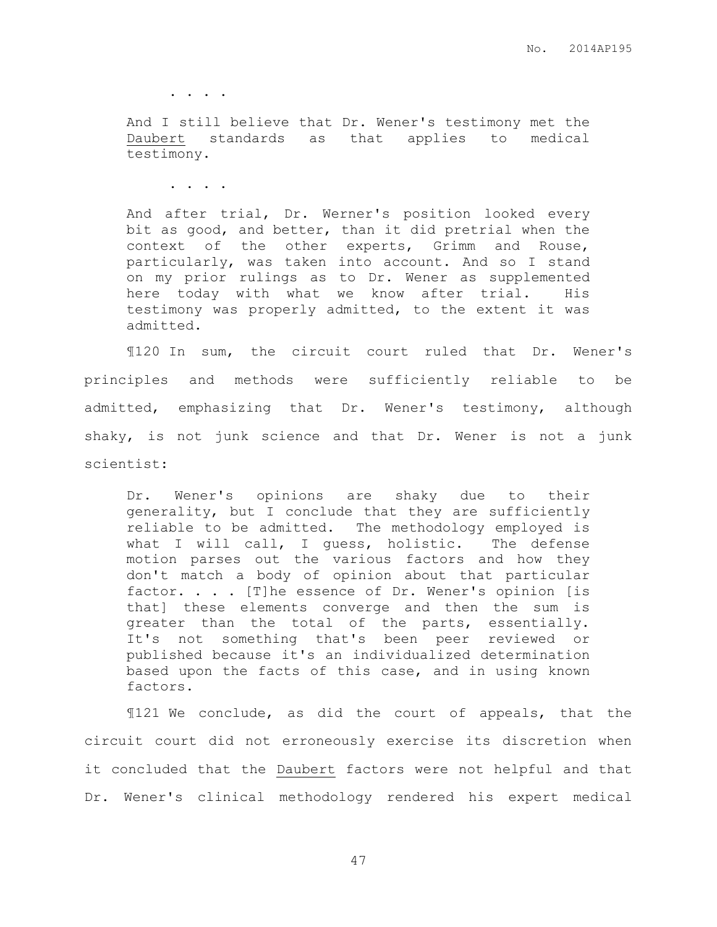. . . .

And I still believe that Dr. Wener's testimony met the Daubert standards as that applies to medical testimony.

. . . .

And after trial, Dr. Werner's position looked every bit as good, and better, than it did pretrial when the context of the other experts, Grimm and Rouse, particularly, was taken into account. And so I stand on my prior rulings as to Dr. Wener as supplemented here today with what we know after trial. His testimony was properly admitted, to the extent it was admitted.

¶120 In sum, the circuit court ruled that Dr. Wener's principles and methods were sufficiently reliable to be admitted, emphasizing that Dr. Wener's testimony, although shaky, is not junk science and that Dr. Wener is not a junk scientist:

Dr. Wener's opinions are shaky due to their generality, but I conclude that they are sufficiently reliable to be admitted. The methodology employed is what I will call, I guess, holistic. The defense motion parses out the various factors and how they don't match a body of opinion about that particular factor. . . . [T]he essence of Dr. Wener's opinion [is that] these elements converge and then the sum is greater than the total of the parts, essentially. It's not something that's been peer reviewed or published because it's an individualized determination based upon the facts of this case, and in using known factors.

¶121 We conclude, as did the court of appeals, that the circuit court did not erroneously exercise its discretion when it concluded that the Daubert factors were not helpful and that Dr. Wener's clinical methodology rendered his expert medical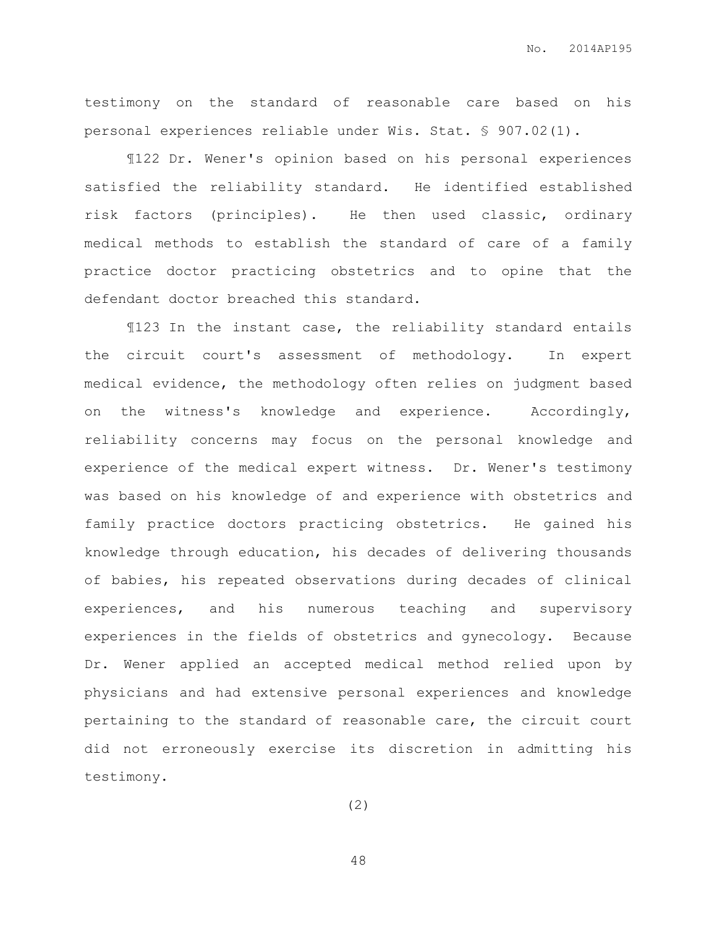testimony on the standard of reasonable care based on his personal experiences reliable under Wis. Stat. § 907.02(1).

¶122 Dr. Wener's opinion based on his personal experiences satisfied the reliability standard. He identified established risk factors (principles). He then used classic, ordinary medical methods to establish the standard of care of a family practice doctor practicing obstetrics and to opine that the defendant doctor breached this standard.

¶123 In the instant case, the reliability standard entails the circuit court's assessment of methodology. In expert medical evidence, the methodology often relies on judgment based on the witness's knowledge and experience. Accordingly, reliability concerns may focus on the personal knowledge and experience of the medical expert witness. Dr. Wener's testimony was based on his knowledge of and experience with obstetrics and family practice doctors practicing obstetrics. He gained his knowledge through education, his decades of delivering thousands of babies, his repeated observations during decades of clinical experiences, and his numerous teaching and supervisory experiences in the fields of obstetrics and gynecology. Because Dr. Wener applied an accepted medical method relied upon by physicians and had extensive personal experiences and knowledge pertaining to the standard of reasonable care, the circuit court did not erroneously exercise its discretion in admitting his testimony.

(2)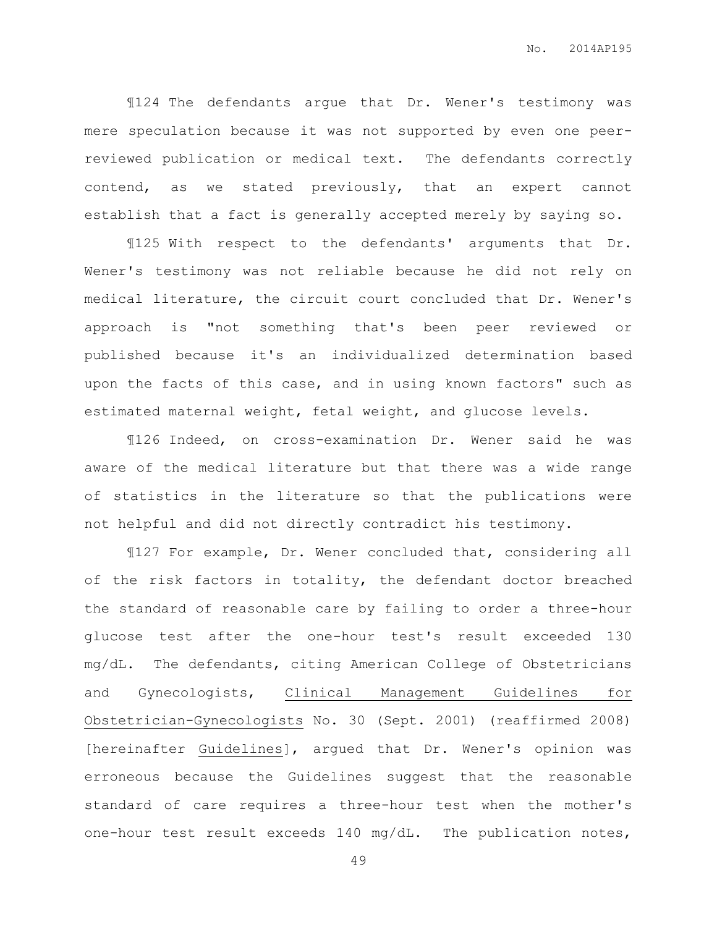¶124 The defendants argue that Dr. Wener's testimony was mere speculation because it was not supported by even one peerreviewed publication or medical text. The defendants correctly contend, as we stated previously, that an expert cannot establish that a fact is generally accepted merely by saying so.

¶125 With respect to the defendants' arguments that Dr. Wener's testimony was not reliable because he did not rely on medical literature, the circuit court concluded that Dr. Wener's approach is "not something that's been peer reviewed or published because it's an individualized determination based upon the facts of this case, and in using known factors" such as estimated maternal weight, fetal weight, and glucose levels.

¶126 Indeed, on cross-examination Dr. Wener said he was aware of the medical literature but that there was a wide range of statistics in the literature so that the publications were not helpful and did not directly contradict his testimony.

¶127 For example, Dr. Wener concluded that, considering all of the risk factors in totality, the defendant doctor breached the standard of reasonable care by failing to order a three-hour glucose test after the one-hour test's result exceeded 130 mg/dL. The defendants, citing American College of Obstetricians and Gynecologists, Clinical Management Guidelines for Obstetrician-Gynecologists No. 30 (Sept. 2001) (reaffirmed 2008) [hereinafter Guidelines], argued that Dr. Wener's opinion was erroneous because the Guidelines suggest that the reasonable standard of care requires a three-hour test when the mother's one-hour test result exceeds 140 mg/dL. The publication notes,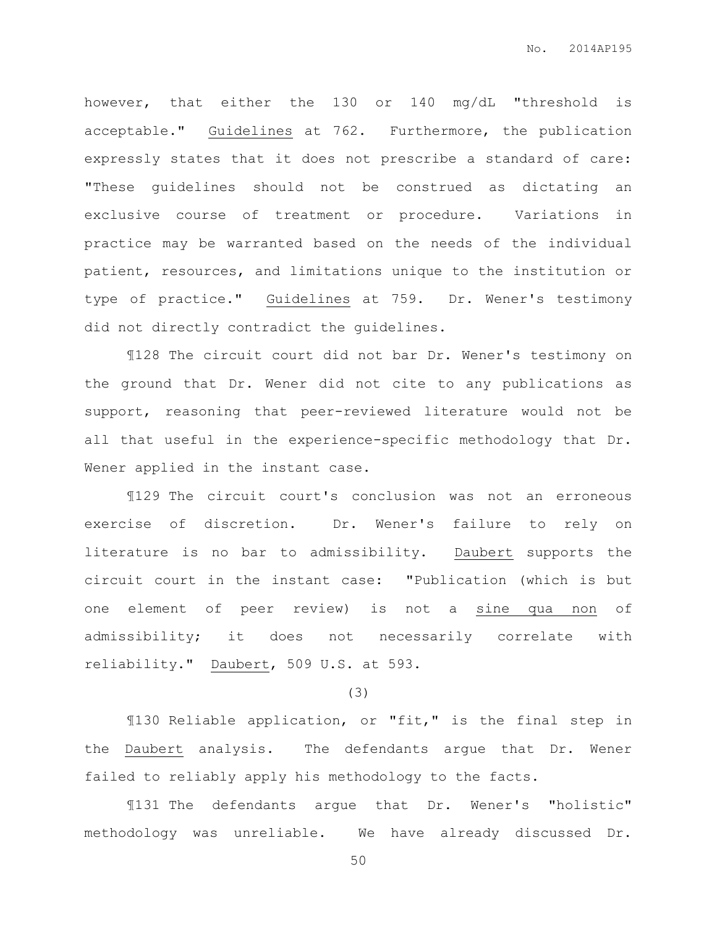however, that either the 130 or 140 mg/dL "threshold is acceptable." Guidelines at 762. Furthermore, the publication expressly states that it does not prescribe a standard of care: "These guidelines should not be construed as dictating an exclusive course of treatment or procedure. Variations in practice may be warranted based on the needs of the individual patient, resources, and limitations unique to the institution or type of practice." Guidelines at 759. Dr. Wener's testimony did not directly contradict the guidelines.

¶128 The circuit court did not bar Dr. Wener's testimony on the ground that Dr. Wener did not cite to any publications as support, reasoning that peer-reviewed literature would not be all that useful in the experience-specific methodology that Dr. Wener applied in the instant case.

¶129 The circuit court's conclusion was not an erroneous exercise of discretion. Dr. Wener's failure to rely on literature is no bar to admissibility. Daubert supports the circuit court in the instant case: "Publication (which is but one element of peer review) is not a sine qua non of admissibility; it does not necessarily correlate with reliability." Daubert, 509 U.S. at 593.

## (3)

¶130 Reliable application, or "fit," is the final step in the Daubert analysis. The defendants argue that Dr. Wener failed to reliably apply his methodology to the facts.

¶131 The defendants argue that Dr. Wener's "holistic" methodology was unreliable. We have already discussed Dr.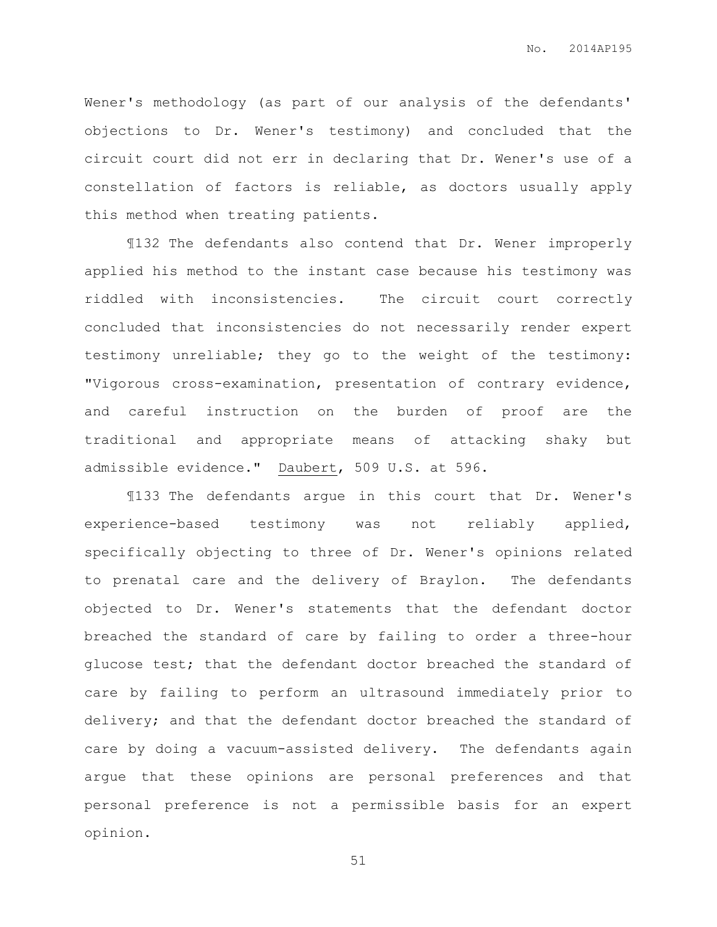Wener's methodology (as part of our analysis of the defendants' objections to Dr. Wener's testimony) and concluded that the circuit court did not err in declaring that Dr. Wener's use of a constellation of factors is reliable, as doctors usually apply this method when treating patients.

¶132 The defendants also contend that Dr. Wener improperly applied his method to the instant case because his testimony was riddled with inconsistencies. The circuit court correctly concluded that inconsistencies do not necessarily render expert testimony unreliable; they go to the weight of the testimony: "Vigorous cross-examination, presentation of contrary evidence, and careful instruction on the burden of proof are the traditional and appropriate means of attacking shaky but admissible evidence." Daubert, 509 U.S. at 596.

¶133 The defendants argue in this court that Dr. Wener's experience-based testimony was not reliably applied, specifically objecting to three of Dr. Wener's opinions related to prenatal care and the delivery of Braylon. The defendants objected to Dr. Wener's statements that the defendant doctor breached the standard of care by failing to order a three-hour glucose test; that the defendant doctor breached the standard of care by failing to perform an ultrasound immediately prior to delivery; and that the defendant doctor breached the standard of care by doing a vacuum-assisted delivery. The defendants again argue that these opinions are personal preferences and that personal preference is not a permissible basis for an expert opinion.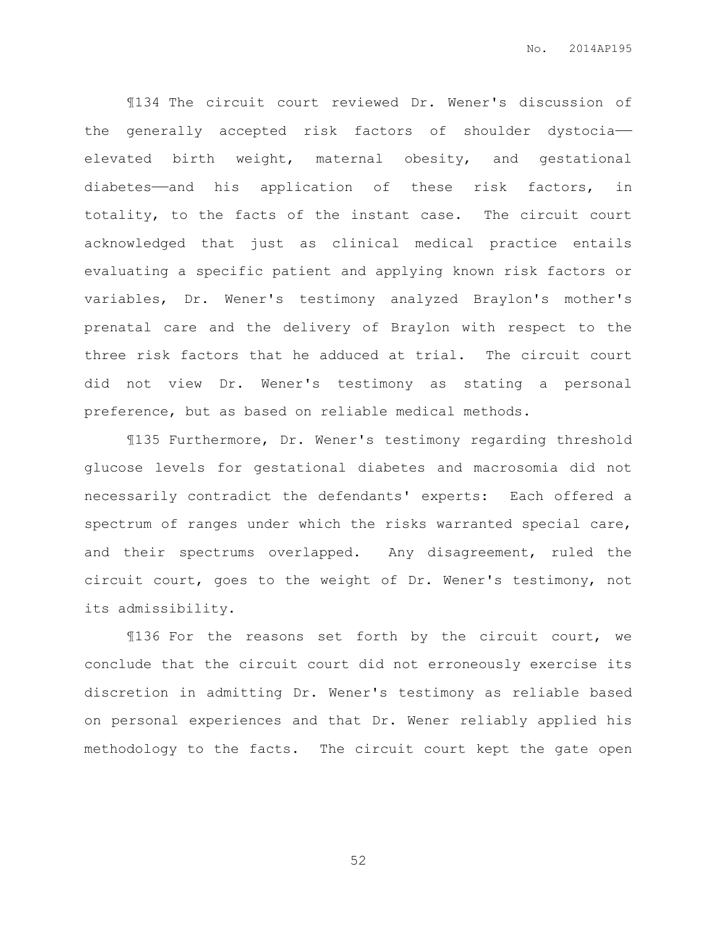¶134 The circuit court reviewed Dr. Wener's discussion of the generally accepted risk factors of shoulder dystocia— elevated birth weight, maternal obesity, and gestational diabetes——and his application of these risk factors, in totality, to the facts of the instant case. The circuit court acknowledged that just as clinical medical practice entails evaluating a specific patient and applying known risk factors or variables, Dr. Wener's testimony analyzed Braylon's mother's prenatal care and the delivery of Braylon with respect to the three risk factors that he adduced at trial. The circuit court did not view Dr. Wener's testimony as stating a personal preference, but as based on reliable medical methods.

¶135 Furthermore, Dr. Wener's testimony regarding threshold glucose levels for gestational diabetes and macrosomia did not necessarily contradict the defendants' experts: Each offered a spectrum of ranges under which the risks warranted special care, and their spectrums overlapped. Any disagreement, ruled the circuit court, goes to the weight of Dr. Wener's testimony, not its admissibility.

¶136 For the reasons set forth by the circuit court, we conclude that the circuit court did not erroneously exercise its discretion in admitting Dr. Wener's testimony as reliable based on personal experiences and that Dr. Wener reliably applied his methodology to the facts. The circuit court kept the gate open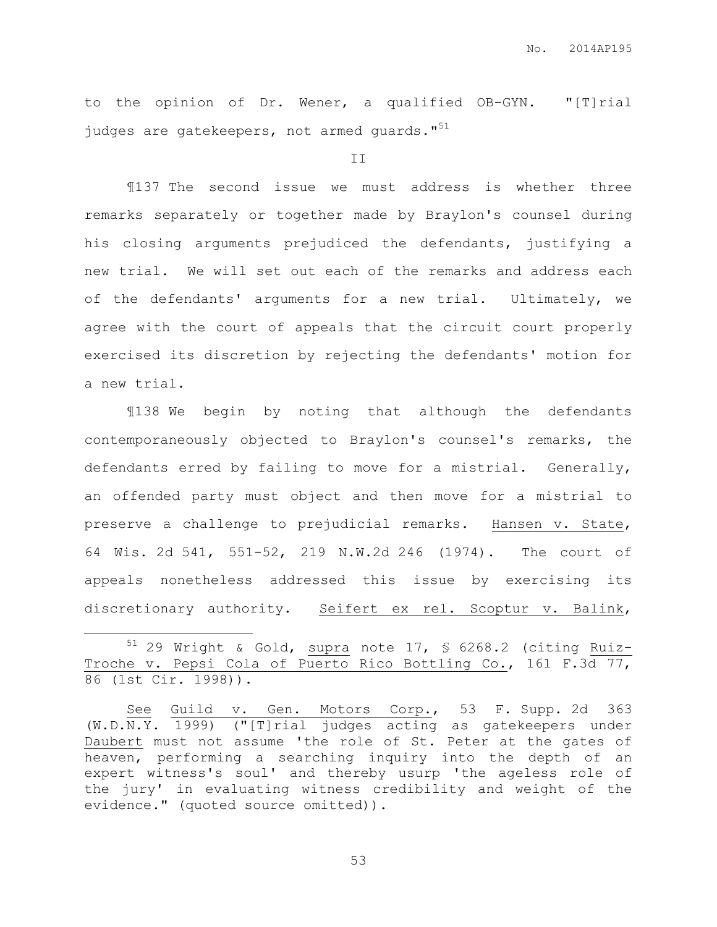to the opinion of Dr. Wener, a qualified OB-GYN. "[T]rial judges are gatekeepers, not armed guards."<sup>51</sup>

II

¶137 The second issue we must address is whether three remarks separately or together made by Braylon's counsel during his closing arguments prejudiced the defendants, justifying a new trial. We will set out each of the remarks and address each of the defendants' arguments for a new trial. Ultimately, we agree with the court of appeals that the circuit court properly exercised its discretion by rejecting the defendants' motion for a new trial.

¶138 We begin by noting that although the defendants contemporaneously objected to Braylon's counsel's remarks, the defendants erred by failing to move for a mistrial. Generally, an offended party must object and then move for a mistrial to preserve a challenge to prejudicial remarks. Hansen v. State, 64 Wis. 2d 541, 551-52, 219 N.W.2d 246 (1974). The court of appeals nonetheless addressed this issue by exercising its discretionary authority. Seifert ex rel. Scoptur v. Balink,

 $51$  29 Wright & Gold, supra note 17, § 6268.2 (citing Ruiz-Troche v. Pepsi Cola of Puerto Rico Bottling Co., 161 F.3d 77, 86 (1st Cir. 1998)).

 $\overline{a}$ 

See Guild v. Gen. Motors Corp., 53 F. Supp. 2d 363 (W.D.N.Y. 1999) ("[T]rial judges acting as gatekeepers under Daubert must not assume 'the role of St. Peter at the gates of heaven, performing a searching inquiry into the depth of an expert witness's soul' and thereby usurp 'the ageless role of the jury' in evaluating witness credibility and weight of the evidence." (quoted source omitted)).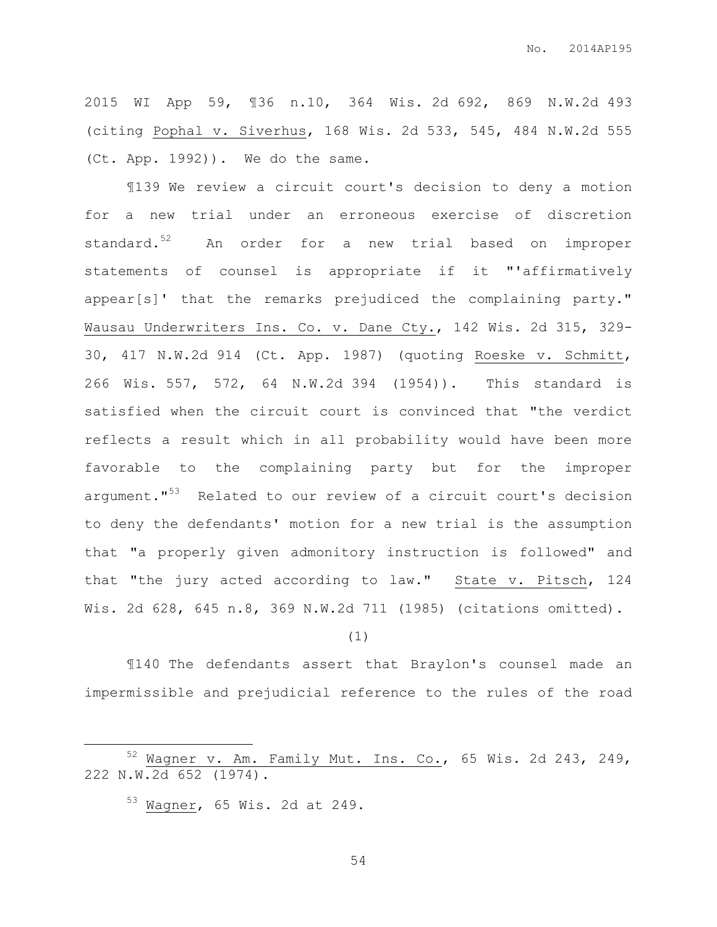2015 WI App 59, ¶36 n.10, 364 Wis. 2d 692, 869 N.W.2d 493 (citing Pophal v. Siverhus, 168 Wis. 2d 533, 545, 484 N.W.2d 555 (Ct. App. 1992)). We do the same.

¶139 We review a circuit court's decision to deny a motion for a new trial under an erroneous exercise of discretion standard.<sup>52</sup> An order for a new trial based on improper statements of counsel is appropriate if it "'affirmatively appear[s]' that the remarks prejudiced the complaining party." Wausau Underwriters Ins. Co. v. Dane Cty., 142 Wis. 2d 315, 329- 30, 417 N.W.2d 914 (Ct. App. 1987) (quoting Roeske v. Schmitt, 266 Wis. 557, 572, 64 N.W.2d 394 (1954)). This standard is satisfied when the circuit court is convinced that "the verdict reflects a result which in all probability would have been more favorable to the complaining party but for the improper argument."<sup>53</sup> Related to our review of a circuit court's decision to deny the defendants' motion for a new trial is the assumption that "a properly given admonitory instruction is followed" and that "the jury acted according to law." State v. Pitsch, 124 Wis. 2d 628, 645 n.8, 369 N.W.2d 711 (1985) (citations omitted).

## (1)

¶140 The defendants assert that Braylon's counsel made an impermissible and prejudicial reference to the rules of the road

 $\overline{a}$ 

 $52$  Wagner v. Am. Family Mut. Ins. Co., 65 Wis. 2d 243, 249, 222 N.W.2d 652 (1974).

<sup>53</sup> Wagner, 65 Wis. 2d at 249.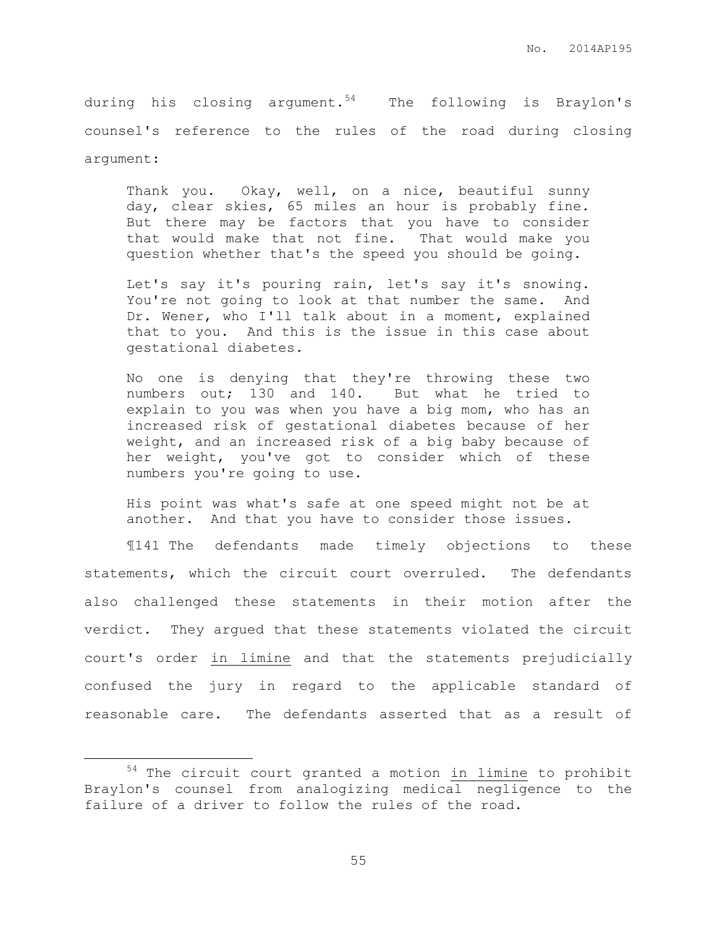during his closing argument.<sup>54</sup> The following is Braylon's counsel's reference to the rules of the road during closing argument:

Thank you. Okay, well, on a nice, beautiful sunny day, clear skies, 65 miles an hour is probably fine. But there may be factors that you have to consider that would make that not fine. That would make you question whether that's the speed you should be going.

Let's say it's pouring rain, let's say it's snowing. You're not going to look at that number the same. And Dr. Wener, who I'll talk about in a moment, explained that to you. And this is the issue in this case about gestational diabetes.

No one is denying that they're throwing these two numbers out; 130 and 140. But what he tried to explain to you was when you have a big mom, who has an increased risk of gestational diabetes because of her weight, and an increased risk of a big baby because of her weight, you've got to consider which of these numbers you're going to use.

His point was what's safe at one speed might not be at another. And that you have to consider those issues.

¶141 The defendants made timely objections to these statements, which the circuit court overruled. The defendants also challenged these statements in their motion after the verdict. They argued that these statements violated the circuit court's order in limine and that the statements prejudicially confused the jury in regard to the applicable standard of reasonable care. The defendants asserted that as a result of

 $\overline{a}$ 

<sup>54</sup> The circuit court granted a motion in limine to prohibit Braylon's counsel from analogizing medical negligence to the failure of a driver to follow the rules of the road.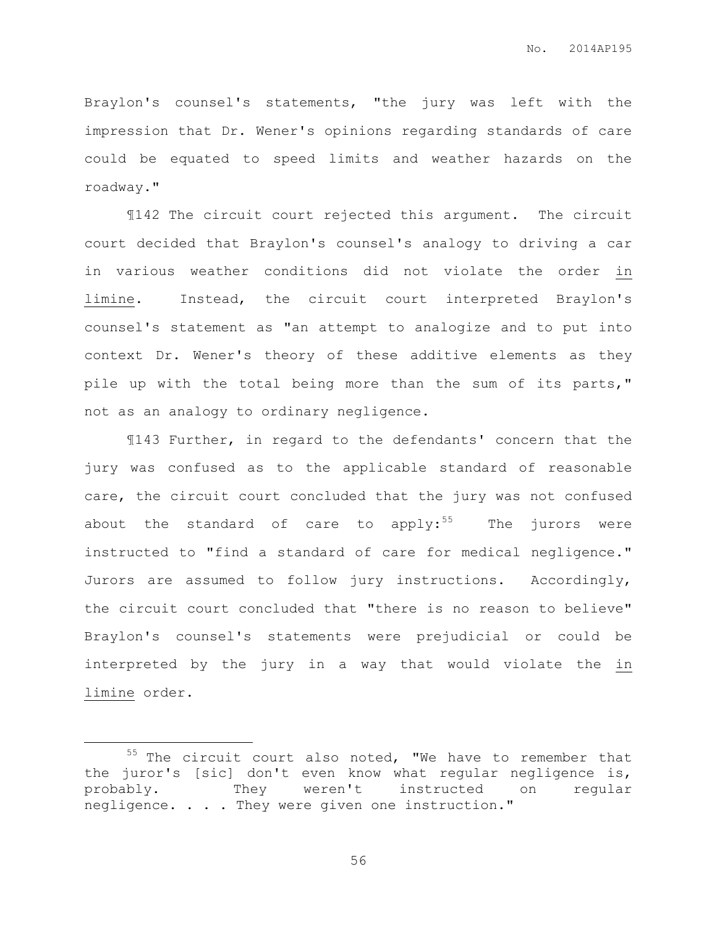Braylon's counsel's statements, "the jury was left with the impression that Dr. Wener's opinions regarding standards of care could be equated to speed limits and weather hazards on the roadway."

¶142 The circuit court rejected this argument. The circuit court decided that Braylon's counsel's analogy to driving a car in various weather conditions did not violate the order in limine. Instead, the circuit court interpreted Braylon's counsel's statement as "an attempt to analogize and to put into context Dr. Wener's theory of these additive elements as they pile up with the total being more than the sum of its parts," not as an analogy to ordinary negligence.

¶143 Further, in regard to the defendants' concern that the jury was confused as to the applicable standard of reasonable care, the circuit court concluded that the jury was not confused about the standard of care to apply:<sup>55</sup> The jurors were instructed to "find a standard of care for medical negligence." Jurors are assumed to follow jury instructions. Accordingly, the circuit court concluded that "there is no reason to believe" Braylon's counsel's statements were prejudicial or could be interpreted by the jury in a way that would violate the in limine order.

 $\overline{a}$ 

 $55$  The circuit court also noted, "We have to remember that the juror's [sic] don't even know what regular negligence is, probably. They weren't instructed on regular negligence. . . . They were given one instruction."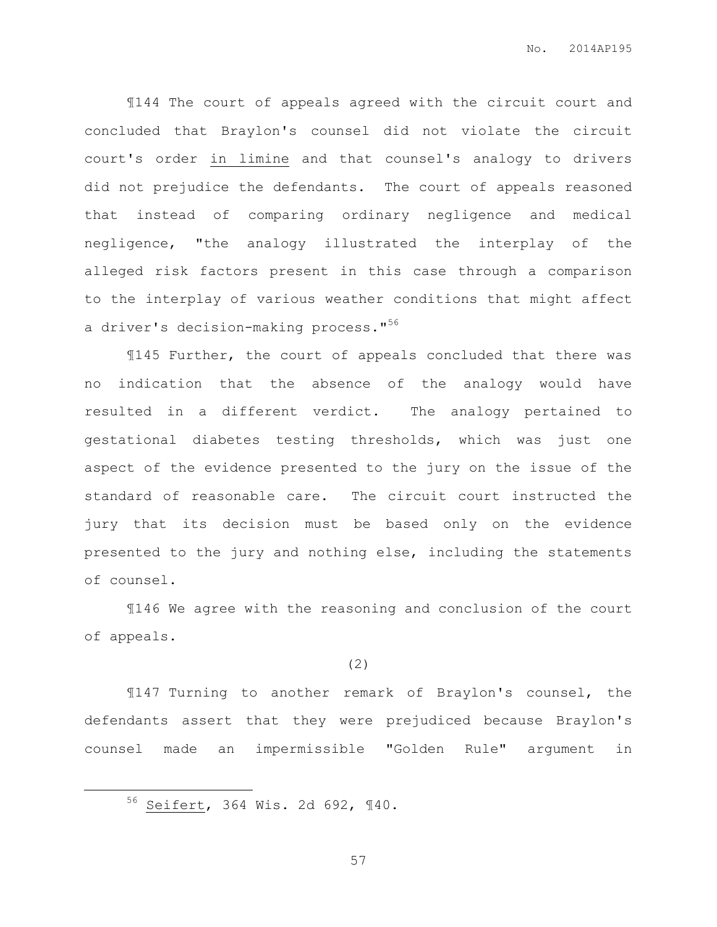¶144 The court of appeals agreed with the circuit court and concluded that Braylon's counsel did not violate the circuit court's order in limine and that counsel's analogy to drivers did not prejudice the defendants. The court of appeals reasoned that instead of comparing ordinary negligence and medical negligence, "the analogy illustrated the interplay of the alleged risk factors present in this case through a comparison to the interplay of various weather conditions that might affect a driver's decision-making process."<sup>56</sup>

¶145 Further, the court of appeals concluded that there was no indication that the absence of the analogy would have resulted in a different verdict. The analogy pertained to gestational diabetes testing thresholds, which was just one aspect of the evidence presented to the jury on the issue of the standard of reasonable care. The circuit court instructed the jury that its decision must be based only on the evidence presented to the jury and nothing else, including the statements of counsel.

¶146 We agree with the reasoning and conclusion of the court of appeals.

(2)

¶147 Turning to another remark of Braylon's counsel, the defendants assert that they were prejudiced because Braylon's counsel made an impermissible "Golden Rule" argument in

<sup>56</sup> Seifert, 364 Wis. 2d 692, ¶40.

 $\overline{a}$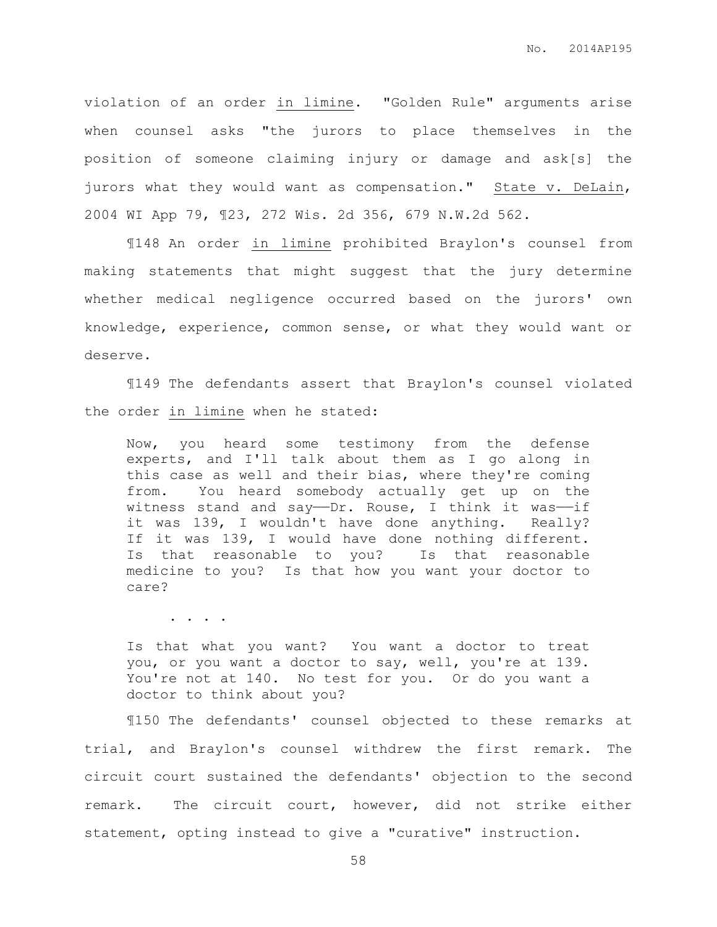violation of an order in limine. "Golden Rule" arguments arise when counsel asks "the jurors to place themselves in the position of someone claiming injury or damage and ask[s] the jurors what they would want as compensation." State v. DeLain, 2004 WI App 79, ¶23, 272 Wis. 2d 356, 679 N.W.2d 562.

¶148 An order in limine prohibited Braylon's counsel from making statements that might suggest that the jury determine whether medical negligence occurred based on the jurors' own knowledge, experience, common sense, or what they would want or deserve.

¶149 The defendants assert that Braylon's counsel violated the order in limine when he stated:

Now, you heard some testimony from the defense experts, and I'll talk about them as I go along in this case as well and their bias, where they're coming from. You heard somebody actually get up on the witness stand and say—Dr. Rouse, I think it was—if it was 139, I wouldn't have done anything. Really? If it was 139, I would have done nothing different. Is that reasonable to you? Is that reasonable medicine to you? Is that how you want your doctor to care?

. . . .

Is that what you want? You want a doctor to treat you, or you want a doctor to say, well, you're at 139. You're not at 140. No test for you. Or do you want a doctor to think about you?

¶150 The defendants' counsel objected to these remarks at trial, and Braylon's counsel withdrew the first remark. The circuit court sustained the defendants' objection to the second remark. The circuit court, however, did not strike either statement, opting instead to give a "curative" instruction.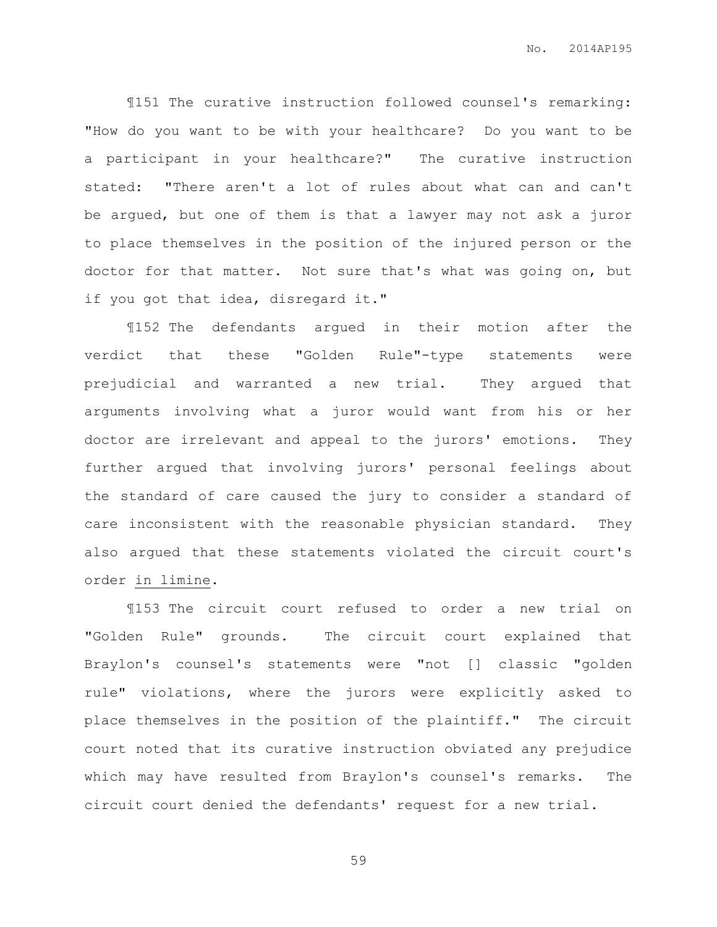¶151 The curative instruction followed counsel's remarking: "How do you want to be with your healthcare? Do you want to be a participant in your healthcare?" The curative instruction stated: "There aren't a lot of rules about what can and can't be argued, but one of them is that a lawyer may not ask a juror to place themselves in the position of the injured person or the doctor for that matter. Not sure that's what was going on, but if you got that idea, disregard it."

¶152 The defendants argued in their motion after the verdict that these "Golden Rule"-type statements were prejudicial and warranted a new trial. They argued that arguments involving what a juror would want from his or her doctor are irrelevant and appeal to the jurors' emotions. They further argued that involving jurors' personal feelings about the standard of care caused the jury to consider a standard of care inconsistent with the reasonable physician standard. They also argued that these statements violated the circuit court's order in limine.

¶153 The circuit court refused to order a new trial on "Golden Rule" grounds. The circuit court explained that Braylon's counsel's statements were "not [] classic "golden rule" violations, where the jurors were explicitly asked to place themselves in the position of the plaintiff." The circuit court noted that its curative instruction obviated any prejudice which may have resulted from Braylon's counsel's remarks. The circuit court denied the defendants' request for a new trial.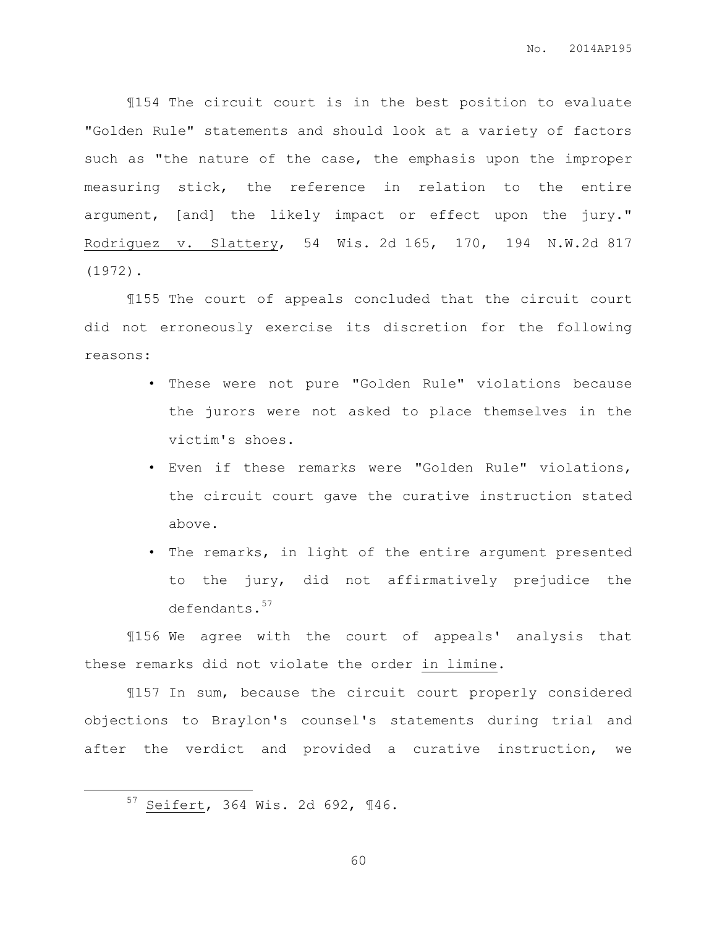¶154 The circuit court is in the best position to evaluate "Golden Rule" statements and should look at a variety of factors such as "the nature of the case, the emphasis upon the improper measuring stick, the reference in relation to the entire argument, [and] the likely impact or effect upon the jury." Rodriguez v. Slattery, 54 Wis. 2d 165, 170, 194 N.W.2d 817 (1972).

¶155 The court of appeals concluded that the circuit court did not erroneously exercise its discretion for the following reasons:

- These were not pure "Golden Rule" violations because the jurors were not asked to place themselves in the victim's shoes.
- Even if these remarks were "Golden Rule" violations, the circuit court gave the curative instruction stated above.
- The remarks, in light of the entire argument presented to the jury, did not affirmatively prejudice the defendants.<sup>57</sup>

¶156 We agree with the court of appeals' analysis that these remarks did not violate the order in limine.

¶157 In sum, because the circuit court properly considered objections to Braylon's counsel's statements during trial and after the verdict and provided a curative instruction, we

 $\overline{a}$ 

<sup>57</sup> Seifert, 364 Wis. 2d 692, ¶46.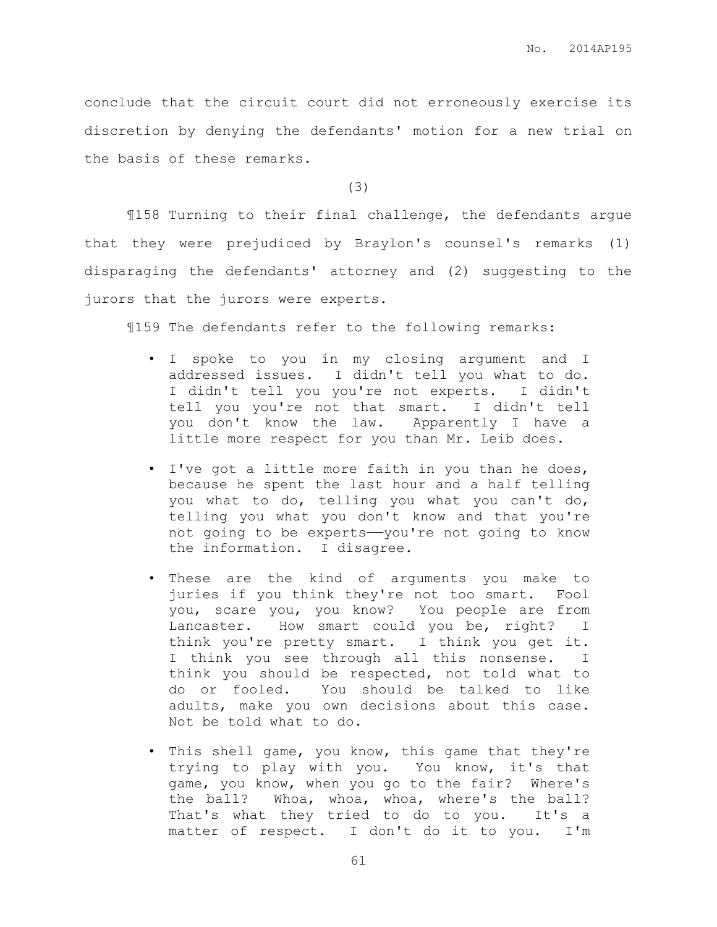conclude that the circuit court did not erroneously exercise its discretion by denying the defendants' motion for a new trial on the basis of these remarks.

(3)

¶158 Turning to their final challenge, the defendants argue that they were prejudiced by Braylon's counsel's remarks (1) disparaging the defendants' attorney and (2) suggesting to the jurors that the jurors were experts.

¶159 The defendants refer to the following remarks:

- I spoke to you in my closing argument and I addressed issues. I didn't tell you what to do. I didn't tell you you're not experts. I didn't tell you you're not that smart. I didn't tell you don't know the law. Apparently I have a little more respect for you than Mr. Leib does.
- I've got a little more faith in you than he does, because he spent the last hour and a half telling you what to do, telling you what you can't do, telling you what you don't know and that you're not going to be experts-you're not going to know the information. I disagree.
- These are the kind of arguments you make to juries if you think they're not too smart. Fool you, scare you, you know? You people are from Lancaster. How smart could you be, right? I think you're pretty smart. I think you get it. I think you see through all this nonsense. I think you should be respected, not told what to do or fooled. You should be talked to like adults, make you own decisions about this case. Not be told what to do.
- This shell game, you know, this game that they're trying to play with you. You know, it's that game, you know, when you go to the fair? Where's the ball? Whoa, whoa, whoa, where's the ball? That's what they tried to do to you. It's a matter of respect. I don't do it to you. I'm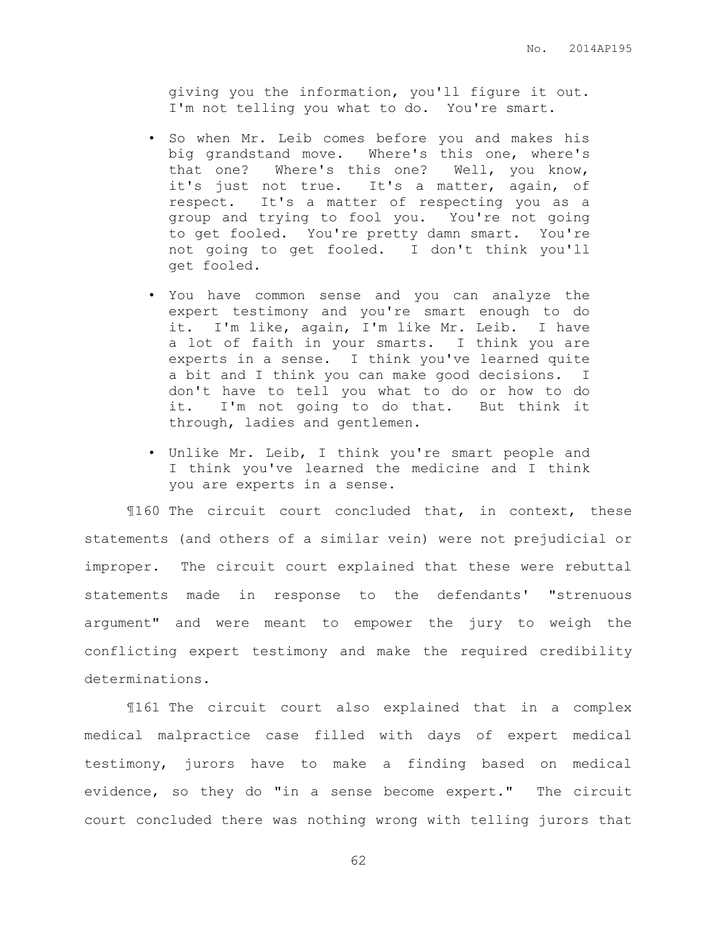giving you the information, you'll figure it out. I'm not telling you what to do. You're smart.

- So when Mr. Leib comes before you and makes his big grandstand move. Where's this one, where's that one? Where's this one? Well, you know, it's just not true. It's a matter, again, of respect. It's a matter of respecting you as a group and trying to fool you. You're not going to get fooled. You're pretty damn smart. You're not going to get fooled. I don't think you'll get fooled.
- You have common sense and you can analyze the expert testimony and you're smart enough to do it. I'm like, again, I'm like Mr. Leib. I have a lot of faith in your smarts. I think you are experts in a sense. I think you've learned quite a bit and I think you can make good decisions. I don't have to tell you what to do or how to do it. I'm not going to do that. But think it through, ladies and gentlemen.
- Unlike Mr. Leib, I think you're smart people and I think you've learned the medicine and I think you are experts in a sense.

¶160 The circuit court concluded that, in context, these statements (and others of a similar vein) were not prejudicial or improper. The circuit court explained that these were rebuttal statements made in response to the defendants' "strenuous argument" and were meant to empower the jury to weigh the conflicting expert testimony and make the required credibility determinations.

¶161 The circuit court also explained that in a complex medical malpractice case filled with days of expert medical testimony, jurors have to make a finding based on medical evidence, so they do "in a sense become expert." The circuit court concluded there was nothing wrong with telling jurors that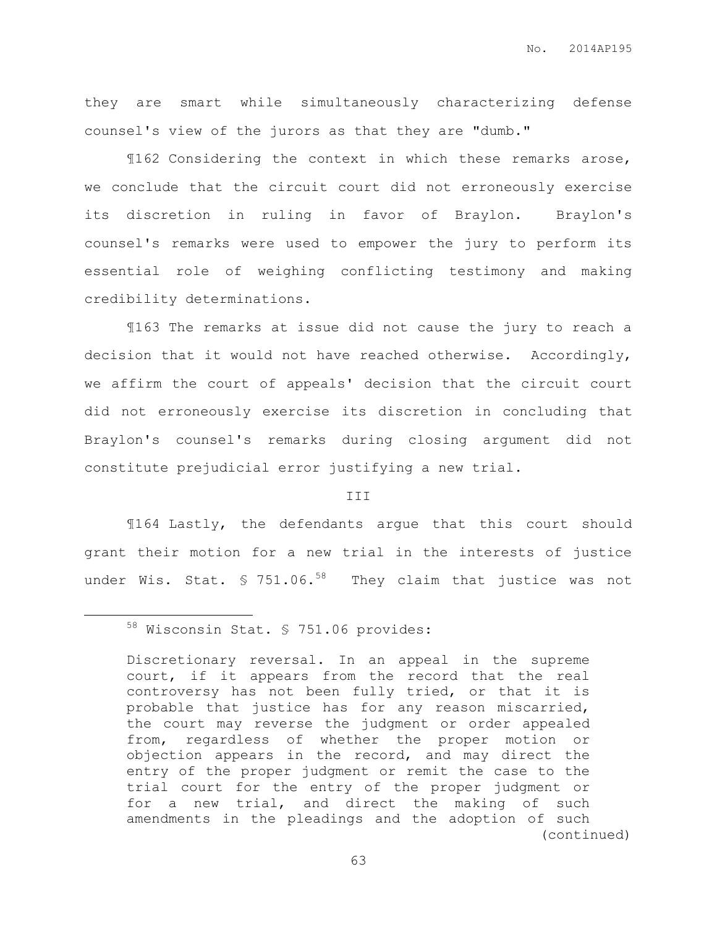they are smart while simultaneously characterizing defense counsel's view of the jurors as that they are "dumb."

¶162 Considering the context in which these remarks arose, we conclude that the circuit court did not erroneously exercise its discretion in ruling in favor of Braylon. Braylon's counsel's remarks were used to empower the jury to perform its essential role of weighing conflicting testimony and making credibility determinations.

¶163 The remarks at issue did not cause the jury to reach a decision that it would not have reached otherwise. Accordingly, we affirm the court of appeals' decision that the circuit court did not erroneously exercise its discretion in concluding that Braylon's counsel's remarks during closing argument did not constitute prejudicial error justifying a new trial.

## III

¶164 Lastly, the defendants argue that this court should grant their motion for a new trial in the interests of justice under Wis. Stat.  $$751.06.^{58}$  They claim that justice was not

 $\overline{a}$ 

<sup>58</sup> Wisconsin Stat. § 751.06 provides:

Discretionary reversal. In an appeal in the supreme court, if it appears from the record that the real controversy has not been fully tried, or that it is probable that justice has for any reason miscarried, the court may reverse the judgment or order appealed from, regardless of whether the proper motion or objection appears in the record, and may direct the entry of the proper judgment or remit the case to the trial court for the entry of the proper judgment or for a new trial, and direct the making of such amendments in the pleadings and the adoption of such (continued)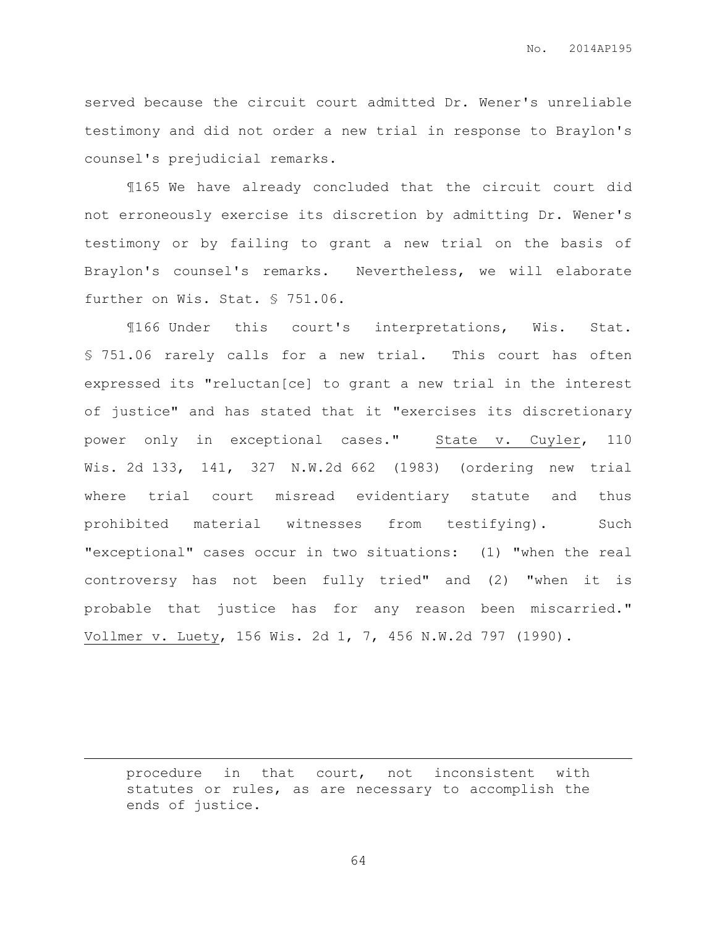served because the circuit court admitted Dr. Wener's unreliable testimony and did not order a new trial in response to Braylon's counsel's prejudicial remarks.

¶165 We have already concluded that the circuit court did not erroneously exercise its discretion by admitting Dr. Wener's testimony or by failing to grant a new trial on the basis of Braylon's counsel's remarks. Nevertheless, we will elaborate further on Wis. Stat. § 751.06.

¶166 Under this court's interpretations, Wis. Stat. § 751.06 rarely calls for a new trial. This court has often expressed its "reluctan[ce] to grant a new trial in the interest of justice" and has stated that it "exercises its discretionary power only in exceptional cases." State v. Cuyler, 110 Wis. 2d 133, 141, 327 N.W.2d 662 (1983) (ordering new trial where trial court misread evidentiary statute and thus prohibited material witnesses from testifying). Such "exceptional" cases occur in two situations: (1) "when the real controversy has not been fully tried" and (2) "when it is probable that justice has for any reason been miscarried." Vollmer v. Luety, 156 Wis. 2d 1, 7, 456 N.W.2d 797 (1990).

procedure in that court, not inconsistent with statutes or rules, as are necessary to accomplish the ends of justice.

 $\overline{a}$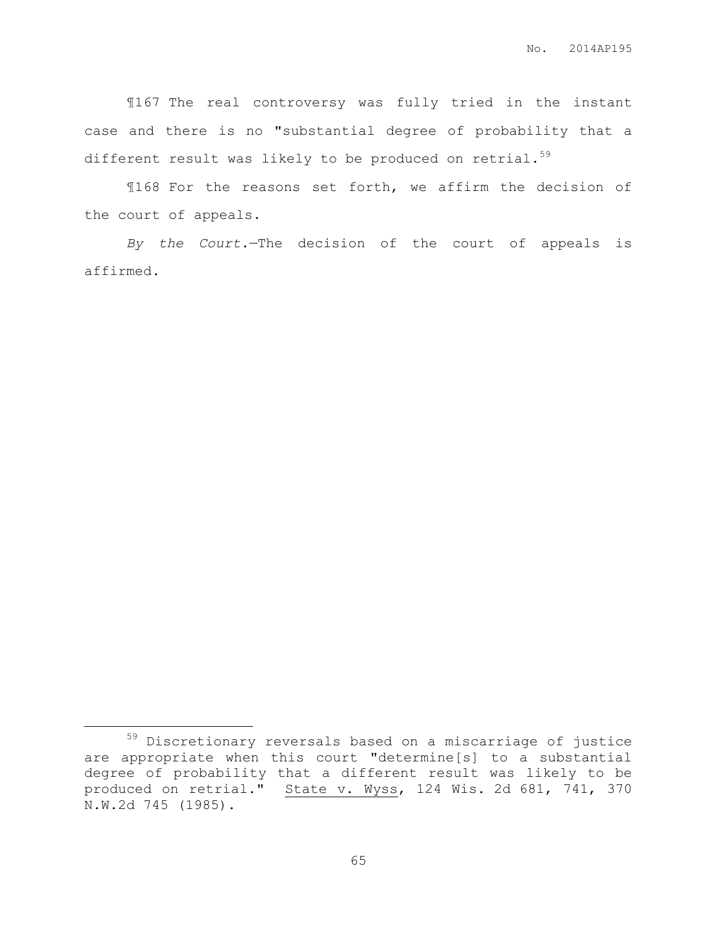¶167 The real controversy was fully tried in the instant case and there is no "substantial degree of probability that a different result was likely to be produced on retrial.<sup>59</sup>

¶168 For the reasons set forth, we affirm the decision of the court of appeals.

*By the Court.*—The decision of the court of appeals is affirmed.

 $\overline{a}$ 

<sup>59</sup> Discretionary reversals based on a miscarriage of justice are appropriate when this court "determine[s] to a substantial degree of probability that a different result was likely to be produced on retrial." State v. Wyss, 124 Wis. 2d 681, 741, 370 N.W.2d 745 (1985).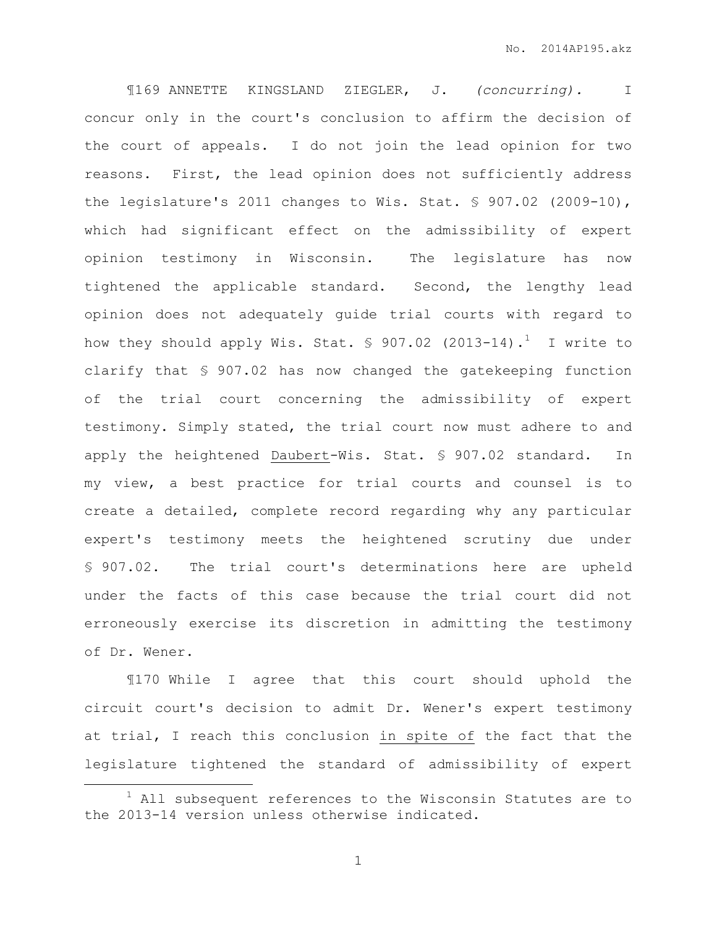¶169 ANNETTE KINGSLAND ZIEGLER, J. *(concurring).* I concur only in the court's conclusion to affirm the decision of the court of appeals. I do not join the lead opinion for two reasons. First, the lead opinion does not sufficiently address the legislature's 2011 changes to Wis. Stat. § 907.02 (2009-10), which had significant effect on the admissibility of expert opinion testimony in Wisconsin. The legislature has now tightened the applicable standard. Second, the lengthy lead opinion does not adequately guide trial courts with regard to how they should apply Wis. Stat.  $\S$  907.02 (2013-14).<sup>1</sup> I write to clarify that § 907.02 has now changed the gatekeeping function of the trial court concerning the admissibility of expert testimony. Simply stated, the trial court now must adhere to and apply the heightened Daubert-Wis. Stat. § 907.02 standard. In my view, a best practice for trial courts and counsel is to create a detailed, complete record regarding why any particular expert's testimony meets the heightened scrutiny due under § 907.02. The trial court's determinations here are upheld under the facts of this case because the trial court did not erroneously exercise its discretion in admitting the testimony of Dr. Wener.

¶170 While I agree that this court should uphold the circuit court's decision to admit Dr. Wener's expert testimony at trial, I reach this conclusion in spite of the fact that the legislature tightened the standard of admissibility of expert

 $\overline{a}$ 

 $1$  All subsequent references to the Wisconsin Statutes are to the 2013-14 version unless otherwise indicated.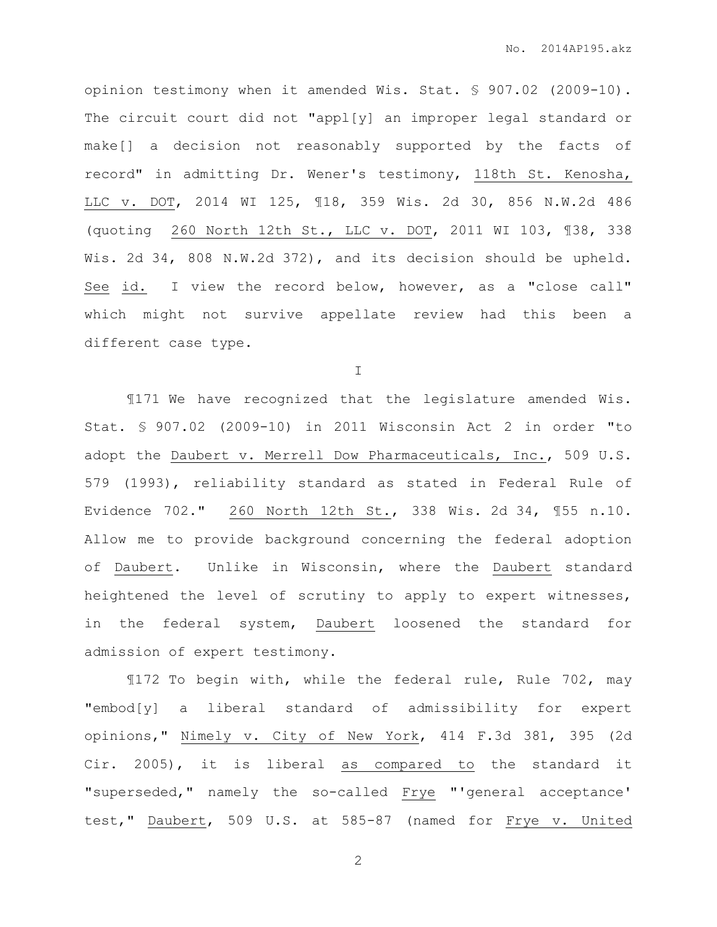opinion testimony when it amended Wis. Stat. § 907.02 (2009-10). The circuit court did not "appl[y] an improper legal standard or make[] a decision not reasonably supported by the facts of record" in admitting Dr. Wener's testimony, 118th St. Kenosha, LLC v. DOT, 2014 WI 125, ¶18, 359 Wis. 2d 30, 856 N.W.2d 486 (quoting 260 North 12th St., LLC v. DOT, 2011 WI 103, ¶38, 338 Wis. 2d 34, 808 N.W.2d 372), and its decision should be upheld. See id. I view the record below, however, as a "close call" which might not survive appellate review had this been a different case type.

I

¶171 We have recognized that the legislature amended Wis. Stat. § 907.02 (2009-10) in 2011 Wisconsin Act 2 in order "to adopt the Daubert v. Merrell Dow Pharmaceuticals, Inc., 509 U.S. 579 (1993), reliability standard as stated in Federal Rule of Evidence 702." 260 North 12th St., 338 Wis. 2d 34, ¶55 n.10. Allow me to provide background concerning the federal adoption of Daubert. Unlike in Wisconsin, where the Daubert standard heightened the level of scrutiny to apply to expert witnesses, in the federal system, Daubert loosened the standard for admission of expert testimony.

¶172 To begin with, while the federal rule, Rule 702, may "embod[y] a liberal standard of admissibility for expert opinions," Nimely v. City of New York, 414 F.3d 381, 395 (2d Cir. 2005), it is liberal as compared to the standard it "superseded," namely the so-called Frye "'general acceptance' test," Daubert, 509 U.S. at 585-87 (named for Frye v. United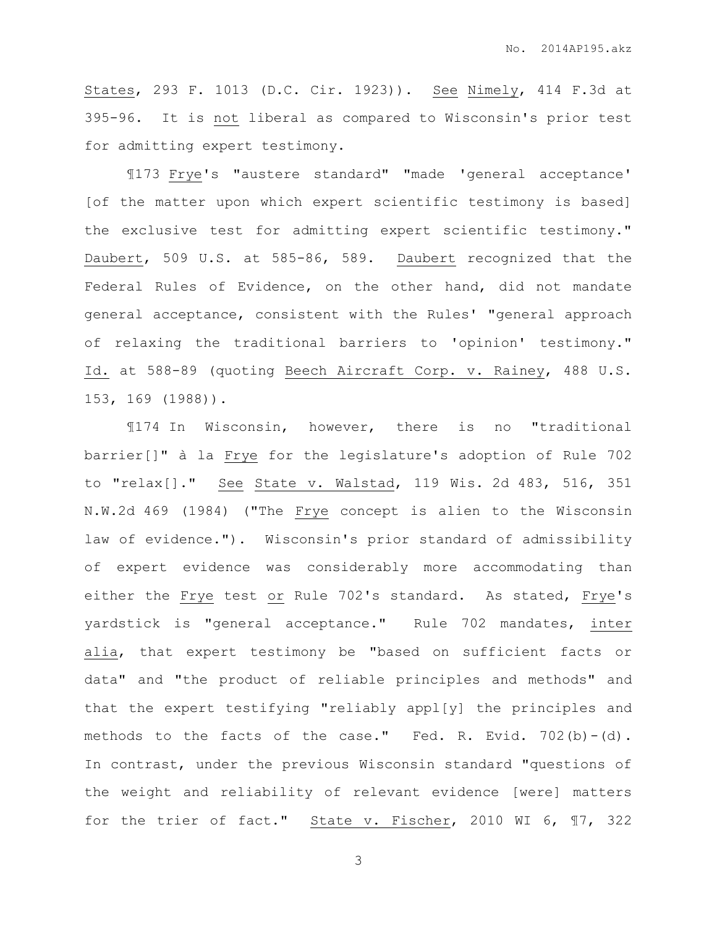States, 293 F. 1013 (D.C. Cir. 1923)). See Nimely, 414 F.3d at 395-96. It is not liberal as compared to Wisconsin's prior test for admitting expert testimony.

¶173 Frye's "austere standard" "made 'general acceptance' [of the matter upon which expert scientific testimony is based] the exclusive test for admitting expert scientific testimony." Daubert, 509 U.S. at 585-86, 589. Daubert recognized that the Federal Rules of Evidence, on the other hand, did not mandate general acceptance, consistent with the Rules' "general approach of relaxing the traditional barriers to 'opinion' testimony." Id. at 588-89 (quoting Beech Aircraft Corp. v. Rainey, 488 U.S. 153, 169 (1988)).

¶174 In Wisconsin, however, there is no "traditional barrier[]" à la Frye for the legislature's adoption of Rule 702 to "relax[]." See State v. Walstad, 119 Wis. 2d 483, 516, 351 N.W.2d 469 (1984) ("The Frye concept is alien to the Wisconsin law of evidence."). Wisconsin's prior standard of admissibility of expert evidence was considerably more accommodating than either the Frye test or Rule 702's standard. As stated, Frye's yardstick is "general acceptance." Rule 702 mandates, inter alia, that expert testimony be "based on sufficient facts or data" and "the product of reliable principles and methods" and that the expert testifying "reliably appl[y] the principles and methods to the facts of the case." Fed. R. Evid. 702(b)-(d). In contrast, under the previous Wisconsin standard "questions of the weight and reliability of relevant evidence [were] matters for the trier of fact." State v. Fischer, 2010 WI 6, ¶7, 322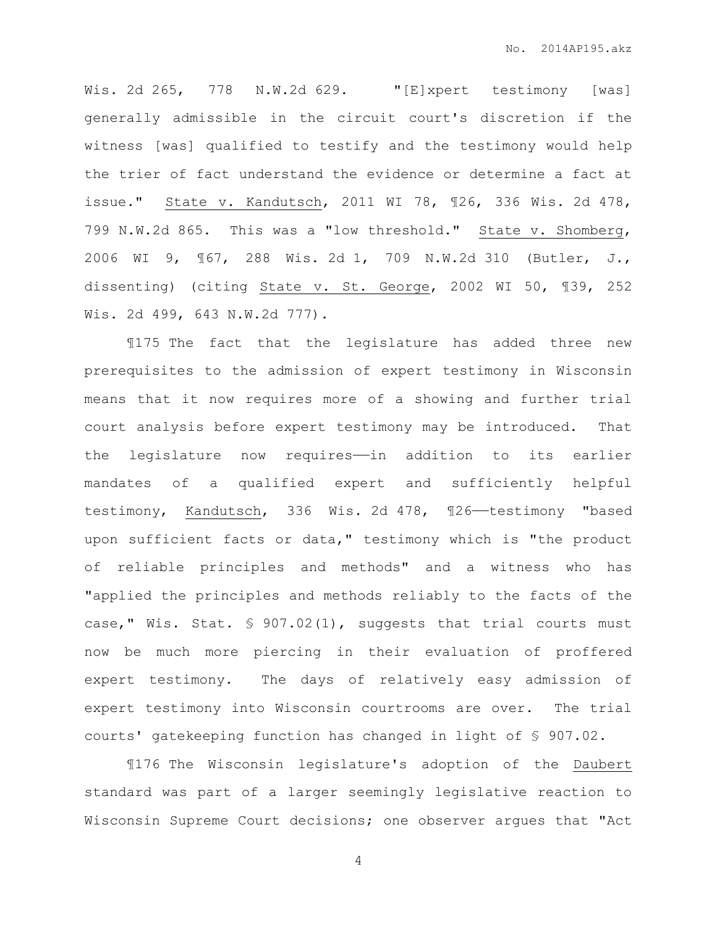Wis. 2d 265, 778 N.W.2d 629. "[E]xpert testimony [was] generally admissible in the circuit court's discretion if the witness [was] qualified to testify and the testimony would help the trier of fact understand the evidence or determine a fact at issue." State v. Kandutsch, 2011 WI 78, ¶26, 336 Wis. 2d 478, 799 N.W.2d 865. This was a "low threshold." State v. Shomberg, 2006 WI 9, ¶67, 288 Wis. 2d 1, 709 N.W.2d 310 (Butler, J., dissenting) (citing State v. St. George, 2002 WI 50, ¶39, 252 Wis. 2d 499, 643 N.W.2d 777).

¶175 The fact that the legislature has added three new prerequisites to the admission of expert testimony in Wisconsin means that it now requires more of a showing and further trial court analysis before expert testimony may be introduced. That the legislature now requires——in addition to its earlier mandates of a qualified expert and sufficiently helpful testimony, Kandutsch, 336 Wis. 2d 478, 126-testimony "based upon sufficient facts or data," testimony which is "the product of reliable principles and methods" and a witness who has "applied the principles and methods reliably to the facts of the case," Wis. Stat. § 907.02(1), suggests that trial courts must now be much more piercing in their evaluation of proffered expert testimony. The days of relatively easy admission of expert testimony into Wisconsin courtrooms are over. The trial courts' gatekeeping function has changed in light of § 907.02.

¶176 The Wisconsin legislature's adoption of the Daubert standard was part of a larger seemingly legislative reaction to Wisconsin Supreme Court decisions; one observer argues that "Act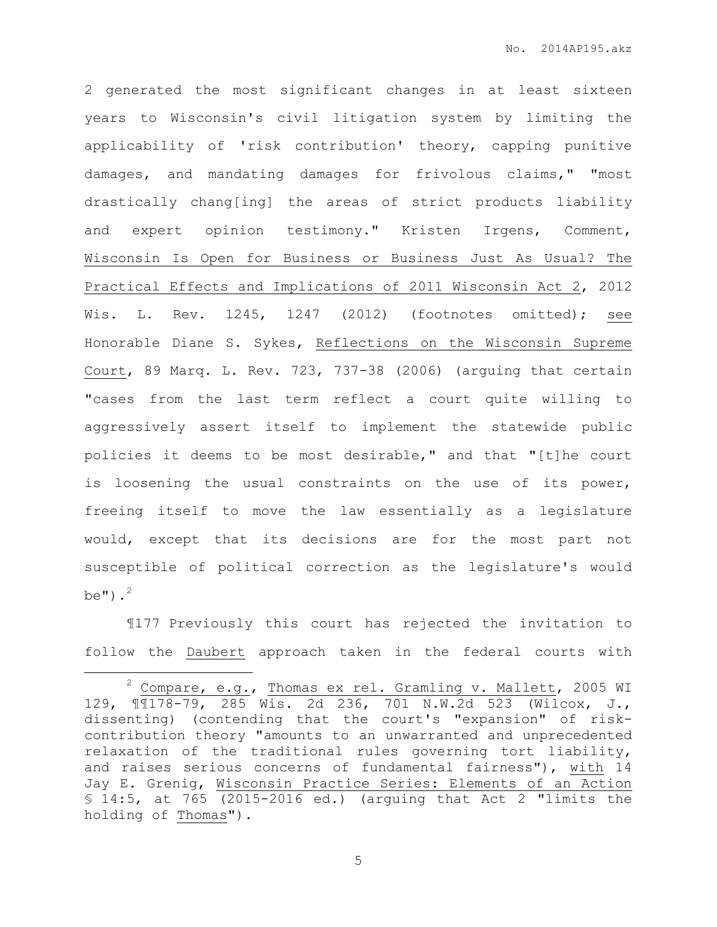2 generated the most significant changes in at least sixteen years to Wisconsin's civil litigation system by limiting the applicability of 'risk contribution' theory, capping punitive damages, and mandating damages for frivolous claims," "most drastically chang[ing] the areas of strict products liability and expert opinion testimony." Kristen Irgens, Comment, Wisconsin Is Open for Business or Business Just As Usual? The Practical Effects and Implications of 2011 Wisconsin Act 2, 2012 Wis. L. Rev. 1245, 1247 (2012) (footnotes omitted); see Honorable Diane S. Sykes, Reflections on the Wisconsin Supreme Court, 89 Marq. L. Rev. 723, 737-38 (2006) (arguing that certain "cases from the last term reflect a court quite willing to aggressively assert itself to implement the statewide public policies it deems to be most desirable," and that "[t]he court is loosening the usual constraints on the use of its power, freeing itself to move the law essentially as a legislature would, except that its decisions are for the most part not susceptible of political correction as the legislature's would be"). $^2$ 

¶177 Previously this court has rejected the invitation to follow the Daubert approach taken in the federal courts with

 $\overline{a}$ 

<sup>&</sup>lt;sup>2</sup> Compare, e.g., Thomas ex rel. Gramling v. Mallett, 2005 WI 129, ¶¶178-79, 285 Wis. 2d 236, 701 N.W.2d 523 (Wilcox, J., dissenting) (contending that the court's "expansion" of riskcontribution theory "amounts to an unwarranted and unprecedented relaxation of the traditional rules governing tort liability, and raises serious concerns of fundamental fairness"), with 14 Jay E. Grenig, Wisconsin Practice Series: Elements of an Action § 14:5, at 765 (2015-2016 ed.) (arguing that Act 2 "limits the holding of Thomas").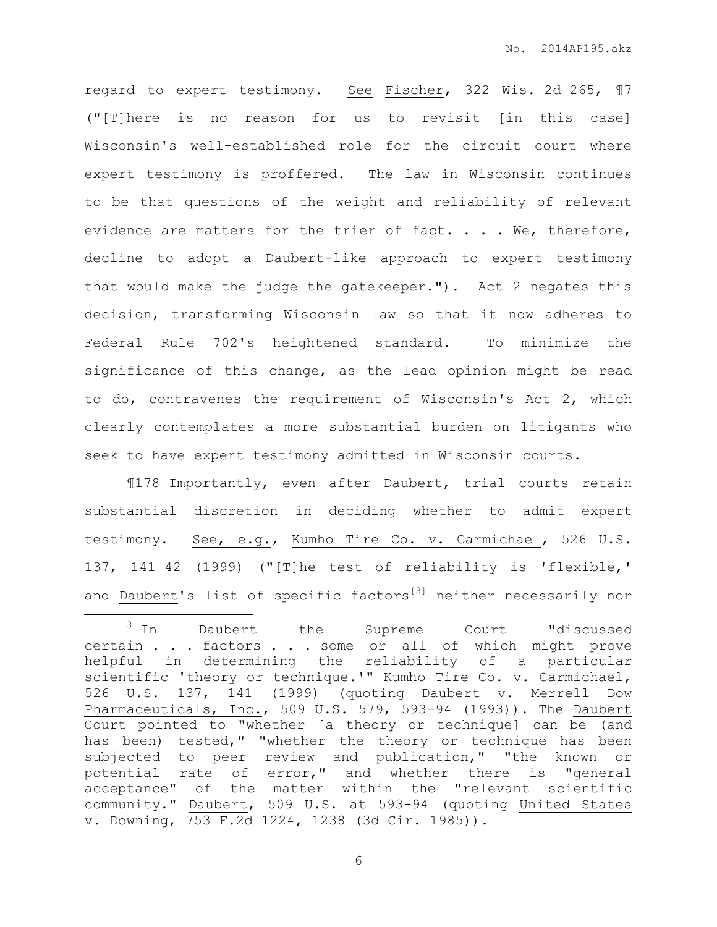regard to expert testimony. See Fischer, 322 Wis. 2d 265, ¶7 ("[T]here is no reason for us to revisit [in this case] Wisconsin's well-established role for the circuit court where expert testimony is proffered. The law in Wisconsin continues to be that questions of the weight and reliability of relevant evidence are matters for the trier of fact. . . . We, therefore, decline to adopt a Daubert-like approach to expert testimony that would make the judge the gatekeeper."). Act 2 negates this decision, transforming Wisconsin law so that it now adheres to Federal Rule 702's heightened standard. To minimize the significance of this change, as the lead opinion might be read to do, contravenes the requirement of Wisconsin's Act 2, which clearly contemplates a more substantial burden on litigants who seek to have expert testimony admitted in Wisconsin courts.

¶178 Importantly, even after Daubert, trial courts retain substantial discretion in deciding whether to admit expert testimony. See, e.g., Kumho Tire Co. v. Carmichael, 526 U.S. 137, 141–42 (1999) ("[T]he test of reliability is 'flexible,' and Daubert's list of specific factors<sup>[3]</sup> neither necessarily nor

 $\overline{a}$ 

<sup>&</sup>lt;sup>3</sup> In Daubert the Supreme Court "discussed certain . . . factors . . . some or all of which might prove helpful in determining the reliability of a particular scientific 'theory or technique.'" Kumho Tire Co. v. Carmichael, 526 U.S. 137, 141 (1999) (quoting Daubert v. Merrell Dow Pharmaceuticals, Inc., 509 U.S. 579, 593-94 (1993)). The Daubert Court pointed to "whether [a theory or technique] can be (and has been) tested," "whether the theory or technique has been subjected to peer review and publication," "the known or potential rate of error," and whether there is "general acceptance" of the matter within the "relevant scientific community." Daubert, 509 U.S. at 593-94 (quoting United States v. Downing, 753 F.2d 1224, 1238 (3d Cir. 1985)).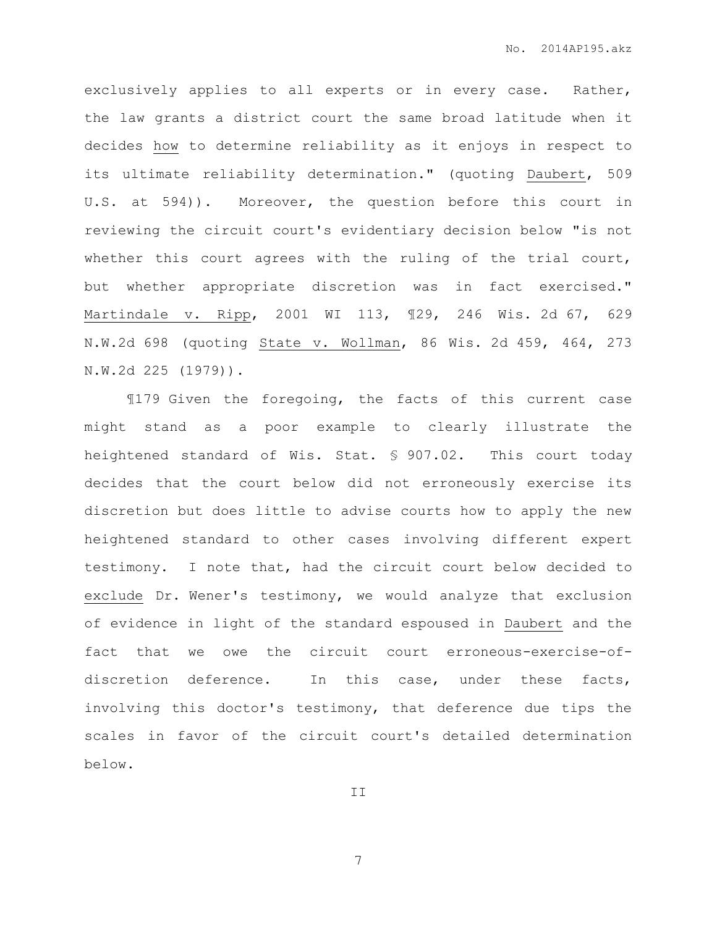exclusively applies to all experts or in every case. Rather, the law grants a district court the same broad latitude when it decides how to determine reliability as it enjoys in respect to its ultimate reliability determination." (quoting Daubert, 509 U.S. at 594)). Moreover, the question before this court in reviewing the circuit court's evidentiary decision below "is not whether this court agrees with the ruling of the trial court, but whether appropriate discretion was in fact exercised." Martindale v. Ripp, 2001 WI 113, ¶29, 246 Wis. 2d 67, 629 N.W.2d 698 (quoting State v. Wollman, 86 Wis. 2d 459, 464, 273 N.W.2d 225 (1979)).

¶179 Given the foregoing, the facts of this current case might stand as a poor example to clearly illustrate the heightened standard of Wis. Stat. § 907.02. This court today decides that the court below did not erroneously exercise its discretion but does little to advise courts how to apply the new heightened standard to other cases involving different expert testimony. I note that, had the circuit court below decided to exclude Dr. Wener's testimony, we would analyze that exclusion of evidence in light of the standard espoused in Daubert and the fact that we owe the circuit court erroneous-exercise-ofdiscretion deference. In this case, under these facts, involving this doctor's testimony, that deference due tips the scales in favor of the circuit court's detailed determination below.

II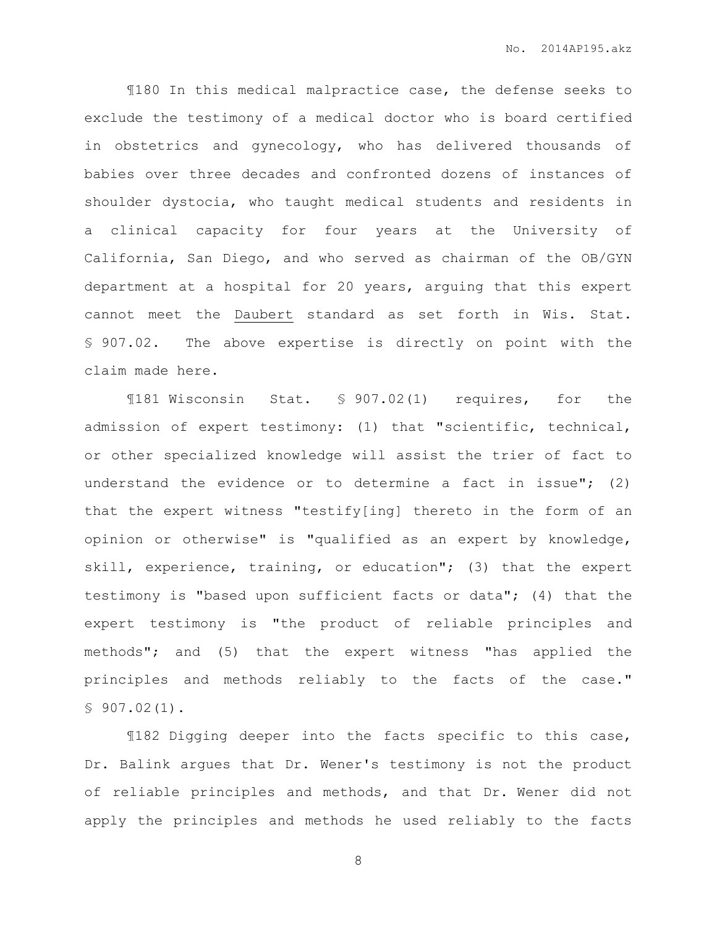¶180 In this medical malpractice case, the defense seeks to exclude the testimony of a medical doctor who is board certified in obstetrics and gynecology, who has delivered thousands of babies over three decades and confronted dozens of instances of shoulder dystocia, who taught medical students and residents in a clinical capacity for four years at the University of California, San Diego, and who served as chairman of the OB/GYN department at a hospital for 20 years, arguing that this expert cannot meet the Daubert standard as set forth in Wis. Stat. § 907.02. The above expertise is directly on point with the claim made here.

¶181 Wisconsin Stat. § 907.02(1) requires, for the admission of expert testimony: (1) that "scientific, technical, or other specialized knowledge will assist the trier of fact to understand the evidence or to determine a fact in issue"; (2) that the expert witness "testify[ing] thereto in the form of an opinion or otherwise" is "qualified as an expert by knowledge, skill, experience, training, or education"; (3) that the expert testimony is "based upon sufficient facts or data"; (4) that the expert testimony is "the product of reliable principles and methods"; and (5) that the expert witness "has applied the principles and methods reliably to the facts of the case." § 907.02(1).

¶182 Digging deeper into the facts specific to this case, Dr. Balink argues that Dr. Wener's testimony is not the product of reliable principles and methods, and that Dr. Wener did not apply the principles and methods he used reliably to the facts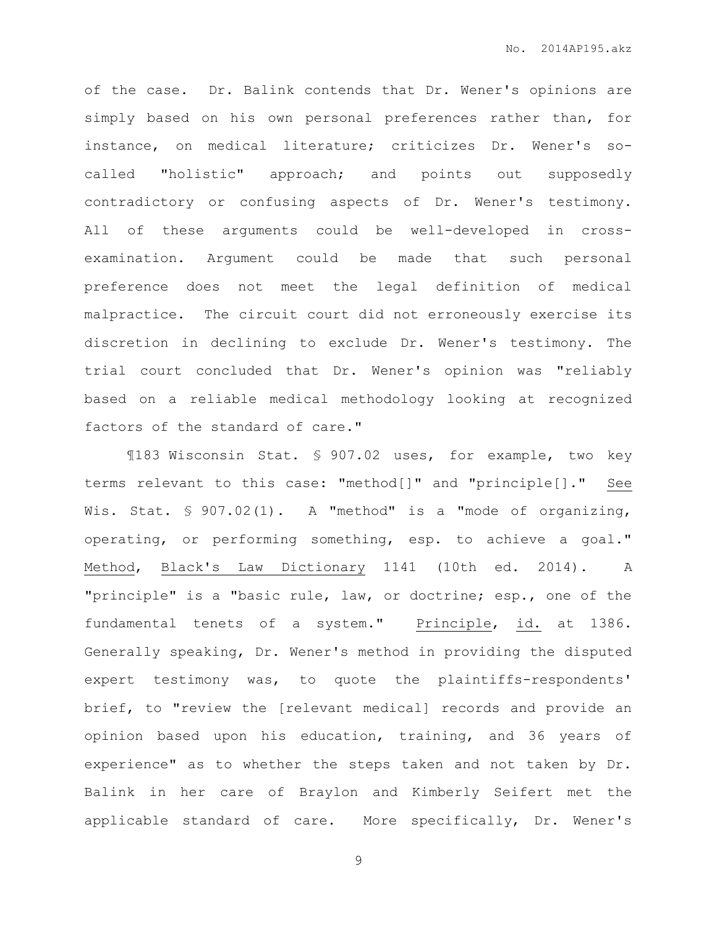of the case. Dr. Balink contends that Dr. Wener's opinions are simply based on his own personal preferences rather than, for instance, on medical literature; criticizes Dr. Wener's socalled "holistic" approach; and points out supposedly contradictory or confusing aspects of Dr. Wener's testimony. All of these arguments could be well-developed in crossexamination. Argument could be made that such personal preference does not meet the legal definition of medical malpractice. The circuit court did not erroneously exercise its discretion in declining to exclude Dr. Wener's testimony. The trial court concluded that Dr. Wener's opinion was "reliably based on a reliable medical methodology looking at recognized factors of the standard of care."

¶183 Wisconsin Stat. § 907.02 uses, for example, two key terms relevant to this case: "method[]" and "principle[]." See Wis. Stat. § 907.02(1). A "method" is a "mode of organizing, operating, or performing something, esp. to achieve a goal." Method, Black's Law Dictionary 1141 (10th ed. 2014). A "principle" is a "basic rule, law, or doctrine; esp., one of the fundamental tenets of a system." Principle, id. at 1386. Generally speaking, Dr. Wener's method in providing the disputed expert testimony was, to quote the plaintiffs-respondents' brief, to "review the [relevant medical] records and provide an opinion based upon his education, training, and 36 years of experience" as to whether the steps taken and not taken by Dr. Balink in her care of Braylon and Kimberly Seifert met the applicable standard of care. More specifically, Dr. Wener's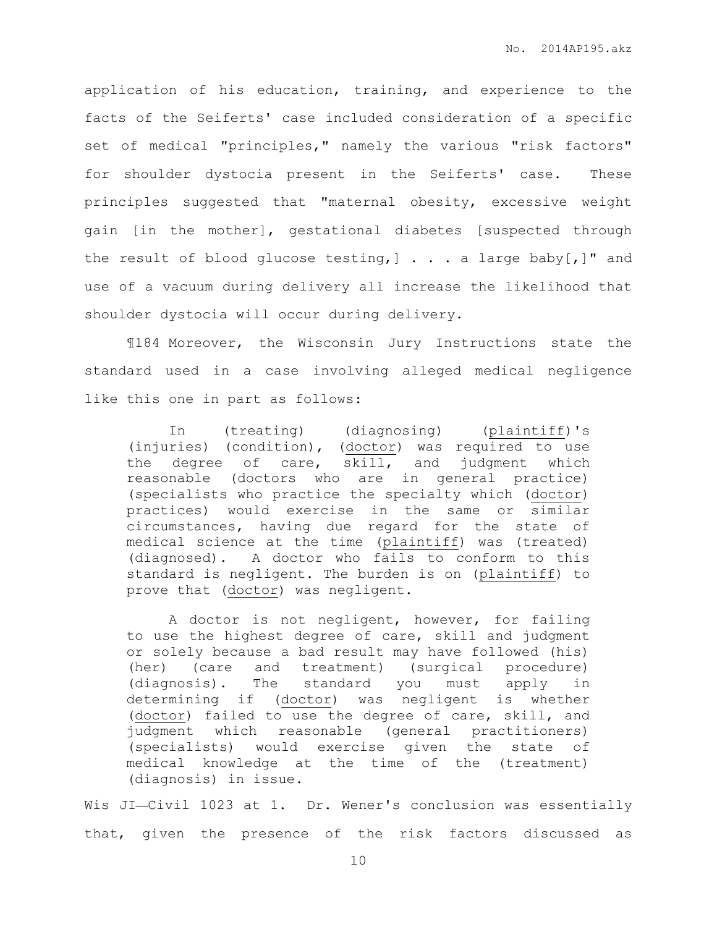application of his education, training, and experience to the facts of the Seiferts' case included consideration of a specific set of medical "principles," namely the various "risk factors" for shoulder dystocia present in the Seiferts' case. These principles suggested that "maternal obesity, excessive weight gain [in the mother], gestational diabetes [suspected through the result of blood glucose testing,  $] \ldots$  . a large baby [, ]" and use of a vacuum during delivery all increase the likelihood that shoulder dystocia will occur during delivery.

¶184 Moreover, the Wisconsin Jury Instructions state the standard used in a case involving alleged medical negligence like this one in part as follows:

In (treating) (diagnosing) (plaintiff)'s (injuries) (condition), (doctor) was required to use the degree of care, skill, and judgment which reasonable (doctors who are in general practice) (specialists who practice the specialty which (doctor) practices) would exercise in the same or similar circumstances, having due regard for the state of medical science at the time (plaintiff) was (treated) (diagnosed). A doctor who fails to conform to this standard is negligent. The burden is on (plaintiff) to prove that (doctor) was negligent.

A doctor is not negligent, however, for failing to use the highest degree of care, skill and judgment or solely because a bad result may have followed (his) (her) (care and treatment) (surgical procedure) (diagnosis). The standard you must apply in determining if (doctor) was negligent is whether (doctor) failed to use the degree of care, skill, and judgment which reasonable (general practitioners) (specialists) would exercise given the state of medical knowledge at the time of the (treatment) (diagnosis) in issue.

Wis JI-Civil 1023 at 1. Dr. Wener's conclusion was essentially that, given the presence of the risk factors discussed as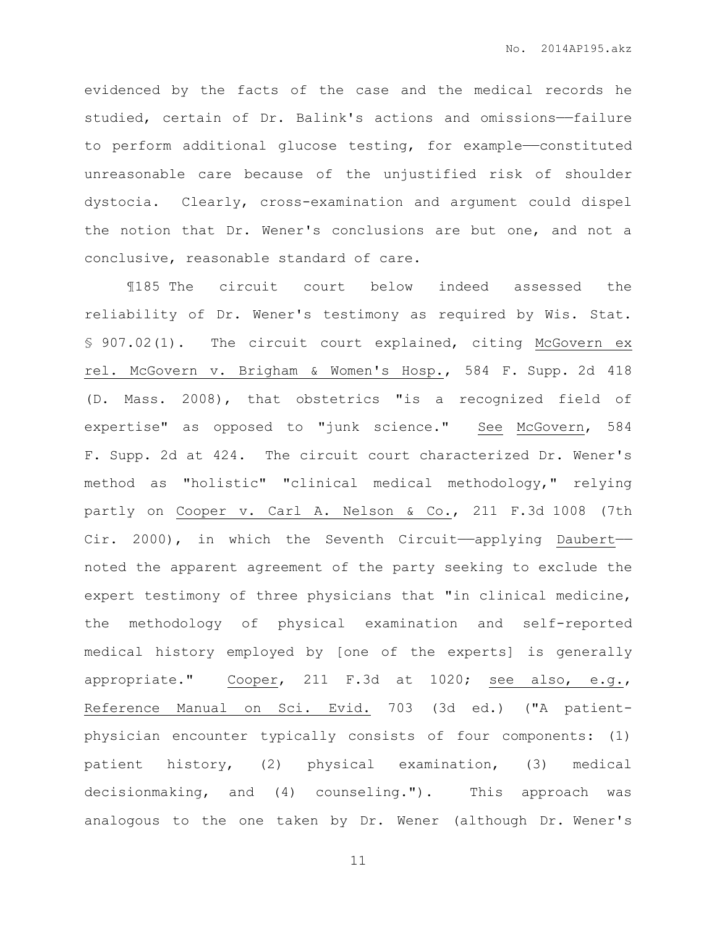evidenced by the facts of the case and the medical records he studied, certain of Dr. Balink's actions and omissions-failure to perform additional glucose testing, for example—constituted unreasonable care because of the unjustified risk of shoulder dystocia. Clearly, cross-examination and argument could dispel the notion that Dr. Wener's conclusions are but one, and not a conclusive, reasonable standard of care.

¶185 The circuit court below indeed assessed the reliability of Dr. Wener's testimony as required by Wis. Stat. § 907.02(1). The circuit court explained, citing McGovern ex rel. McGovern v. Brigham & Women's Hosp., 584 F. Supp. 2d 418 (D. Mass. 2008), that obstetrics "is a recognized field of expertise" as opposed to "junk science." See McGovern, 584 F. Supp. 2d at 424. The circuit court characterized Dr. Wener's method as "holistic" "clinical medical methodology," relying partly on Cooper v. Carl A. Nelson & Co., 211 F.3d 1008 (7th Cir. 2000), in which the Seventh Circuit——applying Daubert— noted the apparent agreement of the party seeking to exclude the expert testimony of three physicians that "in clinical medicine, the methodology of physical examination and self-reported medical history employed by [one of the experts] is generally appropriate." Cooper, 211 F.3d at 1020; see also, e.g., Reference Manual on Sci. Evid. 703 (3d ed.) ("A patientphysician encounter typically consists of four components: (1) patient history, (2) physical examination, (3) medical decisionmaking, and (4) counseling."). This approach was analogous to the one taken by Dr. Wener (although Dr. Wener's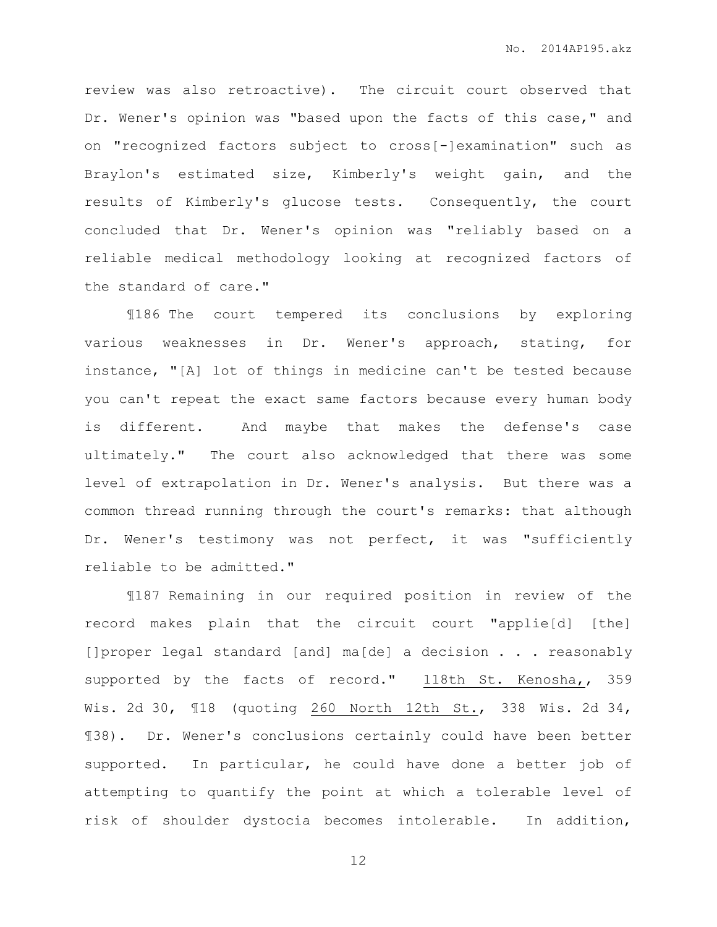review was also retroactive). The circuit court observed that Dr. Wener's opinion was "based upon the facts of this case," and on "recognized factors subject to cross[-]examination" such as Braylon's estimated size, Kimberly's weight gain, and the results of Kimberly's glucose tests. Consequently, the court concluded that Dr. Wener's opinion was "reliably based on a reliable medical methodology looking at recognized factors of the standard of care."

¶186 The court tempered its conclusions by exploring various weaknesses in Dr. Wener's approach, stating, for instance, "[A] lot of things in medicine can't be tested because you can't repeat the exact same factors because every human body is different. And maybe that makes the defense's case ultimately." The court also acknowledged that there was some level of extrapolation in Dr. Wener's analysis. But there was a common thread running through the court's remarks: that although Dr. Wener's testimony was not perfect, it was "sufficiently reliable to be admitted."

¶187 Remaining in our required position in review of the record makes plain that the circuit court "applie[d] [the] []proper legal standard [and] ma[de] a decision . . . reasonably supported by the facts of record." 118th St. Kenosha,, 359 Wis. 2d 30, ¶18 (quoting 260 North 12th St., 338 Wis. 2d 34, ¶38). Dr. Wener's conclusions certainly could have been better supported. In particular, he could have done a better job of attempting to quantify the point at which a tolerable level of risk of shoulder dystocia becomes intolerable. In addition,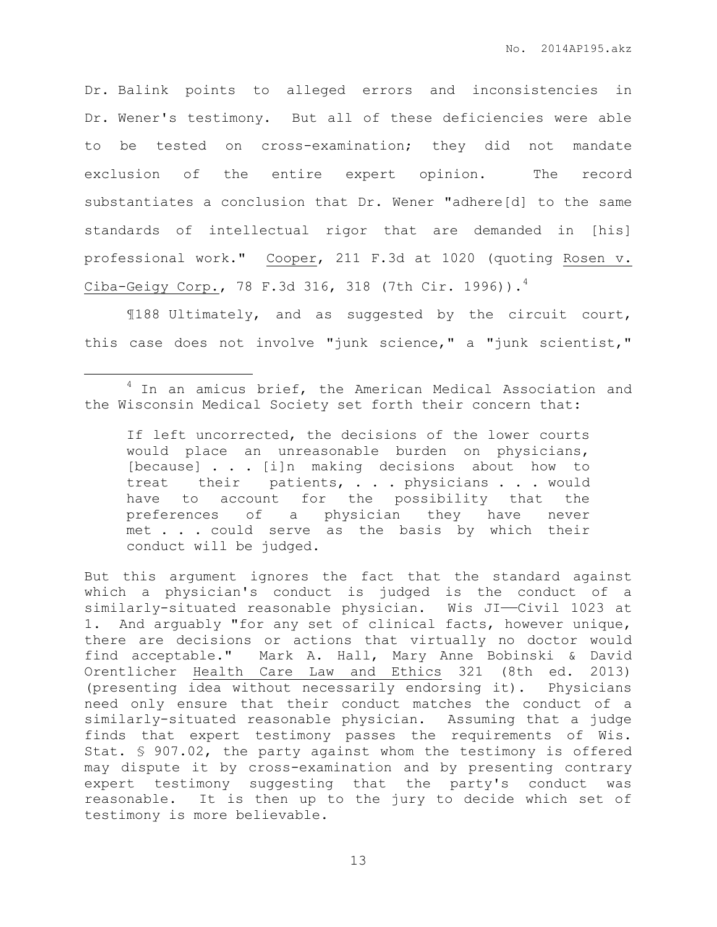Dr. Balink points to alleged errors and inconsistencies in Dr. Wener's testimony. But all of these deficiencies were able to be tested on cross-examination; they did not mandate exclusion of the entire expert opinion. The record substantiates a conclusion that Dr. Wener "adhere[d] to the same standards of intellectual rigor that are demanded in [his] professional work." Cooper, 211 F.3d at 1020 (quoting Rosen v. Ciba-Geigy Corp., 78 F.3d 316, 318 (7th Cir. 1996)). $^4$ 

¶188 Ultimately, and as suggested by the circuit court, this case does not involve "junk science," a "junk scientist,"

 $\overline{a}$ 

But this argument ignores the fact that the standard against which a physician's conduct is judged is the conduct of a similarly-situated reasonable physician. Wis JI-Civil 1023 at 1. And arguably "for any set of clinical facts, however unique, there are decisions or actions that virtually no doctor would find acceptable." Mark A. Hall, Mary Anne Bobinski & David Orentlicher Health Care Law and Ethics 321 (8th ed. 2013) (presenting idea without necessarily endorsing it). Physicians need only ensure that their conduct matches the conduct of a similarly-situated reasonable physician. Assuming that a judge finds that expert testimony passes the requirements of Wis. Stat. § 907.02, the party against whom the testimony is offered may dispute it by cross-examination and by presenting contrary expert testimony suggesting that the party's conduct was reasonable. It is then up to the jury to decide which set of testimony is more believable.

<sup>&</sup>lt;sup>4</sup> In an amicus brief, the American Medical Association and the Wisconsin Medical Society set forth their concern that:

If left uncorrected, the decisions of the lower courts would place an unreasonable burden on physicians, [because] . . . [i]n making decisions about how to treat their patients, . . . physicians . . . would have to account for the possibility that the preferences of a physician they have never met . . . could serve as the basis by which their conduct will be judged.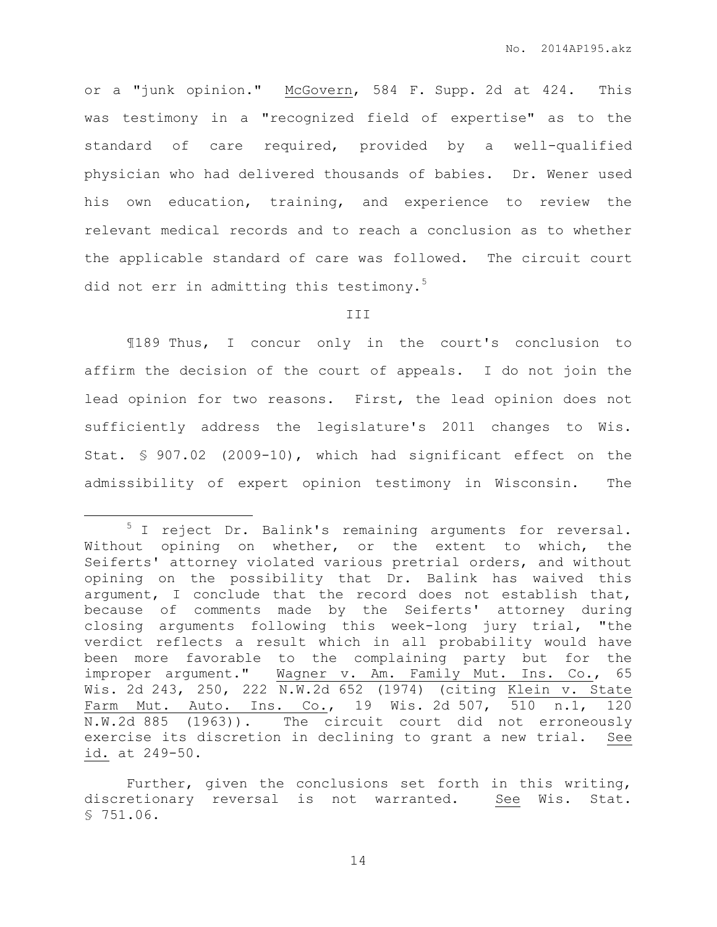or a "junk opinion." McGovern, 584 F. Supp. 2d at 424. This was testimony in a "recognized field of expertise" as to the standard of care required, provided by a well-qualified physician who had delivered thousands of babies. Dr. Wener used his own education, training, and experience to review the relevant medical records and to reach a conclusion as to whether the applicable standard of care was followed. The circuit court did not err in admitting this testimony.<sup>5</sup>

#### III

¶189 Thus, I concur only in the court's conclusion to affirm the decision of the court of appeals. I do not join the lead opinion for two reasons. First, the lead opinion does not sufficiently address the legislature's 2011 changes to Wis. Stat. § 907.02 (2009-10), which had significant effect on the admissibility of expert opinion testimony in Wisconsin. The

 $\overline{a}$ 

<sup>&</sup>lt;sup>5</sup> I reject Dr. Balink's remaining arguments for reversal. Without opining on whether, or the extent to which, the Seiferts' attorney violated various pretrial orders, and without opining on the possibility that Dr. Balink has waived this argument, I conclude that the record does not establish that, because of comments made by the Seiferts' attorney during closing arguments following this week-long jury trial, "the verdict reflects a result which in all probability would have been more favorable to the complaining party but for the improper argument." Wagner v. Am. Family Mut. Ins. Co., 65 Wis. 2d 243, 250, 222 N.W.2d 652 (1974) (citing Klein v. State Farm Mut. Auto. Ins. Co., 19 Wis. 2d 507, 510 n.1, 120 N.W.2d 885 (1963)). The circuit court did not erroneously exercise its discretion in declining to grant a new trial. See id. at 249-50.

Further, given the conclusions set forth in this writing, discretionary reversal is not warranted. See Wis. Stat. § 751.06.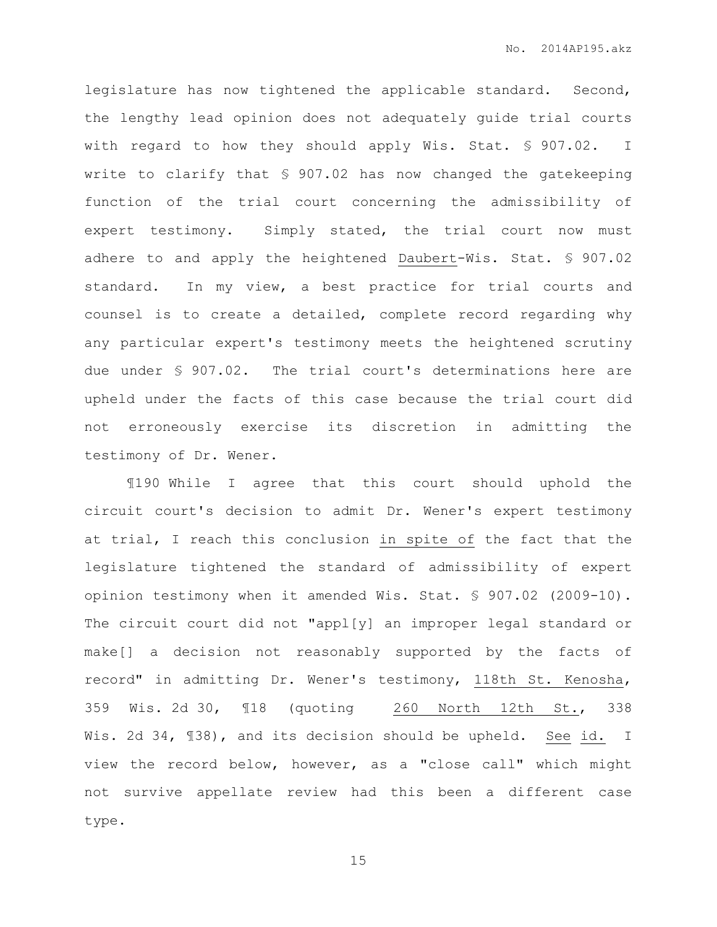legislature has now tightened the applicable standard. Second, the lengthy lead opinion does not adequately guide trial courts with regard to how they should apply Wis. Stat. § 907.02. I write to clarify that § 907.02 has now changed the gatekeeping function of the trial court concerning the admissibility of expert testimony. Simply stated, the trial court now must adhere to and apply the heightened Daubert-Wis. Stat. § 907.02 standard. In my view, a best practice for trial courts and counsel is to create a detailed, complete record regarding why any particular expert's testimony meets the heightened scrutiny due under § 907.02. The trial court's determinations here are upheld under the facts of this case because the trial court did not erroneously exercise its discretion in admitting the testimony of Dr. Wener.

¶190 While I agree that this court should uphold the circuit court's decision to admit Dr. Wener's expert testimony at trial, I reach this conclusion in spite of the fact that the legislature tightened the standard of admissibility of expert opinion testimony when it amended Wis. Stat. § 907.02 (2009-10). The circuit court did not "appl[y] an improper legal standard or make[] a decision not reasonably supported by the facts of record" in admitting Dr. Wener's testimony, 118th St. Kenosha, 359 Wis. 2d 30, ¶18 (quoting 260 North 12th St., 338 Wis. 2d 34, ¶38), and its decision should be upheld. See id. I view the record below, however, as a "close call" which might not survive appellate review had this been a different case type.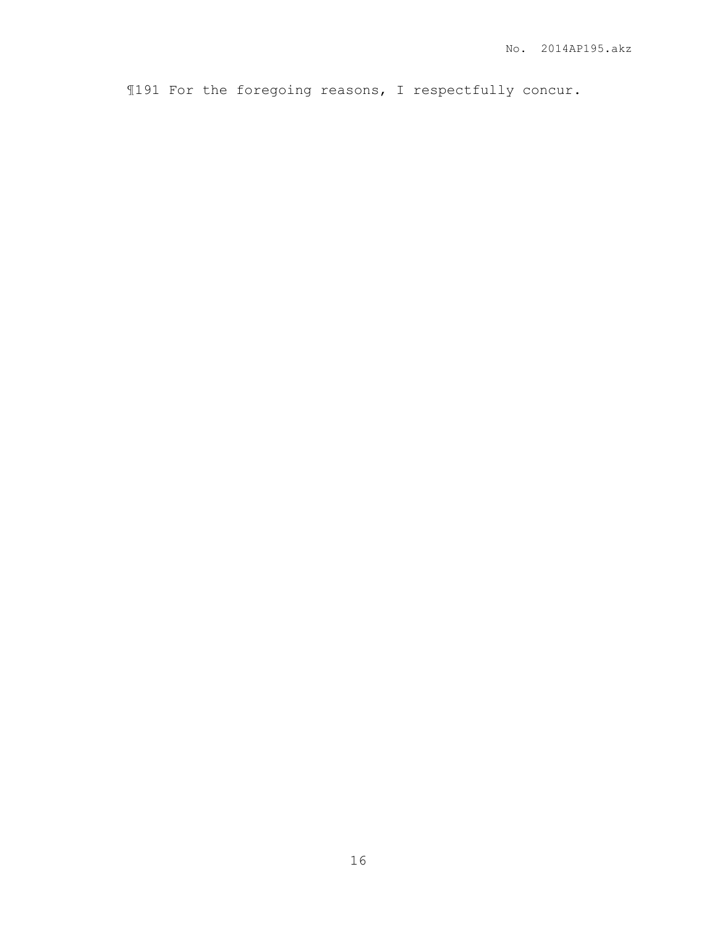¶191 For the foregoing reasons, I respectfully concur.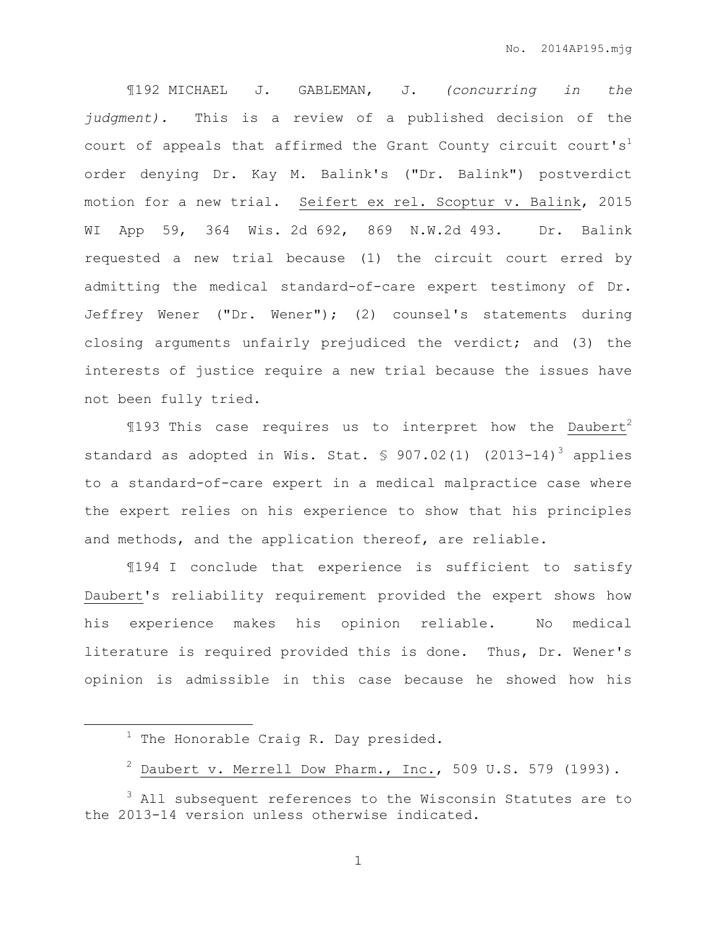¶192 MICHAEL J. GABLEMAN, J. *(concurring in the judgment).* This is a review of a published decision of the court of appeals that affirmed the Grant County circuit court's<sup>1</sup> order denying Dr. Kay M. Balink's ("Dr. Balink") postverdict motion for a new trial. Seifert ex rel. Scoptur v. Balink, 2015 WI App 59, 364 Wis. 2d 692, 869 N.W.2d 493. Dr. Balink requested a new trial because (1) the circuit court erred by admitting the medical standard-of-care expert testimony of Dr. Jeffrey Wener ("Dr. Wener"); (2) counsel's statements during closing arguments unfairly prejudiced the verdict; and (3) the interests of justice require a new trial because the issues have not been fully tried.

 $$193$  This case requires us to interpret how the Daubert<sup>2</sup> standard as adopted in Wis. Stat.  $$907.02(1)$   $(2013-14)^3$  applies to a standard-of-care expert in a medical malpractice case where the expert relies on his experience to show that his principles and methods, and the application thereof, are reliable.

¶194 I conclude that experience is sufficient to satisfy Daubert's reliability requirement provided the expert shows how his experience makes his opinion reliable. No medical literature is required provided this is done. Thus, Dr. Wener's opinion is admissible in this case because he showed how his

 $\overline{a}$ 

 $1$  The Honorable Craig R. Day presided.

 $^2$  Daubert v. Merrell Dow Pharm., Inc., 509 U.S. 579 (1993).

<sup>&</sup>lt;sup>3</sup> All subsequent references to the Wisconsin Statutes are to the 2013-14 version unless otherwise indicated.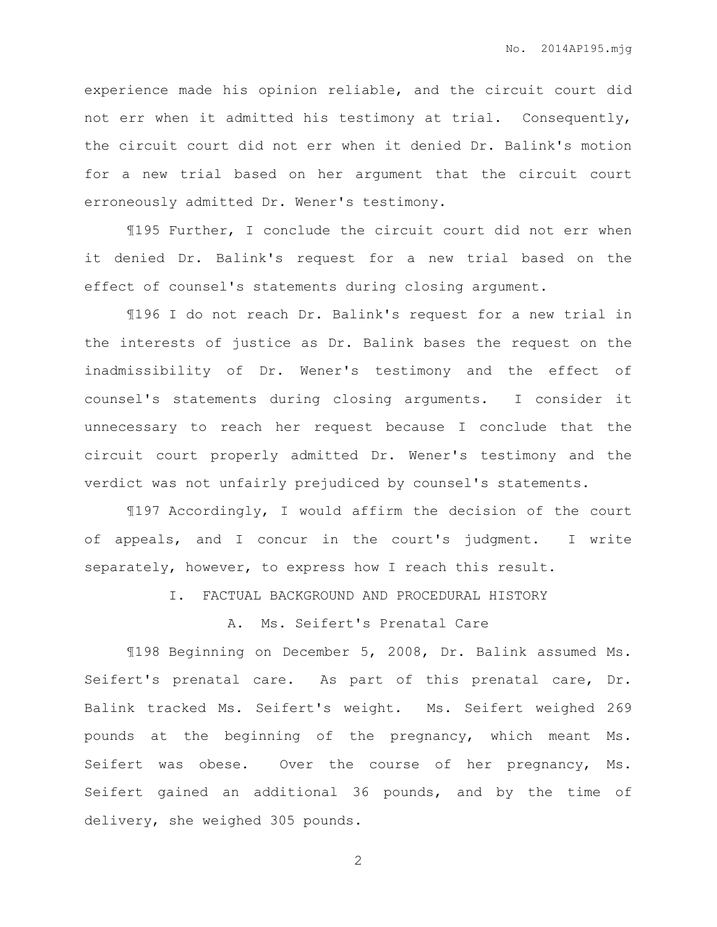experience made his opinion reliable, and the circuit court did not err when it admitted his testimony at trial. Consequently, the circuit court did not err when it denied Dr. Balink's motion for a new trial based on her argument that the circuit court erroneously admitted Dr. Wener's testimony.

¶195 Further, I conclude the circuit court did not err when it denied Dr. Balink's request for a new trial based on the effect of counsel's statements during closing argument.

¶196 I do not reach Dr. Balink's request for a new trial in the interests of justice as Dr. Balink bases the request on the inadmissibility of Dr. Wener's testimony and the effect of counsel's statements during closing arguments. I consider it unnecessary to reach her request because I conclude that the circuit court properly admitted Dr. Wener's testimony and the verdict was not unfairly prejudiced by counsel's statements.

¶197 Accordingly, I would affirm the decision of the court of appeals, and I concur in the court's judgment. I write separately, however, to express how I reach this result.

I. FACTUAL BACKGROUND AND PROCEDURAL HISTORY

## A. Ms. Seifert's Prenatal Care

¶198 Beginning on December 5, 2008, Dr. Balink assumed Ms. Seifert's prenatal care. As part of this prenatal care, Dr. Balink tracked Ms. Seifert's weight. Ms. Seifert weighed 269 pounds at the beginning of the pregnancy, which meant Ms. Seifert was obese. Over the course of her pregnancy, Ms. Seifert gained an additional 36 pounds, and by the time of delivery, she weighed 305 pounds.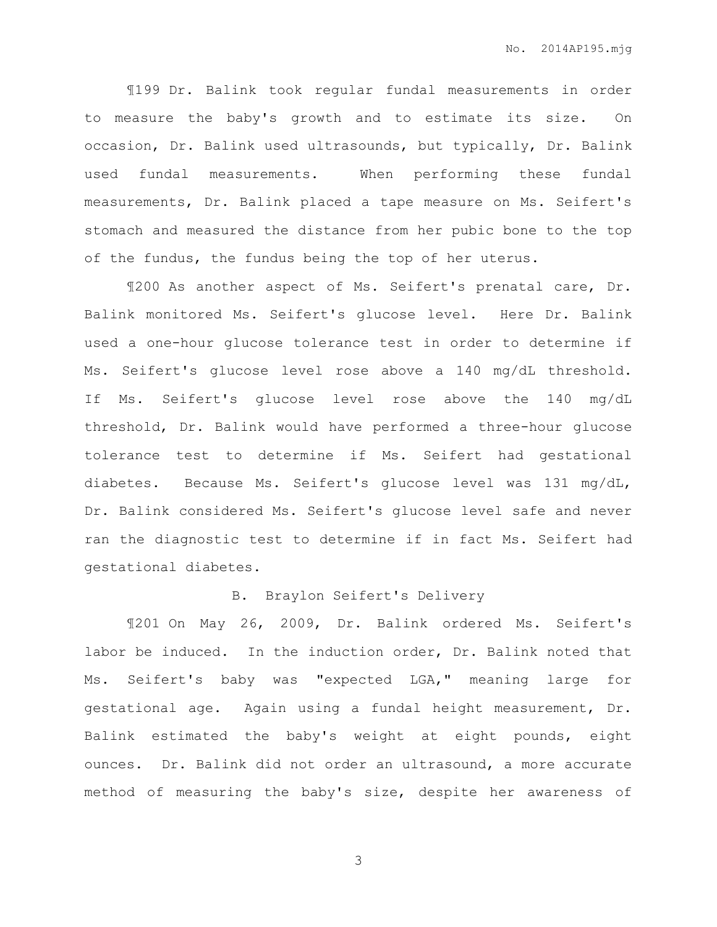¶199 Dr. Balink took regular fundal measurements in order to measure the baby's growth and to estimate its size. On occasion, Dr. Balink used ultrasounds, but typically, Dr. Balink used fundal measurements. When performing these fundal measurements, Dr. Balink placed a tape measure on Ms. Seifert's stomach and measured the distance from her pubic bone to the top of the fundus, the fundus being the top of her uterus.

¶200 As another aspect of Ms. Seifert's prenatal care, Dr. Balink monitored Ms. Seifert's glucose level. Here Dr. Balink used a one-hour glucose tolerance test in order to determine if Ms. Seifert's glucose level rose above a 140 mg/dL threshold. If Ms. Seifert's glucose level rose above the 140 mg/dL threshold, Dr. Balink would have performed a three-hour glucose tolerance test to determine if Ms. Seifert had gestational diabetes. Because Ms. Seifert's glucose level was 131 mg/dL, Dr. Balink considered Ms. Seifert's glucose level safe and never ran the diagnostic test to determine if in fact Ms. Seifert had gestational diabetes.

## B. Braylon Seifert's Delivery

¶201 On May 26, 2009, Dr. Balink ordered Ms. Seifert's labor be induced. In the induction order, Dr. Balink noted that Ms. Seifert's baby was "expected LGA," meaning large for gestational age. Again using a fundal height measurement, Dr. Balink estimated the baby's weight at eight pounds, eight ounces. Dr. Balink did not order an ultrasound, a more accurate method of measuring the baby's size, despite her awareness of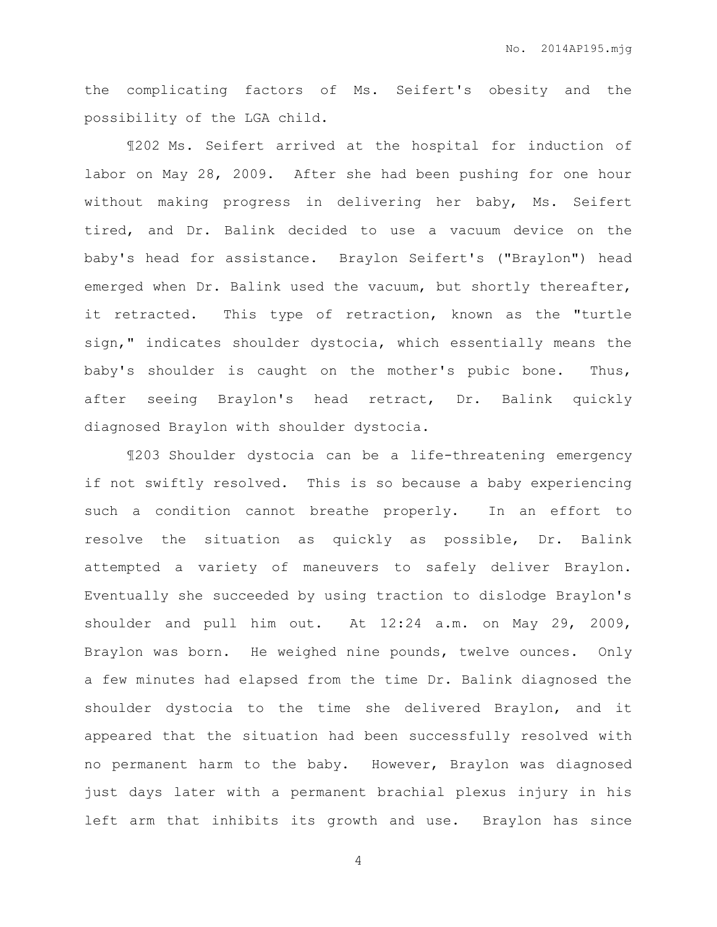the complicating factors of Ms. Seifert's obesity and the possibility of the LGA child.

¶202 Ms. Seifert arrived at the hospital for induction of labor on May 28, 2009. After she had been pushing for one hour without making progress in delivering her baby, Ms. Seifert tired, and Dr. Balink decided to use a vacuum device on the baby's head for assistance. Braylon Seifert's ("Braylon") head emerged when Dr. Balink used the vacuum, but shortly thereafter, it retracted. This type of retraction, known as the "turtle sign," indicates shoulder dystocia, which essentially means the baby's shoulder is caught on the mother's pubic bone. Thus, after seeing Braylon's head retract, Dr. Balink quickly diagnosed Braylon with shoulder dystocia.

¶203 Shoulder dystocia can be a life-threatening emergency if not swiftly resolved. This is so because a baby experiencing such a condition cannot breathe properly. In an effort to resolve the situation as quickly as possible, Dr. Balink attempted a variety of maneuvers to safely deliver Braylon. Eventually she succeeded by using traction to dislodge Braylon's shoulder and pull him out. At 12:24 a.m. on May 29, 2009, Braylon was born. He weighed nine pounds, twelve ounces. Only a few minutes had elapsed from the time Dr. Balink diagnosed the shoulder dystocia to the time she delivered Braylon, and it appeared that the situation had been successfully resolved with no permanent harm to the baby. However, Braylon was diagnosed just days later with a permanent brachial plexus injury in his left arm that inhibits its growth and use. Braylon has since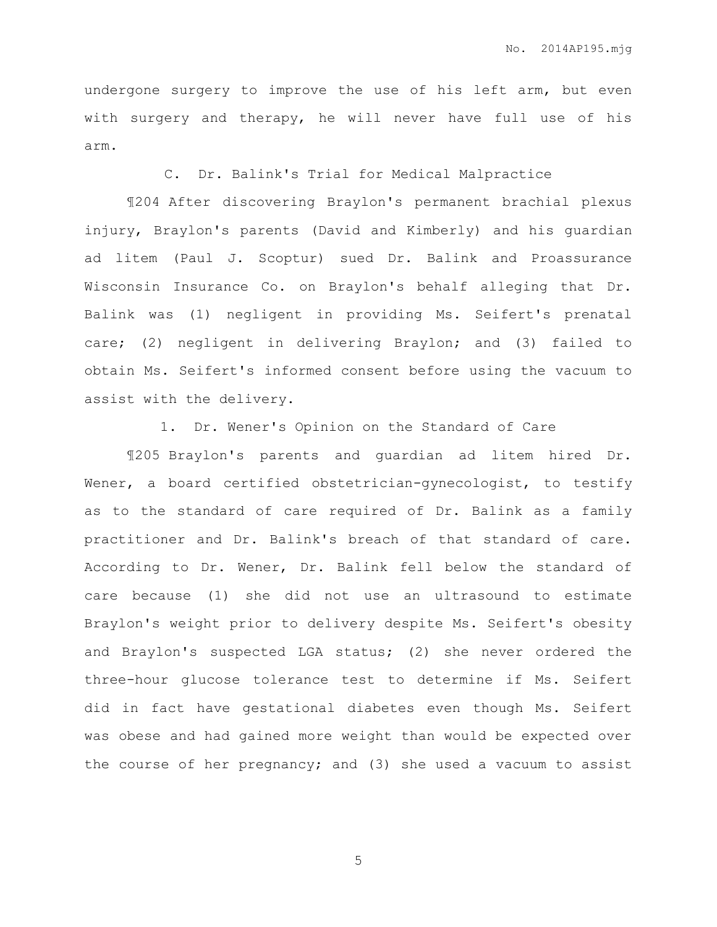undergone surgery to improve the use of his left arm, but even with surgery and therapy, he will never have full use of his arm.

C. Dr. Balink's Trial for Medical Malpractice

¶204 After discovering Braylon's permanent brachial plexus injury, Braylon's parents (David and Kimberly) and his guardian ad litem (Paul J. Scoptur) sued Dr. Balink and Proassurance Wisconsin Insurance Co. on Braylon's behalf alleging that Dr. Balink was (1) negligent in providing Ms. Seifert's prenatal care; (2) negligent in delivering Braylon; and (3) failed to obtain Ms. Seifert's informed consent before using the vacuum to assist with the delivery.

1. Dr. Wener's Opinion on the Standard of Care

¶205 Braylon's parents and guardian ad litem hired Dr. Wener, a board certified obstetrician-gynecologist, to testify as to the standard of care required of Dr. Balink as a family practitioner and Dr. Balink's breach of that standard of care. According to Dr. Wener, Dr. Balink fell below the standard of care because (1) she did not use an ultrasound to estimate Braylon's weight prior to delivery despite Ms. Seifert's obesity and Braylon's suspected LGA status; (2) she never ordered the three-hour glucose tolerance test to determine if Ms. Seifert did in fact have gestational diabetes even though Ms. Seifert was obese and had gained more weight than would be expected over the course of her pregnancy; and (3) she used a vacuum to assist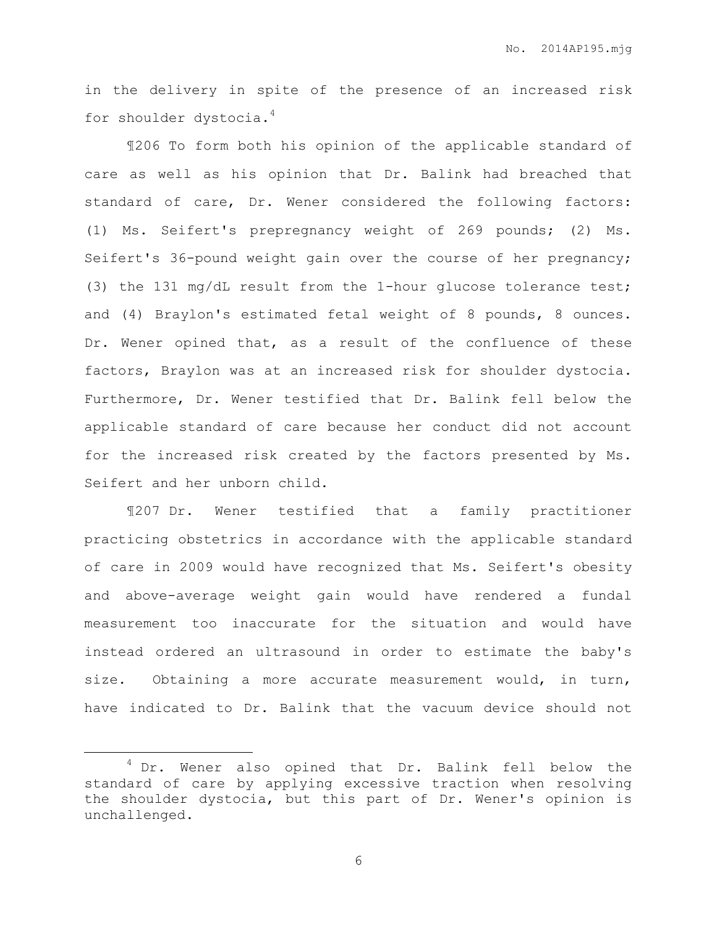in the delivery in spite of the presence of an increased risk for shoulder dystocia.<sup>4</sup>

¶206 To form both his opinion of the applicable standard of care as well as his opinion that Dr. Balink had breached that standard of care, Dr. Wener considered the following factors: (1) Ms. Seifert's prepregnancy weight of 269 pounds; (2) Ms. Seifert's 36-pound weight gain over the course of her pregnancy; (3) the 131 mg/dL result from the 1-hour glucose tolerance test; and (4) Braylon's estimated fetal weight of 8 pounds, 8 ounces. Dr. Wener opined that, as a result of the confluence of these factors, Braylon was at an increased risk for shoulder dystocia. Furthermore, Dr. Wener testified that Dr. Balink fell below the applicable standard of care because her conduct did not account for the increased risk created by the factors presented by Ms. Seifert and her unborn child.

¶207 Dr. Wener testified that a family practitioner practicing obstetrics in accordance with the applicable standard of care in 2009 would have recognized that Ms. Seifert's obesity and above-average weight gain would have rendered a fundal measurement too inaccurate for the situation and would have instead ordered an ultrasound in order to estimate the baby's size. Obtaining a more accurate measurement would, in turn, have indicated to Dr. Balink that the vacuum device should not

 $\overline{a}$ 

<sup>&</sup>lt;sup>4</sup> Dr. Wener also opined that Dr. Balink fell below the standard of care by applying excessive traction when resolving the shoulder dystocia, but this part of Dr. Wener's opinion is unchallenged.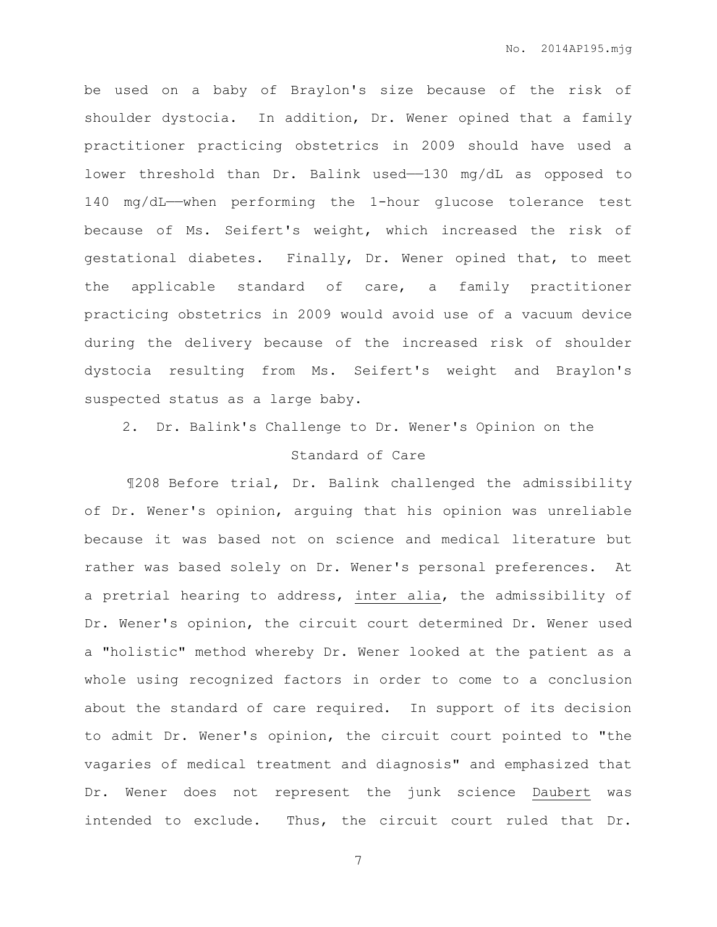be used on a baby of Braylon's size because of the risk of shoulder dystocia. In addition, Dr. Wener opined that a family practitioner practicing obstetrics in 2009 should have used a lower threshold than Dr. Balink used-130 mg/dL as opposed to 140 mg/dL——when performing the 1-hour glucose tolerance test because of Ms. Seifert's weight, which increased the risk of gestational diabetes. Finally, Dr. Wener opined that, to meet the applicable standard of care, a family practitioner practicing obstetrics in 2009 would avoid use of a vacuum device during the delivery because of the increased risk of shoulder dystocia resulting from Ms. Seifert's weight and Braylon's suspected status as a large baby.

# 2. Dr. Balink's Challenge to Dr. Wener's Opinion on the

# Standard of Care

¶208 Before trial, Dr. Balink challenged the admissibility of Dr. Wener's opinion, arguing that his opinion was unreliable because it was based not on science and medical literature but rather was based solely on Dr. Wener's personal preferences. At a pretrial hearing to address, inter alia, the admissibility of Dr. Wener's opinion, the circuit court determined Dr. Wener used a "holistic" method whereby Dr. Wener looked at the patient as a whole using recognized factors in order to come to a conclusion about the standard of care required. In support of its decision to admit Dr. Wener's opinion, the circuit court pointed to "the vagaries of medical treatment and diagnosis" and emphasized that Dr. Wener does not represent the junk science Daubert was intended to exclude. Thus, the circuit court ruled that Dr.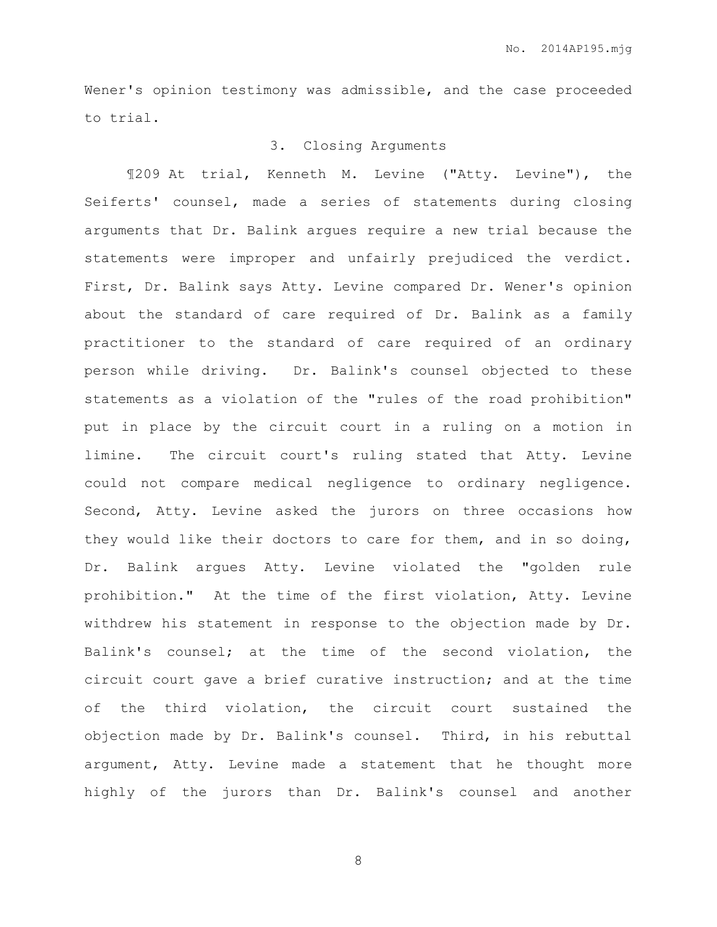Wener's opinion testimony was admissible, and the case proceeded to trial.

## 3. Closing Arguments

¶209 At trial, Kenneth M. Levine ("Atty. Levine"), the Seiferts' counsel, made a series of statements during closing arguments that Dr. Balink argues require a new trial because the statements were improper and unfairly prejudiced the verdict. First, Dr. Balink says Atty. Levine compared Dr. Wener's opinion about the standard of care required of Dr. Balink as a family practitioner to the standard of care required of an ordinary person while driving. Dr. Balink's counsel objected to these statements as a violation of the "rules of the road prohibition" put in place by the circuit court in a ruling on a motion in limine. The circuit court's ruling stated that Atty. Levine could not compare medical negligence to ordinary negligence. Second, Atty. Levine asked the jurors on three occasions how they would like their doctors to care for them, and in so doing, Dr. Balink argues Atty. Levine violated the "golden rule prohibition." At the time of the first violation, Atty. Levine withdrew his statement in response to the objection made by Dr. Balink's counsel; at the time of the second violation, the circuit court gave a brief curative instruction; and at the time of the third violation, the circuit court sustained the objection made by Dr. Balink's counsel. Third, in his rebuttal argument, Atty. Levine made a statement that he thought more highly of the jurors than Dr. Balink's counsel and another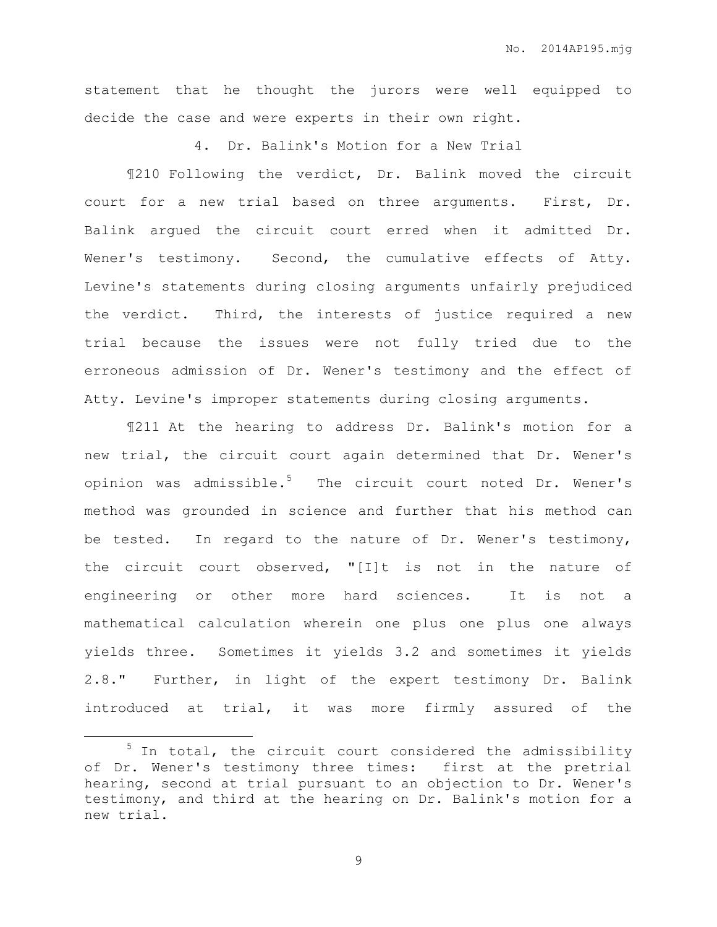statement that he thought the jurors were well equipped to decide the case and were experts in their own right.

4. Dr. Balink's Motion for a New Trial

¶210 Following the verdict, Dr. Balink moved the circuit court for a new trial based on three arguments. First, Dr. Balink argued the circuit court erred when it admitted Dr. Wener's testimony. Second, the cumulative effects of Atty. Levine's statements during closing arguments unfairly prejudiced the verdict. Third, the interests of justice required a new trial because the issues were not fully tried due to the erroneous admission of Dr. Wener's testimony and the effect of Atty. Levine's improper statements during closing arguments.

¶211 At the hearing to address Dr. Balink's motion for a new trial, the circuit court again determined that Dr. Wener's opinion was admissible.<sup>5</sup> The circuit court noted Dr. Wener's method was grounded in science and further that his method can be tested. In regard to the nature of Dr. Wener's testimony, the circuit court observed, "[I]t is not in the nature of engineering or other more hard sciences. It is not a mathematical calculation wherein one plus one plus one always yields three. Sometimes it yields 3.2 and sometimes it yields 2.8." Further, in light of the expert testimony Dr. Balink introduced at trial, it was more firmly assured of the

 $\overline{a}$ 

 $5$  In total, the circuit court considered the admissibility of Dr. Wener's testimony three times: first at the pretrial hearing, second at trial pursuant to an objection to Dr. Wener's testimony, and third at the hearing on Dr. Balink's motion for a new trial.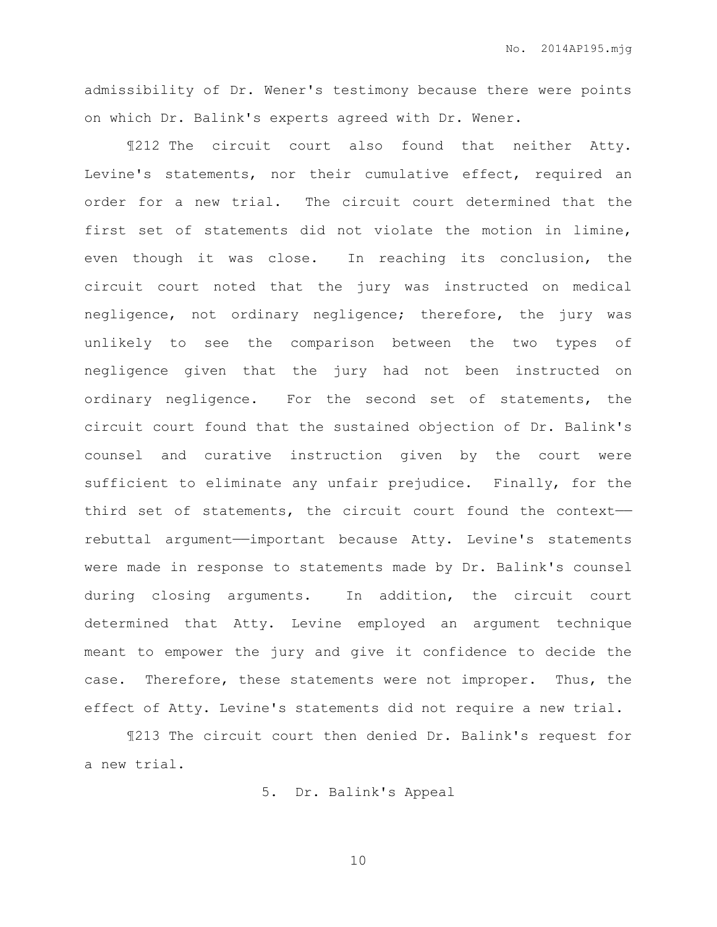admissibility of Dr. Wener's testimony because there were points on which Dr. Balink's experts agreed with Dr. Wener.

¶212 The circuit court also found that neither Atty. Levine's statements, nor their cumulative effect, required an order for a new trial. The circuit court determined that the first set of statements did not violate the motion in limine, even though it was close. In reaching its conclusion, the circuit court noted that the jury was instructed on medical negligence, not ordinary negligence; therefore, the jury was unlikely to see the comparison between the two types of negligence given that the jury had not been instructed on ordinary negligence. For the second set of statements, the circuit court found that the sustained objection of Dr. Balink's counsel and curative instruction given by the court were sufficient to eliminate any unfair prejudice. Finally, for the third set of statements, the circuit court found the context— rebuttal argument——important because Atty. Levine's statements were made in response to statements made by Dr. Balink's counsel during closing arguments. In addition, the circuit court determined that Atty. Levine employed an argument technique meant to empower the jury and give it confidence to decide the case. Therefore, these statements were not improper. Thus, the effect of Atty. Levine's statements did not require a new trial.

¶213 The circuit court then denied Dr. Balink's request for a new trial.

5. Dr. Balink's Appeal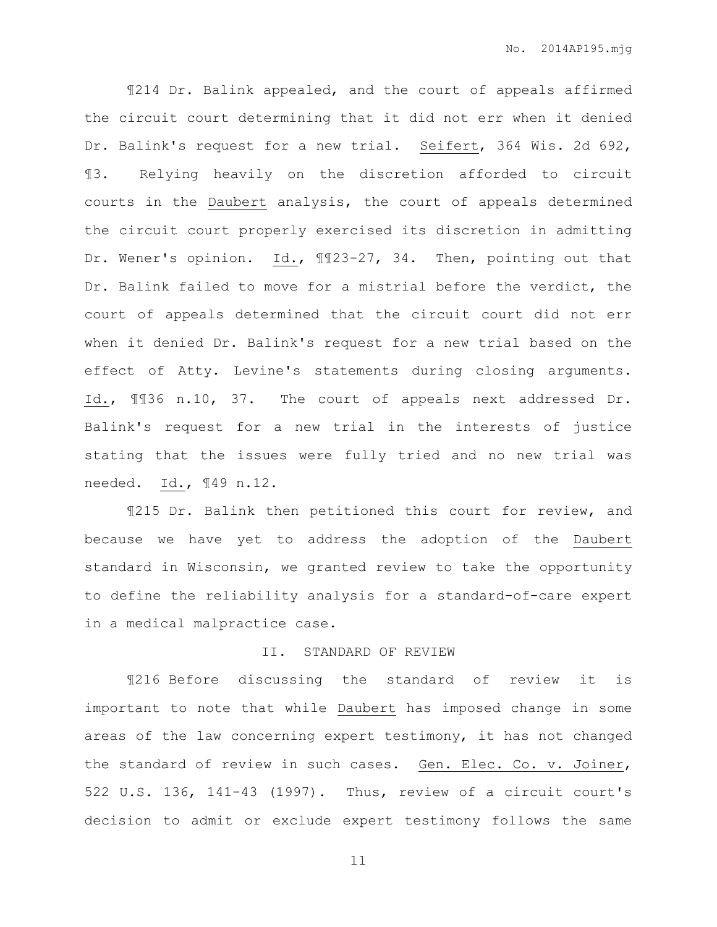¶214 Dr. Balink appealed, and the court of appeals affirmed the circuit court determining that it did not err when it denied Dr. Balink's request for a new trial. Seifert, 364 Wis. 2d 692, ¶3. Relying heavily on the discretion afforded to circuit courts in the Daubert analysis, the court of appeals determined the circuit court properly exercised its discretion in admitting Dr. Wener's opinion. Id., 1123-27, 34. Then, pointing out that Dr. Balink failed to move for a mistrial before the verdict, the court of appeals determined that the circuit court did not err when it denied Dr. Balink's request for a new trial based on the effect of Atty. Levine's statements during closing arguments. Id., ¶¶36 n.10, 37. The court of appeals next addressed Dr. Balink's request for a new trial in the interests of justice stating that the issues were fully tried and no new trial was needed. Id., ¶49 n.12.

¶215 Dr. Balink then petitioned this court for review, and because we have yet to address the adoption of the Daubert standard in Wisconsin, we granted review to take the opportunity to define the reliability analysis for a standard-of-care expert in a medical malpractice case.

## II. STANDARD OF REVIEW

¶216 Before discussing the standard of review it is important to note that while Daubert has imposed change in some areas of the law concerning expert testimony, it has not changed the standard of review in such cases. Gen. Elec. Co. v. Joiner, 522 U.S. 136, 141-43 (1997). Thus, review of a circuit court's decision to admit or exclude expert testimony follows the same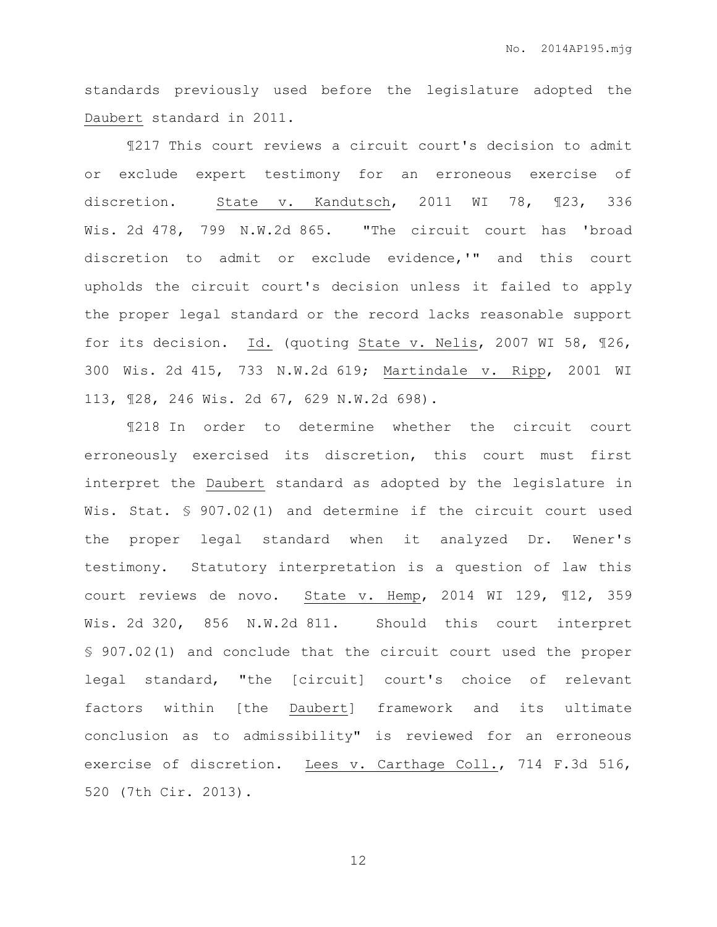standards previously used before the legislature adopted the Daubert standard in 2011.

¶217 This court reviews a circuit court's decision to admit or exclude expert testimony for an erroneous exercise of discretion. State v. Kandutsch, 2011 WI 78, ¶23, 336 Wis. 2d 478, 799 N.W.2d 865. "The circuit court has 'broad discretion to admit or exclude evidence,'" and this court upholds the circuit court's decision unless it failed to apply the proper legal standard or the record lacks reasonable support for its decision. Id. (quoting State v. Nelis, 2007 WI 58, ¶26, 300 Wis. 2d 415, 733 N.W.2d 619; Martindale v. Ripp, 2001 WI 113, ¶28, 246 Wis. 2d 67, 629 N.W.2d 698).

¶218 In order to determine whether the circuit court erroneously exercised its discretion, this court must first interpret the Daubert standard as adopted by the legislature in Wis. Stat. § 907.02(1) and determine if the circuit court used the proper legal standard when it analyzed Dr. Wener's testimony. Statutory interpretation is a question of law this court reviews de novo. State v. Hemp, 2014 WI 129, ¶12, 359 Wis. 2d 320, 856 N.W.2d 811. Should this court interpret § 907.02(1) and conclude that the circuit court used the proper legal standard, "the [circuit] court's choice of relevant factors within [the Daubert] framework and its ultimate conclusion as to admissibility" is reviewed for an erroneous exercise of discretion. Lees v. Carthage Coll., 714 F.3d 516, 520 (7th Cir. 2013).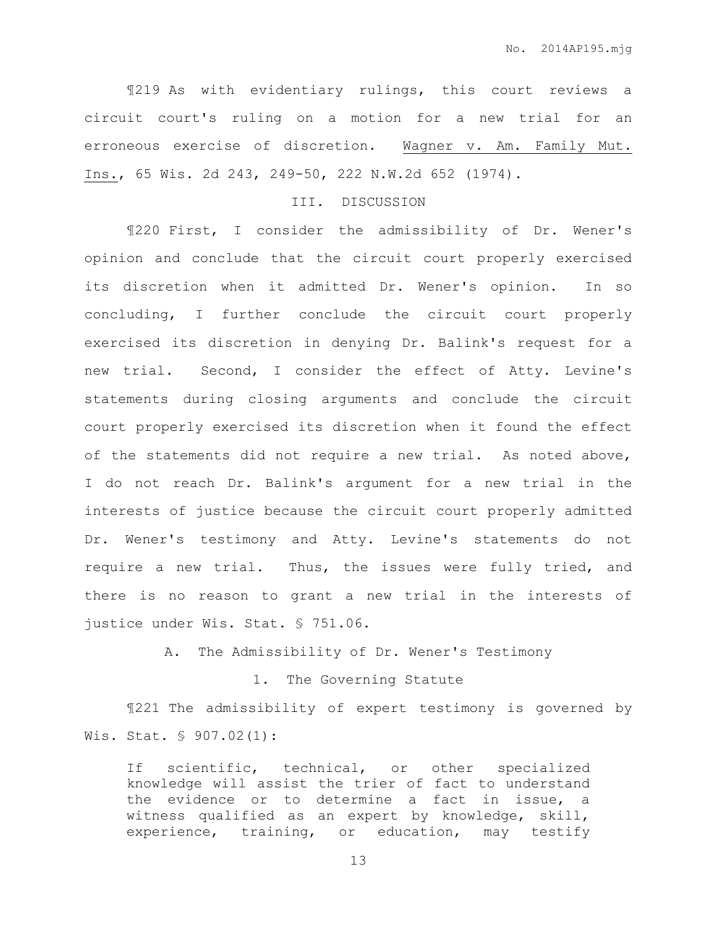¶219 As with evidentiary rulings, this court reviews a circuit court's ruling on a motion for a new trial for an erroneous exercise of discretion. Wagner v. Am. Family Mut. Ins., 65 Wis. 2d 243, 249-50, 222 N.W.2d 652 (1974).

## III. DISCUSSION

¶220 First, I consider the admissibility of Dr. Wener's opinion and conclude that the circuit court properly exercised its discretion when it admitted Dr. Wener's opinion. In so concluding, I further conclude the circuit court properly exercised its discretion in denying Dr. Balink's request for a new trial. Second, I consider the effect of Atty. Levine's statements during closing arguments and conclude the circuit court properly exercised its discretion when it found the effect of the statements did not require a new trial. As noted above, I do not reach Dr. Balink's argument for a new trial in the interests of justice because the circuit court properly admitted Dr. Wener's testimony and Atty. Levine's statements do not require a new trial. Thus, the issues were fully tried, and there is no reason to grant a new trial in the interests of justice under Wis. Stat. § 751.06.

A. The Admissibility of Dr. Wener's Testimony

## 1. The Governing Statute

¶221 The admissibility of expert testimony is governed by Wis. Stat. § 907.02(1):

If scientific, technical, or other specialized knowledge will assist the trier of fact to understand the evidence or to determine a fact in issue, a witness qualified as an expert by knowledge, skill, experience, training, or education, may testify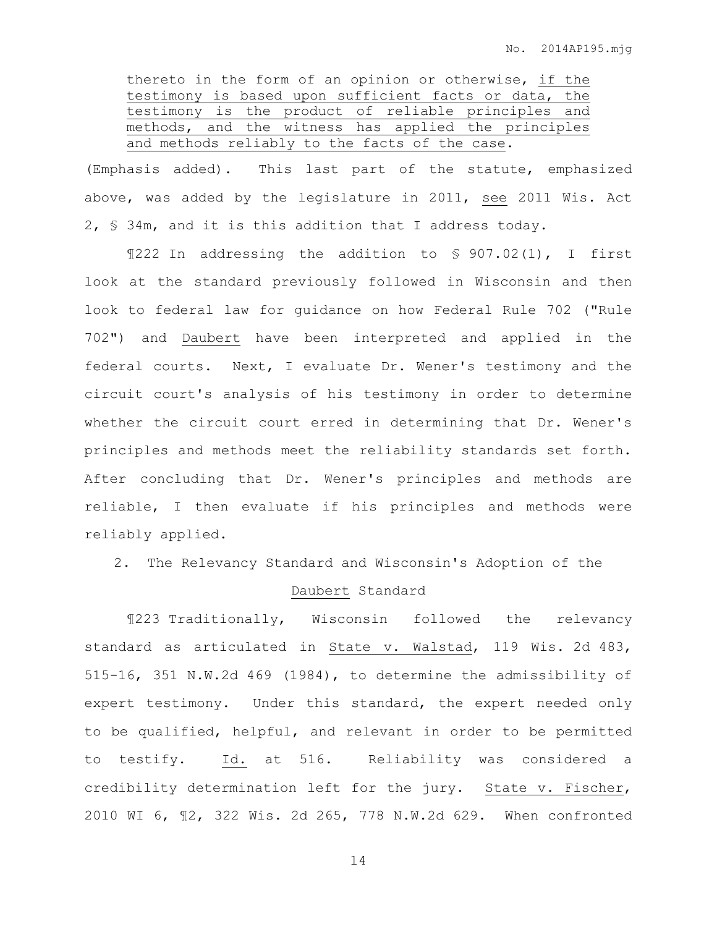thereto in the form of an opinion or otherwise, if the testimony is based upon sufficient facts or data, the testimony is the product of reliable principles and methods, and the witness has applied the principles and methods reliably to the facts of the case.

(Emphasis added). This last part of the statute, emphasized above, was added by the legislature in 2011, see 2011 Wis. Act 2, § 34m, and it is this addition that I address today.

¶222 In addressing the addition to § 907.02(1), I first look at the standard previously followed in Wisconsin and then look to federal law for guidance on how Federal Rule 702 ("Rule 702") and Daubert have been interpreted and applied in the federal courts. Next, I evaluate Dr. Wener's testimony and the circuit court's analysis of his testimony in order to determine whether the circuit court erred in determining that Dr. Wener's principles and methods meet the reliability standards set forth. After concluding that Dr. Wener's principles and methods are reliable, I then evaluate if his principles and methods were reliably applied.

2. The Relevancy Standard and Wisconsin's Adoption of the

## Daubert Standard

¶223 Traditionally, Wisconsin followed the relevancy standard as articulated in State v. Walstad, 119 Wis. 2d 483, 515-16, 351 N.W.2d 469 (1984), to determine the admissibility of expert testimony. Under this standard, the expert needed only to be qualified, helpful, and relevant in order to be permitted to testify. Id. at 516. Reliability was considered a credibility determination left for the jury. State v. Fischer, 2010 WI 6, ¶2, 322 Wis. 2d 265, 778 N.W.2d 629. When confronted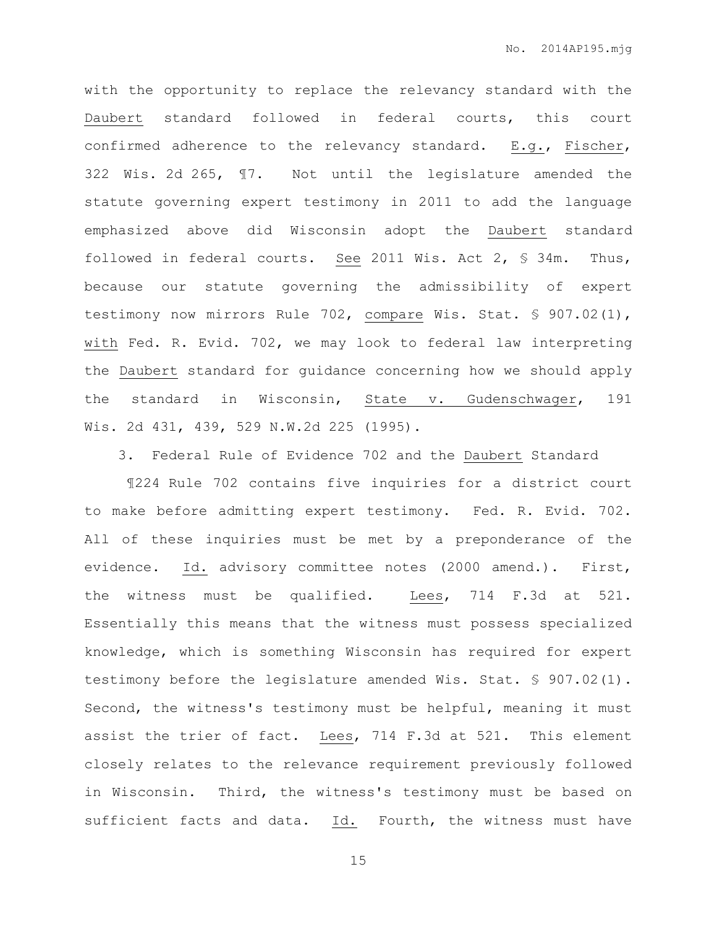with the opportunity to replace the relevancy standard with the Daubert standard followed in federal courts, this court confirmed adherence to the relevancy standard.  $E.g.,$  Fischer, 322 Wis. 2d 265, ¶7. Not until the legislature amended the statute governing expert testimony in 2011 to add the language emphasized above did Wisconsin adopt the Daubert standard followed in federal courts. See 2011 Wis. Act  $2,$  \$ 34m. Thus, because our statute governing the admissibility of expert testimony now mirrors Rule 702, compare Wis. Stat. § 907.02(1), with Fed. R. Evid. 702, we may look to federal law interpreting the Daubert standard for guidance concerning how we should apply the standard in Wisconsin, State v. Gudenschwager, 191 Wis. 2d 431, 439, 529 N.W.2d 225 (1995).

3. Federal Rule of Evidence 702 and the Daubert Standard

¶224 Rule 702 contains five inquiries for a district court to make before admitting expert testimony. Fed. R. Evid. 702. All of these inquiries must be met by a preponderance of the evidence. Id. advisory committee notes (2000 amend.). First, the witness must be qualified. Lees, 714 F.3d at 521. Essentially this means that the witness must possess specialized knowledge, which is something Wisconsin has required for expert testimony before the legislature amended Wis. Stat. § 907.02(1). Second, the witness's testimony must be helpful, meaning it must assist the trier of fact. Lees, 714 F.3d at 521. This element closely relates to the relevance requirement previously followed in Wisconsin. Third, the witness's testimony must be based on sufficient facts and data. Id. Fourth, the witness must have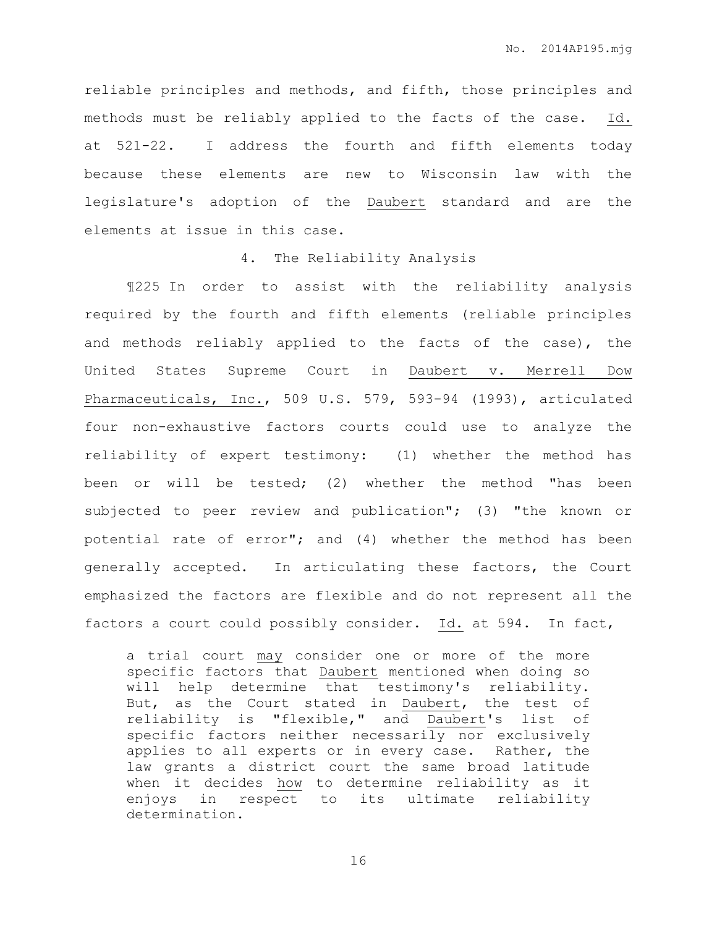reliable principles and methods, and fifth, those principles and methods must be reliably applied to the facts of the case. Id. at 521-22. I address the fourth and fifth elements today because these elements are new to Wisconsin law with the legislature's adoption of the Daubert standard and are the elements at issue in this case.

## 4. The Reliability Analysis

¶225 In order to assist with the reliability analysis required by the fourth and fifth elements (reliable principles and methods reliably applied to the facts of the case), the United States Supreme Court in Daubert v. Merrell Dow Pharmaceuticals, Inc., 509 U.S. 579, 593-94 (1993), articulated four non-exhaustive factors courts could use to analyze the reliability of expert testimony: (1) whether the method has been or will be tested; (2) whether the method "has been subjected to peer review and publication"; (3) "the known or potential rate of error"; and (4) whether the method has been generally accepted. In articulating these factors, the Court emphasized the factors are flexible and do not represent all the factors a court could possibly consider. Id. at 594. In fact,

a trial court may consider one or more of the more specific factors that Daubert mentioned when doing so will help determine that testimony's reliability. But, as the Court stated in Daubert, the test of reliability is "flexible," and Daubert's list of specific factors neither necessarily nor exclusively applies to all experts or in every case. Rather, the law grants a district court the same broad latitude when it decides how to determine reliability as it enjoys in respect to its ultimate reliability determination.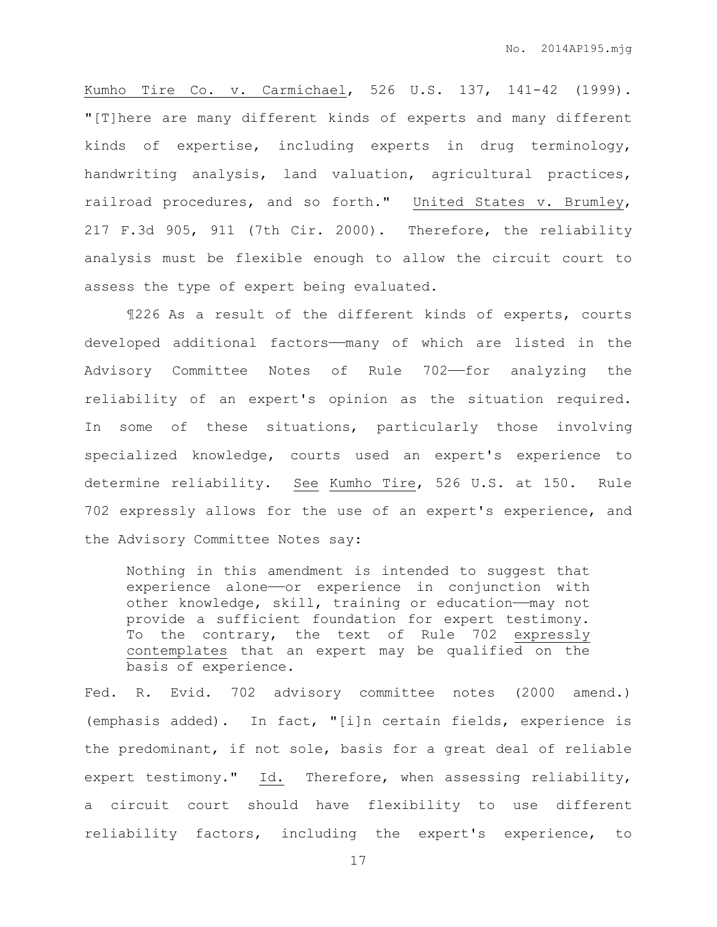Kumho Tire Co. v. Carmichael, 526 U.S. 137, 141-42 (1999). "[T]here are many different kinds of experts and many different kinds of expertise, including experts in drug terminology, handwriting analysis, land valuation, agricultural practices, railroad procedures, and so forth." United States v. Brumley, 217 F.3d 905, 911 (7th Cir. 2000). Therefore, the reliability analysis must be flexible enough to allow the circuit court to assess the type of expert being evaluated.

¶226 As a result of the different kinds of experts, courts developed additional factors——many of which are listed in the Advisory Committee Notes of Rule 702——for analyzing the reliability of an expert's opinion as the situation required. In some of these situations, particularly those involving specialized knowledge, courts used an expert's experience to determine reliability. See Kumho Tire, 526 U.S. at 150. Rule 702 expressly allows for the use of an expert's experience, and the Advisory Committee Notes say:

Nothing in this amendment is intended to suggest that experience alone—or experience in conjunction with other knowledge, skill, training or education——may not provide a sufficient foundation for expert testimony. To the contrary, the text of Rule 702 expressly contemplates that an expert may be qualified on the basis of experience.

Fed. R. Evid. 702 advisory committee notes (2000 amend.) (emphasis added). In fact, "[i]n certain fields, experience is the predominant, if not sole, basis for a great deal of reliable expert testimony." Id. Therefore, when assessing reliability, a circuit court should have flexibility to use different reliability factors, including the expert's experience, to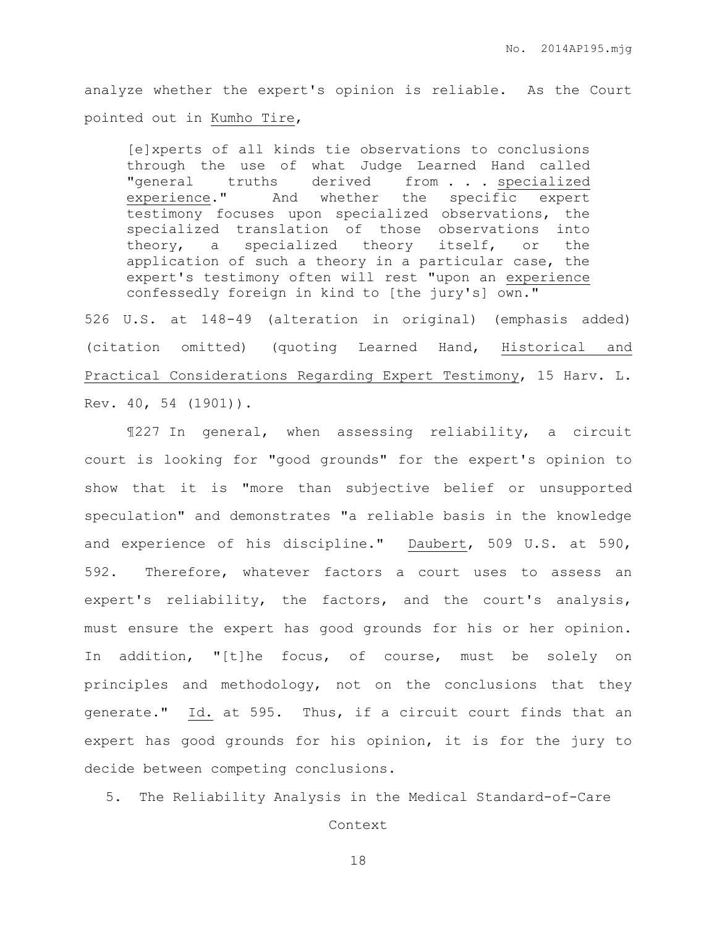analyze whether the expert's opinion is reliable. As the Court pointed out in Kumho Tire,

[e]xperts of all kinds tie observations to conclusions through the use of what Judge Learned Hand called "general truths derived from . . . specialized experience." And whether the specific expert testimony focuses upon specialized observations, the specialized translation of those observations into theory, a specialized theory itself, or the application of such a theory in a particular case, the expert's testimony often will rest "upon an experience confessedly foreign in kind to [the jury's] own."

526 U.S. at 148-49 (alteration in original) (emphasis added) (citation omitted) (quoting Learned Hand, Historical and Practical Considerations Regarding Expert Testimony, 15 Harv. L. Rev. 40, 54 (1901)).

¶227 In general, when assessing reliability, a circuit court is looking for "good grounds" for the expert's opinion to show that it is "more than subjective belief or unsupported speculation" and demonstrates "a reliable basis in the knowledge and experience of his discipline." Daubert, 509 U.S. at 590, 592. Therefore, whatever factors a court uses to assess an expert's reliability, the factors, and the court's analysis, must ensure the expert has good grounds for his or her opinion. In addition, "[t]he focus, of course, must be solely on principles and methodology, not on the conclusions that they generate." Id. at 595. Thus, if a circuit court finds that an expert has good grounds for his opinion, it is for the jury to decide between competing conclusions.

5. The Reliability Analysis in the Medical Standard-of-Care

Context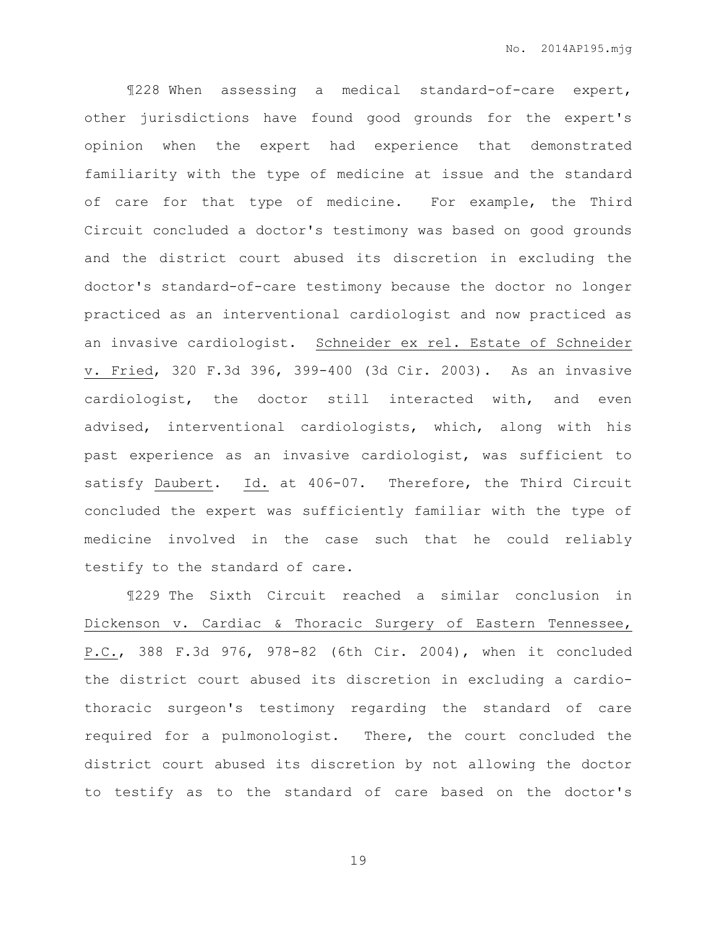¶228 When assessing a medical standard-of-care expert, other jurisdictions have found good grounds for the expert's opinion when the expert had experience that demonstrated familiarity with the type of medicine at issue and the standard of care for that type of medicine. For example, the Third Circuit concluded a doctor's testimony was based on good grounds and the district court abused its discretion in excluding the doctor's standard-of-care testimony because the doctor no longer practiced as an interventional cardiologist and now practiced as an invasive cardiologist. Schneider ex rel. Estate of Schneider v. Fried, 320 F.3d 396, 399-400 (3d Cir. 2003). As an invasive cardiologist, the doctor still interacted with, and even advised, interventional cardiologists, which, along with his past experience as an invasive cardiologist, was sufficient to satisfy Daubert. Id. at 406-07. Therefore, the Third Circuit concluded the expert was sufficiently familiar with the type of medicine involved in the case such that he could reliably testify to the standard of care.

¶229 The Sixth Circuit reached a similar conclusion in Dickenson v. Cardiac & Thoracic Surgery of Eastern Tennessee, P.C., 388 F.3d 976, 978-82 (6th Cir. 2004), when it concluded the district court abused its discretion in excluding a cardiothoracic surgeon's testimony regarding the standard of care required for a pulmonologist. There, the court concluded the district court abused its discretion by not allowing the doctor to testify as to the standard of care based on the doctor's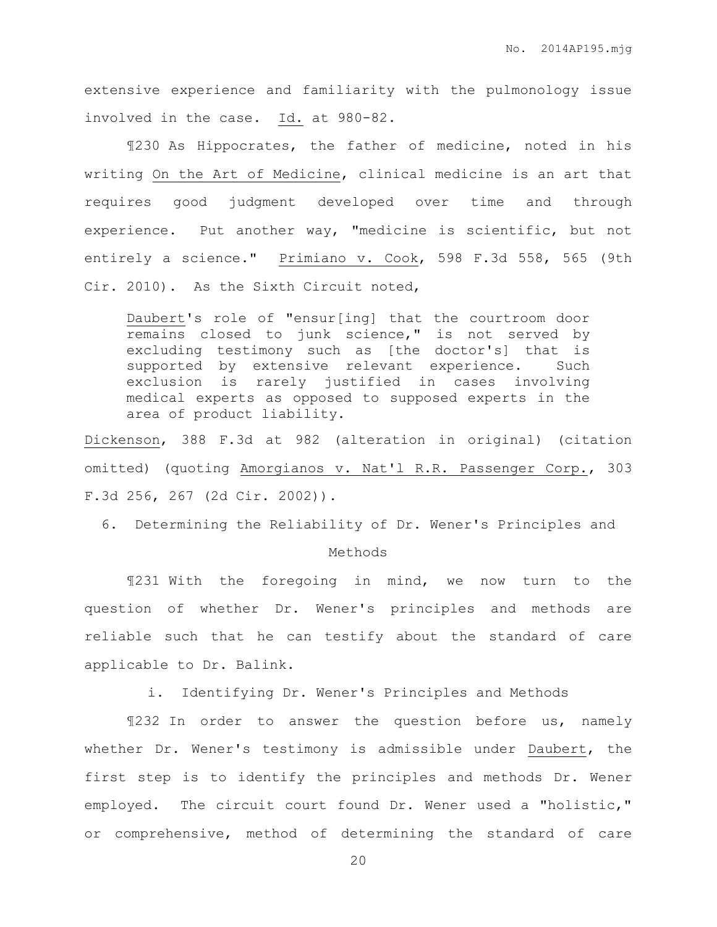extensive experience and familiarity with the pulmonology issue involved in the case. Id. at 980-82.

¶230 As Hippocrates, the father of medicine, noted in his writing On the Art of Medicine, clinical medicine is an art that requires good judgment developed over time and through experience. Put another way, "medicine is scientific, but not entirely a science." Primiano v. Cook, 598 F.3d 558, 565 (9th Cir. 2010). As the Sixth Circuit noted,

Daubert's role of "ensur[ing] that the courtroom door remains closed to junk science," is not served by excluding testimony such as [the doctor's] that is supported by extensive relevant experience. Such exclusion is rarely justified in cases involving medical experts as opposed to supposed experts in the area of product liability.

Dickenson, 388 F.3d at 982 (alteration in original) (citation omitted) (quoting Amorgianos v. Nat'l R.R. Passenger Corp., 303 F.3d 256, 267 (2d Cir. 2002)).

6. Determining the Reliability of Dr. Wener's Principles and

#### Methods

¶231 With the foregoing in mind, we now turn to the question of whether Dr. Wener's principles and methods are reliable such that he can testify about the standard of care applicable to Dr. Balink.

i. Identifying Dr. Wener's Principles and Methods

¶232 In order to answer the question before us, namely whether Dr. Wener's testimony is admissible under Daubert, the first step is to identify the principles and methods Dr. Wener employed. The circuit court found Dr. Wener used a "holistic," or comprehensive, method of determining the standard of care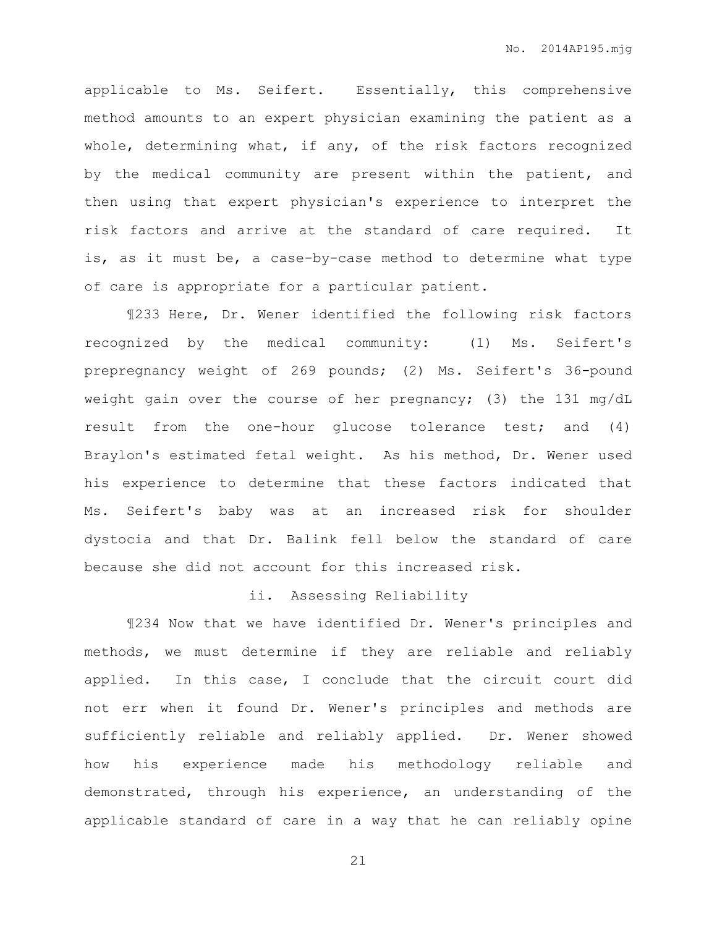applicable to Ms. Seifert. Essentially, this comprehensive method amounts to an expert physician examining the patient as a whole, determining what, if any, of the risk factors recognized by the medical community are present within the patient, and then using that expert physician's experience to interpret the risk factors and arrive at the standard of care required. It is, as it must be, a case-by-case method to determine what type of care is appropriate for a particular patient.

¶233 Here, Dr. Wener identified the following risk factors recognized by the medical community: (1) Ms. Seifert's prepregnancy weight of 269 pounds; (2) Ms. Seifert's 36-pound weight gain over the course of her pregnancy; (3) the 131 mg/dL result from the one-hour glucose tolerance test; and (4) Braylon's estimated fetal weight. As his method, Dr. Wener used his experience to determine that these factors indicated that Ms. Seifert's baby was at an increased risk for shoulder dystocia and that Dr. Balink fell below the standard of care because she did not account for this increased risk.

## ii. Assessing Reliability

¶234 Now that we have identified Dr. Wener's principles and methods, we must determine if they are reliable and reliably applied. In this case, I conclude that the circuit court did not err when it found Dr. Wener's principles and methods are sufficiently reliable and reliably applied. Dr. Wener showed how his experience made his methodology reliable and demonstrated, through his experience, an understanding of the applicable standard of care in a way that he can reliably opine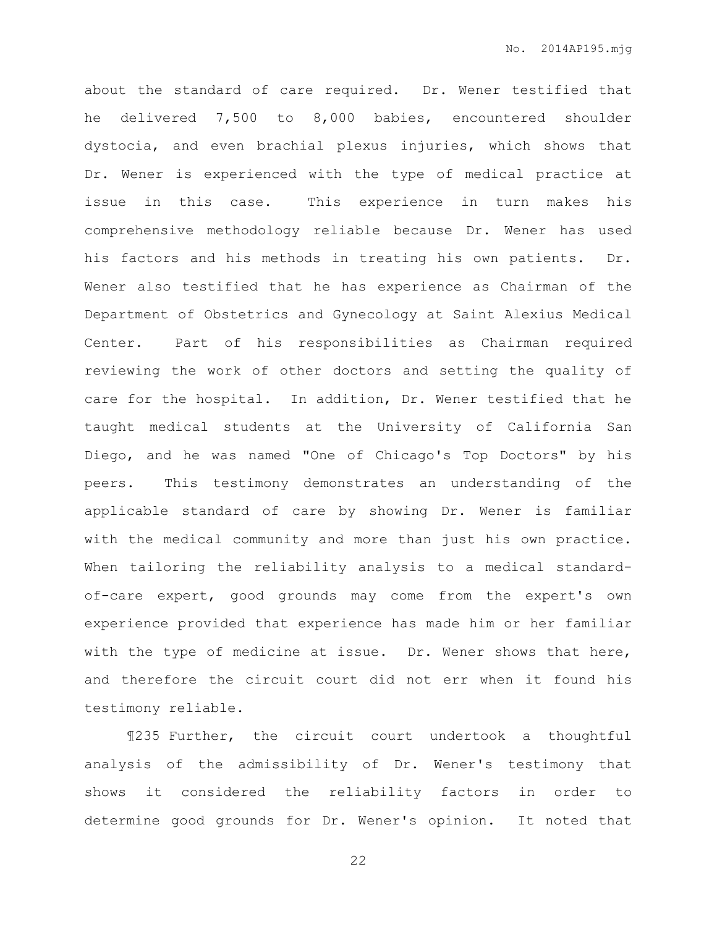about the standard of care required. Dr. Wener testified that he delivered 7,500 to 8,000 babies, encountered shoulder dystocia, and even brachial plexus injuries, which shows that Dr. Wener is experienced with the type of medical practice at issue in this case. This experience in turn makes his comprehensive methodology reliable because Dr. Wener has used his factors and his methods in treating his own patients. Dr. Wener also testified that he has experience as Chairman of the Department of Obstetrics and Gynecology at Saint Alexius Medical Center. Part of his responsibilities as Chairman required reviewing the work of other doctors and setting the quality of care for the hospital. In addition, Dr. Wener testified that he taught medical students at the University of California San Diego, and he was named "One of Chicago's Top Doctors" by his peers. This testimony demonstrates an understanding of the applicable standard of care by showing Dr. Wener is familiar with the medical community and more than just his own practice. When tailoring the reliability analysis to a medical standardof-care expert, good grounds may come from the expert's own experience provided that experience has made him or her familiar with the type of medicine at issue. Dr. Wener shows that here, and therefore the circuit court did not err when it found his testimony reliable.

¶235 Further, the circuit court undertook a thoughtful analysis of the admissibility of Dr. Wener's testimony that shows it considered the reliability factors in order to determine good grounds for Dr. Wener's opinion. It noted that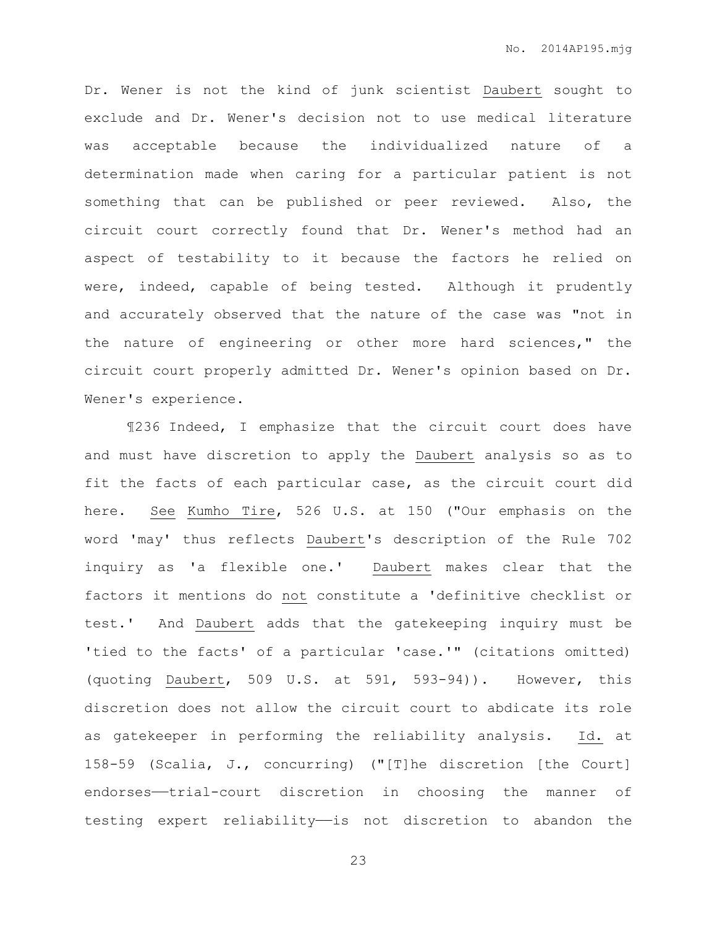Dr. Wener is not the kind of junk scientist Daubert sought to exclude and Dr. Wener's decision not to use medical literature was acceptable because the individualized nature of a determination made when caring for a particular patient is not something that can be published or peer reviewed. Also, the circuit court correctly found that Dr. Wener's method had an aspect of testability to it because the factors he relied on were, indeed, capable of being tested. Although it prudently and accurately observed that the nature of the case was "not in the nature of engineering or other more hard sciences," the circuit court properly admitted Dr. Wener's opinion based on Dr. Wener's experience.

¶236 Indeed, I emphasize that the circuit court does have and must have discretion to apply the Daubert analysis so as to fit the facts of each particular case, as the circuit court did here. See Kumho Tire, 526 U.S. at 150 ("Our emphasis on the word 'may' thus reflects Daubert's description of the Rule 702 inquiry as 'a flexible one.' Daubert makes clear that the factors it mentions do not constitute a 'definitive checklist or test.' And Daubert adds that the gatekeeping inquiry must be 'tied to the facts' of a particular 'case.'" (citations omitted) (quoting Daubert, 509 U.S. at 591, 593-94)). However, this discretion does not allow the circuit court to abdicate its role as gatekeeper in performing the reliability analysis. Id. at 158-59 (Scalia, J., concurring) ("[T]he discretion [the Court] endorses—trial-court discretion in choosing the manner of testing expert reliability—is not discretion to abandon the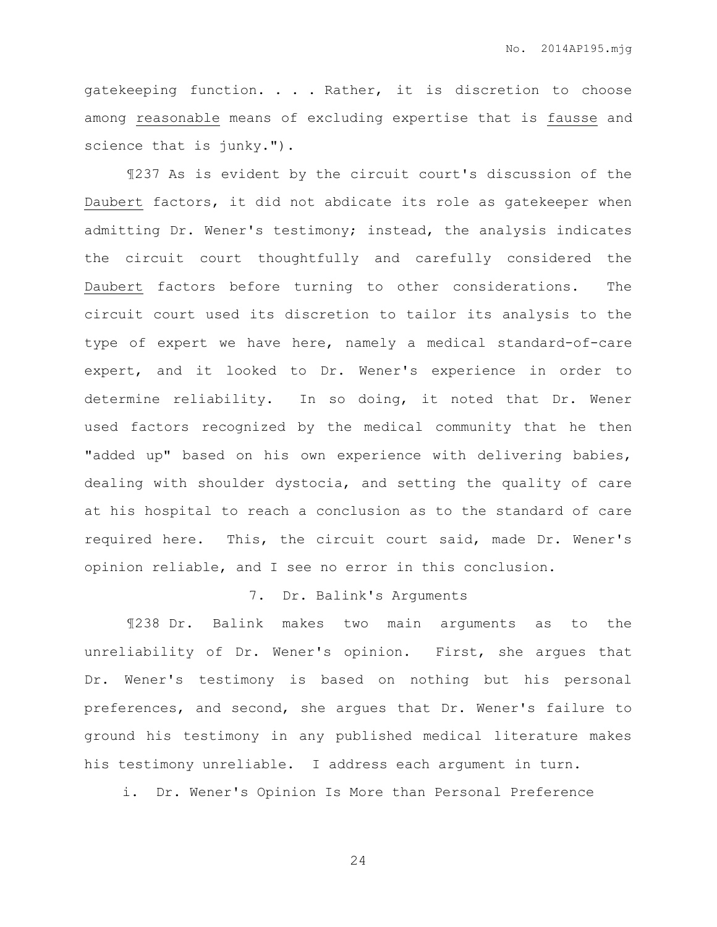gatekeeping function. . . . Rather, it is discretion to choose among reasonable means of excluding expertise that is fausse and science that is junky.").

¶237 As is evident by the circuit court's discussion of the Daubert factors, it did not abdicate its role as gatekeeper when admitting Dr. Wener's testimony; instead, the analysis indicates the circuit court thoughtfully and carefully considered the Daubert factors before turning to other considerations. The circuit court used its discretion to tailor its analysis to the type of expert we have here, namely a medical standard-of-care expert, and it looked to Dr. Wener's experience in order to determine reliability. In so doing, it noted that Dr. Wener used factors recognized by the medical community that he then "added up" based on his own experience with delivering babies, dealing with shoulder dystocia, and setting the quality of care at his hospital to reach a conclusion as to the standard of care required here. This, the circuit court said, made Dr. Wener's opinion reliable, and I see no error in this conclusion.

## 7. Dr. Balink's Arguments

¶238 Dr. Balink makes two main arguments as to the unreliability of Dr. Wener's opinion. First, she argues that Dr. Wener's testimony is based on nothing but his personal preferences, and second, she argues that Dr. Wener's failure to ground his testimony in any published medical literature makes his testimony unreliable. I address each argument in turn.

i. Dr. Wener's Opinion Is More than Personal Preference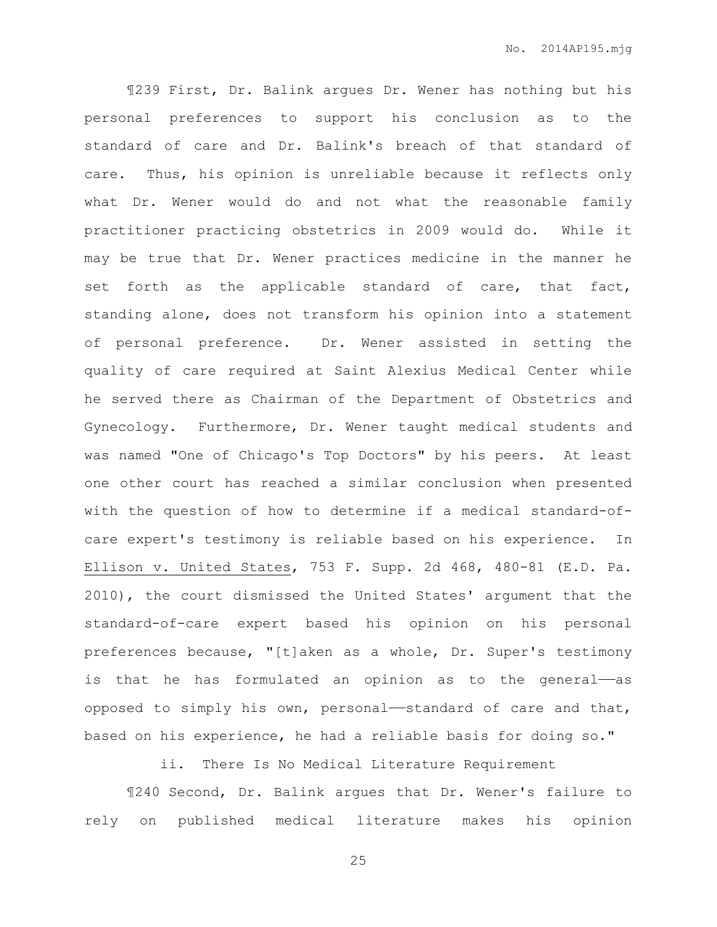¶239 First, Dr. Balink argues Dr. Wener has nothing but his personal preferences to support his conclusion as to the standard of care and Dr. Balink's breach of that standard of care. Thus, his opinion is unreliable because it reflects only what Dr. Wener would do and not what the reasonable family practitioner practicing obstetrics in 2009 would do. While it may be true that Dr. Wener practices medicine in the manner he set forth as the applicable standard of care, that fact, standing alone, does not transform his opinion into a statement of personal preference. Dr. Wener assisted in setting the quality of care required at Saint Alexius Medical Center while he served there as Chairman of the Department of Obstetrics and Gynecology. Furthermore, Dr. Wener taught medical students and was named "One of Chicago's Top Doctors" by his peers. At least one other court has reached a similar conclusion when presented with the question of how to determine if a medical standard-ofcare expert's testimony is reliable based on his experience. In Ellison v. United States, 753 F. Supp. 2d 468, 480-81 (E.D. Pa. 2010), the court dismissed the United States' argument that the standard-of-care expert based his opinion on his personal preferences because, "[t]aken as a whole, Dr. Super's testimony is that he has formulated an opinion as to the general——as opposed to simply his own, personal——standard of care and that, based on his experience, he had a reliable basis for doing so."

ii. There Is No Medical Literature Requirement

¶240 Second, Dr. Balink argues that Dr. Wener's failure to rely on published medical literature makes his opinion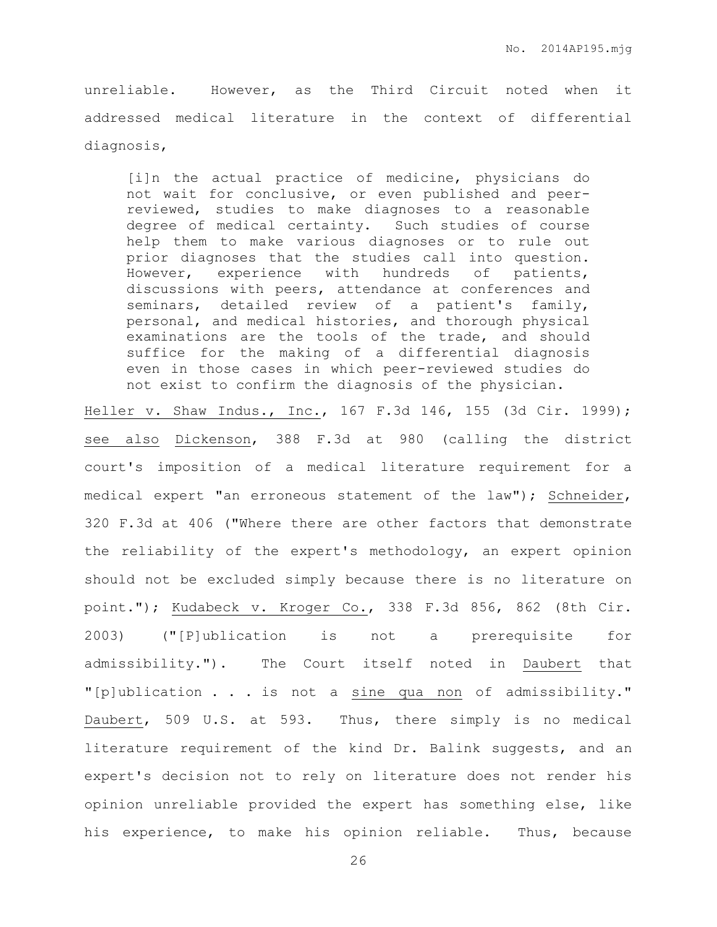unreliable. However, as the Third Circuit noted when it addressed medical literature in the context of differential diagnosis,

[i]n the actual practice of medicine, physicians do not wait for conclusive, or even published and peerreviewed, studies to make diagnoses to a reasonable degree of medical certainty. Such studies of course help them to make various diagnoses or to rule out prior diagnoses that the studies call into question. However, experience with hundreds of patients, discussions with peers, attendance at conferences and seminars, detailed review of a patient's family, personal, and medical histories, and thorough physical examinations are the tools of the trade, and should suffice for the making of a differential diagnosis even in those cases in which peer-reviewed studies do not exist to confirm the diagnosis of the physician.

Heller v. Shaw Indus., Inc., 167 F.3d 146, 155 (3d Cir. 1999); see also Dickenson, 388 F.3d at 980 (calling the district court's imposition of a medical literature requirement for a medical expert "an erroneous statement of the law"); Schneider, 320 F.3d at 406 ("Where there are other factors that demonstrate the reliability of the expert's methodology, an expert opinion should not be excluded simply because there is no literature on point."); Kudabeck v. Kroger Co., 338 F.3d 856, 862 (8th Cir. 2003) ("[P]ublication is not a prerequisite for admissibility."). The Court itself noted in Daubert that "[p]ublication . . . is not a sine qua non of admissibility." Daubert, 509 U.S. at 593. Thus, there simply is no medical literature requirement of the kind Dr. Balink suggests, and an expert's decision not to rely on literature does not render his opinion unreliable provided the expert has something else, like his experience, to make his opinion reliable. Thus, because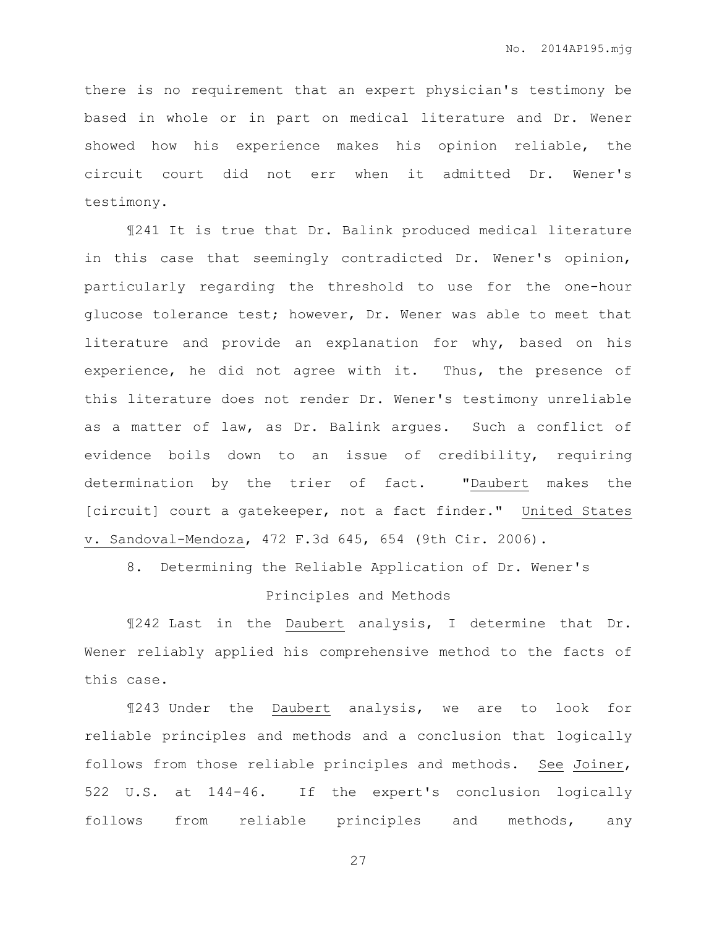there is no requirement that an expert physician's testimony be based in whole or in part on medical literature and Dr. Wener showed how his experience makes his opinion reliable, the circuit court did not err when it admitted Dr. Wener's testimony.

¶241 It is true that Dr. Balink produced medical literature in this case that seemingly contradicted Dr. Wener's opinion, particularly regarding the threshold to use for the one-hour glucose tolerance test; however, Dr. Wener was able to meet that literature and provide an explanation for why, based on his experience, he did not agree with it. Thus, the presence of this literature does not render Dr. Wener's testimony unreliable as a matter of law, as Dr. Balink argues. Such a conflict of evidence boils down to an issue of credibility, requiring determination by the trier of fact. "Daubert makes the [circuit] court a gatekeeper, not a fact finder." United States v. Sandoval-Mendoza, 472 F.3d 645, 654 (9th Cir. 2006).

8. Determining the Reliable Application of Dr. Wener's Principles and Methods

¶242 Last in the Daubert analysis, I determine that Dr. Wener reliably applied his comprehensive method to the facts of this case.

¶243 Under the Daubert analysis, we are to look for reliable principles and methods and a conclusion that logically follows from those reliable principles and methods. See Joiner, 522 U.S. at 144-46. If the expert's conclusion logically follows from reliable principles and methods, any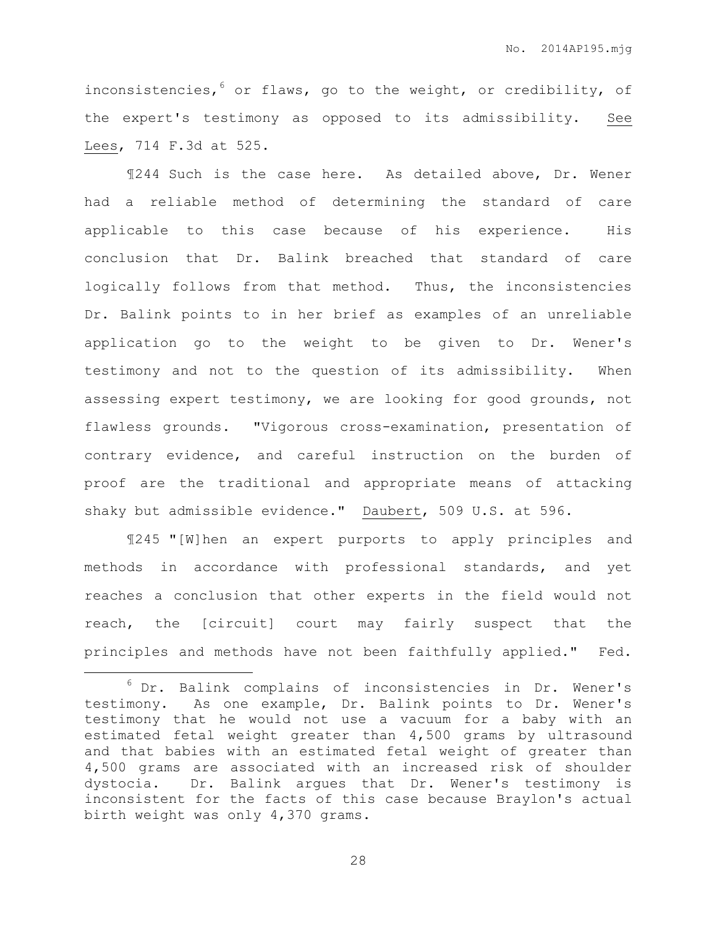inconsistencies,  $6$  or flaws, go to the weight, or credibility, of the expert's testimony as opposed to its admissibility. See Lees, 714 F.3d at 525.

¶244 Such is the case here. As detailed above, Dr. Wener had a reliable method of determining the standard of care applicable to this case because of his experience. His conclusion that Dr. Balink breached that standard of care logically follows from that method. Thus, the inconsistencies Dr. Balink points to in her brief as examples of an unreliable application go to the weight to be given to Dr. Wener's testimony and not to the question of its admissibility. When assessing expert testimony, we are looking for good grounds, not flawless grounds. "Vigorous cross-examination, presentation of contrary evidence, and careful instruction on the burden of proof are the traditional and appropriate means of attacking shaky but admissible evidence." Daubert, 509 U.S. at 596.

¶245 "[W]hen an expert purports to apply principles and methods in accordance with professional standards, and yet reaches a conclusion that other experts in the field would not reach, the [circuit] court may fairly suspect that the principles and methods have not been faithfully applied." Fed.

 $\overline{a}$ 

<sup>6</sup> Dr. Balink complains of inconsistencies in Dr. Wener's testimony. As one example, Dr. Balink points to Dr. Wener's testimony that he would not use a vacuum for a baby with an estimated fetal weight greater than 4,500 grams by ultrasound and that babies with an estimated fetal weight of greater than 4,500 grams are associated with an increased risk of shoulder dystocia. Dr. Balink argues that Dr. Wener's testimony is inconsistent for the facts of this case because Braylon's actual birth weight was only 4,370 grams.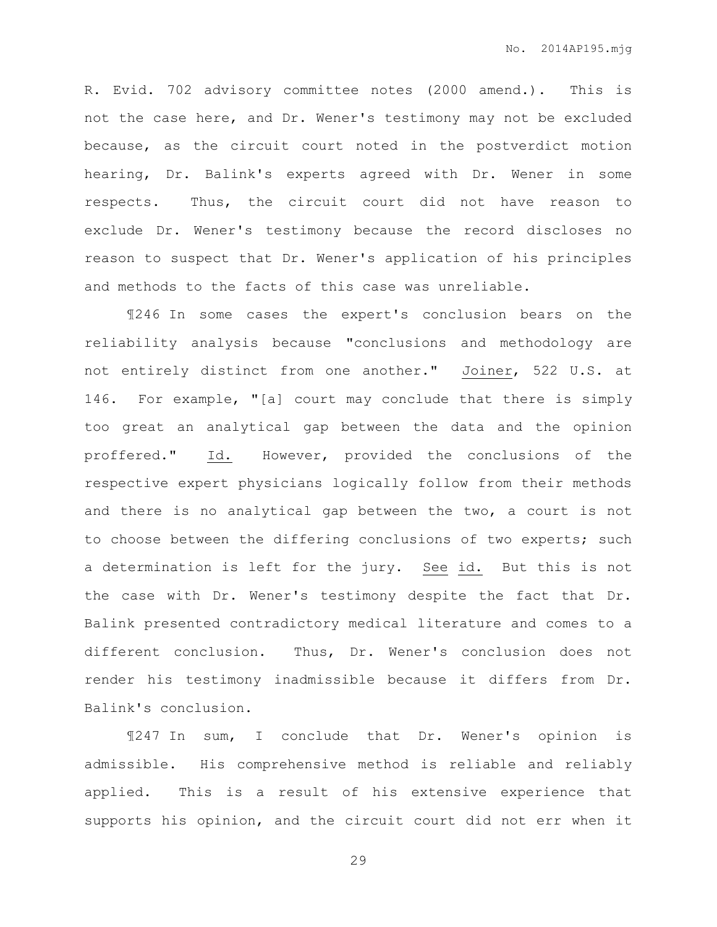R. Evid. 702 advisory committee notes (2000 amend.). This is not the case here, and Dr. Wener's testimony may not be excluded because, as the circuit court noted in the postverdict motion hearing, Dr. Balink's experts agreed with Dr. Wener in some respects. Thus, the circuit court did not have reason to exclude Dr. Wener's testimony because the record discloses no reason to suspect that Dr. Wener's application of his principles and methods to the facts of this case was unreliable.

¶246 In some cases the expert's conclusion bears on the reliability analysis because "conclusions and methodology are not entirely distinct from one another." Joiner, 522 U.S. at 146. For example, "[a] court may conclude that there is simply too great an analytical gap between the data and the opinion proffered." Id. However, provided the conclusions of the respective expert physicians logically follow from their methods and there is no analytical gap between the two, a court is not to choose between the differing conclusions of two experts; such a determination is left for the jury. See id. But this is not the case with Dr. Wener's testimony despite the fact that Dr. Balink presented contradictory medical literature and comes to a different conclusion. Thus, Dr. Wener's conclusion does not render his testimony inadmissible because it differs from Dr. Balink's conclusion.

¶247 In sum, I conclude that Dr. Wener's opinion is admissible. His comprehensive method is reliable and reliably applied. This is a result of his extensive experience that supports his opinion, and the circuit court did not err when it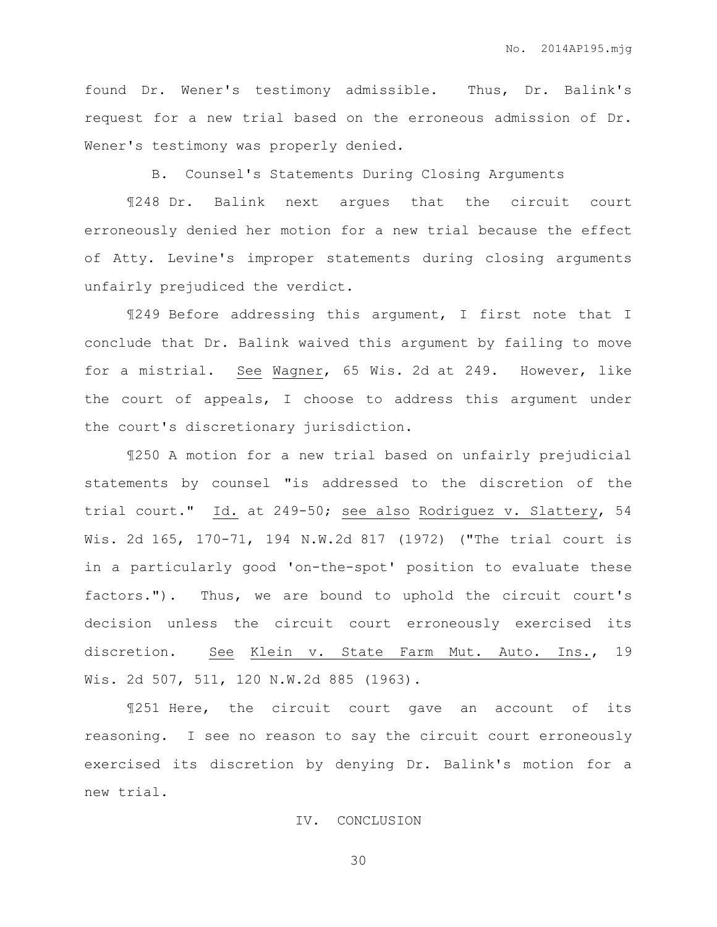found Dr. Wener's testimony admissible. Thus, Dr. Balink's request for a new trial based on the erroneous admission of Dr. Wener's testimony was properly denied.

B. Counsel's Statements During Closing Arguments

¶248 Dr. Balink next argues that the circuit court erroneously denied her motion for a new trial because the effect of Atty. Levine's improper statements during closing arguments unfairly prejudiced the verdict.

¶249 Before addressing this argument, I first note that I conclude that Dr. Balink waived this argument by failing to move for a mistrial. See Wagner, 65 Wis. 2d at 249. However, like the court of appeals, I choose to address this argument under the court's discretionary jurisdiction.

¶250 A motion for a new trial based on unfairly prejudicial statements by counsel "is addressed to the discretion of the trial court." Id. at 249-50; see also Rodriguez v. Slattery, 54 Wis. 2d 165, 170-71, 194 N.W.2d 817 (1972) ("The trial court is in a particularly good 'on-the-spot' position to evaluate these factors."). Thus, we are bound to uphold the circuit court's decision unless the circuit court erroneously exercised its discretion. See Klein v. State Farm Mut. Auto. Ins., 19 Wis. 2d 507, 511, 120 N.W.2d 885 (1963).

¶251 Here, the circuit court gave an account of its reasoning. I see no reason to say the circuit court erroneously exercised its discretion by denying Dr. Balink's motion for a new trial.

## IV. CONCLUSION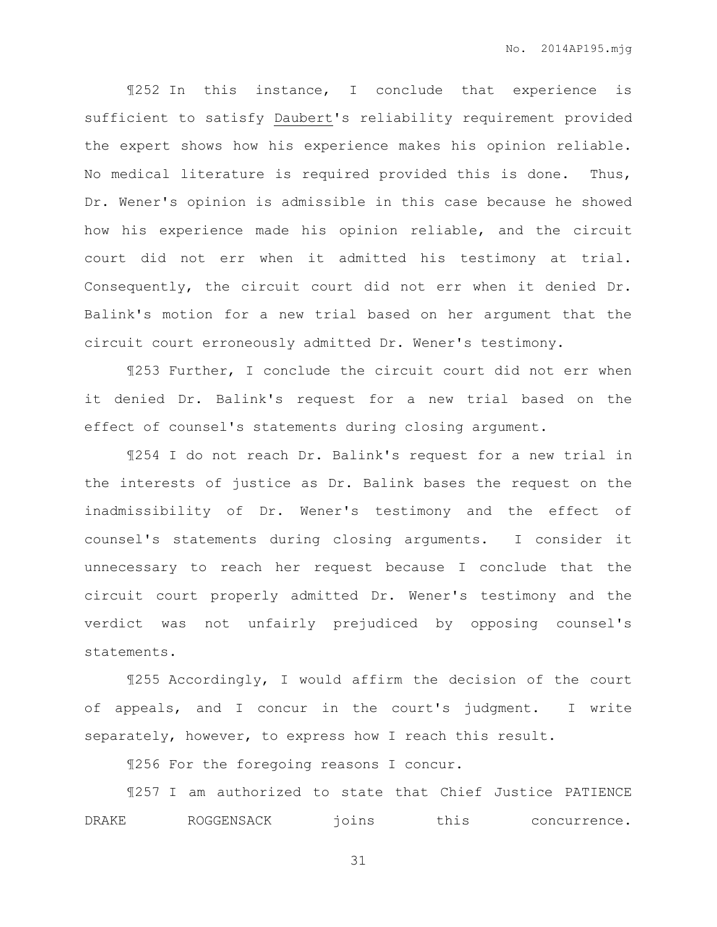¶252 In this instance, I conclude that experience is sufficient to satisfy Daubert's reliability requirement provided the expert shows how his experience makes his opinion reliable. No medical literature is required provided this is done. Thus, Dr. Wener's opinion is admissible in this case because he showed how his experience made his opinion reliable, and the circuit court did not err when it admitted his testimony at trial. Consequently, the circuit court did not err when it denied Dr. Balink's motion for a new trial based on her argument that the circuit court erroneously admitted Dr. Wener's testimony.

¶253 Further, I conclude the circuit court did not err when it denied Dr. Balink's request for a new trial based on the effect of counsel's statements during closing argument.

¶254 I do not reach Dr. Balink's request for a new trial in the interests of justice as Dr. Balink bases the request on the inadmissibility of Dr. Wener's testimony and the effect of counsel's statements during closing arguments. I consider it unnecessary to reach her request because I conclude that the circuit court properly admitted Dr. Wener's testimony and the verdict was not unfairly prejudiced by opposing counsel's statements.

¶255 Accordingly, I would affirm the decision of the court of appeals, and I concur in the court's judgment. I write separately, however, to express how I reach this result.

¶256 For the foregoing reasons I concur.

¶257 I am authorized to state that Chief Justice PATIENCE DRAKE ROGGENSACK joins this concurrence.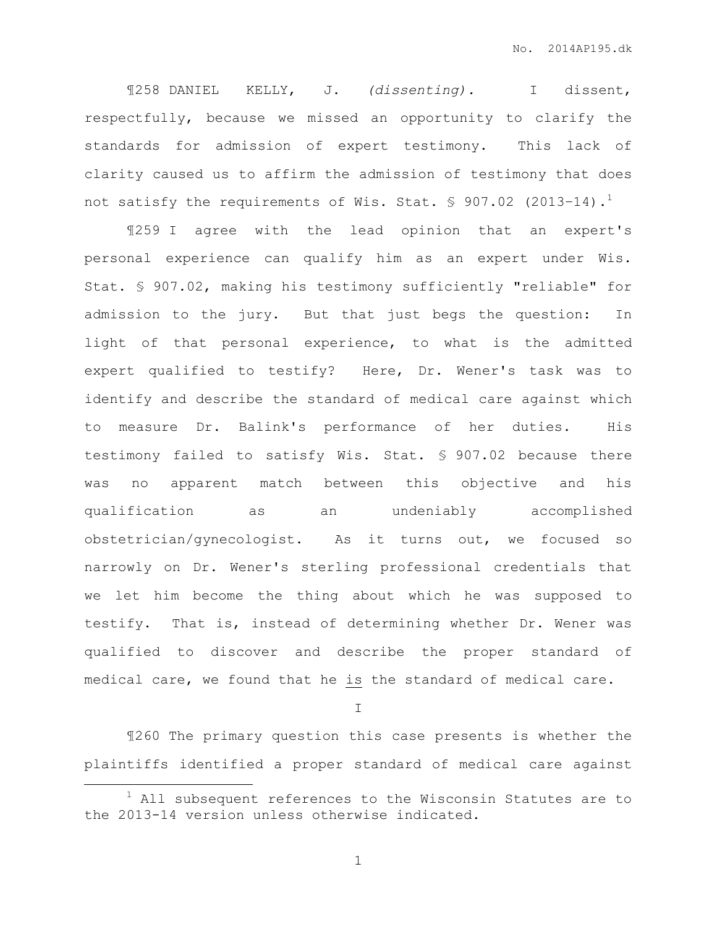¶258 DANIEL KELLY, J. *(dissenting).* I dissent, respectfully, because we missed an opportunity to clarify the standards for admission of expert testimony. This lack of clarity caused us to affirm the admission of testimony that does not satisfy the requirements of Wis. Stat.  $\frac{1}{5}$  907.02 (2013-14).<sup>1</sup>

¶259 I agree with the lead opinion that an expert's personal experience can qualify him as an expert under Wis. Stat. § 907.02, making his testimony sufficiently "reliable" for admission to the jury. But that just begs the question: In light of that personal experience, to what is the admitted expert qualified to testify? Here, Dr. Wener's task was to identify and describe the standard of medical care against which to measure Dr. Balink's performance of her duties. His testimony failed to satisfy Wis. Stat. § 907.02 because there was no apparent match between this objective and his qualification as an undeniably accomplished obstetrician/gynecologist. As it turns out, we focused so narrowly on Dr. Wener's sterling professional credentials that we let him become the thing about which he was supposed to testify. That is, instead of determining whether Dr. Wener was qualified to discover and describe the proper standard of medical care, we found that he is the standard of medical care.

I

¶260 The primary question this case presents is whether the plaintiffs identified a proper standard of medical care against

 $\overline{a}$ 

 $1$  All subsequent references to the Wisconsin Statutes are to the 2013-14 version unless otherwise indicated.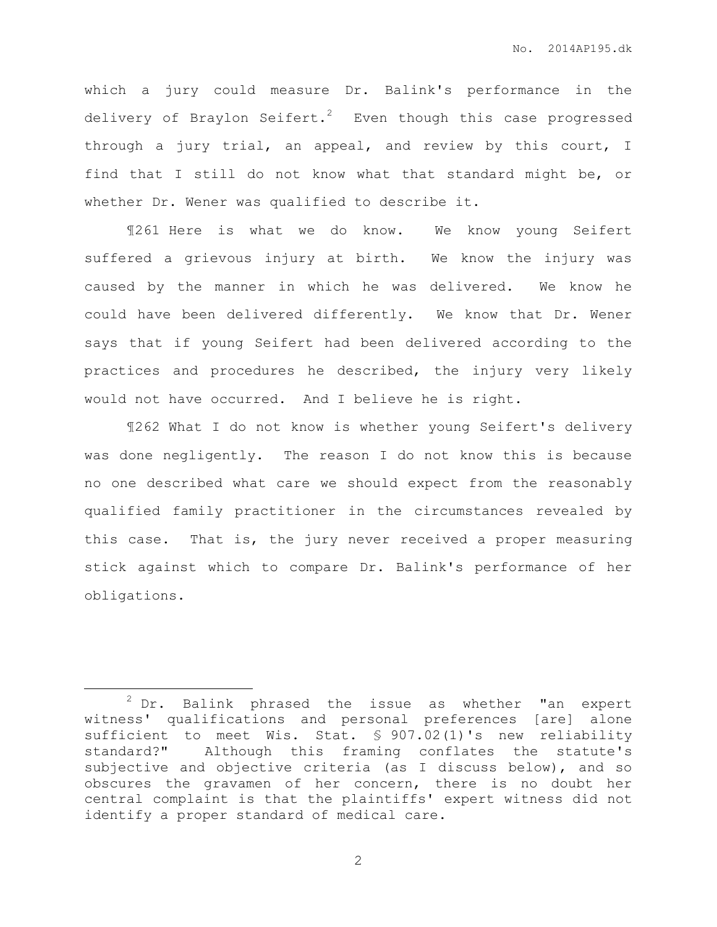which a jury could measure Dr. Balink's performance in the delivery of Braylon Seifert.<sup>2</sup> Even though this case progressed through a jury trial, an appeal, and review by this court, I find that I still do not know what that standard might be, or whether Dr. Wener was qualified to describe it.

¶261 Here is what we do know. We know young Seifert suffered a grievous injury at birth. We know the injury was caused by the manner in which he was delivered. We know he could have been delivered differently. We know that Dr. Wener says that if young Seifert had been delivered according to the practices and procedures he described, the injury very likely would not have occurred. And I believe he is right.

¶262 What I do not know is whether young Seifert's delivery was done negligently. The reason I do not know this is because no one described what care we should expect from the reasonably qualified family practitioner in the circumstances revealed by this case. That is, the jury never received a proper measuring stick against which to compare Dr. Balink's performance of her obligations.

 $\overline{a}$ 

 $2$  Dr. Balink phrased the issue as whether "an expert witness' qualifications and personal preferences [are] alone sufficient to meet Wis. Stat. § 907.02(1)'s new reliability standard?" Although this framing conflates the statute's subjective and objective criteria (as I discuss below), and so obscures the gravamen of her concern, there is no doubt her central complaint is that the plaintiffs' expert witness did not identify a proper standard of medical care.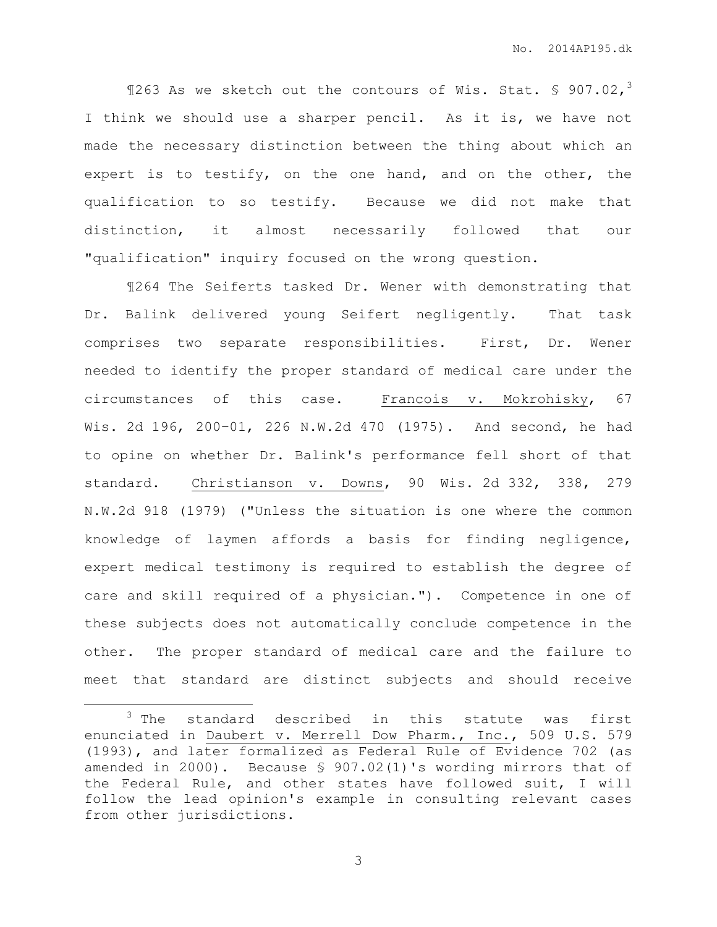$$263$  As we sketch out the contours of Wis. Stat. § 907.02,<sup>3</sup> I think we should use a sharper pencil. As it is, we have not made the necessary distinction between the thing about which an expert is to testify, on the one hand, and on the other, the qualification to so testify. Because we did not make that distinction, it almost necessarily followed that our "qualification" inquiry focused on the wrong question.

¶264 The Seiferts tasked Dr. Wener with demonstrating that Dr. Balink delivered young Seifert negligently. That task comprises two separate responsibilities. First, Dr. Wener needed to identify the proper standard of medical care under the circumstances of this case. Francois v. Mokrohisky, 67 Wis. 2d 196, 200–01, 226 N.W.2d 470 (1975). And second, he had to opine on whether Dr. Balink's performance fell short of that standard. Christianson v. Downs, 90 Wis. 2d 332, 338, 279 N.W.2d 918 (1979) ("Unless the situation is one where the common knowledge of laymen affords a basis for finding negligence, expert medical testimony is required to establish the degree of care and skill required of a physician."). Competence in one of these subjects does not automatically conclude competence in the other. The proper standard of medical care and the failure to meet that standard are distinct subjects and should receive

 $\overline{a}$ 

<sup>&</sup>lt;sup>3</sup> The standard described in this statute was first enunciated in Daubert v. Merrell Dow Pharm., Inc., 509 U.S. 579 (1993), and later formalized as Federal Rule of Evidence 702 (as amended in 2000). Because § 907.02(1)'s wording mirrors that of the Federal Rule, and other states have followed suit, I will follow the lead opinion's example in consulting relevant cases from other jurisdictions.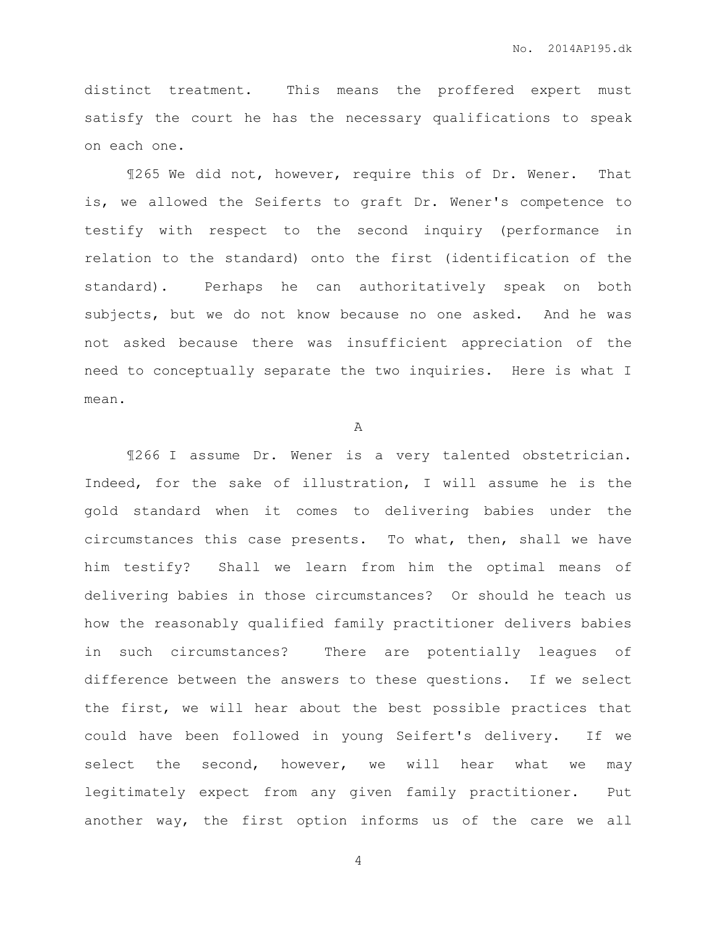distinct treatment. This means the proffered expert must satisfy the court he has the necessary qualifications to speak on each one.

¶265 We did not, however, require this of Dr. Wener. That is, we allowed the Seiferts to graft Dr. Wener's competence to testify with respect to the second inquiry (performance in relation to the standard) onto the first (identification of the standard). Perhaps he can authoritatively speak on both subjects, but we do not know because no one asked. And he was not asked because there was insufficient appreciation of the need to conceptually separate the two inquiries. Here is what I mean.

A

¶266 I assume Dr. Wener is a very talented obstetrician. Indeed, for the sake of illustration, I will assume he is the gold standard when it comes to delivering babies under the circumstances this case presents. To what, then, shall we have him testify? Shall we learn from him the optimal means of delivering babies in those circumstances? Or should he teach us how the reasonably qualified family practitioner delivers babies in such circumstances? There are potentially leagues of difference between the answers to these questions. If we select the first, we will hear about the best possible practices that could have been followed in young Seifert's delivery. If we select the second, however, we will hear what we may legitimately expect from any given family practitioner. Put another way, the first option informs us of the care we all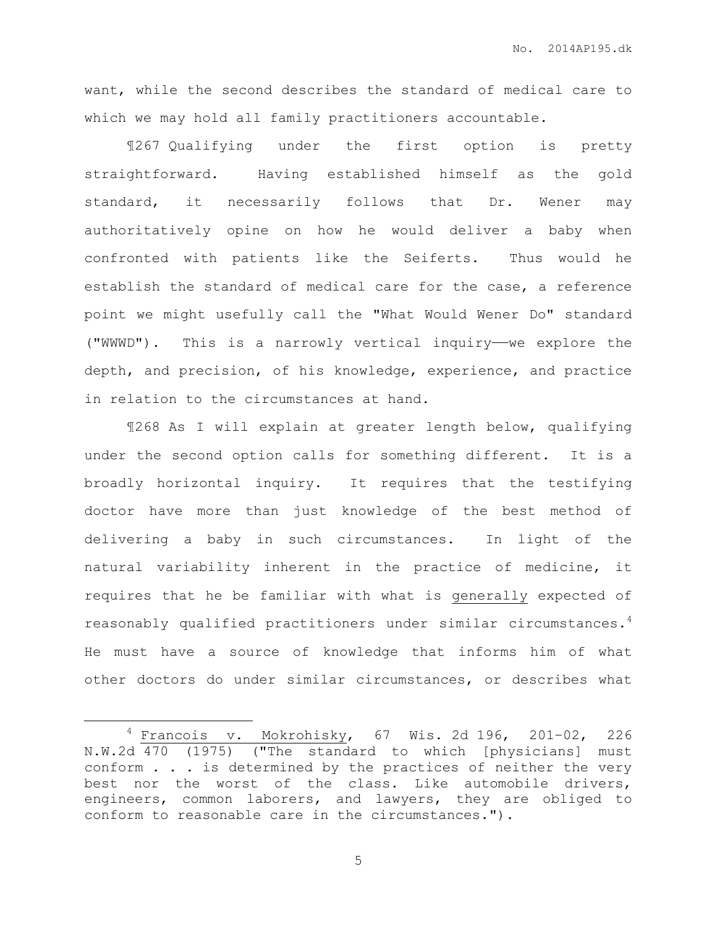want, while the second describes the standard of medical care to which we may hold all family practitioners accountable.

¶267 Qualifying under the first option is pretty straightforward. Having established himself as the gold standard, it necessarily follows that Dr. Wener may authoritatively opine on how he would deliver a baby when confronted with patients like the Seiferts. Thus would he establish the standard of medical care for the case, a reference point we might usefully call the "What Would Wener Do" standard ("WWWD"). This is a narrowly vertical inquiry——we explore the depth, and precision, of his knowledge, experience, and practice in relation to the circumstances at hand.

¶268 As I will explain at greater length below, qualifying under the second option calls for something different. It is a broadly horizontal inquiry. It requires that the testifying doctor have more than just knowledge of the best method of delivering a baby in such circumstances. In light of the natural variability inherent in the practice of medicine, it requires that he be familiar with what is generally expected of reasonably qualified practitioners under similar circumstances.<sup>4</sup> He must have a source of knowledge that informs him of what other doctors do under similar circumstances, or describes what

 $\overline{a}$ 

 $4$  Francois v. Mokrohisky, 67 Wis. 2d 196, 201-02, 226 N.W.2d 470 (1975) ("The standard to which [physicians] must conform . . . is determined by the practices of neither the very best nor the worst of the class. Like automobile drivers, engineers, common laborers, and lawyers, they are obliged to conform to reasonable care in the circumstances.").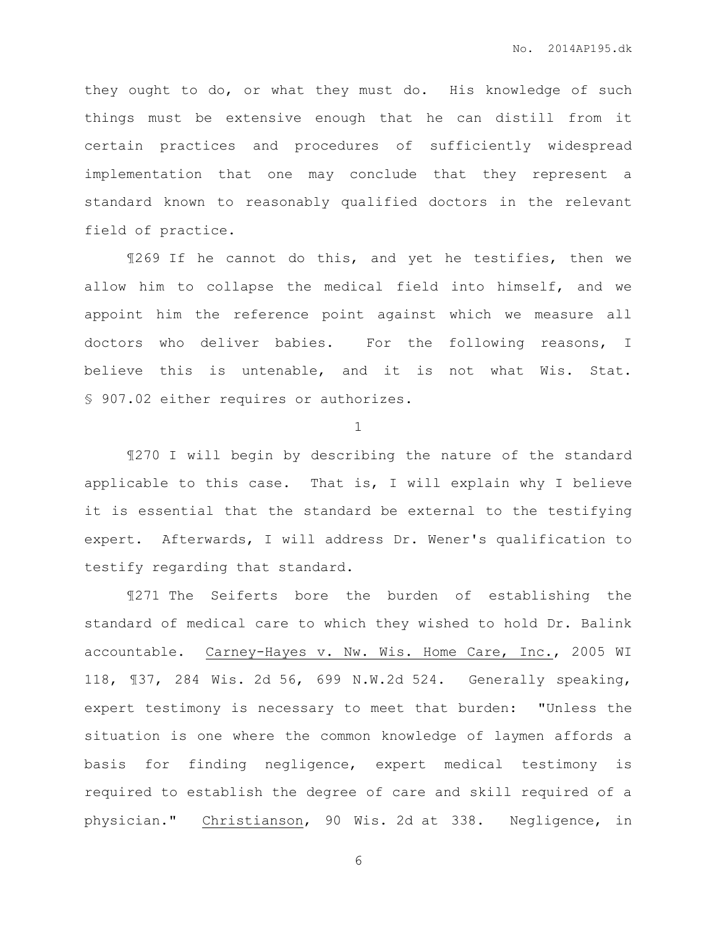they ought to do, or what they must do. His knowledge of such things must be extensive enough that he can distill from it certain practices and procedures of sufficiently widespread implementation that one may conclude that they represent a standard known to reasonably qualified doctors in the relevant field of practice.

¶269 If he cannot do this, and yet he testifies, then we allow him to collapse the medical field into himself, and we appoint him the reference point against which we measure all doctors who deliver babies. For the following reasons, I believe this is untenable, and it is not what Wis. Stat. § 907.02 either requires or authorizes.

1

¶270 I will begin by describing the nature of the standard applicable to this case. That is, I will explain why I believe it is essential that the standard be external to the testifying expert. Afterwards, I will address Dr. Wener's qualification to testify regarding that standard.

¶271 The Seiferts bore the burden of establishing the standard of medical care to which they wished to hold Dr. Balink accountable. Carney-Hayes v. Nw. Wis. Home Care, Inc., 2005 WI 118, ¶37, 284 Wis. 2d 56, 699 N.W.2d 524. Generally speaking, expert testimony is necessary to meet that burden: "Unless the situation is one where the common knowledge of laymen affords a basis for finding negligence, expert medical testimony is required to establish the degree of care and skill required of a physician." Christianson, 90 Wis. 2d at 338. Negligence, in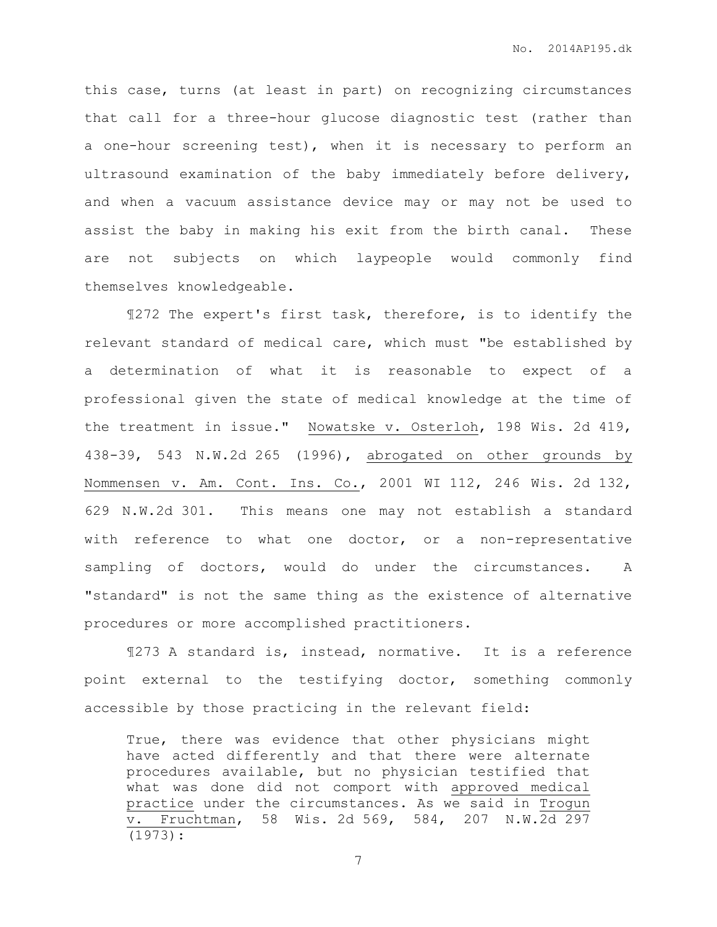this case, turns (at least in part) on recognizing circumstances that call for a three-hour glucose diagnostic test (rather than a one-hour screening test), when it is necessary to perform an ultrasound examination of the baby immediately before delivery, and when a vacuum assistance device may or may not be used to assist the baby in making his exit from the birth canal. These are not subjects on which laypeople would commonly find themselves knowledgeable.

¶272 The expert's first task, therefore, is to identify the relevant standard of medical care, which must "be established by a determination of what it is reasonable to expect of a professional given the state of medical knowledge at the time of the treatment in issue." Nowatske v. Osterloh, 198 Wis. 2d 419, 438-39, 543 N.W.2d 265 (1996), abrogated on other grounds by Nommensen v. Am. Cont. Ins. Co., 2001 WI 112, 246 Wis. 2d 132, 629 N.W.2d 301. This means one may not establish a standard with reference to what one doctor, or a non-representative sampling of doctors, would do under the circumstances. A "standard" is not the same thing as the existence of alternative procedures or more accomplished practitioners.

¶273 A standard is, instead, normative. It is a reference point external to the testifying doctor, something commonly accessible by those practicing in the relevant field:

True, there was evidence that other physicians might have acted differently and that there were alternate procedures available, but no physician testified that what was done did not comport with approved medical practice under the circumstances. As we said in Trogun v. Fruchtman, 58 Wis. 2d 569, 584, 207 N.W.2d 297 (1973):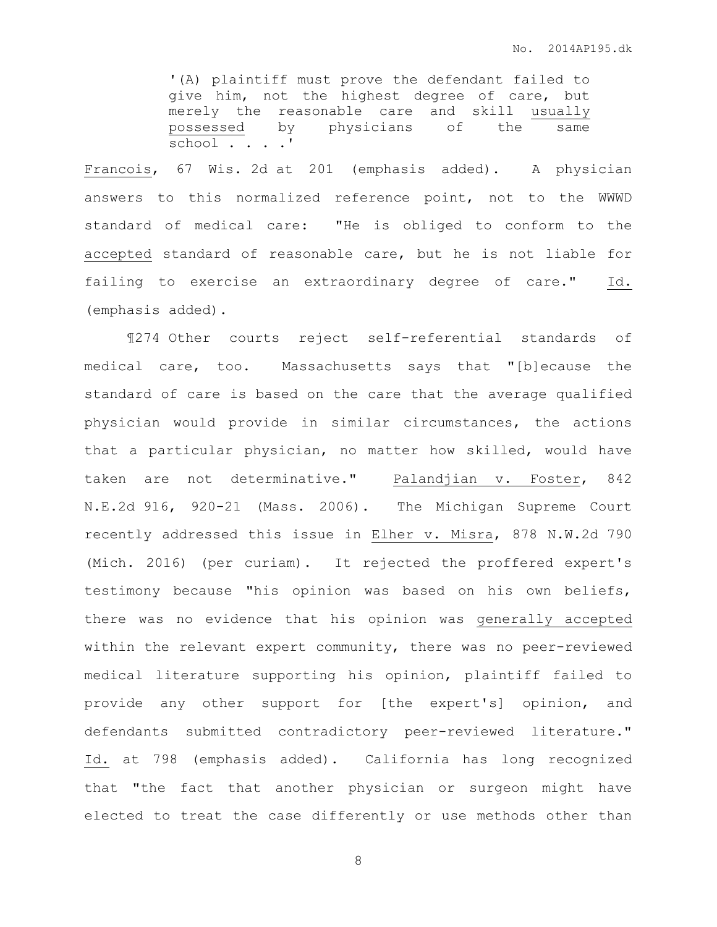'(A) plaintiff must prove the defendant failed to give him, not the highest degree of care, but merely the reasonable care and skill usually possessed by physicians of the same school . . . .'

Francois, 67 Wis. 2d at 201 (emphasis added). A physician answers to this normalized reference point, not to the WWWD standard of medical care: "He is obliged to conform to the accepted standard of reasonable care, but he is not liable for failing to exercise an extraordinary degree of care." Id. (emphasis added).

¶274 Other courts reject self-referential standards of medical care, too. Massachusetts says that "[b]ecause the standard of care is based on the care that the average qualified physician would provide in similar circumstances, the actions that a particular physician, no matter how skilled, would have taken are not determinative." Palandjian v. Foster, 842 N.E.2d 916, 920-21 (Mass. 2006). The Michigan Supreme Court recently addressed this issue in Elher v. Misra, 878 N.W.2d 790 (Mich. 2016) (per curiam). It rejected the proffered expert's testimony because "his opinion was based on his own beliefs, there was no evidence that his opinion was generally accepted within the relevant expert community, there was no peer-reviewed medical literature supporting his opinion, plaintiff failed to provide any other support for [the expert's] opinion, and defendants submitted contradictory peer-reviewed literature." Id. at 798 (emphasis added). California has long recognized that "the fact that another physician or surgeon might have elected to treat the case differently or use methods other than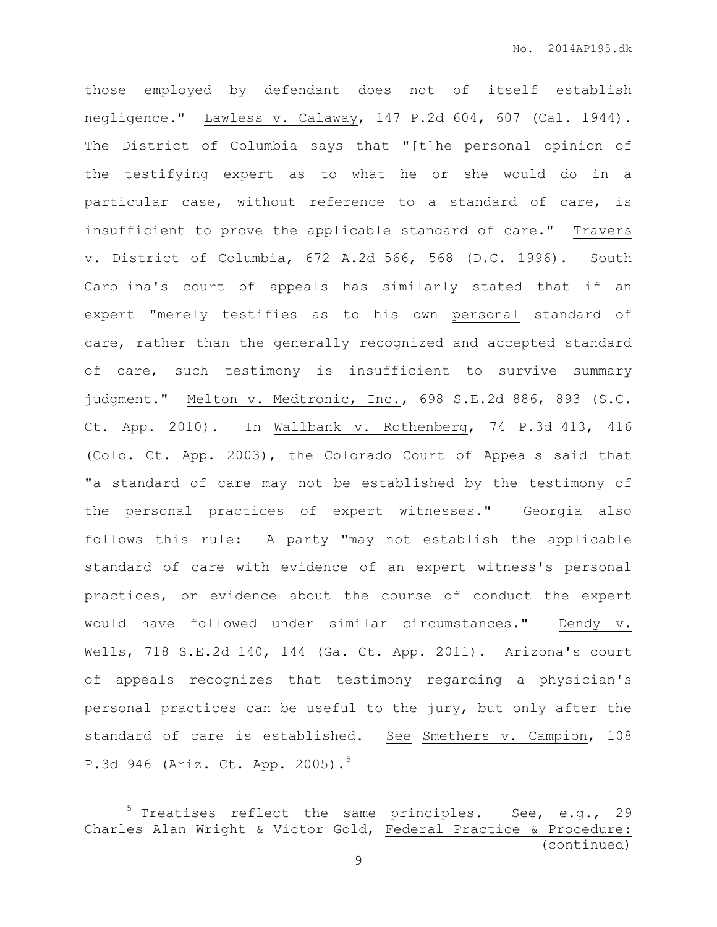those employed by defendant does not of itself establish negligence." Lawless v. Calaway, 147 P.2d 604, 607 (Cal. 1944). The District of Columbia says that "[t]he personal opinion of the testifying expert as to what he or she would do in a particular case, without reference to a standard of care, is insufficient to prove the applicable standard of care." Travers v. District of Columbia, 672 A.2d 566, 568 (D.C. 1996). South Carolina's court of appeals has similarly stated that if an expert "merely testifies as to his own personal standard of care, rather than the generally recognized and accepted standard of care, such testimony is insufficient to survive summary judgment." Melton v. Medtronic, Inc., 698 S.E.2d 886, 893 (S.C. Ct. App. 2010). In Wallbank v. Rothenberg, 74 P.3d 413, 416 (Colo. Ct. App. 2003), the Colorado Court of Appeals said that "a standard of care may not be established by the testimony of the personal practices of expert witnesses." Georgia also follows this rule: A party "may not establish the applicable standard of care with evidence of an expert witness's personal practices, or evidence about the course of conduct the expert would have followed under similar circumstances." Dendy v. Wells, 718 S.E.2d 140, 144 (Ga. Ct. App. 2011). Arizona's court of appeals recognizes that testimony regarding a physician's personal practices can be useful to the jury, but only after the standard of care is established. See Smethers v. Campion, 108 P.3d 946 (Ariz. Ct. App. 2005).<sup>5</sup>

 $\overline{a}$ 

 $5$  Treatises reflect the same principles. See, e.g., 29 Charles Alan Wright & Victor Gold, Federal Practice & Procedure: (continued)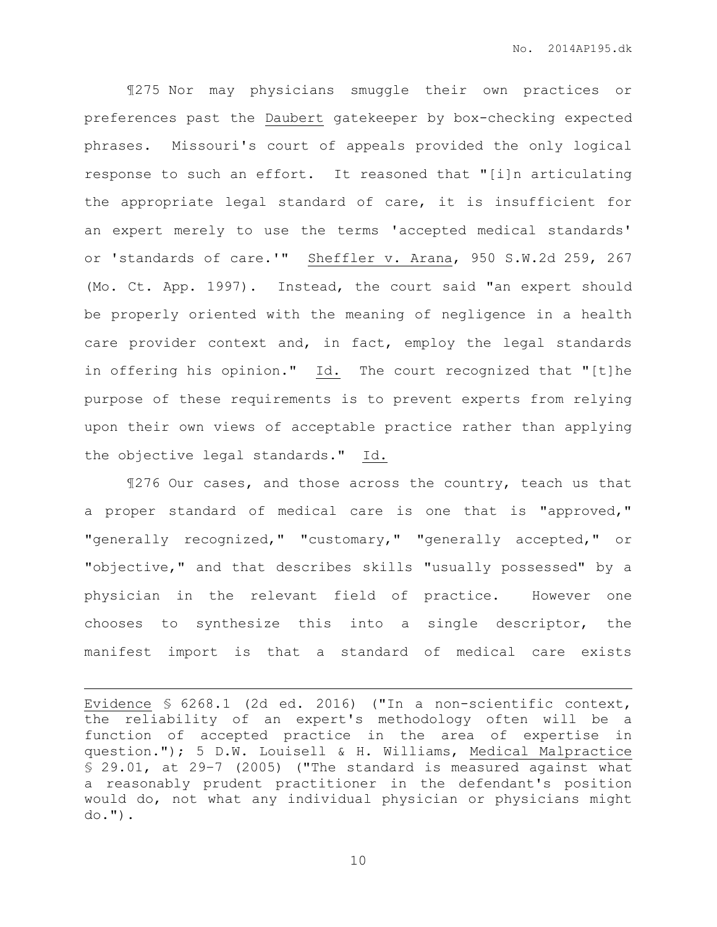¶275 Nor may physicians smuggle their own practices or preferences past the Daubert gatekeeper by box-checking expected phrases. Missouri's court of appeals provided the only logical response to such an effort. It reasoned that "[i]n articulating the appropriate legal standard of care, it is insufficient for an expert merely to use the terms 'accepted medical standards' or 'standards of care.'" Sheffler v. Arana, 950 S.W.2d 259, 267 (Mo. Ct. App. 1997). Instead, the court said "an expert should be properly oriented with the meaning of negligence in a health care provider context and, in fact, employ the legal standards in offering his opinion." Id. The court recognized that "[t]he purpose of these requirements is to prevent experts from relying upon their own views of acceptable practice rather than applying the objective legal standards." Id.

¶276 Our cases, and those across the country, teach us that a proper standard of medical care is one that is "approved," "generally recognized," "customary," "generally accepted," or "objective," and that describes skills "usually possessed" by a physician in the relevant field of practice. However one chooses to synthesize this into a single descriptor, the manifest import is that a standard of medical care exists

 $\overline{a}$ 

Evidence § 6268.1 (2d ed. 2016) ("In a non-scientific context, the reliability of an expert's methodology often will be a function of accepted practice in the area of expertise in question."); 5 D.W. Louisell & H. Williams, Medical Malpractice § 29.01, at 29–7 (2005) ("The standard is measured against what a reasonably prudent practitioner in the defendant's position would do, not what any individual physician or physicians might  $do.")$ .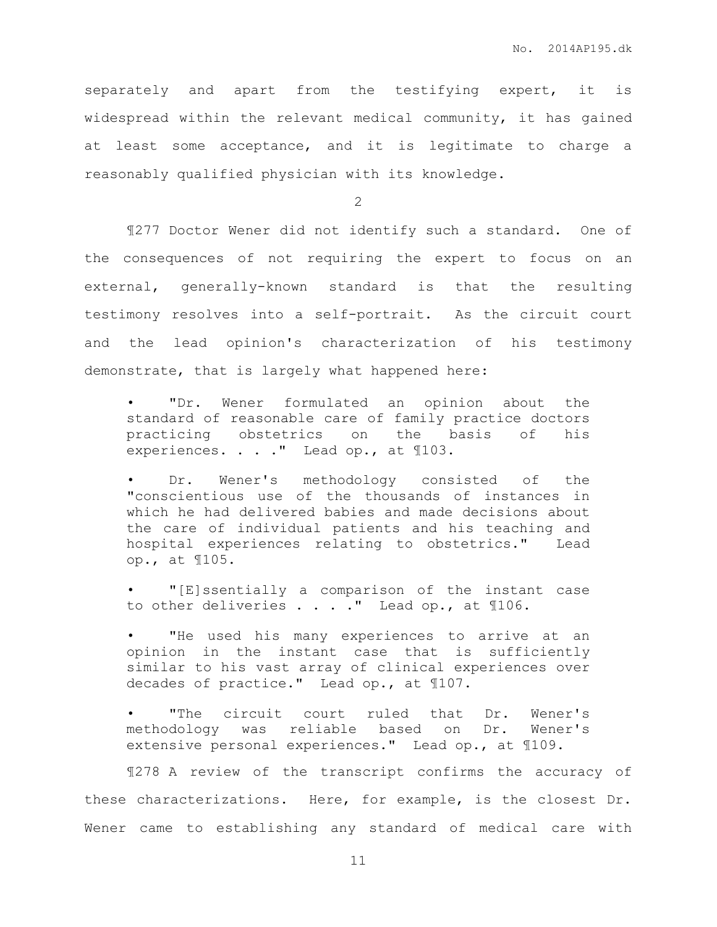separately and apart from the testifying expert, it is widespread within the relevant medical community, it has gained at least some acceptance, and it is legitimate to charge a reasonably qualified physician with its knowledge.

2

¶277 Doctor Wener did not identify such a standard. One of the consequences of not requiring the expert to focus on an external, generally-known standard is that the resulting testimony resolves into a self-portrait. As the circuit court and the lead opinion's characterization of his testimony demonstrate, that is largely what happened here:

• "Dr. Wener formulated an opinion about the standard of reasonable care of family practice doctors practicing obstetrics on the basis of his experiences. . . . " Lead op., at 1103.

Dr. Wener's methodology consisted of the "conscientious use of the thousands of instances in which he had delivered babies and made decisions about the care of individual patients and his teaching and hospital experiences relating to obstetrics." Lead op., at ¶105.

• "[E]ssentially a comparison of the instant case to other deliveries . . . . " Lead op., at 1106.

"He used his many experiences to arrive at an opinion in the instant case that is sufficiently similar to his vast array of clinical experiences over decades of practice." Lead op., at ¶107.

"The circuit court ruled that Dr. Wener's methodology was reliable based on Dr. Wener's extensive personal experiences." Lead op., at ¶109.

¶278 A review of the transcript confirms the accuracy of these characterizations. Here, for example, is the closest Dr. Wener came to establishing any standard of medical care with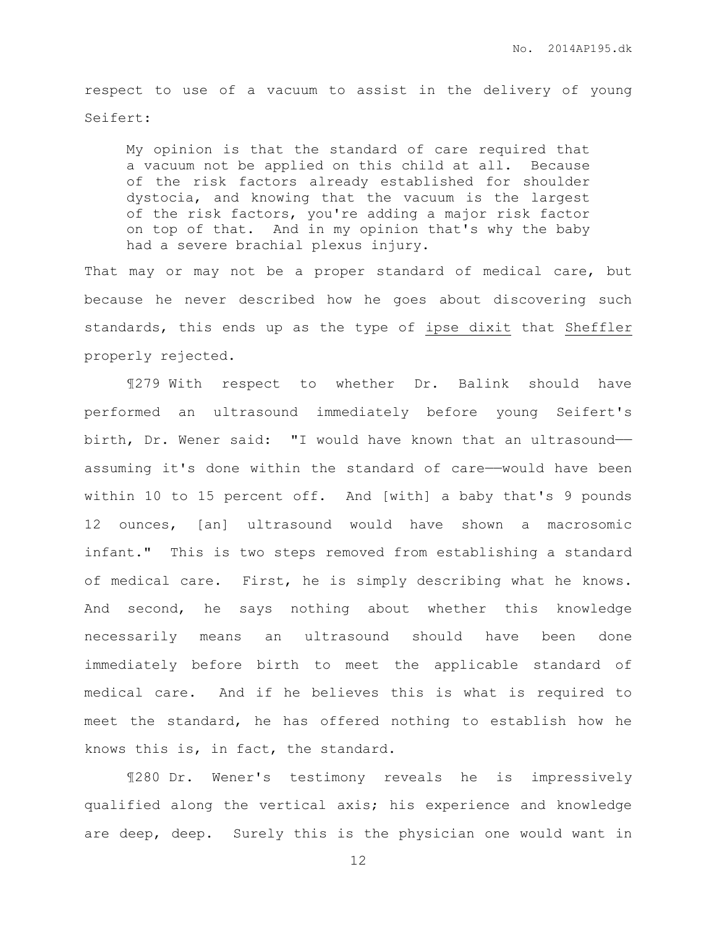respect to use of a vacuum to assist in the delivery of young Seifert:

My opinion is that the standard of care required that a vacuum not be applied on this child at all. Because of the risk factors already established for shoulder dystocia, and knowing that the vacuum is the largest of the risk factors, you're adding a major risk factor on top of that. And in my opinion that's why the baby had a severe brachial plexus injury.

That may or may not be a proper standard of medical care, but because he never described how he goes about discovering such standards, this ends up as the type of ipse dixit that Sheffler properly rejected.

¶279 With respect to whether Dr. Balink should have performed an ultrasound immediately before young Seifert's birth, Dr. Wener said: "I would have known that an ultrasound— assuming it's done within the standard of care—would have been within 10 to 15 percent off. And [with] a baby that's 9 pounds 12 ounces, [an] ultrasound would have shown a macrosomic infant." This is two steps removed from establishing a standard of medical care. First, he is simply describing what he knows. And second, he says nothing about whether this knowledge necessarily means an ultrasound should have been done immediately before birth to meet the applicable standard of medical care. And if he believes this is what is required to meet the standard, he has offered nothing to establish how he knows this is, in fact, the standard.

¶280 Dr. Wener's testimony reveals he is impressively qualified along the vertical axis; his experience and knowledge are deep, deep. Surely this is the physician one would want in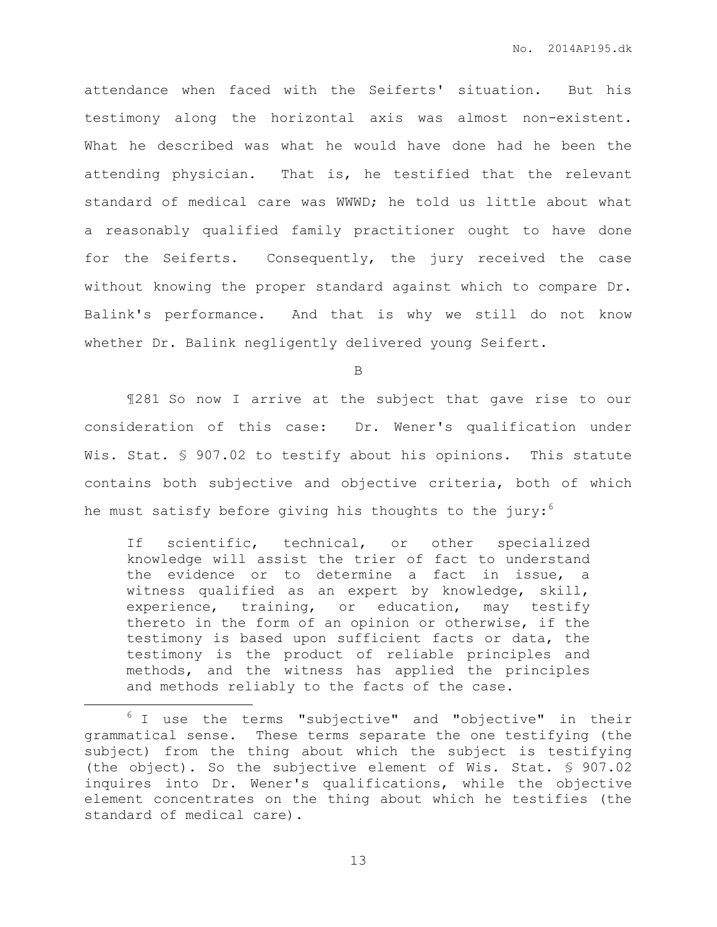attendance when faced with the Seiferts' situation. But his testimony along the horizontal axis was almost non-existent. What he described was what he would have done had he been the attending physician. That is, he testified that the relevant standard of medical care was WWWD; he told us little about what a reasonably qualified family practitioner ought to have done for the Seiferts. Consequently, the jury received the case without knowing the proper standard against which to compare Dr. Balink's performance. And that is why we still do not know whether Dr. Balink negligently delivered young Seifert.

B

¶281 So now I arrive at the subject that gave rise to our consideration of this case: Dr. Wener's qualification under Wis. Stat. § 907.02 to testify about his opinions. This statute contains both subjective and objective criteria, both of which he must satisfy before giving his thoughts to the jury: $6$ 

If scientific, technical, or other specialized knowledge will assist the trier of fact to understand the evidence or to determine a fact in issue, a witness qualified as an expert by knowledge, skill, experience, training, or education, may testify thereto in the form of an opinion or otherwise, if the testimony is based upon sufficient facts or data, the testimony is the product of reliable principles and methods, and the witness has applied the principles and methods reliably to the facts of the case.

 $\overline{a}$ 

<sup>&</sup>lt;sup>6</sup> I use the terms "subjective" and "objective" in their grammatical sense. These terms separate the one testifying (the subject) from the thing about which the subject is testifying (the object). So the subjective element of Wis. Stat. § 907.02 inquires into Dr. Wener's qualifications, while the objective element concentrates on the thing about which he testifies (the standard of medical care).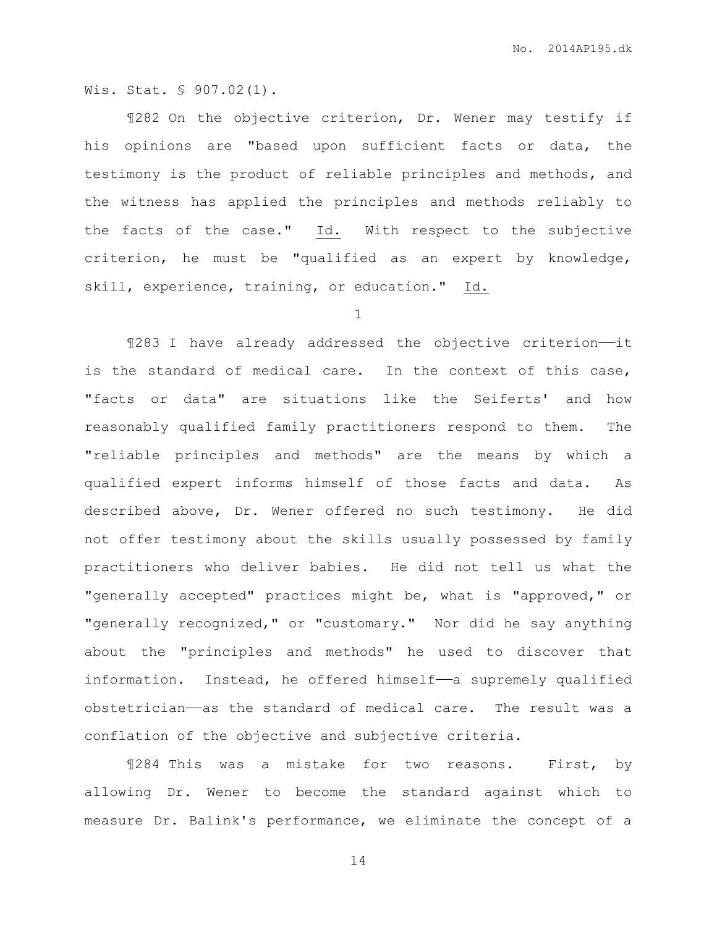Wis. Stat. § 907.02(1).

¶282 On the objective criterion, Dr. Wener may testify if his opinions are "based upon sufficient facts or data, the testimony is the product of reliable principles and methods, and the witness has applied the principles and methods reliably to the facts of the case." Id. With respect to the subjective criterion, he must be "qualified as an expert by knowledge, skill, experience, training, or education." Id.

1

¶283 I have already addressed the objective criterion——it is the standard of medical care. In the context of this case, "facts or data" are situations like the Seiferts' and how reasonably qualified family practitioners respond to them. The "reliable principles and methods" are the means by which a qualified expert informs himself of those facts and data. As described above, Dr. Wener offered no such testimony. He did not offer testimony about the skills usually possessed by family practitioners who deliver babies. He did not tell us what the "generally accepted" practices might be, what is "approved," or "generally recognized," or "customary." Nor did he say anything about the "principles and methods" he used to discover that information. Instead, he offered himself—a supremely qualified obstetrician——as the standard of medical care. The result was a conflation of the objective and subjective criteria.

¶284 This was a mistake for two reasons. First, by allowing Dr. Wener to become the standard against which to measure Dr. Balink's performance, we eliminate the concept of a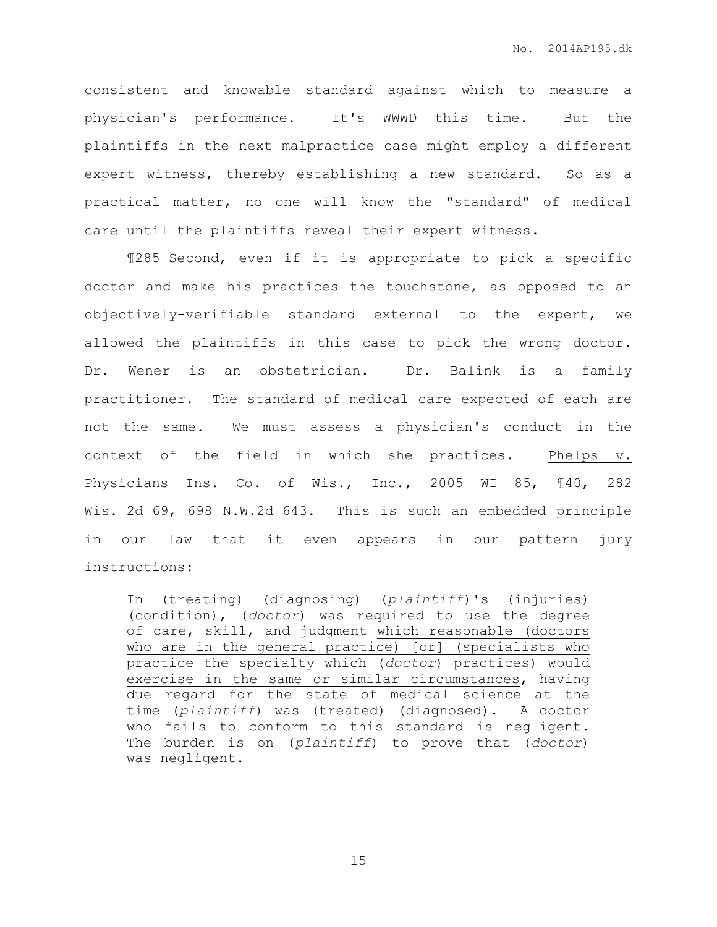consistent and knowable standard against which to measure a physician's performance. It's WWWD this time. But the plaintiffs in the next malpractice case might employ a different expert witness, thereby establishing a new standard. So as a practical matter, no one will know the "standard" of medical care until the plaintiffs reveal their expert witness.

¶285 Second, even if it is appropriate to pick a specific doctor and make his practices the touchstone, as opposed to an objectively-verifiable standard external to the expert, we allowed the plaintiffs in this case to pick the wrong doctor. Dr. Wener is an obstetrician. Dr. Balink is a family practitioner. The standard of medical care expected of each are not the same. We must assess a physician's conduct in the context of the field in which she practices. Phelps v. Physicians Ins. Co. of Wis., Inc., 2005 WI 85, ¶40, 282 Wis. 2d 69, 698 N.W.2d 643. This is such an embedded principle in our law that it even appears in our pattern jury instructions:

In (treating) (diagnosing) (*plaintiff*)'s (injuries) (condition), (*doctor*) was required to use the degree of care, skill, and judgment which reasonable (doctors who are in the general practice) [or] (specialists who practice the specialty which (*doctor*) practices) would exercise in the same or similar circumstances, having due regard for the state of medical science at the time (*plaintiff*) was (treated) (diagnosed). A doctor who fails to conform to this standard is negligent. The burden is on (*plaintiff*) to prove that (*doctor*) was negligent.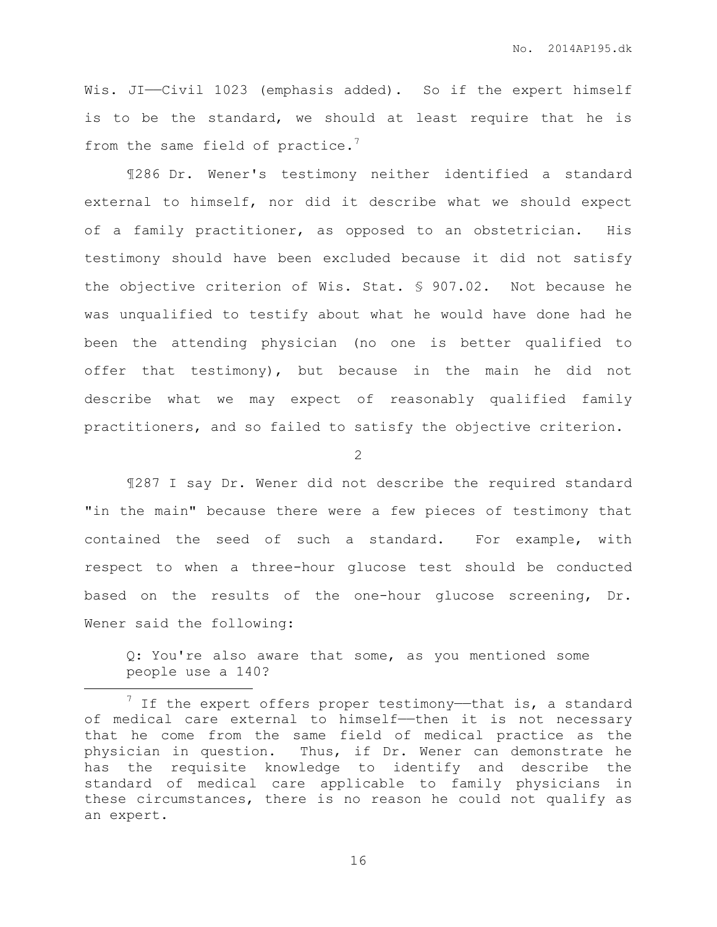Wis. JI--Civil 1023 (emphasis added). So if the expert himself is to be the standard, we should at least require that he is from the same field of practice. $7$ 

¶286 Dr. Wener's testimony neither identified a standard external to himself, nor did it describe what we should expect of a family practitioner, as opposed to an obstetrician. His testimony should have been excluded because it did not satisfy the objective criterion of Wis. Stat. § 907.02. Not because he was unqualified to testify about what he would have done had he been the attending physician (no one is better qualified to offer that testimony), but because in the main he did not describe what we may expect of reasonably qualified family practitioners, and so failed to satisfy the objective criterion.

2

¶287 I say Dr. Wener did not describe the required standard "in the main" because there were a few pieces of testimony that contained the seed of such a standard. For example, with respect to when a three-hour glucose test should be conducted based on the results of the one-hour glucose screening, Dr. Wener said the following:

Q: You're also aware that some, as you mentioned some people use a 140?

 $\overline{a}$ 

 $7$  If the expert offers proper testimony—that is, a standard of medical care external to himself——then it is not necessary that he come from the same field of medical practice as the physician in question. Thus, if Dr. Wener can demonstrate he has the requisite knowledge to identify and describe the standard of medical care applicable to family physicians in these circumstances, there is no reason he could not qualify as an expert.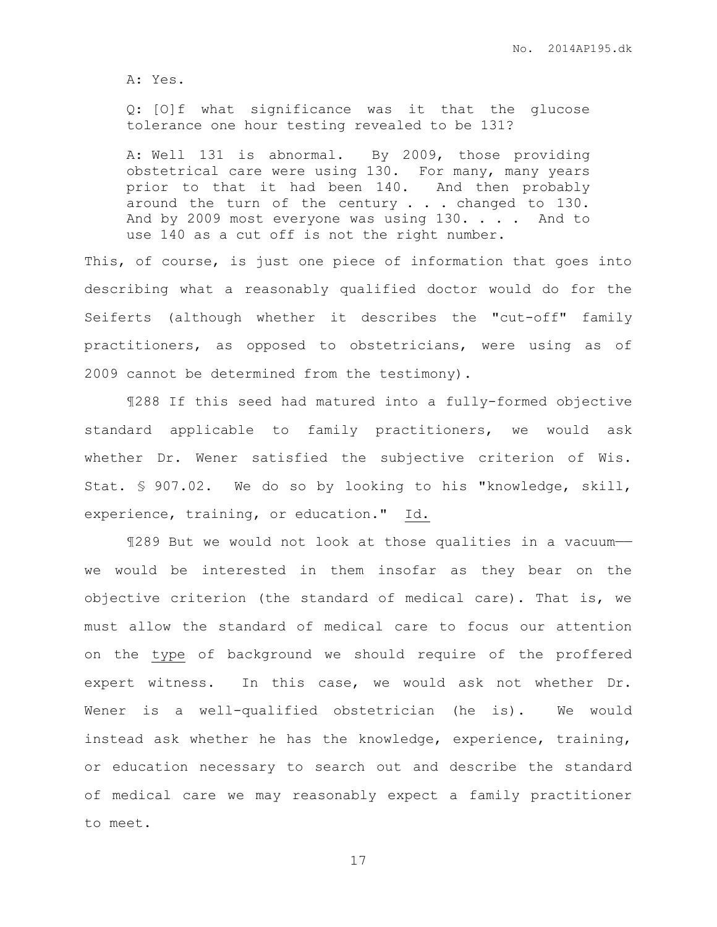A: Yes.

Q: [O]f what significance was it that the glucose tolerance one hour testing revealed to be 131?

A: Well 131 is abnormal. By 2009, those providing obstetrical care were using 130. For many, many years prior to that it had been 140. And then probably around the turn of the century . . . changed to 130. And by 2009 most everyone was using 130. . . . And to use 140 as a cut off is not the right number.

This, of course, is just one piece of information that goes into describing what a reasonably qualified doctor would do for the Seiferts (although whether it describes the "cut-off" family practitioners, as opposed to obstetricians, were using as of 2009 cannot be determined from the testimony).

¶288 If this seed had matured into a fully-formed objective standard applicable to family practitioners, we would ask whether Dr. Wener satisfied the subjective criterion of Wis. Stat. § 907.02. We do so by looking to his "knowledge, skill, experience, training, or education." Id.

¶289 But we would not look at those qualities in a vacuum— we would be interested in them insofar as they bear on the objective criterion (the standard of medical care). That is, we must allow the standard of medical care to focus our attention on the type of background we should require of the proffered expert witness. In this case, we would ask not whether Dr. Wener is a well-qualified obstetrician (he is). We would instead ask whether he has the knowledge, experience, training, or education necessary to search out and describe the standard of medical care we may reasonably expect a family practitioner to meet.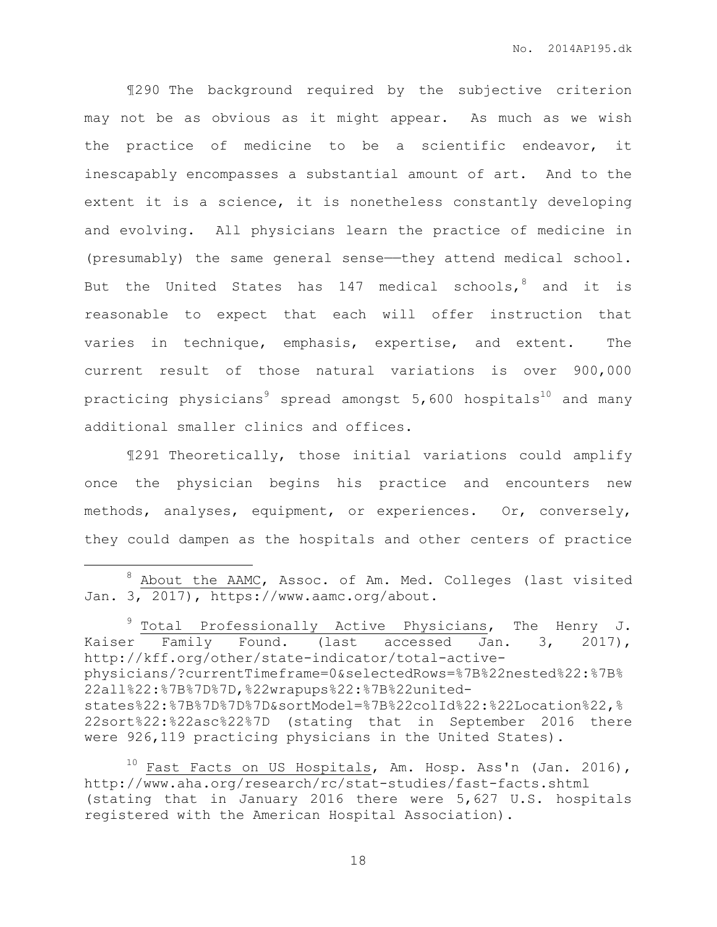¶290 The background required by the subjective criterion may not be as obvious as it might appear. As much as we wish the practice of medicine to be a scientific endeavor, it inescapably encompasses a substantial amount of art. And to the extent it is a science, it is nonetheless constantly developing and evolving. All physicians learn the practice of medicine in (presumably) the same general sense——they attend medical school. But the United States has 147 medical schools,  $\delta$  and it is reasonable to expect that each will offer instruction that varies in technique, emphasis, expertise, and extent. The current result of those natural variations is over 900,000 practicing physicians<sup>9</sup> spread amongst  $5,600$  hospitals<sup>10</sup> and many additional smaller clinics and offices.

¶291 Theoretically, those initial variations could amplify once the physician begins his practice and encounters new methods, analyses, equipment, or experiences. Or, conversely, they could dampen as the hospitals and other centers of practice

 $\overline{a}$ 

 $9$  Total Professionally Active Physicians, The Henry J. Kaiser Family Found. (last accessed Jan. 3, 2017), http://kff.org/other/state-indicator/total-activephysicians/?currentTimeframe=0&selectedRows=%7B%22nested%22:%7B% 22all%22:%7B%7D%7D,%22wrapups%22:%7B%22unitedstates%22:%7B%7D%7D%7D&sortModel=%7B%22colId%22:%22Location%22,% 22sort%22:%22asc%22%7D (stating that in September 2016 there were 926,119 practicing physicians in the United States).

 $10$  Fast Facts on US Hospitals, Am. Hosp. Ass'n (Jan. 2016), http://www.aha.org/research/rc/stat-studies/fast-facts.shtml (stating that in January 2016 there were 5,627 U.S. hospitals registered with the American Hospital Association).

<sup>8</sup> About the AAMC, Assoc. of Am. Med. Colleges (last visited Jan. 3, 2017), https://www.aamc.org/about.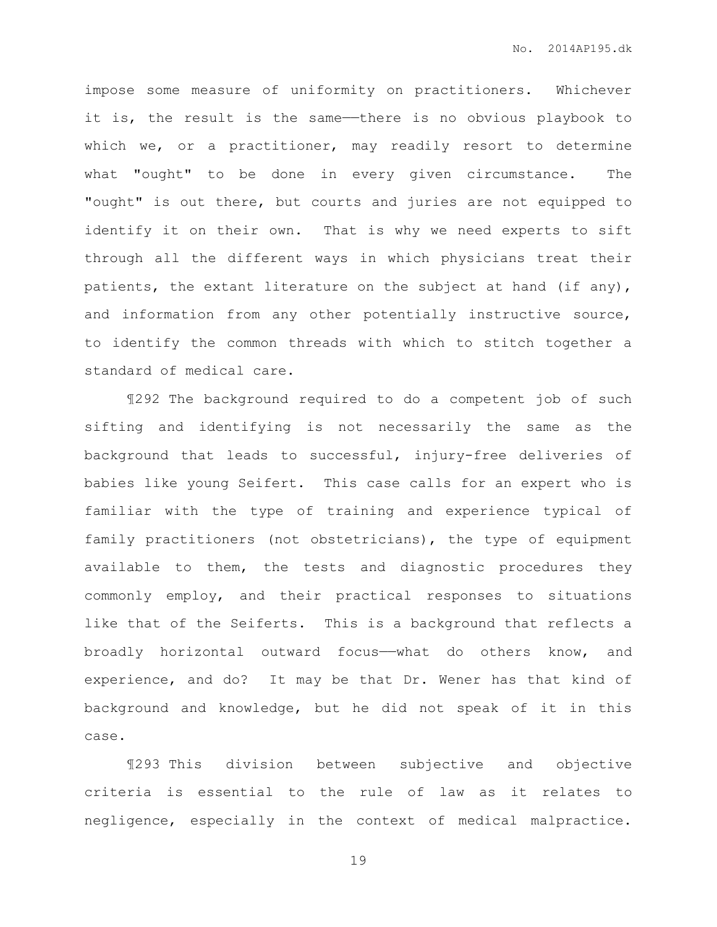impose some measure of uniformity on practitioners. Whichever it is, the result is the same—there is no obvious playbook to which we, or a practitioner, may readily resort to determine what "ought" to be done in every given circumstance. The "ought" is out there, but courts and juries are not equipped to identify it on their own. That is why we need experts to sift through all the different ways in which physicians treat their patients, the extant literature on the subject at hand (if any), and information from any other potentially instructive source, to identify the common threads with which to stitch together a standard of medical care.

¶292 The background required to do a competent job of such sifting and identifying is not necessarily the same as the background that leads to successful, injury-free deliveries of babies like young Seifert. This case calls for an expert who is familiar with the type of training and experience typical of family practitioners (not obstetricians), the type of equipment available to them, the tests and diagnostic procedures they commonly employ, and their practical responses to situations like that of the Seiferts. This is a background that reflects a broadly horizontal outward focus——what do others know, and experience, and do? It may be that Dr. Wener has that kind of background and knowledge, but he did not speak of it in this case.

¶293 This division between subjective and objective criteria is essential to the rule of law as it relates to negligence, especially in the context of medical malpractice.